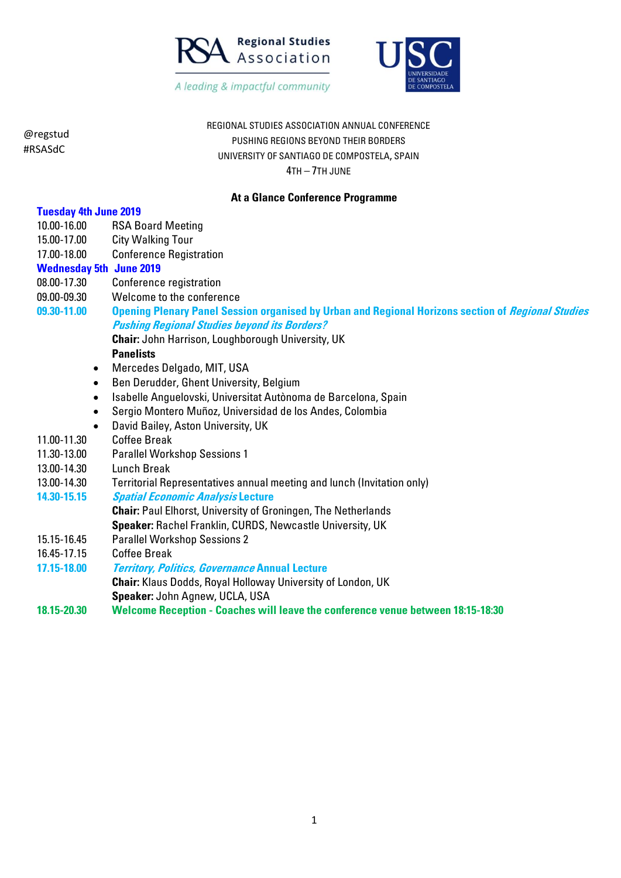



REGIONAL STUDIES ASSOCIATION ANNUAL CONFERENCE PUSHING REGIONS BEYOND THEIR BORDERS UNIVERSITY OF SANTIAGO DE COMPOSTELA, SPAIN 4TH – 7TH JUNE

#### **At a Glance Conference Programme**

| <b>Tuesday 4th June 2019</b>                                                                              |
|-----------------------------------------------------------------------------------------------------------|
| <b>RSA Board Meeting</b>                                                                                  |
| <b>City Walking Tour</b>                                                                                  |
| <b>Conference Registration</b>                                                                            |
| <b>Wednesday 5th June 2019</b>                                                                            |
| Conference registration                                                                                   |
| Welcome to the conference                                                                                 |
| <b>Opening Plenary Panel Session organised by Urban and Regional Horizons section of Regional Studies</b> |
| <b>Pushing Regional Studies beyond its Borders?</b>                                                       |
| <b>Chair: John Harrison, Loughborough University, UK</b>                                                  |
| <b>Panelists</b>                                                                                          |
| Mercedes Delgado, MIT, USA                                                                                |
| Ben Derudder, Ghent University, Belgium                                                                   |
| Isabelle Anguelovski, Universitat Autònoma de Barcelona, Spain                                            |
| Sergio Montero Muñoz, Universidad de los Andes, Colombia                                                  |
| David Bailey, Aston University, UK                                                                        |
| <b>Coffee Break</b>                                                                                       |
| <b>Parallel Workshop Sessions 1</b>                                                                       |
| <b>Lunch Break</b>                                                                                        |
| Territorial Representatives annual meeting and lunch (Invitation only)                                    |
| <b>Spatial Economic Analysis Lecture</b>                                                                  |
| Chair: Paul Elhorst, University of Groningen, The Netherlands                                             |
| Speaker: Rachel Franklin, CURDS, Newcastle University, UK                                                 |
| <b>Parallel Workshop Sessions 2</b>                                                                       |
| <b>Coffee Break</b>                                                                                       |
| <b>Territory, Politics, Governance Annual Lecture</b>                                                     |
| <b>Chair:</b> Klaus Dodds, Royal Holloway University of London, UK                                        |
| Speaker: John Agnew, UCLA, USA                                                                            |
| <b>Welcome Reception - Coaches will leave the conference venue between 18:15-18:30</b>                    |
|                                                                                                           |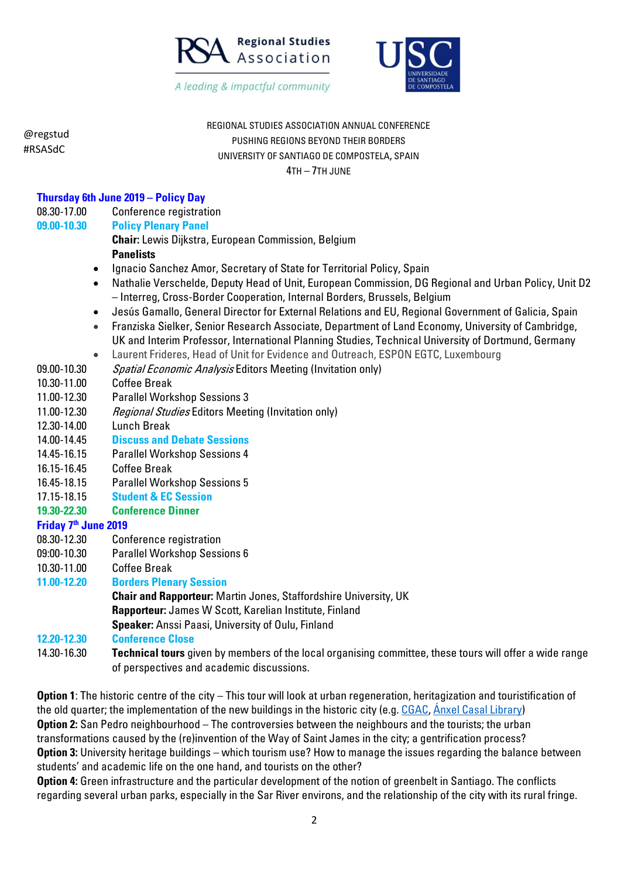



@regstud #RSASdC REGIONAL STUDIES ASSOCIATION ANNUAL CONFERENCE PUSHING REGIONS BEYOND THEIR BORDERS UNIVERSITY OF SANTIAGO DE COMPOSTELA, SPAIN 4TH – 7TH JUNE **Thursday 6th June 2019 – Policy Day**  08.30-17.00 Conference registration **09.00-10.30 Policy Plenary Panel Chair:** Lewis Dijkstra, European Commission, Belgium **Panelists** • Ignacio Sanchez Amor, Secretary of State for Territorial Policy, Spain • Nathalie Verschelde, Deputy Head of Unit, European Commission, DG Regional and Urban Policy, Unit D2 – Interreg, Cross-Border Cooperation, Internal Borders, Brussels, Belgium • Jesús Gamallo, General Director for External Relations and EU, Regional Government of Galicia, Spain • Franziska Sielker, Senior Research Associate, Department of Land Economy, University of Cambridge, UK and Interim Professor, International Planning Studies, Technical University of Dortmund, Germany • Laurent Frideres, Head of Unit for Evidence and Outreach, ESPON EGTC, Luxembourg 09.00-10.30 Spatial Economic Analysis Editors Meeting (Invitation only) 10.30-11.00 Coffee Break 11.00-12.30 Parallel Workshop Sessions 3 11.00-12.30 Regional Studies Editors Meeting (Invitation only) 12.30-14.00 Lunch Break 14.00-14.45 **Discuss and Debate Sessions**  14.45-16.15 Parallel Workshop Sessions 4 16.15-16.45 Coffee Break 16.45-18.15 Parallel Workshop Sessions 5 17.15-18.15 **Student & EC Session 19.30-22.30 Conference Dinner Friday 7th June 2019** 08.30-12.30 Conference registration 09:00-10.30 Parallel Workshop Sessions 6 10.30-11.00 Coffee Break **11.00-12.20 Borders Plenary Session Chair and Rapporteur:** Martin Jones, Staffordshire University, UK **Rapporteur:** James W Scott, Karelian Institute, Finland **Speaker:** Anssi Paasi, University of Oulu, Finland **12.20-12.30 Conference Close**  14.30-16.30 **Technical tours** given by members of the local organising committee, these tours will offer a wide range of perspectives and academic discussions.

**Option 1**: The historic centre of the city – This tour will look at urban regeneration, heritagization and touristification of the old quarter; the implementation of the new buildings in the historic city (e.g. [CGAC,](http://cgac.xunta.gal/EN) [Ánxel Casal Library\)](https://bibliotecas.xunta.gal/santiago/gl) **Option 2:** San Pedro neighbourhood – The controversies between the neighbours and the tourists; the urban transformations caused by the (re)invention of the Way of Saint James in the city; a gentrification process? **Option 3:** University heritage buildings – which tourism use? How to manage the issues regarding the balance between students' and academic life on the one hand, and tourists on the other?

**Option 4:** Green infrastructure and the particular development of the notion of greenbelt in Santiago. The conflicts regarding several urban parks, especially in the Sar River environs, and the relationship of the city with its rural fringe.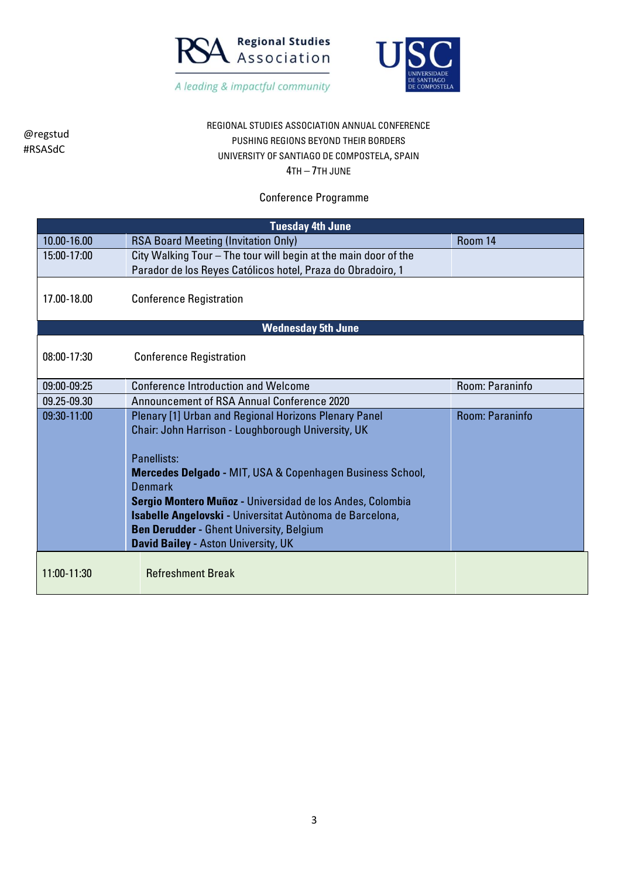



#### REGIONAL STUDIES ASSOCIATION ANNUAL CONFERENCE PUSHING REGIONS BEYOND THEIR BORDERS UNIVERSITY OF SANTIAGO DE COMPOSTELA, SPAIN 4TH – 7TH JUNE

#### Conference Programme

| <b>Tuesday 4th June</b> |                                                                             |                 |  |
|-------------------------|-----------------------------------------------------------------------------|-----------------|--|
| 10.00-16.00             | <b>RSA Board Meeting (Invitation Only)</b>                                  | Room 14         |  |
| 15:00-17:00             | City Walking Tour - The tour will begin at the main door of the             |                 |  |
|                         | Parador de los Reyes Católicos hotel, Praza do Obradoiro, 1                 |                 |  |
| 17.00-18.00             | <b>Conference Registration</b>                                              |                 |  |
|                         |                                                                             |                 |  |
|                         | <b>Wednesday 5th June</b>                                                   |                 |  |
| 08:00-17:30             | <b>Conference Registration</b>                                              |                 |  |
|                         |                                                                             |                 |  |
| 09:00-09:25             | <b>Conference Introduction and Welcome</b>                                  | Room: Paraninfo |  |
| 09.25-09.30             | Announcement of RSA Annual Conference 2020                                  |                 |  |
| 09:30-11:00             | Plenary [1] Urban and Regional Horizons Plenary Panel                       | Room: Paraninfo |  |
|                         | Chair: John Harrison - Loughborough University, UK                          |                 |  |
|                         |                                                                             |                 |  |
|                         | Panellists:                                                                 |                 |  |
|                         | <b>Mercedes Delgado - MIT, USA &amp; Copenhagen Business School,</b>        |                 |  |
|                         | <b>Denmark</b><br>Sergio Montero Muñoz - Universidad de los Andes, Colombia |                 |  |
|                         | Isabelle Angelovski - Universitat Autònoma de Barcelona,                    |                 |  |
|                         | <b>Ben Derudder - Ghent University, Belgium</b>                             |                 |  |
|                         | <b>David Bailey - Aston University, UK</b>                                  |                 |  |
|                         |                                                                             |                 |  |
| 11:00-11:30             | <b>Refreshment Break</b>                                                    |                 |  |
|                         |                                                                             |                 |  |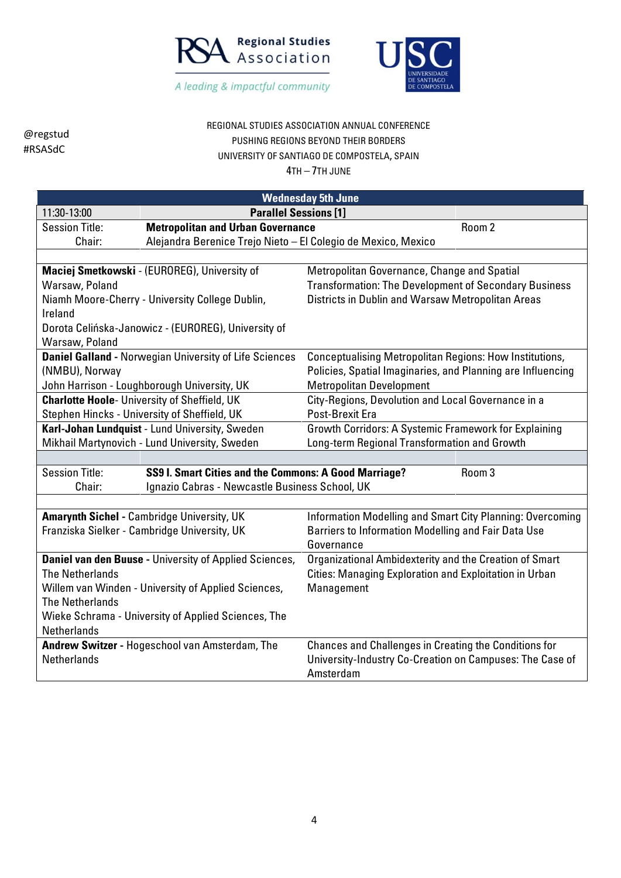



#### REGIONAL STUDIES ASSOCIATION ANNUAL CONFERENCE PUSHING REGIONS BEYOND THEIR BORDERS UNIVERSITY OF SANTIAGO DE COMPOSTELA, SPAIN

@regstud #RSASdC

| <b>Wednesday 5th June</b>                                                             |                                                               |                                                                   |  |
|---------------------------------------------------------------------------------------|---------------------------------------------------------------|-------------------------------------------------------------------|--|
| 11:30-13:00                                                                           | <b>Parallel Sessions [1]</b>                                  |                                                                   |  |
| <b>Session Title:</b>                                                                 | <b>Metropolitan and Urban Governance</b><br>Room 2            |                                                                   |  |
| Chair:                                                                                | Alejandra Berenice Trejo Nieto - El Colegio de Mexico, Mexico |                                                                   |  |
|                                                                                       |                                                               |                                                                   |  |
|                                                                                       | Maciej Smetkowski - (EUROREG), University of                  | Metropolitan Governance, Change and Spatial                       |  |
| Warsaw, Poland                                                                        |                                                               | <b>Transformation: The Development of Secondary Business</b>      |  |
| Ireland                                                                               | Niamh Moore-Cherry - University College Dublin,               | Districts in Dublin and Warsaw Metropolitan Areas                 |  |
|                                                                                       | Dorota Celińska-Janowicz - (EUROREG), University of           |                                                                   |  |
| Warsaw, Poland                                                                        |                                                               |                                                                   |  |
|                                                                                       | <b>Daniel Galland - Norwegian University of Life Sciences</b> | <b>Conceptualising Metropolitan Regions: How Institutions,</b>    |  |
| (NMBU), Norway                                                                        |                                                               | Policies, Spatial Imaginaries, and Planning are Influencing       |  |
|                                                                                       | John Harrison - Loughborough University, UK                   | <b>Metropolitan Development</b>                                   |  |
| <b>Charlotte Hoole- University of Sheffield, UK</b>                                   |                                                               | City-Regions, Devolution and Local Governance in a                |  |
| Stephen Hincks - University of Sheffield, UK                                          |                                                               | Post-Brexit Era                                                   |  |
| Karl-Johan Lundquist - Lund University, Sweden                                        |                                                               | Growth Corridors: A Systemic Framework for Explaining             |  |
|                                                                                       | Mikhail Martynovich - Lund University, Sweden                 | Long-term Regional Transformation and Growth                      |  |
|                                                                                       |                                                               |                                                                   |  |
| <b>Session Title:</b><br><b>SS9 I. Smart Cities and the Commons: A Good Marriage?</b> |                                                               | Room 3                                                            |  |
| Ignazio Cabras - Newcastle Business School, UK<br>Chair:                              |                                                               |                                                                   |  |
|                                                                                       |                                                               |                                                                   |  |
|                                                                                       | <b>Amarynth Sichel - Cambridge University, UK</b>             | Information Modelling and Smart City Planning: Overcoming         |  |
|                                                                                       | Franziska Sielker - Cambridge University, UK                  | Barriers to Information Modelling and Fair Data Use<br>Governance |  |
|                                                                                       | Daniel van den Buuse - University of Applied Sciences,        | Organizational Ambidexterity and the Creation of Smart            |  |
| <b>The Netherlands</b>                                                                |                                                               | Cities: Managing Exploration and Exploitation in Urban            |  |
|                                                                                       |                                                               | Management                                                        |  |
| Willem van Winden - University of Applied Sciences,<br><b>The Netherlands</b>         |                                                               |                                                                   |  |
| Wieke Schrama - University of Applied Sciences, The                                   |                                                               |                                                                   |  |
| Netherlands                                                                           |                                                               |                                                                   |  |
|                                                                                       | Andrew Switzer - Hogeschool van Amsterdam, The                | Chances and Challenges in Creating the Conditions for             |  |
| <b>Netherlands</b>                                                                    |                                                               | University-Industry Co-Creation on Campuses: The Case of          |  |
|                                                                                       |                                                               | Amsterdam                                                         |  |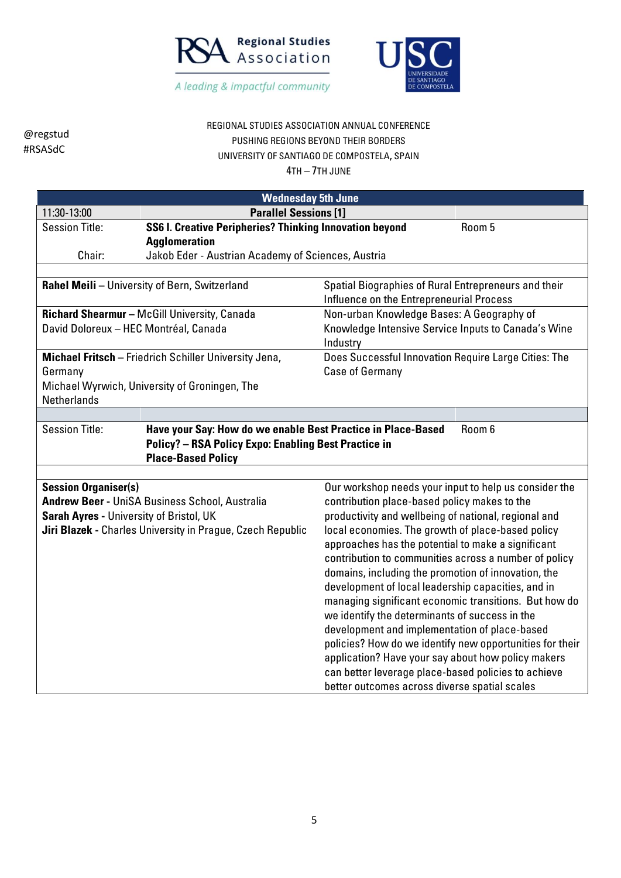



#### REGIONAL STUDIES ASSOCIATION ANNUAL CONFERENCE PUSHING REGIONS BEYOND THEIR BORDERS UNIVERSITY OF SANTIAGO DE COMPOSTELA, SPAIN

| <b>Wednesday 5th June</b>                                                                                                            |                                                                                                                                                          |                                                                                                  |                                                     |
|--------------------------------------------------------------------------------------------------------------------------------------|----------------------------------------------------------------------------------------------------------------------------------------------------------|--------------------------------------------------------------------------------------------------|-----------------------------------------------------|
| 11:30-13:00                                                                                                                          | <b>Parallel Sessions [1]</b>                                                                                                                             |                                                                                                  |                                                     |
| <b>Session Title:</b>                                                                                                                | SS6 I. Creative Peripheries? Thinking Innovation beyond                                                                                                  |                                                                                                  | Room 5                                              |
|                                                                                                                                      | <b>Agglomeration</b>                                                                                                                                     |                                                                                                  |                                                     |
| Chair:                                                                                                                               | Jakob Eder - Austrian Academy of Sciences, Austria                                                                                                       |                                                                                                  |                                                     |
|                                                                                                                                      |                                                                                                                                                          |                                                                                                  |                                                     |
|                                                                                                                                      | Rahel Meili - University of Bern, Switzerland                                                                                                            | Spatial Biographies of Rural Entrepreneurs and their<br>Influence on the Entrepreneurial Process |                                                     |
|                                                                                                                                      | Richard Shearmur - McGill University, Canada                                                                                                             | Non-urban Knowledge Bases: A Geography of                                                        |                                                     |
| David Doloreux - HEC Montréal, Canada                                                                                                |                                                                                                                                                          | Knowledge Intensive Service Inputs to Canada's Wine<br>Industry                                  |                                                     |
| Germany                                                                                                                              | Michael Fritsch - Friedrich Schiller University Jena,                                                                                                    | Does Successful Innovation Require Large Cities: The<br><b>Case of Germany</b>                   |                                                     |
| <b>Netherlands</b>                                                                                                                   | Michael Wyrwich, University of Groningen, The                                                                                                            |                                                                                                  |                                                     |
|                                                                                                                                      |                                                                                                                                                          |                                                                                                  |                                                     |
|                                                                                                                                      | Have your Say: How do we enable Best Practice in Place-Based<br><b>Policy? - RSA Policy Expo: Enabling Best Practice in</b><br><b>Place-Based Policy</b> |                                                                                                  |                                                     |
|                                                                                                                                      |                                                                                                                                                          |                                                                                                  |                                                     |
| <b>Session Organiser(s)</b><br>Our workshop needs your input to help us consider the<br>contribution place-based policy makes to the |                                                                                                                                                          |                                                                                                  |                                                     |
| <b>Andrew Beer - UniSA Business School, Australia</b><br>Sarah Ayres - University of Bristol, UK                                     |                                                                                                                                                          | productivity and wellbeing of national, regional and                                             |                                                     |
|                                                                                                                                      | Jiri Blazek - Charles University in Prague, Czech Republic                                                                                               | local economies. The growth of place-based policy                                                |                                                     |
|                                                                                                                                      |                                                                                                                                                          | approaches has the potential to make a significant                                               |                                                     |
|                                                                                                                                      |                                                                                                                                                          | contribution to communities across a number of policy                                            |                                                     |
|                                                                                                                                      |                                                                                                                                                          | domains, including the promotion of innovation, the                                              |                                                     |
| development of local leadership capacities, and in                                                                                   |                                                                                                                                                          |                                                                                                  |                                                     |
|                                                                                                                                      |                                                                                                                                                          | managing significant economic transitions. But how do                                            |                                                     |
|                                                                                                                                      |                                                                                                                                                          | we identify the determinants of success in the                                                   |                                                     |
| development and implementation of place-based                                                                                        |                                                                                                                                                          |                                                                                                  |                                                     |
|                                                                                                                                      |                                                                                                                                                          | policies? How do we identify new opportunities for their                                         |                                                     |
|                                                                                                                                      |                                                                                                                                                          | application? Have your say about how policy makers                                               |                                                     |
|                                                                                                                                      |                                                                                                                                                          |                                                                                                  | can better leverage place-based policies to achieve |
|                                                                                                                                      |                                                                                                                                                          | better outcomes across diverse spatial scales                                                    |                                                     |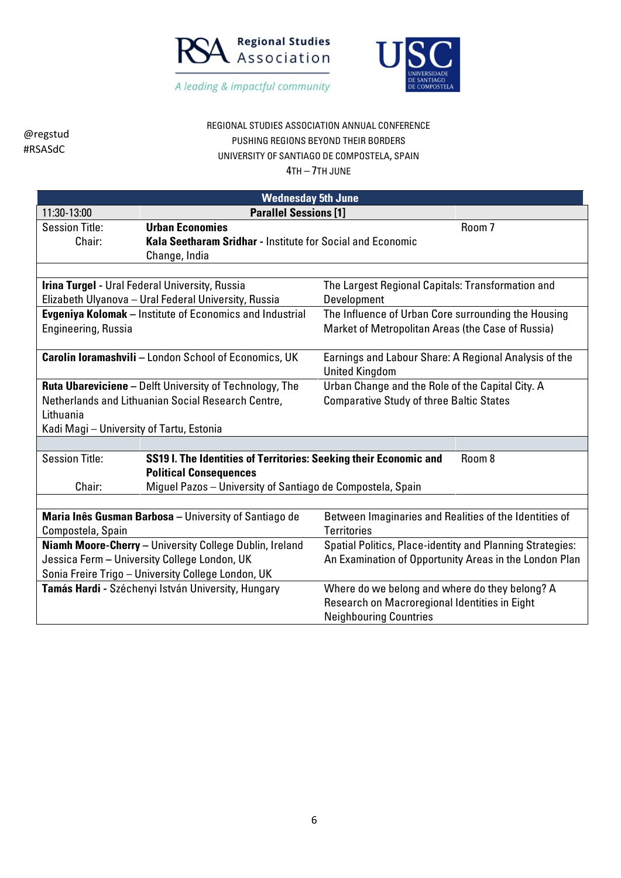



### REGIONAL STUDIES ASSOCIATION ANNUAL CONFERENCE PUSHING REGIONS BEYOND THEIR BORDERS UNIVERSITY OF SANTIAGO DE COMPOSTELA, SPAIN

| <b>Wednesday 5th June</b>                               |                                                                   |                                                                  |  |
|---------------------------------------------------------|-------------------------------------------------------------------|------------------------------------------------------------------|--|
| 11:30-13:00                                             | <b>Parallel Sessions [1]</b>                                      |                                                                  |  |
| <b>Session Title:</b>                                   | <b>Urban Economies</b>                                            | Room 7                                                           |  |
| Chair:                                                  | Kala Seetharam Sridhar - Institute for Social and Economic        |                                                                  |  |
|                                                         | Change, India                                                     |                                                                  |  |
|                                                         |                                                                   |                                                                  |  |
|                                                         | Irina Turgel - Ural Federal University, Russia                    | The Largest Regional Capitals: Transformation and                |  |
|                                                         | Elizabeth Ulyanova - Ural Federal University, Russia              | Development                                                      |  |
|                                                         | <b>Evgeniya Kolomak</b> – Institute of Economics and Industrial   | The Influence of Urban Core surrounding the Housing              |  |
| Engineering, Russia                                     |                                                                   | Market of Metropolitan Areas (the Case of Russia)                |  |
|                                                         |                                                                   |                                                                  |  |
|                                                         | <b>Carolin Ioramashvili - London School of Economics, UK</b>      | Earnings and Labour Share: A Regional Analysis of the            |  |
|                                                         |                                                                   | <b>United Kingdom</b>                                            |  |
|                                                         | <b>Ruta Ubareviciene - Delft University of Technology, The</b>    | Urban Change and the Role of the Capital City. A                 |  |
|                                                         | Netherlands and Lithuanian Social Research Centre,                | <b>Comparative Study of three Baltic States</b>                  |  |
| Lithuania                                               |                                                                   |                                                                  |  |
| Kadi Magi - University of Tartu, Estonia                |                                                                   |                                                                  |  |
|                                                         |                                                                   |                                                                  |  |
| <b>Session Title:</b>                                   | SS19 I. The Identities of Territories: Seeking their Economic and | Room 8                                                           |  |
|                                                         | <b>Political Consequences</b>                                     |                                                                  |  |
| Chair:                                                  | Miguel Pazos - University of Santiago de Compostela, Spain        |                                                                  |  |
|                                                         |                                                                   |                                                                  |  |
|                                                         | Maria Inês Gusman Barbosa - University of Santiago de             | Between Imaginaries and Realities of the Identities of           |  |
| Compostela, Spain                                       |                                                                   | <b>Territories</b>                                               |  |
| Niamh Moore-Cherry - University College Dublin, Ireland |                                                                   | <b>Spatial Politics, Place-identity and Planning Strategies:</b> |  |
| Jessica Ferm - University College London, UK            |                                                                   | An Examination of Opportunity Areas in the London Plan           |  |
|                                                         | Sonia Freire Trigo - University College London, UK                |                                                                  |  |
|                                                         | Tamás Hardi - Széchenyi István University, Hungary                | Where do we belong and where do they belong? A                   |  |
|                                                         |                                                                   | Research on Macroregional Identities in Eight                    |  |
|                                                         |                                                                   | <b>Neighbouring Countries</b>                                    |  |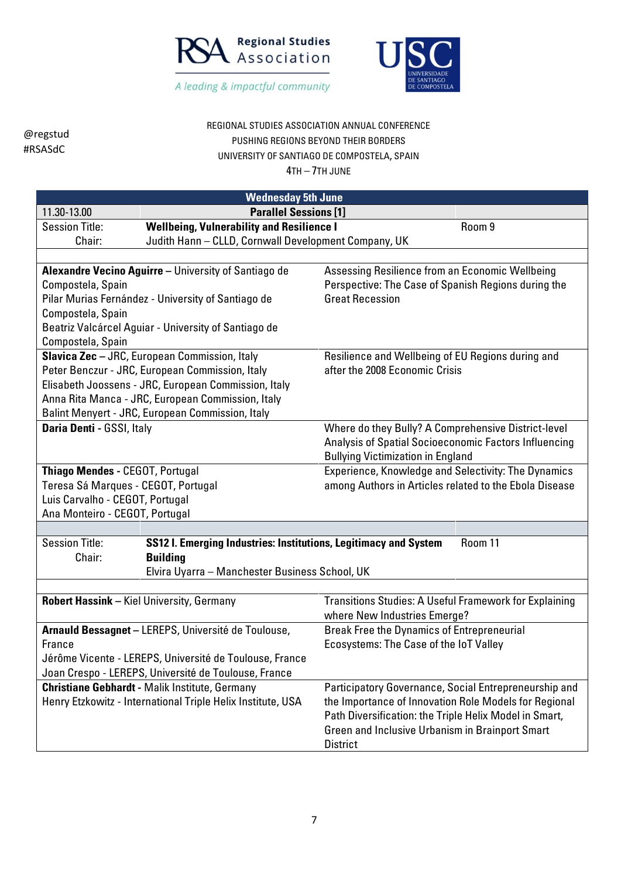



## REGIONAL STUDIES ASSOCIATION ANNUAL CONFERENCE PUSHING REGIONS BEYOND THEIR BORDERS UNIVERSITY OF SANTIAGO DE COMPOSTELA, SPAIN

|                                                         | <b>Wednesday 5th June</b>                                        |                                                        |  |
|---------------------------------------------------------|------------------------------------------------------------------|--------------------------------------------------------|--|
| 11.30-13.00                                             | <b>Parallel Sessions [1]</b>                                     |                                                        |  |
| <b>Session Title:</b>                                   | <b>Wellbeing, Vulnerability and Resilience I</b>                 | Room 9                                                 |  |
| Chair:                                                  | Judith Hann - CLLD, Cornwall Development Company, UK             |                                                        |  |
|                                                         |                                                                  |                                                        |  |
|                                                         | <b>Alexandre Vecino Aguirre</b> - University of Santiago de      | Assessing Resilience from an Economic Wellbeing        |  |
| Compostela, Spain                                       |                                                                  | Perspective: The Case of Spanish Regions during the    |  |
|                                                         | Pilar Murias Fernández - University of Santiago de               | <b>Great Recession</b>                                 |  |
| Compostela, Spain                                       |                                                                  |                                                        |  |
|                                                         | Beatriz Valcárcel Aguiar - University of Santiago de             |                                                        |  |
| Compostela, Spain                                       |                                                                  |                                                        |  |
|                                                         | Slavica Zec - JRC, European Commission, Italy                    | Resilience and Wellbeing of EU Regions during and      |  |
|                                                         | Peter Benczur - JRC, European Commission, Italy                  | after the 2008 Economic Crisis                         |  |
|                                                         | Elisabeth Joossens - JRC, European Commission, Italy             |                                                        |  |
|                                                         | Anna Rita Manca - JRC, European Commission, Italy                |                                                        |  |
|                                                         | Balint Menyert - JRC, European Commission, Italy                 |                                                        |  |
| Daria Denti - GSSI, Italy                               |                                                                  | Where do they Bully? A Comprehensive District-level    |  |
|                                                         |                                                                  | Analysis of Spatial Socioeconomic Factors Influencing  |  |
|                                                         |                                                                  | <b>Bullying Victimization in England</b>               |  |
| Thiago Mendes - CEGOT, Portugal                         |                                                                  | Experience, Knowledge and Selectivity: The Dynamics    |  |
| Teresa Sá Marques - CEGOT, Portugal                     |                                                                  | among Authors in Articles related to the Ebola Disease |  |
| Luis Carvalho - CEGOT, Portugal                         |                                                                  |                                                        |  |
| Ana Monteiro - CEGOT, Portugal                          |                                                                  |                                                        |  |
|                                                         |                                                                  |                                                        |  |
| <b>Session Title:</b>                                   | SS12 I. Emerging Industries: Institutions, Legitimacy and System | Room 11                                                |  |
| Chair:                                                  | <b>Building</b>                                                  |                                                        |  |
|                                                         | Elvira Uyarra - Manchester Business School, UK                   |                                                        |  |
|                                                         |                                                                  |                                                        |  |
|                                                         | <b>Robert Hassink - Kiel University, Germany</b>                 | Transitions Studies: A Useful Framework for Explaining |  |
|                                                         |                                                                  | where New Industries Emerge?                           |  |
|                                                         | Arnauld Bessagnet - LEREPS, Université de Toulouse,              | <b>Break Free the Dynamics of Entrepreneurial</b>      |  |
| France                                                  |                                                                  | Ecosystems: The Case of the IoT Valley                 |  |
| Jérôme Vicente - LEREPS, Université de Toulouse, France |                                                                  |                                                        |  |
| Joan Crespo - LEREPS, Université de Toulouse, France    |                                                                  |                                                        |  |
|                                                         | <b>Christiane Gebhardt - Malik Institute, Germany</b>            | Participatory Governance, Social Entrepreneurship and  |  |
|                                                         | Henry Etzkowitz - International Triple Helix Institute, USA      | the Importance of Innovation Role Models for Regional  |  |
|                                                         |                                                                  | Path Diversification: the Triple Helix Model in Smart, |  |
|                                                         |                                                                  | Green and Inclusive Urbanism in Brainport Smart        |  |
|                                                         |                                                                  | <b>District</b>                                        |  |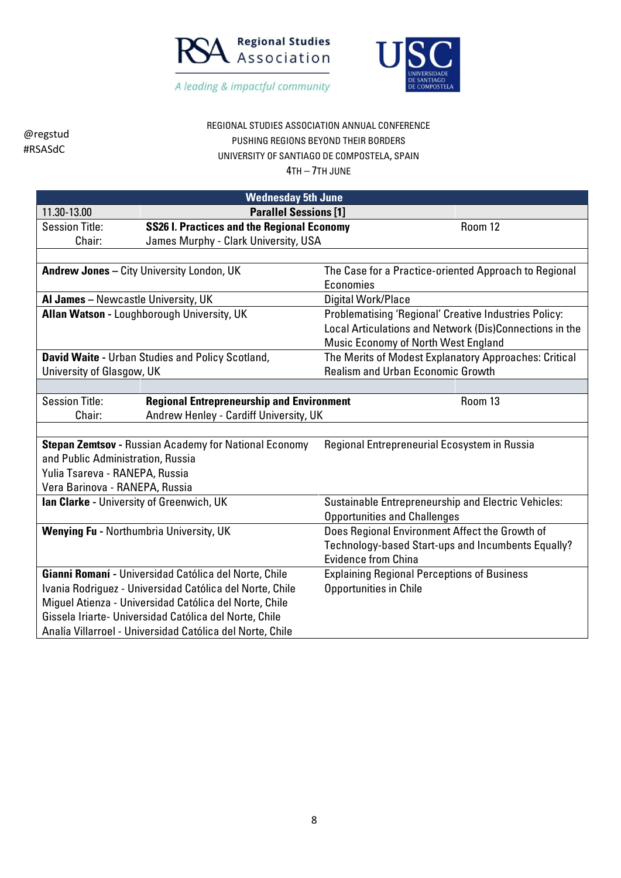



# REGIONAL STUDIES ASSOCIATION ANNUAL CONFERENCE PUSHING REGIONS BEYOND THEIR BORDERS UNIVERSITY OF SANTIAGO DE COMPOSTELA, SPAIN

| <b>Wednesday 5th June</b>                                    |                                                           |                                                         |         |
|--------------------------------------------------------------|-----------------------------------------------------------|---------------------------------------------------------|---------|
| 11.30-13.00                                                  | <b>Parallel Sessions [1]</b>                              |                                                         |         |
| <b>Session Title:</b>                                        | <b>SS26 I. Practices and the Regional Economy</b>         |                                                         | Room 12 |
| Chair:                                                       | James Murphy - Clark University, USA                      |                                                         |         |
|                                                              |                                                           |                                                         |         |
|                                                              | Andrew Jones - City University London, UK                 | The Case for a Practice-oriented Approach to Regional   |         |
|                                                              |                                                           | Economies                                               |         |
| Al James - Newcastle University, UK                          |                                                           | Digital Work/Place                                      |         |
|                                                              | Allan Watson - Loughborough University, UK                | Problematising 'Regional' Creative Industries Policy:   |         |
|                                                              |                                                           | Local Articulations and Network (Dis)Connections in the |         |
|                                                              |                                                           | Music Economy of North West England                     |         |
|                                                              | David Waite - Urban Studies and Policy Scotland,          | The Merits of Modest Explanatory Approaches: Critical   |         |
| University of Glasgow, UK                                    |                                                           | <b>Realism and Urban Economic Growth</b>                |         |
|                                                              |                                                           |                                                         |         |
| <b>Session Title:</b>                                        | <b>Regional Entrepreneurship and Environment</b>          |                                                         | Room 13 |
| Chair:                                                       | Andrew Henley - Cardiff University, UK                    |                                                         |         |
|                                                              |                                                           |                                                         |         |
| <b>Stepan Zemtsov - Russian Academy for National Economy</b> |                                                           | Regional Entrepreneurial Ecosystem in Russia            |         |
| and Public Administration, Russia                            |                                                           |                                                         |         |
| Yulia Tsareva - RANEPA, Russia                               |                                                           |                                                         |         |
| Vera Barinova - RANEPA, Russia                               |                                                           |                                                         |         |
| <b>Ian Clarke - University of Greenwich, UK</b>              |                                                           | Sustainable Entrepreneurship and Electric Vehicles:     |         |
|                                                              |                                                           | <b>Opportunities and Challenges</b>                     |         |
| Wenying Fu - Northumbria University, UK                      |                                                           | Does Regional Environment Affect the Growth of          |         |
|                                                              |                                                           | Technology-based Start-ups and Incumbents Equally?      |         |
|                                                              |                                                           | <b>Evidence from China</b>                              |         |
| Gianni Romaní - Universidad Católica del Norte, Chile        |                                                           | <b>Explaining Regional Perceptions of Business</b>      |         |
| Ivania Rodriguez - Universidad Católica del Norte, Chile     |                                                           | Opportunities in Chile                                  |         |
| Miguel Atienza - Universidad Católica del Norte, Chile       |                                                           |                                                         |         |
|                                                              | Gissela Iriarte- Universidad Católica del Norte, Chile    |                                                         |         |
|                                                              | Analía Villarroel - Universidad Católica del Norte, Chile |                                                         |         |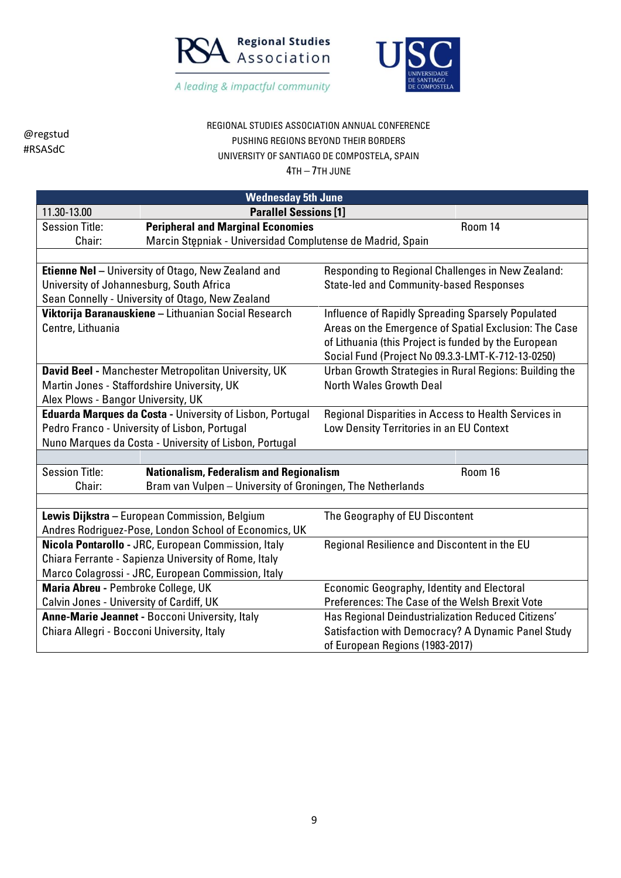



REGIONAL STUDIES ASSOCIATION ANNUAL CONFERENCE PUSHING REGIONS BEYOND THEIR BORDERS UNIVERSITY OF SANTIAGO DE COMPOSTELA, SPAIN

| <b>Wednesday 5th June</b>                                                                  |                                                            |                                                        |  |
|--------------------------------------------------------------------------------------------|------------------------------------------------------------|--------------------------------------------------------|--|
| 11.30-13.00                                                                                | <b>Parallel Sessions [1]</b>                               |                                                        |  |
| <b>Session Title:</b>                                                                      | <b>Peripheral and Marginal Economies</b>                   | Room 14                                                |  |
| Chair:                                                                                     | Marcin Stępniak - Universidad Complutense de Madrid, Spain |                                                        |  |
|                                                                                            |                                                            |                                                        |  |
|                                                                                            | Etienne Nel - University of Otago, New Zealand and         | Responding to Regional Challenges in New Zealand:      |  |
|                                                                                            | University of Johannesburg, South Africa                   | <b>State-led and Community-based Responses</b>         |  |
|                                                                                            | Sean Connelly - University of Otago, New Zealand           |                                                        |  |
|                                                                                            | Viktorija Baranauskiene - Lithuanian Social Research       | Influence of Rapidly Spreading Sparsely Populated      |  |
| Centre, Lithuania                                                                          |                                                            | Areas on the Emergence of Spatial Exclusion: The Case  |  |
|                                                                                            |                                                            | of Lithuania (this Project is funded by the European   |  |
|                                                                                            |                                                            | Social Fund (Project No 09.3.3-LMT-K-712-13-0250)      |  |
|                                                                                            | David Beel - Manchester Metropolitan University, UK        | Urban Growth Strategies in Rural Regions: Building the |  |
|                                                                                            | Martin Jones - Staffordshire University, UK                | <b>North Wales Growth Deal</b>                         |  |
| Alex Plows - Bangor University, UK                                                         |                                                            |                                                        |  |
|                                                                                            | Eduarda Marques da Costa - University of Lisbon, Portugal  | Regional Disparities in Access to Health Services in   |  |
|                                                                                            | Pedro Franco - University of Lisbon, Portugal              | Low Density Territories in an EU Context               |  |
|                                                                                            | Nuno Marques da Costa - University of Lisbon, Portugal     |                                                        |  |
|                                                                                            |                                                            |                                                        |  |
| <b>Session Title:</b>                                                                      | <b>Nationalism, Federalism and Regionalism</b>             | Room 16                                                |  |
| Chair:                                                                                     | Bram van Vulpen - University of Groningen, The Netherlands |                                                        |  |
|                                                                                            |                                                            |                                                        |  |
|                                                                                            | Lewis Dijkstra - European Commission, Belgium              | The Geography of EU Discontent                         |  |
|                                                                                            | Andres Rodriguez-Pose, London School of Economics, UK      |                                                        |  |
|                                                                                            | Nicola Pontarollo - JRC, European Commission, Italy        | Regional Resilience and Discontent in the EU           |  |
|                                                                                            | Chiara Ferrante - Sapienza University of Rome, Italy       |                                                        |  |
|                                                                                            | Marco Colagrossi - JRC, European Commission, Italy         |                                                        |  |
| Maria Abreu - Pembroke College, UK<br><b>Economic Geography, Identity and Electoral</b>    |                                                            |                                                        |  |
| Preferences: The Case of the Welsh Brexit Vote<br>Calvin Jones - University of Cardiff, UK |                                                            |                                                        |  |
|                                                                                            | Anne-Marie Jeannet - Bocconi University, Italy             | Has Regional Deindustrialization Reduced Citizens'     |  |
| Chiara Allegri - Bocconi University, Italy                                                 |                                                            | Satisfaction with Democracy? A Dynamic Panel Study     |  |
|                                                                                            |                                                            | of European Regions (1983-2017)                        |  |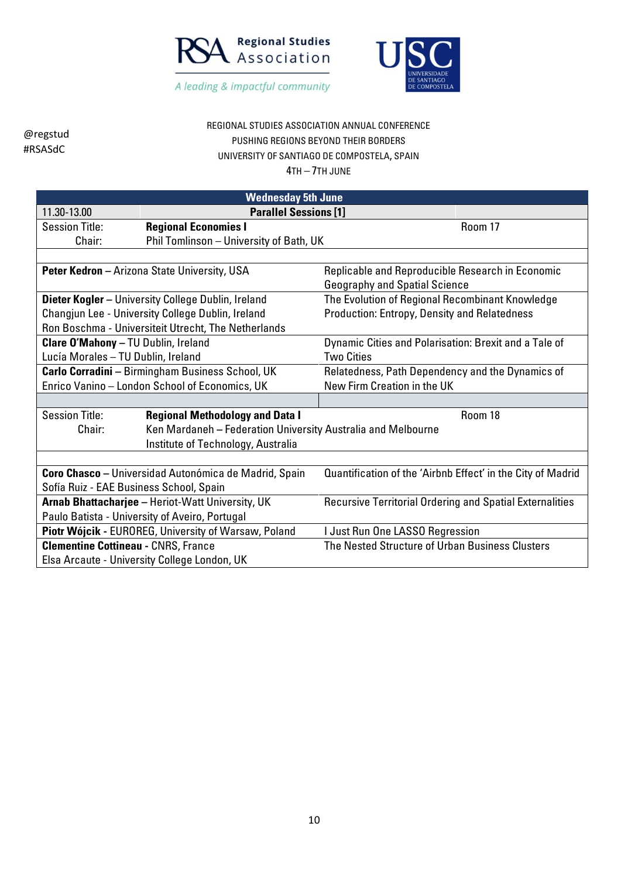



# REGIONAL STUDIES ASSOCIATION ANNUAL CONFERENCE PUSHING REGIONS BEYOND THEIR BORDERS UNIVERSITY OF SANTIAGO DE COMPOSTELA, SPAIN

| <b>Wednesday 5th June</b>                        |                                                              |                                                                 |  |
|--------------------------------------------------|--------------------------------------------------------------|-----------------------------------------------------------------|--|
| 11.30-13.00                                      | <b>Parallel Sessions [1]</b>                                 |                                                                 |  |
| <b>Session Title:</b>                            | <b>Regional Economies I</b>                                  | Room 17                                                         |  |
| Chair:                                           | Phil Tomlinson - University of Bath, UK                      |                                                                 |  |
|                                                  |                                                              |                                                                 |  |
|                                                  | <b>Peter Kedron</b> - Arizona State University, USA          | Replicable and Reproducible Research in Economic                |  |
|                                                  |                                                              | <b>Geography and Spatial Science</b>                            |  |
|                                                  | <b>Dieter Kogler - University College Dublin, Ireland</b>    | The Evolution of Regional Recombinant Knowledge                 |  |
|                                                  | Changjun Lee - University College Dublin, Ireland            | Production: Entropy, Density and Relatedness                    |  |
|                                                  | Ron Boschma - Universiteit Utrecht, The Netherlands          |                                                                 |  |
| <b>Clare O'Mahony - TU Dublin, Ireland</b>       |                                                              | Dynamic Cities and Polarisation: Brexit and a Tale of           |  |
| Lucía Morales - TU Dublin, Ireland               |                                                              | <b>Two Cities</b>                                               |  |
| Carlo Corradini - Birmingham Business School, UK |                                                              | Relatedness, Path Dependency and the Dynamics of                |  |
| Enrico Vanino - London School of Economics, UK   |                                                              | New Firm Creation in the UK                                     |  |
|                                                  |                                                              |                                                                 |  |
| <b>Session Title:</b>                            | <b>Regional Methodology and Data I</b>                       | Room 18                                                         |  |
| Chair:                                           | Ken Mardaneh - Federation University Australia and Melbourne |                                                                 |  |
|                                                  | Institute of Technology, Australia                           |                                                                 |  |
|                                                  |                                                              |                                                                 |  |
|                                                  | <b>Coro Chasco</b> - Universidad Autonómica de Madrid, Spain | Quantification of the 'Airbnb Effect' in the City of Madrid     |  |
| Sofía Ruiz - EAE Business School, Spain          |                                                              |                                                                 |  |
| Arnab Bhattacharjee - Heriot-Watt University, UK |                                                              | <b>Recursive Territorial Ordering and Spatial Externalities</b> |  |
|                                                  | Paulo Batista - University of Aveiro, Portugal               |                                                                 |  |
|                                                  | Piotr Wójcik - EUROREG, University of Warsaw, Poland         | I Just Run One LASSO Regression                                 |  |
| <b>Clementine Cottineau - CNRS, France</b>       |                                                              | The Nested Structure of Urban Business Clusters                 |  |
|                                                  | Elsa Arcaute - University College London, UK                 |                                                                 |  |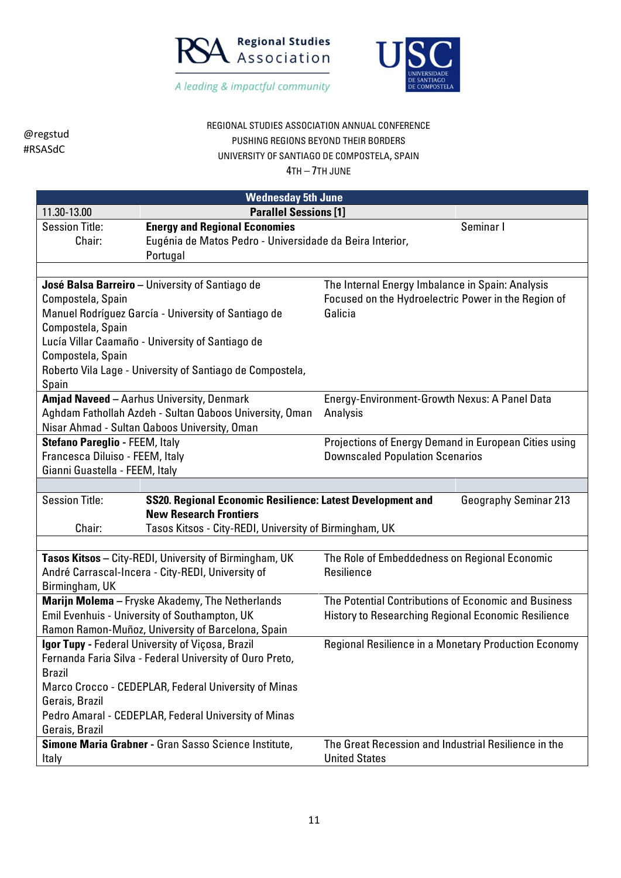



#### REGIONAL STUDIES ASSOCIATION ANNUAL CONFERENCE PUSHING REGIONS BEYOND THEIR BORDERS UNIVERSITY OF SANTIAGO DE COMPOSTELA, SPAIN

| <b>Wednesday 5th June</b>                                |                                                            |                                                            |                              |
|----------------------------------------------------------|------------------------------------------------------------|------------------------------------------------------------|------------------------------|
| 11.30-13.00<br><b>Parallel Sessions [1]</b>              |                                                            |                                                            |                              |
| <b>Session Title:</b>                                    | <b>Energy and Regional Economies</b>                       |                                                            | Seminar I                    |
| Chair:                                                   | Eugénia de Matos Pedro - Universidade da Beira Interior,   |                                                            |                              |
|                                                          | Portugal                                                   |                                                            |                              |
|                                                          |                                                            |                                                            |                              |
|                                                          | José Balsa Barreiro - University of Santiago de            | The Internal Energy Imbalance in Spain: Analysis           |                              |
| Compostela, Spain                                        |                                                            | Focused on the Hydroelectric Power in the Region of        |                              |
|                                                          | Manuel Rodríguez García - University of Santiago de        | Galicia                                                    |                              |
| Compostela, Spain                                        |                                                            |                                                            |                              |
|                                                          | Lucía Villar Caamaño - University of Santiago de           |                                                            |                              |
| Compostela, Spain                                        |                                                            |                                                            |                              |
|                                                          | Roberto Vila Lage - University of Santiago de Compostela,  |                                                            |                              |
| Spain                                                    |                                                            |                                                            |                              |
|                                                          | Amjad Naveed - Aarhus University, Denmark                  | Energy-Environment-Growth Nexus: A Panel Data              |                              |
|                                                          | Aghdam Fathollah Azdeh - Sultan Qaboos University, Oman    | Analysis                                                   |                              |
|                                                          | Nisar Ahmad - Sultan Qaboos University, Oman               |                                                            |                              |
| Stefano Pareglio - FEEM, Italy                           |                                                            | Projections of Energy Demand in European Cities using      |                              |
| Francesca Diluiso - FEEM, Italy                          |                                                            | <b>Downscaled Population Scenarios</b>                     |                              |
| Gianni Guastella - FEEM, Italy                           |                                                            |                                                            |                              |
|                                                          |                                                            |                                                            |                              |
| <b>Session Title:</b>                                    | SS20. Regional Economic Resilience: Latest Development and |                                                            | <b>Geography Seminar 213</b> |
| <b>New Research Frontiers</b>                            |                                                            |                                                            |                              |
| Chair:                                                   | Tasos Kitsos - City-REDI, University of Birmingham, UK     |                                                            |                              |
|                                                          |                                                            |                                                            |                              |
|                                                          | Tasos Kitsos - City-REDI, University of Birmingham, UK     | The Role of Embeddedness on Regional Economic              |                              |
|                                                          | André Carrascal-Incera - City-REDI, University of          | Resilience                                                 |                              |
| Birmingham, UK                                           |                                                            |                                                            |                              |
|                                                          | Marijn Molema - Fryske Akademy, The Netherlands            | The Potential Contributions of Economic and Business       |                              |
|                                                          | Emil Evenhuis - University of Southampton, UK              | <b>History to Researching Regional Economic Resilience</b> |                              |
|                                                          | Ramon Ramon-Muñoz, University of Barcelona, Spain          |                                                            |                              |
| Igor Tupy - Federal University of Viçosa, Brazil         |                                                            | Regional Resilience in a Monetary Production Economy       |                              |
| Fernanda Faria Silva - Federal University of Ouro Preto, |                                                            |                                                            |                              |
| <b>Brazil</b>                                            |                                                            |                                                            |                              |
| Marco Crocco - CEDEPLAR, Federal University of Minas     |                                                            |                                                            |                              |
| Gerais, Brazil                                           |                                                            |                                                            |                              |
|                                                          | Pedro Amaral - CEDEPLAR, Federal University of Minas       |                                                            |                              |
| Gerais, Brazil                                           |                                                            |                                                            |                              |
|                                                          | Simone Maria Grabner - Gran Sasso Science Institute,       | The Great Recession and Industrial Resilience in the       |                              |
| Italy                                                    |                                                            | <b>United States</b>                                       |                              |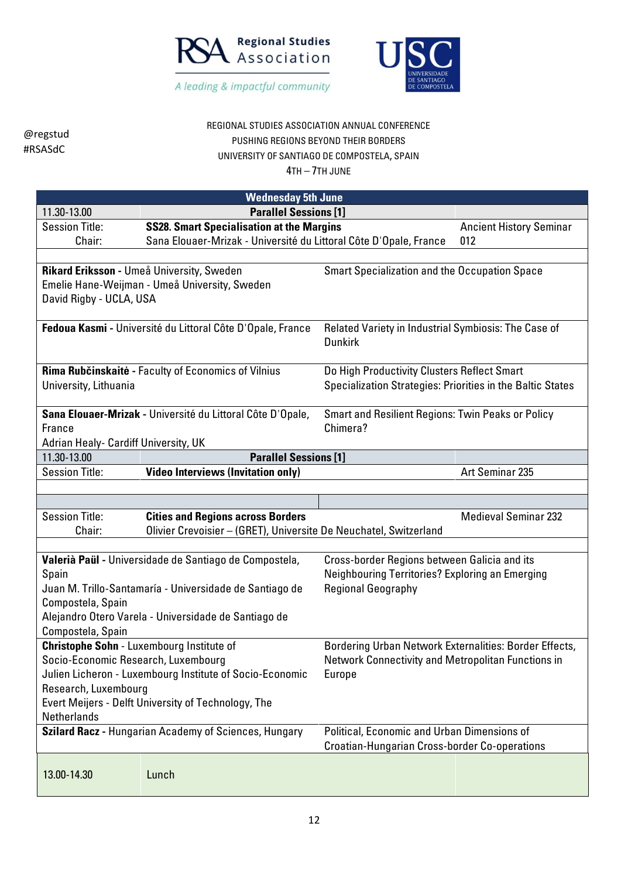



REGIONAL STUDIES ASSOCIATION ANNUAL CONFERENCE PUSHING REGIONS BEYOND THEIR BORDERS UNIVERSITY OF SANTIAGO DE COMPOSTELA, SPAIN

|                                                                                                      | <b>Wednesday 5th June</b>                                         |                                                            |                                                      |  |  |
|------------------------------------------------------------------------------------------------------|-------------------------------------------------------------------|------------------------------------------------------------|------------------------------------------------------|--|--|
| 11.30-13.00                                                                                          | <b>Parallel Sessions [1]</b>                                      |                                                            |                                                      |  |  |
| <b>Session Title:</b>                                                                                | <b>SS28. Smart Specialisation at the Margins</b>                  |                                                            | <b>Ancient History Seminar</b>                       |  |  |
| Chair:                                                                                               | Sana Elouaer-Mrizak - Université du Littoral Côte D'Opale, France |                                                            | 012                                                  |  |  |
|                                                                                                      |                                                                   |                                                            |                                                      |  |  |
|                                                                                                      | Rikard Eriksson - Umeå University, Sweden                         | <b>Smart Specialization and the Occupation Space</b>       |                                                      |  |  |
|                                                                                                      | Emelie Hane-Weijman - Umeå University, Sweden                     |                                                            |                                                      |  |  |
| David Rigby - UCLA, USA                                                                              |                                                                   |                                                            |                                                      |  |  |
|                                                                                                      |                                                                   |                                                            |                                                      |  |  |
|                                                                                                      | Fedoua Kasmi - Université du Littoral Côte D'Opale, France        | Related Variety in Industrial Symbiosis: The Case of       |                                                      |  |  |
|                                                                                                      |                                                                   | <b>Dunkirk</b>                                             |                                                      |  |  |
|                                                                                                      | Rima Rubčinskaitė - Faculty of Economics of Vilnius               | Do High Productivity Clusters Reflect Smart                |                                                      |  |  |
| University, Lithuania                                                                                |                                                                   | Specialization Strategies: Priorities in the Baltic States |                                                      |  |  |
|                                                                                                      |                                                                   |                                                            |                                                      |  |  |
|                                                                                                      | Sana Elouaer-Mrizak - Université du Littoral Côte D'Opale,        | <b>Smart and Resilient Regions: Twin Peaks or Policy</b>   |                                                      |  |  |
| France                                                                                               |                                                                   | Chimera?                                                   |                                                      |  |  |
| Adrian Healy- Cardiff University, UK                                                                 |                                                                   |                                                            |                                                      |  |  |
| 11.30-13.00                                                                                          | <b>Parallel Sessions [1]</b>                                      |                                                            |                                                      |  |  |
| <b>Session Title:</b>                                                                                | <b>Video Interviews (Invitation only)</b>                         |                                                            | Art Seminar 235                                      |  |  |
|                                                                                                      |                                                                   |                                                            |                                                      |  |  |
|                                                                                                      |                                                                   |                                                            |                                                      |  |  |
| <b>Session Title:</b>                                                                                | <b>Cities and Regions across Borders</b>                          |                                                            | <b>Medieval Seminar 232</b>                          |  |  |
| Chair:                                                                                               | Olivier Crevoisier - (GRET), Universite De Neuchatel, Switzerland |                                                            |                                                      |  |  |
|                                                                                                      |                                                                   |                                                            |                                                      |  |  |
|                                                                                                      | Valerià Paül - Universidade de Santiago de Compostela,            | Cross-border Regions between Galicia and its               |                                                      |  |  |
| Spain                                                                                                |                                                                   | Neighbouring Territories? Exploring an Emerging            |                                                      |  |  |
|                                                                                                      | Juan M. Trillo-Santamaría - Universidade de Santiago de           | <b>Regional Geography</b>                                  |                                                      |  |  |
| Compostela, Spain                                                                                    |                                                                   |                                                            |                                                      |  |  |
|                                                                                                      | Alejandro Otero Varela - Universidade de Santiago de              |                                                            |                                                      |  |  |
| Compostela, Spain<br><b>Christophe Sohn - Luxembourg Institute of</b>                                |                                                                   | Bordering Urban Network Externalities: Border Effects,     |                                                      |  |  |
| Socio-Economic Research, Luxembourg                                                                  |                                                                   | Network Connectivity and Metropolitan Functions in         |                                                      |  |  |
|                                                                                                      | Julien Licheron - Luxembourg Institute of Socio-Economic          | <b>Europe</b>                                              |                                                      |  |  |
| Research, Luxembourg                                                                                 |                                                                   |                                                            |                                                      |  |  |
|                                                                                                      | Evert Meijers - Delft University of Technology, The               |                                                            |                                                      |  |  |
| <b>Netherlands</b>                                                                                   |                                                                   |                                                            |                                                      |  |  |
| Szilard Racz - Hungarian Academy of Sciences, Hungary<br>Political, Economic and Urban Dimensions of |                                                                   |                                                            |                                                      |  |  |
|                                                                                                      |                                                                   |                                                            | <b>Croatian-Hungarian Cross-border Co-operations</b> |  |  |
|                                                                                                      |                                                                   |                                                            |                                                      |  |  |
| 13.00-14.30                                                                                          | Lunch                                                             |                                                            |                                                      |  |  |
|                                                                                                      |                                                                   |                                                            |                                                      |  |  |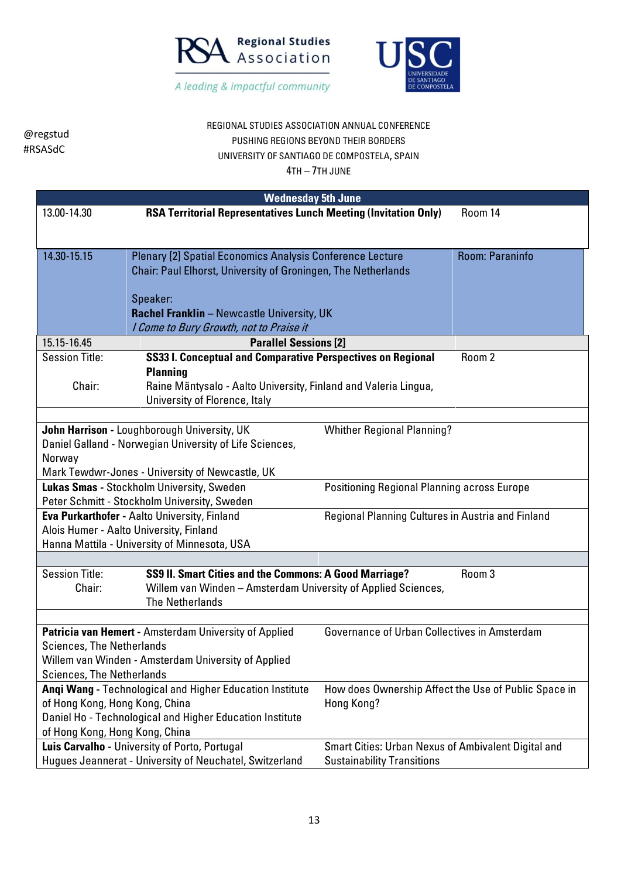



REGIONAL STUDIES ASSOCIATION ANNUAL CONFERENCE PUSHING REGIONS BEYOND THEIR BORDERS UNIVERSITY OF SANTIAGO DE COMPOSTELA, SPAIN

|                                                                                                                                             | <b>Wednesday 5th June</b>                                              |                                                     |                                                      |
|---------------------------------------------------------------------------------------------------------------------------------------------|------------------------------------------------------------------------|-----------------------------------------------------|------------------------------------------------------|
| 13.00-14.30                                                                                                                                 | <b>RSA Territorial Representatives Lunch Meeting (Invitation Only)</b> |                                                     | Room 14                                              |
|                                                                                                                                             |                                                                        |                                                     |                                                      |
| 14.30-15.15                                                                                                                                 | Plenary [2] Spatial Economics Analysis Conference Lecture              |                                                     | Room: Paraninfo                                      |
|                                                                                                                                             | Chair: Paul Elhorst, University of Groningen, The Netherlands          |                                                     |                                                      |
|                                                                                                                                             |                                                                        |                                                     |                                                      |
|                                                                                                                                             | Speaker:                                                               |                                                     |                                                      |
|                                                                                                                                             | Rachel Franklin - Newcastle University, UK                             |                                                     |                                                      |
|                                                                                                                                             | I Come to Bury Growth, not to Praise it                                |                                                     |                                                      |
| 15.15-16.45                                                                                                                                 | <b>Parallel Sessions [2]</b>                                           |                                                     |                                                      |
| <b>Session Title:</b>                                                                                                                       | SS33 I. Conceptual and Comparative Perspectives on Regional            |                                                     | Room 2                                               |
|                                                                                                                                             | <b>Planning</b>                                                        |                                                     |                                                      |
| Chair:                                                                                                                                      | Raine Mäntysalo - Aalto University, Finland and Valeria Lingua,        |                                                     |                                                      |
|                                                                                                                                             | University of Florence, Italy                                          |                                                     |                                                      |
|                                                                                                                                             |                                                                        |                                                     |                                                      |
|                                                                                                                                             | John Harrison - Loughborough University, UK                            | <b>Whither Regional Planning?</b>                   |                                                      |
|                                                                                                                                             | Daniel Galland - Norwegian University of Life Sciences,                |                                                     |                                                      |
| Norway                                                                                                                                      |                                                                        |                                                     |                                                      |
| Mark Tewdwr-Jones - University of Newcastle, UK<br>Lukas Smas - Stockholm University, Sweden<br>Positioning Regional Planning across Europe |                                                                        |                                                     |                                                      |
| Peter Schmitt - Stockholm University, Sweden                                                                                                |                                                                        |                                                     |                                                      |
| Eva Purkarthofer - Aalto University, Finland<br>Regional Planning Cultures in Austria and Finland                                           |                                                                        |                                                     |                                                      |
|                                                                                                                                             | Alois Humer - Aalto University, Finland                                |                                                     |                                                      |
|                                                                                                                                             | Hanna Mattila - University of Minnesota, USA                           |                                                     |                                                      |
|                                                                                                                                             |                                                                        |                                                     |                                                      |
| <b>Session Title:</b>                                                                                                                       | SS9 II. Smart Cities and the Commons: A Good Marriage?                 |                                                     | Room 3                                               |
| Chair:                                                                                                                                      | Willem van Winden - Amsterdam University of Applied Sciences,          |                                                     |                                                      |
|                                                                                                                                             | <b>The Netherlands</b>                                                 |                                                     |                                                      |
|                                                                                                                                             |                                                                        |                                                     |                                                      |
|                                                                                                                                             | Patricia van Hemert - Amsterdam University of Applied                  | Governance of Urban Collectives in Amsterdam        |                                                      |
| <b>Sciences, The Netherlands</b>                                                                                                            |                                                                        |                                                     |                                                      |
| Willem van Winden - Amsterdam University of Applied<br><b>Sciences, The Netherlands</b>                                                     |                                                                        |                                                     |                                                      |
|                                                                                                                                             | Angi Wang - Technological and Higher Education Institute               |                                                     | How does Ownership Affect the Use of Public Space in |
| of Hong Kong, Hong Kong, China                                                                                                              |                                                                        | Hong Kong?                                          |                                                      |
|                                                                                                                                             | Daniel Ho - Technological and Higher Education Institute               |                                                     |                                                      |
| of Hong Kong, Hong Kong, China                                                                                                              |                                                                        |                                                     |                                                      |
|                                                                                                                                             | Luis Carvalho - University of Porto, Portugal                          | Smart Cities: Urban Nexus of Ambivalent Digital and |                                                      |
|                                                                                                                                             | Hugues Jeannerat - University of Neuchatel, Switzerland                | <b>Sustainability Transitions</b>                   |                                                      |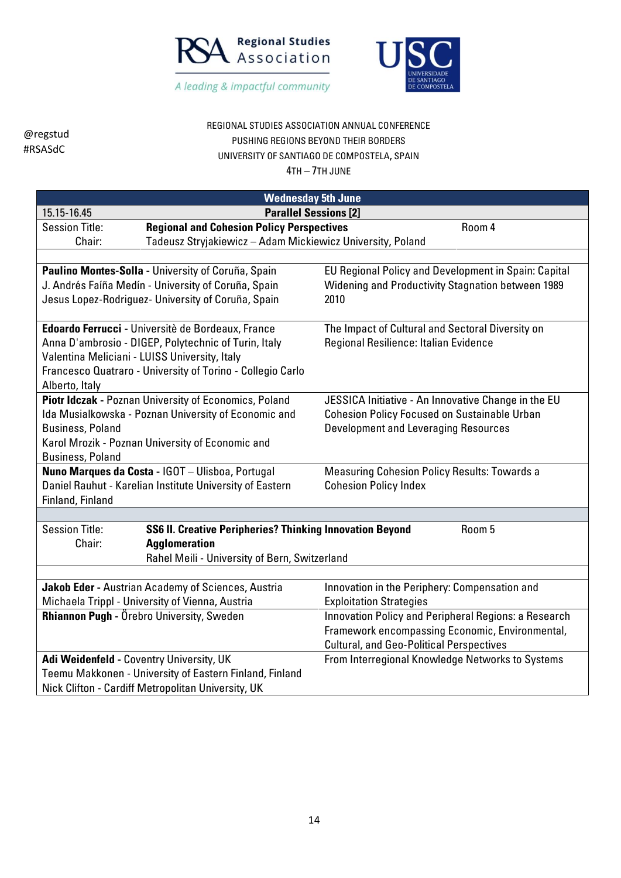



## REGIONAL STUDIES ASSOCIATION ANNUAL CONFERENCE PUSHING REGIONS BEYOND THEIR BORDERS UNIVERSITY OF SANTIAGO DE COMPOSTELA, SPAIN

| <b>Wednesday 5th June</b>                                                                                   |                                                      |  |  |
|-------------------------------------------------------------------------------------------------------------|------------------------------------------------------|--|--|
| <b>Parallel Sessions [2]</b><br>15.15-16.45                                                                 |                                                      |  |  |
| <b>Regional and Cohesion Policy Perspectives</b><br><b>Session Title:</b>                                   | Room 4                                               |  |  |
| Chair:<br>Tadeusz Stryjakiewicz - Adam Mickiewicz University, Poland                                        |                                                      |  |  |
|                                                                                                             |                                                      |  |  |
| Paulino Montes-Solla - University of Coruña, Spain                                                          | EU Regional Policy and Development in Spain: Capital |  |  |
| J. Andrés Faíña Medín - University of Coruña, Spain                                                         | Widening and Productivity Stagnation between 1989    |  |  |
| Jesus Lopez-Rodriguez- University of Coruña, Spain                                                          | 2010                                                 |  |  |
|                                                                                                             |                                                      |  |  |
| Edoardo Ferrucci - Universitè de Bordeaux, France                                                           | The Impact of Cultural and Sectoral Diversity on     |  |  |
| Anna D'ambrosio - DIGEP, Polytechnic of Turin, Italy                                                        | Regional Resilience: Italian Evidence                |  |  |
| Valentina Meliciani - LUISS University, Italy                                                               |                                                      |  |  |
| Francesco Quatraro - University of Torino - Collegio Carlo                                                  |                                                      |  |  |
| Alberto, Italy                                                                                              |                                                      |  |  |
| Piotr Idczak - Poznan University of Economics, Poland                                                       | JESSICA Initiative - An Innovative Change in the EU  |  |  |
| Ida Musialkowska - Poznan University of Economic and<br><b>Cohesion Policy Focused on Sustainable Urban</b> |                                                      |  |  |
| <b>Business, Poland</b><br>Karol Mrozik - Poznan University of Economic and                                 | <b>Development and Leveraging Resources</b>          |  |  |
| <b>Business, Poland</b>                                                                                     |                                                      |  |  |
| Nuno Marques da Costa - IGOT - Ulisboa, Portugal<br><b>Measuring Cohesion Policy Results: Towards a</b>     |                                                      |  |  |
| Daniel Rauhut - Karelian Institute University of Eastern                                                    | <b>Cohesion Policy Index</b>                         |  |  |
| Finland, Finland                                                                                            |                                                      |  |  |
|                                                                                                             |                                                      |  |  |
| <b>Session Title:</b><br><b>SS6 II. Creative Peripheries? Thinking Innovation Beyond</b>                    | Room 5                                               |  |  |
| <b>Agglomeration</b><br>Chair:                                                                              |                                                      |  |  |
| Rahel Meili - University of Bern, Switzerland                                                               |                                                      |  |  |
|                                                                                                             |                                                      |  |  |
| Jakob Eder - Austrian Academy of Sciences, Austria                                                          | Innovation in the Periphery: Compensation and        |  |  |
| Michaela Trippl - University of Vienna, Austria<br><b>Exploitation Strategies</b>                           |                                                      |  |  |
| Rhiannon Pugh - Örebro University, Sweden                                                                   | Innovation Policy and Peripheral Regions: a Research |  |  |
|                                                                                                             | Framework encompassing Economic, Environmental,      |  |  |
|                                                                                                             | <b>Cultural, and Geo-Political Perspectives</b>      |  |  |
| Adi Weidenfeld - Coventry University, UK                                                                    | From Interregional Knowledge Networks to Systems     |  |  |
| Teemu Makkonen - University of Eastern Finland, Finland                                                     |                                                      |  |  |
| Nick Clifton - Cardiff Metropolitan University, UK                                                          |                                                      |  |  |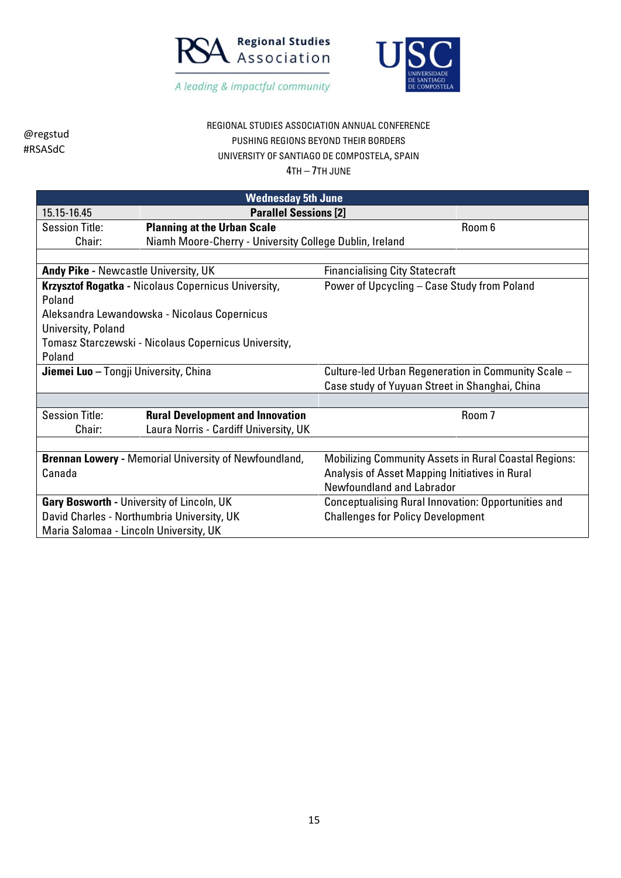



### REGIONAL STUDIES ASSOCIATION ANNUAL CONFERENCE PUSHING REGIONS BEYOND THEIR BORDERS UNIVERSITY OF SANTIAGO DE COMPOSTELA, SPAIN

| <b>Wednesday 5th June</b>                    |                                                                               |                                                              |  |
|----------------------------------------------|-------------------------------------------------------------------------------|--------------------------------------------------------------|--|
| 15.15-16.45                                  | <b>Parallel Sessions [2]</b>                                                  |                                                              |  |
| <b>Session Title:</b>                        | <b>Planning at the Urban Scale</b>                                            | Room 6                                                       |  |
| Chair:                                       | Niamh Moore-Cherry - University College Dublin, Ireland                       |                                                              |  |
|                                              |                                                                               |                                                              |  |
|                                              | Andy Pike - Newcastle University, UK<br><b>Financialising City Statecraft</b> |                                                              |  |
|                                              | Krzysztof Rogatka - Nicolaus Copernicus University,                           | Power of Upcycling - Case Study from Poland                  |  |
| Poland                                       |                                                                               |                                                              |  |
|                                              | Aleksandra Lewandowska - Nicolaus Copernicus                                  |                                                              |  |
| University, Poland                           |                                                                               |                                                              |  |
|                                              | Tomasz Starczewski - Nicolaus Copernicus University,                          |                                                              |  |
| Poland                                       |                                                                               |                                                              |  |
| <b>Jiemei Luo</b> - Tongji University, China |                                                                               | Culture-led Urban Regeneration in Community Scale -          |  |
|                                              |                                                                               | Case study of Yuyuan Street in Shanghai, China               |  |
|                                              |                                                                               |                                                              |  |
| <b>Session Title:</b>                        | <b>Rural Development and Innovation</b>                                       | Room 7                                                       |  |
| Chair:                                       | Laura Norris - Cardiff University, UK                                         |                                                              |  |
|                                              |                                                                               |                                                              |  |
|                                              | <b>Brennan Lowery - Memorial University of Newfoundland,</b>                  | <b>Mobilizing Community Assets in Rural Coastal Regions:</b> |  |
| Canada                                       |                                                                               | Analysis of Asset Mapping Initiatives in Rural               |  |
|                                              |                                                                               | Newfoundland and Labrador                                    |  |
|                                              | Gary Bosworth - University of Lincoln, UK                                     | <b>Conceptualising Rural Innovation: Opportunities and</b>   |  |
| David Charles - Northumbria University, UK   |                                                                               | <b>Challenges for Policy Development</b>                     |  |
| Maria Salomaa - Lincoln University, UK       |                                                                               |                                                              |  |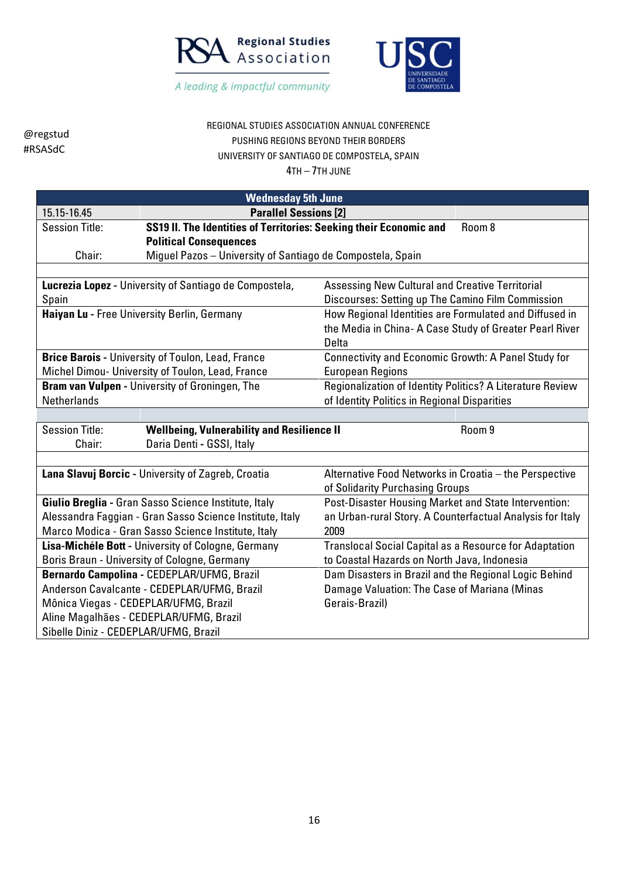



#### REGIONAL STUDIES ASSOCIATION ANNUAL CONFERENCE PUSHING REGIONS BEYOND THEIR BORDERS UNIVERSITY OF SANTIAGO DE COMPOSTELA, SPAIN

| <b>Wednesday 5th June</b>                                                   |                                                                              |                                                               |  |
|-----------------------------------------------------------------------------|------------------------------------------------------------------------------|---------------------------------------------------------------|--|
| 15.15-16.45                                                                 | <b>Parallel Sessions [2]</b>                                                 |                                                               |  |
| <b>Session Title:</b>                                                       | SS19 II. The Identities of Territories: Seeking their Economic and<br>Room 8 |                                                               |  |
|                                                                             | <b>Political Consequences</b>                                                |                                                               |  |
| Chair:                                                                      | Miguel Pazos - University of Santiago de Compostela, Spain                   |                                                               |  |
|                                                                             |                                                                              |                                                               |  |
|                                                                             | Lucrezia Lopez - University of Santiago de Compostela,                       | <b>Assessing New Cultural and Creative Territorial</b>        |  |
| Spain                                                                       |                                                                              | Discourses: Setting up The Camino Film Commission             |  |
|                                                                             | Haiyan Lu - Free University Berlin, Germany                                  | How Regional Identities are Formulated and Diffused in        |  |
|                                                                             |                                                                              | the Media in China- A Case Study of Greater Pearl River       |  |
|                                                                             |                                                                              | Delta                                                         |  |
| <b>Brice Barois - University of Toulon, Lead, France</b>                    |                                                                              | Connectivity and Economic Growth: A Panel Study for           |  |
| Michel Dimou- University of Toulon, Lead, France<br><b>European Regions</b> |                                                                              |                                                               |  |
| Bram van Vulpen - University of Groningen, The                              |                                                                              | Regionalization of Identity Politics? A Literature Review     |  |
| <b>Netherlands</b>                                                          |                                                                              | of Identity Politics in Regional Disparities                  |  |
|                                                                             |                                                                              |                                                               |  |
| <b>Session Title:</b>                                                       | <b>Wellbeing, Vulnerability and Resilience II</b>                            | Room 9                                                        |  |
| Chair:                                                                      | Daria Denti - GSSI, Italy                                                    |                                                               |  |
|                                                                             |                                                                              |                                                               |  |
|                                                                             | Lana Slavuj Borcic - University of Zagreb, Croatia                           | Alternative Food Networks in Croatia - the Perspective        |  |
|                                                                             |                                                                              | of Solidarity Purchasing Groups                               |  |
|                                                                             | Giulio Breglia - Gran Sasso Science Institute, Italy                         | Post-Disaster Housing Market and State Intervention:          |  |
|                                                                             | Alessandra Faggian - Gran Sasso Science Institute, Italy                     | an Urban-rural Story. A Counterfactual Analysis for Italy     |  |
|                                                                             | Marco Modica - Gran Sasso Science Institute, Italy<br>2009                   |                                                               |  |
| Lisa-Michéle Bott - University of Cologne, Germany                          |                                                                              | <b>Translocal Social Capital as a Resource for Adaptation</b> |  |
| Boris Braun - University of Cologne, Germany                                |                                                                              | to Coastal Hazards on North Java, Indonesia                   |  |
|                                                                             | Bernardo Campolina - CEDEPLAR/UFMG, Brazil                                   | Dam Disasters in Brazil and the Regional Logic Behind         |  |
| Anderson Cavalcante - CEDEPLAR/UFMG, Brazil                                 |                                                                              | Damage Valuation: The Case of Mariana (Minas                  |  |
|                                                                             | Mônica Viegas - CEDEPLAR/UFMG, Brazil                                        | Gerais-Brazil)                                                |  |
| Aline Magalhães - CEDEPLAR/UFMG, Brazil                                     |                                                                              |                                                               |  |
| Sibelle Diniz - CEDEPLAR/UFMG, Brazil                                       |                                                                              |                                                               |  |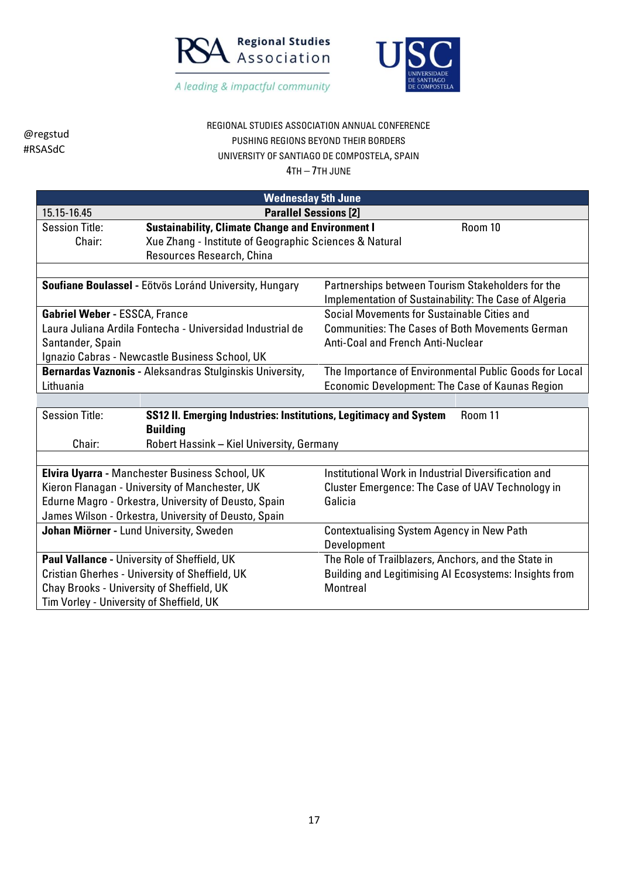



## REGIONAL STUDIES ASSOCIATION ANNUAL CONFERENCE PUSHING REGIONS BEYOND THEIR BORDERS UNIVERSITY OF SANTIAGO DE COMPOSTELA, SPAIN

| <b>Wednesday 5th June</b>                                                                                                |                                                           |                                                                                                            |  |
|--------------------------------------------------------------------------------------------------------------------------|-----------------------------------------------------------|------------------------------------------------------------------------------------------------------------|--|
| <b>Parallel Sessions [2]</b><br>15.15-16.45                                                                              |                                                           |                                                                                                            |  |
| <b>Session Title:</b>                                                                                                    | <b>Sustainability, Climate Change and Environment I</b>   | Room 10                                                                                                    |  |
| Chair:                                                                                                                   | Xue Zhang - Institute of Geographic Sciences & Natural    |                                                                                                            |  |
|                                                                                                                          | Resources Research, China                                 |                                                                                                            |  |
|                                                                                                                          |                                                           |                                                                                                            |  |
|                                                                                                                          | Soufiane Boulassel - Eötvös Loránd University, Hungary    | Partnerships between Tourism Stakeholders for the<br>Implementation of Sustainability: The Case of Algeria |  |
| <b>Gabriel Weber - ESSCA, France</b>                                                                                     |                                                           | Social Movements for Sustainable Cities and                                                                |  |
|                                                                                                                          | Laura Juliana Ardila Fontecha - Universidad Industrial de | <b>Communities: The Cases of Both Movements German</b>                                                     |  |
| Santander, Spain                                                                                                         |                                                           | Anti-Coal and French Anti-Nuclear                                                                          |  |
|                                                                                                                          | Ignazio Cabras - Newcastle Business School, UK            |                                                                                                            |  |
| Bernardas Vaznonis - Aleksandras Stulginskis University,                                                                 |                                                           | The Importance of Environmental Public Goods for Local                                                     |  |
| Lithuania                                                                                                                |                                                           | <b>Economic Development: The Case of Kaunas Region</b>                                                     |  |
|                                                                                                                          |                                                           |                                                                                                            |  |
| <b>Session Title:</b><br>SS12 II. Emerging Industries: Institutions, Legitimacy and System<br>Room 11<br><b>Building</b> |                                                           |                                                                                                            |  |
| Chair:                                                                                                                   | Robert Hassink - Kiel University, Germany                 |                                                                                                            |  |
|                                                                                                                          |                                                           |                                                                                                            |  |
|                                                                                                                          | Elvira Uyarra - Manchester Business School, UK            | Institutional Work in Industrial Diversification and                                                       |  |
|                                                                                                                          | Kieron Flanagan - University of Manchester, UK            | <b>Cluster Emergence: The Case of UAV Technology in</b>                                                    |  |
|                                                                                                                          | Edurne Magro - Orkestra, University of Deusto, Spain      | Galicia                                                                                                    |  |
|                                                                                                                          | James Wilson - Orkestra, University of Deusto, Spain      |                                                                                                            |  |
| Johan Miörner - Lund University, Sweden                                                                                  |                                                           | <b>Contextualising System Agency in New Path</b>                                                           |  |
|                                                                                                                          |                                                           | Development                                                                                                |  |
|                                                                                                                          | Paul Vallance - University of Sheffield, UK               | The Role of Trailblazers, Anchors, and the State in                                                        |  |
|                                                                                                                          | Cristian Gherhes - University of Sheffield, UK            | Building and Legitimising AI Ecosystems: Insights from                                                     |  |
| Chay Brooks - University of Sheffield, UK<br>Montreal                                                                    |                                                           |                                                                                                            |  |
| Tim Vorley - University of Sheffield, UK                                                                                 |                                                           |                                                                                                            |  |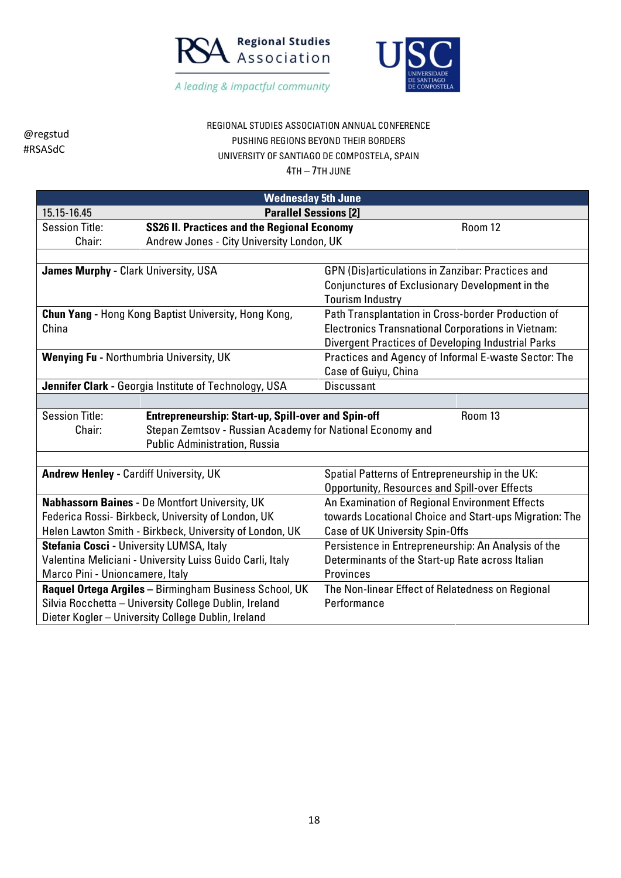



## REGIONAL STUDIES ASSOCIATION ANNUAL CONFERENCE PUSHING REGIONS BEYOND THEIR BORDERS UNIVERSITY OF SANTIAGO DE COMPOSTELA, SPAIN

|                                                                                     | <b>Wednesday 5th June</b>                                   |                                                           |  |  |
|-------------------------------------------------------------------------------------|-------------------------------------------------------------|-----------------------------------------------------------|--|--|
| 15.15-16.45                                                                         |                                                             | <b>Parallel Sessions [2]</b>                              |  |  |
| <b>Session Title:</b>                                                               | <b>SS26 II. Practices and the Regional Economy</b>          | Room 12                                                   |  |  |
| Chair:                                                                              | Andrew Jones - City University London, UK                   |                                                           |  |  |
|                                                                                     |                                                             |                                                           |  |  |
| James Murphy - Clark University, USA                                                |                                                             | GPN (Dis)articulations in Zanzibar: Practices and         |  |  |
|                                                                                     |                                                             | Conjunctures of Exclusionary Development in the           |  |  |
|                                                                                     |                                                             | <b>Tourism Industry</b>                                   |  |  |
|                                                                                     | <b>Chun Yang - Hong Kong Baptist University, Hong Kong,</b> | Path Transplantation in Cross-border Production of        |  |  |
| China                                                                               |                                                             | <b>Electronics Transnational Corporations in Vietnam:</b> |  |  |
|                                                                                     |                                                             | Divergent Practices of Developing Industrial Parks        |  |  |
|                                                                                     | Wenying Fu - Northumbria University, UK                     | Practices and Agency of Informal E-waste Sector: The      |  |  |
|                                                                                     |                                                             | Case of Guiyu, China                                      |  |  |
| Jennifer Clark - Georgia Institute of Technology, USA                               |                                                             | <b>Discussant</b>                                         |  |  |
|                                                                                     |                                                             |                                                           |  |  |
| <b>Session Title:</b><br><b>Entrepreneurship: Start-up, Spill-over and Spin-off</b> |                                                             | Room 13                                                   |  |  |
| Stepan Zemtsov - Russian Academy for National Economy and<br>Chair:                 |                                                             |                                                           |  |  |
| <b>Public Administration, Russia</b>                                                |                                                             |                                                           |  |  |
|                                                                                     |                                                             |                                                           |  |  |
| <b>Andrew Henley - Cardiff University, UK</b>                                       |                                                             | Spatial Patterns of Entrepreneurship in the UK:           |  |  |
|                                                                                     |                                                             | <b>Opportunity, Resources and Spill-over Effects</b>      |  |  |
|                                                                                     | Nabhassorn Baines - De Montfort University, UK              | An Examination of Regional Environment Effects            |  |  |
|                                                                                     | Federica Rossi- Birkbeck, University of London, UK          | towards Locational Choice and Start-ups Migration: The    |  |  |
|                                                                                     | Helen Lawton Smith - Birkbeck, University of London, UK     | <b>Case of UK University Spin-Offs</b>                    |  |  |
| Stefania Cosci - University LUMSA, Italy                                            |                                                             | Persistence in Entrepreneurship: An Analysis of the       |  |  |
| Valentina Meliciani - University Luiss Guido Carli, Italy                           |                                                             | Determinants of the Start-up Rate across Italian          |  |  |
| Marco Pini - Unioncamere, Italy                                                     |                                                             | <b>Provinces</b>                                          |  |  |
|                                                                                     | Raquel Ortega Argiles - Birmingham Business School, UK      | The Non-linear Effect of Relatedness on Regional          |  |  |
| Silvia Rocchetta - University College Dublin, Ireland                               |                                                             | Performance                                               |  |  |
|                                                                                     | Dieter Kogler - University College Dublin, Ireland          |                                                           |  |  |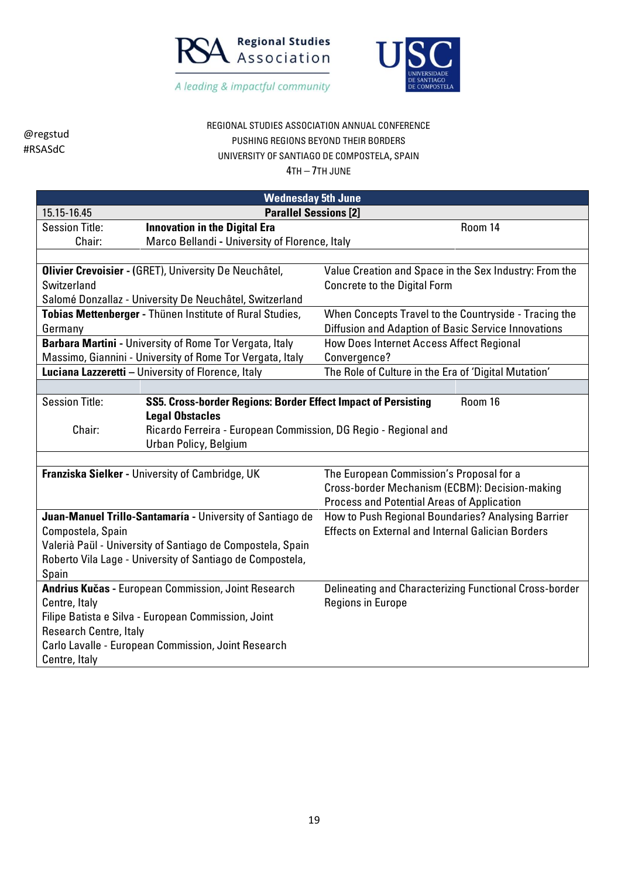



### REGIONAL STUDIES ASSOCIATION ANNUAL CONFERENCE PUSHING REGIONS BEYOND THEIR BORDERS UNIVERSITY OF SANTIAGO DE COMPOSTELA, SPAIN

| <b>Wednesday 5th June</b>                   |                                                                 |                                                          |         |
|---------------------------------------------|-----------------------------------------------------------------|----------------------------------------------------------|---------|
| <b>Parallel Sessions [2]</b><br>15.15-16.45 |                                                                 |                                                          |         |
| <b>Session Title:</b>                       | <b>Innovation in the Digital Era</b>                            |                                                          | Room 14 |
| Chair:                                      | Marco Bellandi - University of Florence, Italy                  |                                                          |         |
|                                             |                                                                 |                                                          |         |
|                                             | Olivier Crevoisier - (GRET), University De Neuchâtel,           | Value Creation and Space in the Sex Industry: From the   |         |
| Switzerland                                 |                                                                 | <b>Concrete to the Digital Form</b>                      |         |
|                                             | Salomé Donzallaz - University De Neuchâtel, Switzerland         |                                                          |         |
|                                             | Tobias Mettenberger - Thünen Institute of Rural Studies,        | When Concepts Travel to the Countryside - Tracing the    |         |
| Germany                                     |                                                                 | Diffusion and Adaption of Basic Service Innovations      |         |
|                                             | Barbara Martini - University of Rome Tor Vergata, Italy         | How Does Internet Access Affect Regional                 |         |
|                                             | Massimo, Giannini - University of Rome Tor Vergata, Italy       | Convergence?                                             |         |
|                                             | Luciana Lazzeretti - University of Florence, Italy              | The Role of Culture in the Era of 'Digital Mutation'     |         |
|                                             |                                                                 |                                                          |         |
| <b>Session Title:</b>                       | SS5. Cross-border Regions: Border Effect Impact of Persisting   |                                                          | Room 16 |
|                                             | <b>Legal Obstacles</b>                                          |                                                          |         |
| Chair:                                      | Ricardo Ferreira - European Commission, DG Regio - Regional and |                                                          |         |
|                                             | Urban Policy, Belgium                                           |                                                          |         |
|                                             |                                                                 |                                                          |         |
|                                             | Franziska Sielker - University of Cambridge, UK                 | The European Commission's Proposal for a                 |         |
|                                             |                                                                 | Cross-border Mechanism (ECBM): Decision-making           |         |
|                                             |                                                                 | <b>Process and Potential Areas of Application</b>        |         |
|                                             | Juan-Manuel Trillo-Santamaría - University of Santiago de       | How to Push Regional Boundaries? Analysing Barrier       |         |
| Compostela, Spain                           |                                                                 | <b>Effects on External and Internal Galician Borders</b> |         |
|                                             | Valerià Paül - University of Santiago de Compostela, Spain      |                                                          |         |
|                                             | Roberto Vila Lage - University of Santiago de Compostela,       |                                                          |         |
| Spain                                       |                                                                 |                                                          |         |
|                                             | Andrius Kučas - European Commission, Joint Research             | Delineating and Characterizing Functional Cross-border   |         |
| Centre, Italy                               |                                                                 | <b>Regions in Europe</b>                                 |         |
|                                             | Filipe Batista e Silva - European Commission, Joint             |                                                          |         |
| <b>Research Centre, Italy</b>               |                                                                 |                                                          |         |
|                                             | Carlo Lavalle - European Commission, Joint Research             |                                                          |         |
| Centre, Italy                               |                                                                 |                                                          |         |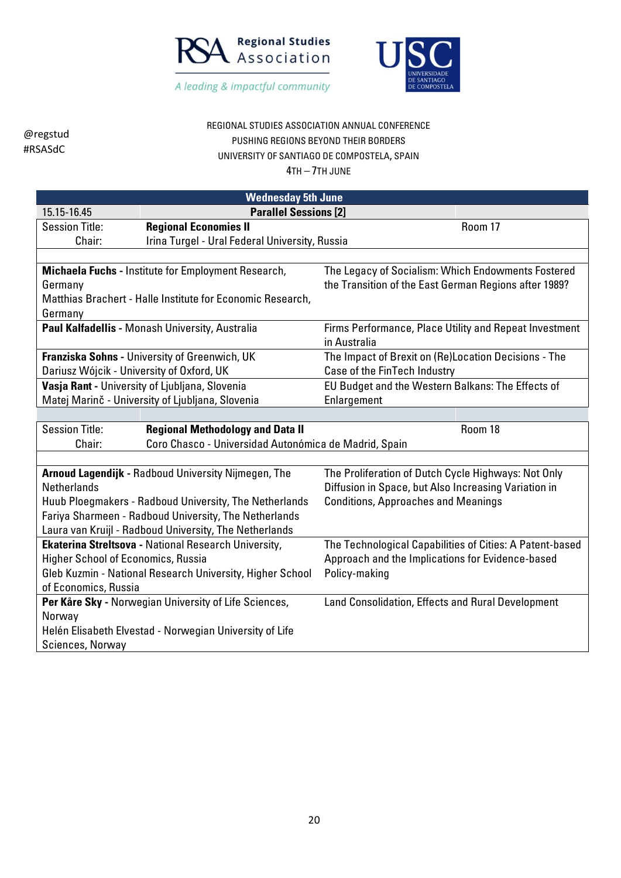



### REGIONAL STUDIES ASSOCIATION ANNUAL CONFERENCE PUSHING REGIONS BEYOND THEIR BORDERS UNIVERSITY OF SANTIAGO DE COMPOSTELA, SPAIN

| <b>Wednesday 5th June</b>                                                                           |                                                            |                                                                        |  |
|-----------------------------------------------------------------------------------------------------|------------------------------------------------------------|------------------------------------------------------------------------|--|
| 15.15-16.45                                                                                         | <b>Parallel Sessions [2]</b>                               |                                                                        |  |
| <b>Session Title:</b>                                                                               | <b>Regional Economies II</b>                               | Room 17                                                                |  |
| Chair:                                                                                              | Irina Turgel - Ural Federal University, Russia             |                                                                        |  |
|                                                                                                     |                                                            |                                                                        |  |
|                                                                                                     | Michaela Fuchs - Institute for Employment Research,        | The Legacy of Socialism: Which Endowments Fostered                     |  |
| Germany                                                                                             |                                                            | the Transition of the East German Regions after 1989?                  |  |
|                                                                                                     | Matthias Brachert - Halle Institute for Economic Research, |                                                                        |  |
| Germany                                                                                             |                                                            |                                                                        |  |
|                                                                                                     | Paul Kalfadellis - Monash University, Australia            | Firms Performance, Place Utility and Repeat Investment<br>in Australia |  |
|                                                                                                     | Franziska Sohns - University of Greenwich, UK              | The Impact of Brexit on (Re)Location Decisions - The                   |  |
| Dariusz Wójcik - University of Oxford, UK                                                           |                                                            | Case of the FinTech Industry                                           |  |
| Vasja Rant - University of Ljubljana, Slovenia<br>EU Budget and the Western Balkans: The Effects of |                                                            |                                                                        |  |
| Matej Marinč - University of Ljubljana, Slovenia<br>Enlargement                                     |                                                            |                                                                        |  |
|                                                                                                     |                                                            |                                                                        |  |
| <b>Session Title:</b>                                                                               | <b>Regional Methodology and Data II</b>                    | Room 18                                                                |  |
| Coro Chasco - Universidad Autonómica de Madrid, Spain<br>Chair:                                     |                                                            |                                                                        |  |
|                                                                                                     |                                                            |                                                                        |  |
|                                                                                                     | <b>Arnoud Lagendijk - Radboud University Nijmegen, The</b> | The Proliferation of Dutch Cycle Highways: Not Only                    |  |
| <b>Netherlands</b>                                                                                  |                                                            | Diffusion in Space, but Also Increasing Variation in                   |  |
|                                                                                                     | Huub Ploegmakers - Radboud University, The Netherlands     | <b>Conditions, Approaches and Meanings</b>                             |  |
|                                                                                                     | Fariya Sharmeen - Radboud University, The Netherlands      |                                                                        |  |
|                                                                                                     | Laura van Kruijl - Radboud University, The Netherlands     |                                                                        |  |
| Ekaterina Streltsova - National Research University,                                                |                                                            | The Technological Capabilities of Cities: A Patent-based               |  |
| <b>Higher School of Economics, Russia</b>                                                           |                                                            | Approach and the Implications for Evidence-based                       |  |
|                                                                                                     | Gleb Kuzmin - National Research University, Higher School  | Policy-making                                                          |  |
| of Economics, Russia                                                                                |                                                            |                                                                        |  |
| Norway                                                                                              | Per Kåre Sky - Norwegian University of Life Sciences,      | Land Consolidation, Effects and Rural Development                      |  |
|                                                                                                     |                                                            |                                                                        |  |
| Helén Elisabeth Elvestad - Norwegian University of Life                                             |                                                            |                                                                        |  |
| Sciences, Norway                                                                                    |                                                            |                                                                        |  |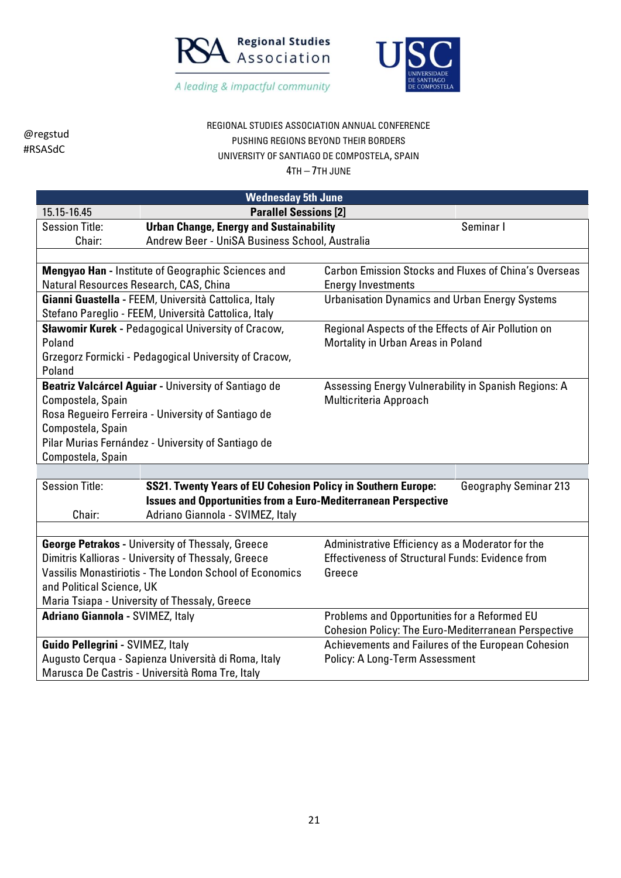



# REGIONAL STUDIES ASSOCIATION ANNUAL CONFERENCE PUSHING REGIONS BEYOND THEIR BORDERS UNIVERSITY OF SANTIAGO DE COMPOSTELA, SPAIN

| <b>Wednesday 5th June</b>                                                               |                                                                       |                                                              |  |
|-----------------------------------------------------------------------------------------|-----------------------------------------------------------------------|--------------------------------------------------------------|--|
| 15.15-16.45                                                                             | <b>Parallel Sessions [2]</b>                                          |                                                              |  |
| <b>Session Title:</b>                                                                   | <b>Urban Change, Energy and Sustainability</b>                        | Seminar I                                                    |  |
| Chair:                                                                                  | Andrew Beer - UniSA Business School, Australia                        |                                                              |  |
|                                                                                         |                                                                       |                                                              |  |
|                                                                                         | Mengyao Han - Institute of Geographic Sciences and                    | <b>Carbon Emission Stocks and Fluxes of China's Overseas</b> |  |
| Natural Resources Research, CAS, China                                                  |                                                                       | <b>Energy Investments</b>                                    |  |
|                                                                                         | Gianni Guastella - FEEM, Università Cattolica, Italy                  | <b>Urbanisation Dynamics and Urban Energy Systems</b>        |  |
|                                                                                         | Stefano Pareglio - FEEM, Università Cattolica, Italy                  |                                                              |  |
|                                                                                         | Sławomir Kurek - Pedagogical University of Cracow,                    | Regional Aspects of the Effects of Air Pollution on          |  |
| Poland                                                                                  |                                                                       | Mortality in Urban Areas in Poland                           |  |
|                                                                                         | Grzegorz Formicki - Pedagogical University of Cracow,                 |                                                              |  |
| Poland                                                                                  |                                                                       |                                                              |  |
|                                                                                         | Beatriz Valcárcel Aguiar - University of Santiago de                  | Assessing Energy Vulnerability in Spanish Regions: A         |  |
| Compostela, Spain                                                                       |                                                                       | Multicriteria Approach                                       |  |
|                                                                                         | Rosa Regueiro Ferreira - University of Santiago de                    |                                                              |  |
| Compostela, Spain                                                                       |                                                                       |                                                              |  |
|                                                                                         | Pilar Murias Fernández - University of Santiago de                    |                                                              |  |
| Compostela, Spain                                                                       |                                                                       |                                                              |  |
|                                                                                         |                                                                       |                                                              |  |
| <b>Session Title:</b>                                                                   | <b>SS21. Twenty Years of EU Cohesion Policy in Southern Europe:</b>   | <b>Geography Seminar 213</b>                                 |  |
|                                                                                         | <b>Issues and Opportunities from a Euro-Mediterranean Perspective</b> |                                                              |  |
| Chair:                                                                                  | Adriano Giannola - SVIMEZ, Italy                                      |                                                              |  |
|                                                                                         |                                                                       |                                                              |  |
|                                                                                         | <b>George Petrakos - University of Thessaly, Greece</b>               | Administrative Efficiency as a Moderator for the             |  |
|                                                                                         | Dimitris Kallioras - University of Thessaly, Greece                   | <b>Effectiveness of Structural Funds: Evidence from</b>      |  |
|                                                                                         | <b>Vassilis Monastiriotis - The London School of Economics</b>        | Greece                                                       |  |
| and Political Science, UK                                                               |                                                                       |                                                              |  |
| Maria Tsiapa - University of Thessaly, Greece                                           |                                                                       |                                                              |  |
| <b>Adriano Giannola - SVIMEZ, Italy</b><br>Problems and Opportunities for a Reformed EU |                                                                       |                                                              |  |
|                                                                                         |                                                                       | <b>Cohesion Policy: The Euro-Mediterranean Perspective</b>   |  |
| Guido Pellegrini - SVIMEZ, Italy                                                        |                                                                       | Achievements and Failures of the European Cohesion           |  |
| Augusto Cerqua - Sapienza Università di Roma, Italy<br>Policy: A Long-Term Assessment   |                                                                       |                                                              |  |
|                                                                                         | Marusca De Castris - Università Roma Tre, Italy                       |                                                              |  |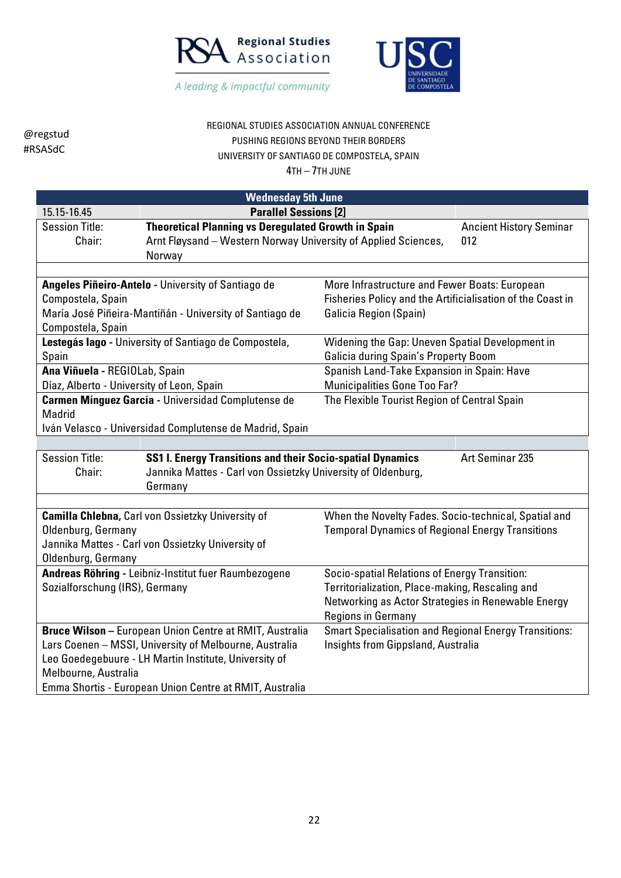



### REGIONAL STUDIES ASSOCIATION ANNUAL CONFERENCE PUSHING REGIONS BEYOND THEIR BORDERS UNIVERSITY OF SANTIAGO DE COMPOSTELA, SPAIN

|                                                       | <b>Wednesday 5th June</b>                                                                              |                                                              |                                |
|-------------------------------------------------------|--------------------------------------------------------------------------------------------------------|--------------------------------------------------------------|--------------------------------|
| 15.15-16.45                                           | <b>Parallel Sessions [2]</b>                                                                           |                                                              |                                |
| <b>Session Title:</b>                                 | <b>Theoretical Planning vs Deregulated Growth in Spain</b>                                             |                                                              | <b>Ancient History Seminar</b> |
| Chair:                                                | Arnt Fløysand - Western Norway University of Applied Sciences,<br>Norway                               |                                                              | 012                            |
|                                                       |                                                                                                        |                                                              |                                |
|                                                       | Angeles Piñeiro-Antelo - University of Santiago de                                                     | More Infrastructure and Fewer Boats: European                |                                |
| Compostela, Spain                                     |                                                                                                        | Fisheries Policy and the Artificialisation of the Coast in   |                                |
|                                                       | María José Piñeira-Mantiñán - University of Santiago de                                                | <b>Galicia Region (Spain)</b>                                |                                |
| Compostela, Spain                                     |                                                                                                        |                                                              |                                |
|                                                       | Lestegás lago - University of Santiago de Compostela,                                                  | Widening the Gap: Uneven Spatial Development in              |                                |
| Spain                                                 |                                                                                                        | Galicia during Spain's Property Boom                         |                                |
| Ana Viñuela - REGIOLab, Spain                         |                                                                                                        | Spanish Land-Take Expansion in Spain: Have                   |                                |
| Díaz, Alberto - University of Leon, Spain             |                                                                                                        | <b>Municipalities Gone Too Far?</b>                          |                                |
| Carmen Mínguez García - Universidad Complutense de    |                                                                                                        | The Flexible Tourist Region of Central Spain                 |                                |
| Madrid                                                |                                                                                                        |                                                              |                                |
|                                                       | Iván Velasco - Universidad Complutense de Madrid, Spain                                                |                                                              |                                |
|                                                       |                                                                                                        |                                                              |                                |
|                                                       | <b>Session Title:</b><br>SS1 I. Energy Transitions and their Socio-spatial Dynamics<br>Art Seminar 235 |                                                              |                                |
| Chair:                                                | Jannika Mattes - Carl von Ossietzky University of Oldenburg,                                           |                                                              |                                |
|                                                       | Germany                                                                                                |                                                              |                                |
|                                                       |                                                                                                        | When the Novelty Fades. Socio-technical, Spatial and         |                                |
| Oldenburg, Germany                                    | <b>Camilla Chlebna, Carl von Ossietzky University of</b>                                               | <b>Temporal Dynamics of Regional Energy Transitions</b>      |                                |
|                                                       | Jannika Mattes - Carl von Ossietzky University of                                                      |                                                              |                                |
| Oldenburg, Germany                                    |                                                                                                        |                                                              |                                |
|                                                       | Andreas Röhring - Leibniz-Institut fuer Raumbezogene                                                   | Socio-spatial Relations of Energy Transition:                |                                |
| Sozialforschung (IRS), Germany                        |                                                                                                        | Territorialization, Place-making, Rescaling and              |                                |
|                                                       |                                                                                                        | Networking as Actor Strategies in Renewable Energy           |                                |
|                                                       |                                                                                                        | <b>Regions in Germany</b>                                    |                                |
|                                                       | Bruce Wilson - European Union Centre at RMIT, Australia                                                | <b>Smart Specialisation and Regional Energy Transitions:</b> |                                |
|                                                       | Lars Coenen - MSSI, University of Melbourne, Australia                                                 | Insights from Gippsland, Australia                           |                                |
| Leo Goedegebuure - LH Martin Institute, University of |                                                                                                        |                                                              |                                |
| Melbourne, Australia                                  |                                                                                                        |                                                              |                                |
|                                                       | Emma Shortis - European Union Centre at RMIT, Australia                                                |                                                              |                                |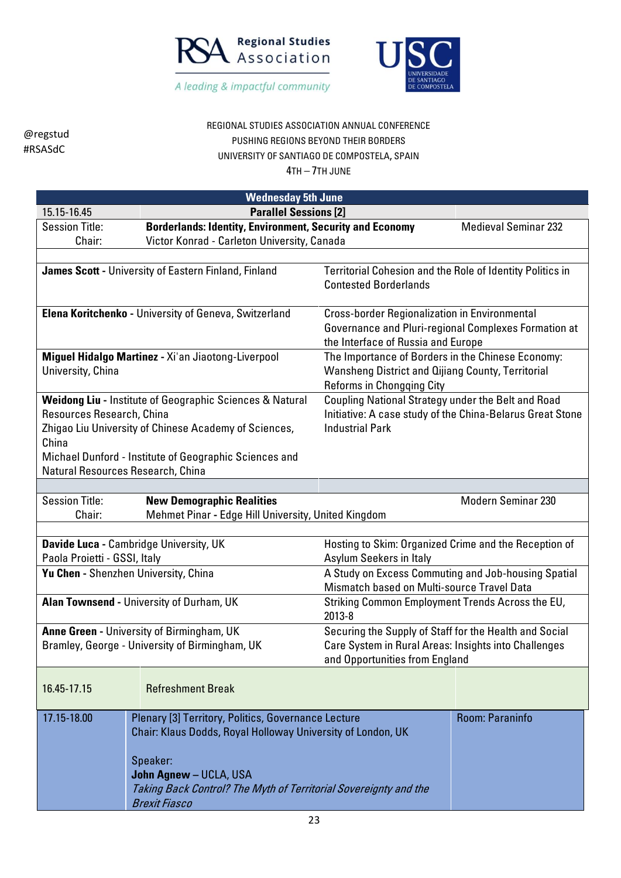



# REGIONAL STUDIES ASSOCIATION ANNUAL CONFERENCE PUSHING REGIONS BEYOND THEIR BORDERS UNIVERSITY OF SANTIAGO DE COMPOSTELA, SPAIN

| <b>Wednesday 5th June</b>                                                                                                                                                                                                                                                                                                                                                                                      |                                                                                                                                                                                                                                                      |                                                                                                                                            |                                                                                                                                                    |  |
|----------------------------------------------------------------------------------------------------------------------------------------------------------------------------------------------------------------------------------------------------------------------------------------------------------------------------------------------------------------------------------------------------------------|------------------------------------------------------------------------------------------------------------------------------------------------------------------------------------------------------------------------------------------------------|--------------------------------------------------------------------------------------------------------------------------------------------|----------------------------------------------------------------------------------------------------------------------------------------------------|--|
| <b>Parallel Sessions [2]</b><br>15.15-16.45                                                                                                                                                                                                                                                                                                                                                                    |                                                                                                                                                                                                                                                      |                                                                                                                                            |                                                                                                                                                    |  |
| <b>Session Title:</b>                                                                                                                                                                                                                                                                                                                                                                                          | <b>Borderlands: Identity, Environment, Security and Economy</b>                                                                                                                                                                                      |                                                                                                                                            | <b>Medieval Seminar 232</b>                                                                                                                        |  |
| Chair:                                                                                                                                                                                                                                                                                                                                                                                                         | Victor Konrad - Carleton University, Canada                                                                                                                                                                                                          |                                                                                                                                            |                                                                                                                                                    |  |
| James Scott - University of Eastern Finland, Finland<br>Territorial Cohesion and the Role of Identity Politics in<br><b>Contested Borderlands</b>                                                                                                                                                                                                                                                              |                                                                                                                                                                                                                                                      |                                                                                                                                            |                                                                                                                                                    |  |
| Elena Koritchenko - University of Geneva, Switzerland                                                                                                                                                                                                                                                                                                                                                          |                                                                                                                                                                                                                                                      |                                                                                                                                            | <b>Cross-border Regionalization in Environmental</b><br>Governance and Pluri-regional Complexes Formation at<br>the Interface of Russia and Europe |  |
| University, China                                                                                                                                                                                                                                                                                                                                                                                              | Miguel Hidalgo Martinez - Xi'an Jiaotong-Liverpool                                                                                                                                                                                                   | The Importance of Borders in the Chinese Economy:<br>Wansheng District and Qijiang County, Territorial<br><b>Reforms in Chongqing City</b> |                                                                                                                                                    |  |
| Coupling National Strategy under the Belt and Road<br><b>Weidong Liu - Institute of Geographic Sciences &amp; Natural</b><br>Resources Research, China<br>Initiative: A case study of the China-Belarus Great Stone<br>Zhigao Liu University of Chinese Academy of Sciences,<br><b>Industrial Park</b><br>China<br>Michael Dunford - Institute of Geographic Sciences and<br>Natural Resources Research, China |                                                                                                                                                                                                                                                      |                                                                                                                                            |                                                                                                                                                    |  |
|                                                                                                                                                                                                                                                                                                                                                                                                                |                                                                                                                                                                                                                                                      |                                                                                                                                            |                                                                                                                                                    |  |
| <b>Session Title:</b><br>Chair:                                                                                                                                                                                                                                                                                                                                                                                | <b>New Demographic Realities</b><br><b>Modern Seminar 230</b><br>Mehmet Pinar - Edge Hill University, United Kingdom                                                                                                                                 |                                                                                                                                            |                                                                                                                                                    |  |
|                                                                                                                                                                                                                                                                                                                                                                                                                |                                                                                                                                                                                                                                                      |                                                                                                                                            |                                                                                                                                                    |  |
|                                                                                                                                                                                                                                                                                                                                                                                                                | Davide Luca - Cambridge University, UK                                                                                                                                                                                                               | Hosting to Skim: Organized Crime and the Reception of                                                                                      |                                                                                                                                                    |  |
| Paola Proietti - GSSI, Italy                                                                                                                                                                                                                                                                                                                                                                                   |                                                                                                                                                                                                                                                      | Asylum Seekers in Italy                                                                                                                    |                                                                                                                                                    |  |
| A Study on Excess Commuting and Job-housing Spatial<br>Yu Chen - Shenzhen University, China<br>Mismatch based on Multi-source Travel Data                                                                                                                                                                                                                                                                      |                                                                                                                                                                                                                                                      |                                                                                                                                            |                                                                                                                                                    |  |
|                                                                                                                                                                                                                                                                                                                                                                                                                | Alan Townsend - University of Durham, UK                                                                                                                                                                                                             | Striking Common Employment Trends Across the EU,<br>2013-8                                                                                 |                                                                                                                                                    |  |
| Anne Green - University of Birmingham, UK<br>Securing the Supply of Staff for the Health and Social<br>Bramley, George - University of Birmingham, UK<br>Care System in Rural Areas: Insights into Challenges<br>and Opportunities from England                                                                                                                                                                |                                                                                                                                                                                                                                                      |                                                                                                                                            |                                                                                                                                                    |  |
| 16.45-17.15                                                                                                                                                                                                                                                                                                                                                                                                    | <b>Refreshment Break</b>                                                                                                                                                                                                                             |                                                                                                                                            |                                                                                                                                                    |  |
| 17.15-18.00                                                                                                                                                                                                                                                                                                                                                                                                    | Plenary [3] Territory, Politics, Governance Lecture<br>Chair: Klaus Dodds, Royal Holloway University of London, UK<br>Speaker:<br>John Agnew - UCLA, USA<br>Taking Back Control? The Myth of Territorial Sovereignty and the<br><b>Brexit Fiasco</b> |                                                                                                                                            | Room: Paraninfo                                                                                                                                    |  |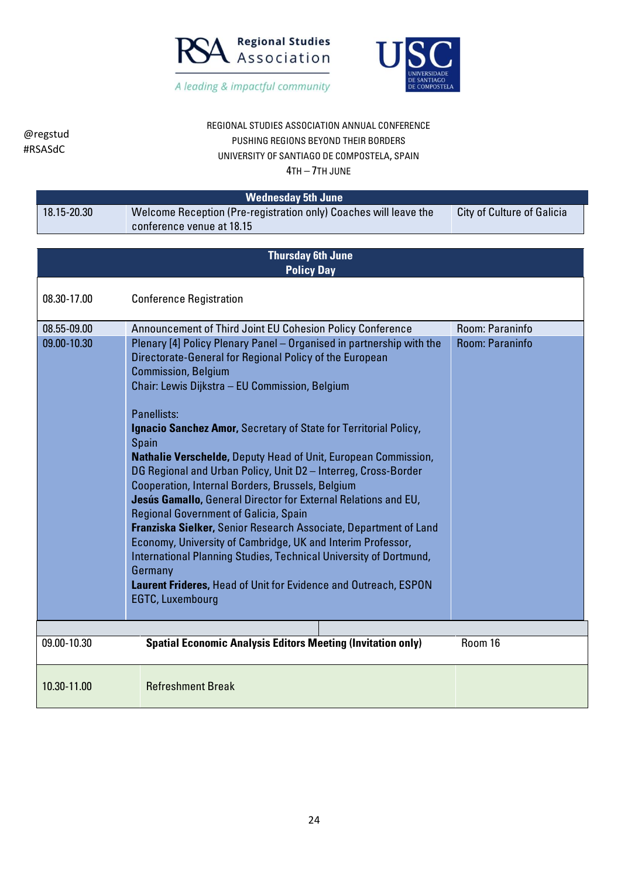



# REGIONAL STUDIES ASSOCIATION ANNUAL CONFERENCE PUSHING REGIONS BEYOND THEIR BORDERS UNIVERSITY OF SANTIAGO DE COMPOSTELA, SPAIN

 $4T_H$   $7T_H$   $10M$ 

| 4TH – 7TH JUNE             |                                                                                                                                                                                                                                                                                                                                                                                                                                                                                                                                                                                                                                                                                                                                                                                                                                                                                                                                                                                                     |                                    |  |
|----------------------------|-----------------------------------------------------------------------------------------------------------------------------------------------------------------------------------------------------------------------------------------------------------------------------------------------------------------------------------------------------------------------------------------------------------------------------------------------------------------------------------------------------------------------------------------------------------------------------------------------------------------------------------------------------------------------------------------------------------------------------------------------------------------------------------------------------------------------------------------------------------------------------------------------------------------------------------------------------------------------------------------------------|------------------------------------|--|
| <b>Wednesday 5th June</b>  |                                                                                                                                                                                                                                                                                                                                                                                                                                                                                                                                                                                                                                                                                                                                                                                                                                                                                                                                                                                                     |                                    |  |
| 18.15-20.30                | Welcome Reception (Pre-registration only) Coaches will leave the<br>conference venue at 18.15                                                                                                                                                                                                                                                                                                                                                                                                                                                                                                                                                                                                                                                                                                                                                                                                                                                                                                       | <b>City of Culture of Galicia</b>  |  |
|                            | <b>Thursday 6th June</b><br><b>Policy Day</b>                                                                                                                                                                                                                                                                                                                                                                                                                                                                                                                                                                                                                                                                                                                                                                                                                                                                                                                                                       |                                    |  |
| 08.30-17.00                | <b>Conference Registration</b>                                                                                                                                                                                                                                                                                                                                                                                                                                                                                                                                                                                                                                                                                                                                                                                                                                                                                                                                                                      |                                    |  |
| 08.55-09.00<br>09.00-10.30 | Announcement of Third Joint EU Cohesion Policy Conference<br>Plenary [4] Policy Plenary Panel - Organised in partnership with the<br>Directorate-General for Regional Policy of the European<br><b>Commission, Belgium</b><br>Chair: Lewis Dijkstra - EU Commission, Belgium<br>Panellists:<br>Ignacio Sanchez Amor, Secretary of State for Territorial Policy,<br><b>Spain</b><br>Nathalie Verschelde, Deputy Head of Unit, European Commission,<br>DG Regional and Urban Policy, Unit D2 - Interreg, Cross-Border<br>Cooperation, Internal Borders, Brussels, Belgium<br>Jesús Gamallo, General Director for External Relations and EU,<br>Regional Government of Galicia, Spain<br>Franziska Sielker, Senior Research Associate, Department of Land<br>Economy, University of Cambridge, UK and Interim Professor,<br>International Planning Studies, Technical University of Dortmund,<br>Germany<br>Laurent Frideres, Head of Unit for Evidence and Outreach, ESPON<br><b>EGTC, Luxembourg</b> | Room: Paraninfo<br>Room: Paraninfo |  |
| 09.00-10.30                | <b>Spatial Economic Analysis Editors Meeting (Invitation only)</b>                                                                                                                                                                                                                                                                                                                                                                                                                                                                                                                                                                                                                                                                                                                                                                                                                                                                                                                                  | Room 16                            |  |
| 10.30-11.00                | <b>Refreshment Break</b>                                                                                                                                                                                                                                                                                                                                                                                                                                                                                                                                                                                                                                                                                                                                                                                                                                                                                                                                                                            |                                    |  |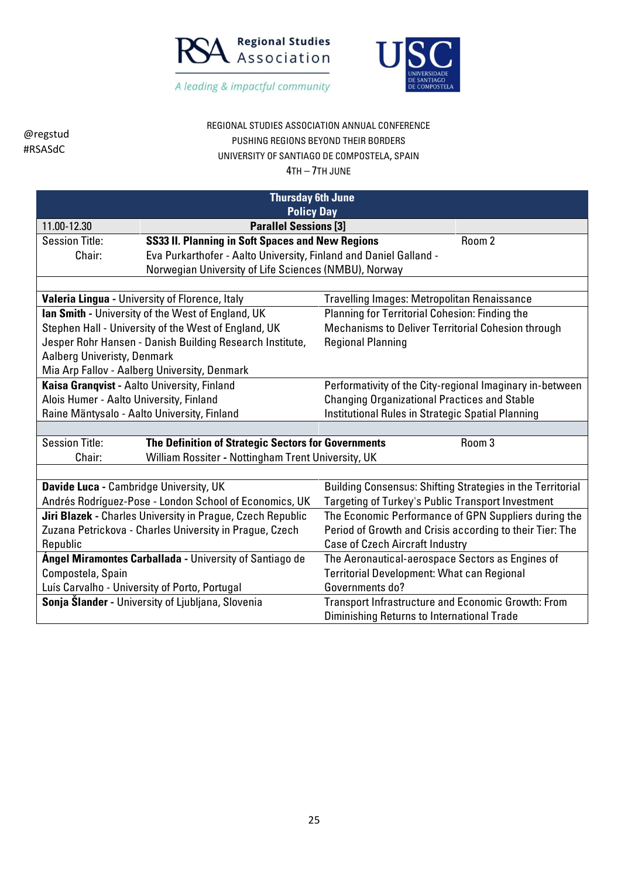



### REGIONAL STUDIES ASSOCIATION ANNUAL CONFERENCE PUSHING REGIONS BEYOND THEIR BORDERS UNIVERSITY OF SANTIAGO DE COMPOSTELA, SPAIN

| <b>Thursday 6th June</b><br><b>Policy Day</b>                                                    |                                                                   |                                                            |        |
|--------------------------------------------------------------------------------------------------|-------------------------------------------------------------------|------------------------------------------------------------|--------|
| 11.00-12.30                                                                                      | <b>Parallel Sessions [3]</b>                                      |                                                            |        |
| <b>Session Title:</b>                                                                            | SS33 II. Planning in Soft Spaces and New Regions                  |                                                            | Room 2 |
| Chair:                                                                                           | Eva Purkarthofer - Aalto University, Finland and Daniel Galland - |                                                            |        |
|                                                                                                  | Norwegian University of Life Sciences (NMBU), Norway              |                                                            |        |
|                                                                                                  |                                                                   |                                                            |        |
|                                                                                                  | Valeria Lingua - University of Florence, Italy                    | Travelling Images: Metropolitan Renaissance                |        |
|                                                                                                  | Ian Smith - University of the West of England, UK                 | Planning for Territorial Cohesion: Finding the             |        |
|                                                                                                  | Stephen Hall - University of the West of England, UK              | Mechanisms to Deliver Territorial Cohesion through         |        |
|                                                                                                  | Jesper Rohr Hansen - Danish Building Research Institute,          | <b>Regional Planning</b>                                   |        |
| Aalberg Univeristy, Denmark                                                                      |                                                                   |                                                            |        |
|                                                                                                  | Mia Arp Fallov - Aalberg University, Denmark                      |                                                            |        |
| Kaisa Granqvist - Aalto University, Finland                                                      |                                                                   | Performativity of the City-regional Imaginary in-between   |        |
| Alois Humer - Aalto University, Finland                                                          |                                                                   | <b>Changing Organizational Practices and Stable</b>        |        |
| Institutional Rules in Strategic Spatial Planning<br>Raine Mäntysalo - Aalto University, Finland |                                                                   |                                                            |        |
|                                                                                                  |                                                                   |                                                            |        |
| <b>Session Title:</b>                                                                            | The Definition of Strategic Sectors for Governments               |                                                            | Room 3 |
| Chair:                                                                                           | William Rossiter - Nottingham Trent University, UK                |                                                            |        |
|                                                                                                  |                                                                   |                                                            |        |
| Davide Luca - Cambridge University, UK                                                           |                                                                   | Building Consensus: Shifting Strategies in the Territorial |        |
|                                                                                                  | Andrés Rodríguez-Pose - London School of Economics, UK            | Targeting of Turkey's Public Transport Investment          |        |
|                                                                                                  | Jiri Blazek - Charles University in Prague, Czech Republic        | The Economic Performance of GPN Suppliers during the       |        |
|                                                                                                  | Zuzana Petrickova - Charles University in Prague, Czech           | Period of Growth and Crisis according to their Tier: The   |        |
| Republic<br><b>Case of Czech Aircraft Industry</b>                                               |                                                                   |                                                            |        |
|                                                                                                  | <b>Ángel Miramontes Carballada - University of Santiago de</b>    | The Aeronautical-aerospace Sectors as Engines of           |        |
| Compostela, Spain                                                                                |                                                                   | <b>Territorial Development: What can Regional</b>          |        |
|                                                                                                  | Luís Carvalho - University of Porto, Portugal                     | Governments do?                                            |        |
|                                                                                                  | Sonja Slander - University of Ljubljana, Slovenia                 | Transport Infrastructure and Economic Growth: From         |        |
| Diminishing Returns to International Trade                                                       |                                                                   |                                                            |        |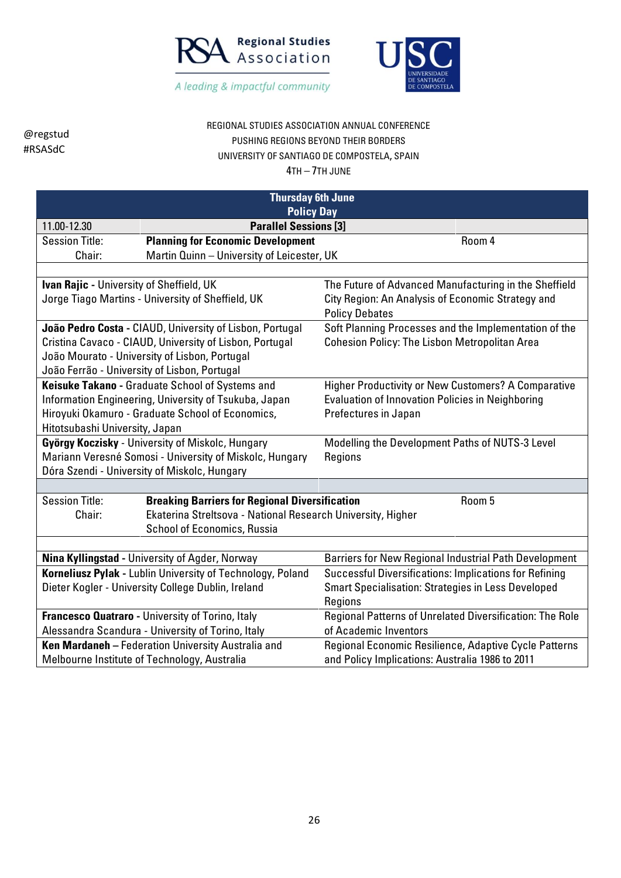



## REGIONAL STUDIES ASSOCIATION ANNUAL CONFERENCE PUSHING REGIONS BEYOND THEIR BORDERS UNIVERSITY OF SANTIAGO DE COMPOSTELA, SPAIN

| <b>Thursday 6th June</b>                                   |                                                             |                                                           |  |
|------------------------------------------------------------|-------------------------------------------------------------|-----------------------------------------------------------|--|
|                                                            | <b>Policy Day</b>                                           |                                                           |  |
| 11.00-12.30                                                | <b>Parallel Sessions [3]</b>                                |                                                           |  |
| <b>Session Title:</b>                                      | <b>Planning for Economic Development</b>                    | Room 4                                                    |  |
| Chair:                                                     | Martin Quinn - University of Leicester, UK                  |                                                           |  |
|                                                            |                                                             |                                                           |  |
| Ivan Rajic - University of Sheffield, UK                   |                                                             | The Future of Advanced Manufacturing in the Sheffield     |  |
|                                                            | Jorge Tiago Martins - University of Sheffield, UK           | City Region: An Analysis of Economic Strategy and         |  |
|                                                            |                                                             | <b>Policy Debates</b>                                     |  |
|                                                            | João Pedro Costa - CIAUD, University of Lisbon, Portugal    | Soft Planning Processes and the Implementation of the     |  |
|                                                            | Cristina Cavaco - CIAUD, University of Lisbon, Portugal     | <b>Cohesion Policy: The Lisbon Metropolitan Area</b>      |  |
|                                                            | João Mourato - University of Lisbon, Portugal               |                                                           |  |
| João Ferrão - University of Lisbon, Portugal               |                                                             |                                                           |  |
|                                                            | Keisuke Takano - Graduate School of Systems and             | Higher Productivity or New Customers? A Comparative       |  |
|                                                            | Information Engineering, University of Tsukuba, Japan       | <b>Evaluation of Innovation Policies in Neighboring</b>   |  |
|                                                            | Hiroyuki Okamuro - Graduate School of Economics,            | Prefectures in Japan                                      |  |
| Hitotsubashi University, Japan                             |                                                             |                                                           |  |
| György Koczisky - University of Miskolc, Hungary           |                                                             | Modelling the Development Paths of NUTS-3 Level           |  |
|                                                            | Mariann Veresné Somosi - University of Miskolc, Hungary     | Regions                                                   |  |
|                                                            | Dóra Szendi - University of Miskolc, Hungary                |                                                           |  |
|                                                            |                                                             |                                                           |  |
| <b>Session Title:</b>                                      | <b>Breaking Barriers for Regional Diversification</b>       | Room 5                                                    |  |
| Chair:                                                     | Ekaterina Streltsova - National Research University, Higher |                                                           |  |
|                                                            | <b>School of Economics, Russia</b>                          |                                                           |  |
|                                                            |                                                             |                                                           |  |
|                                                            | Nina Kyllingstad - University of Agder, Norway              | Barriers for New Regional Industrial Path Development     |  |
| Korneliusz Pylak - Lublin University of Technology, Poland |                                                             | Successful Diversifications: Implications for Refining    |  |
|                                                            | Dieter Kogler - University College Dublin, Ireland          | <b>Smart Specialisation: Strategies in Less Developed</b> |  |
|                                                            |                                                             | Regions                                                   |  |
|                                                            | Francesco Quatraro - University of Torino, Italy            | Regional Patterns of Unrelated Diversification: The Role  |  |
|                                                            | Alessandra Scandura - University of Torino, Italy           | of Academic Inventors                                     |  |
|                                                            | Ken Mardaneh - Federation University Australia and          | Regional Economic Resilience, Adaptive Cycle Patterns     |  |
|                                                            | Melbourne Institute of Technology, Australia                | and Policy Implications: Australia 1986 to 2011           |  |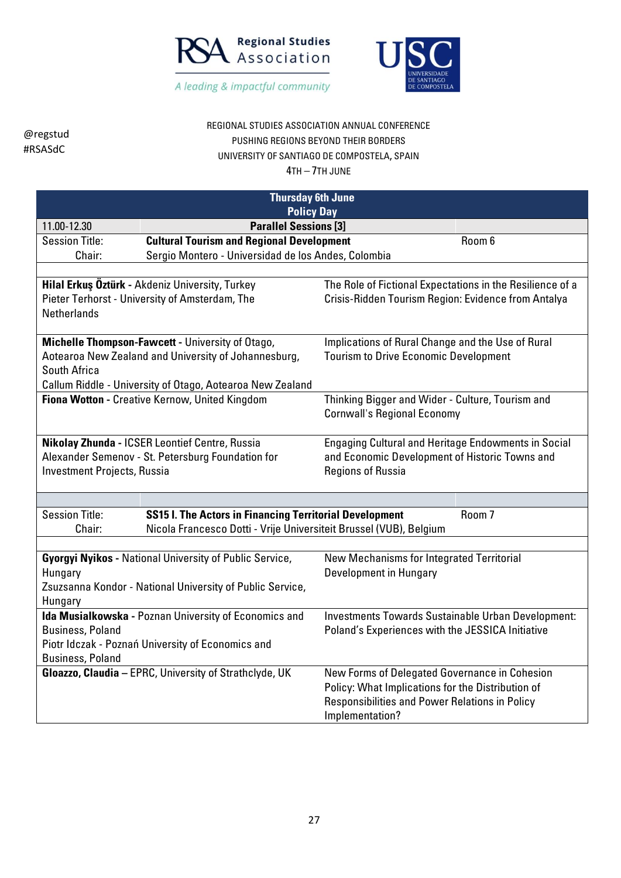



# REGIONAL STUDIES ASSOCIATION ANNUAL CONFERENCE PUSHING REGIONS BEYOND THEIR BORDERS UNIVERSITY OF SANTIAGO DE COMPOSTELA, SPAIN

| <b>Thursday 6th June</b>                                                                                                                                                                                                          |                                                                    |                                                            |  |
|-----------------------------------------------------------------------------------------------------------------------------------------------------------------------------------------------------------------------------------|--------------------------------------------------------------------|------------------------------------------------------------|--|
|                                                                                                                                                                                                                                   | <b>Policy Day</b>                                                  |                                                            |  |
| 11.00-12.30                                                                                                                                                                                                                       | <b>Parallel Sessions [3]</b>                                       |                                                            |  |
| <b>Session Title:</b>                                                                                                                                                                                                             | <b>Cultural Tourism and Regional Development</b>                   | Room 6                                                     |  |
| Chair:                                                                                                                                                                                                                            | Sergio Montero - Universidad de los Andes, Colombia                |                                                            |  |
|                                                                                                                                                                                                                                   |                                                                    |                                                            |  |
|                                                                                                                                                                                                                                   | Hilal Erkuş Öztürk - Akdeniz University, Turkey                    | The Role of Fictional Expectations in the Resilience of a  |  |
|                                                                                                                                                                                                                                   | Pieter Terhorst - University of Amsterdam, The                     | Crisis-Ridden Tourism Region: Evidence from Antalya        |  |
| <b>Netherlands</b>                                                                                                                                                                                                                |                                                                    |                                                            |  |
|                                                                                                                                                                                                                                   |                                                                    |                                                            |  |
|                                                                                                                                                                                                                                   | Michelle Thompson-Fawcett - University of Otago,                   | Implications of Rural Change and the Use of Rural          |  |
|                                                                                                                                                                                                                                   | Aotearoa New Zealand and University of Johannesburg,               | <b>Tourism to Drive Economic Development</b>               |  |
| South Africa                                                                                                                                                                                                                      |                                                                    |                                                            |  |
|                                                                                                                                                                                                                                   | Callum Riddle - University of Otago, Aotearoa New Zealand          |                                                            |  |
|                                                                                                                                                                                                                                   | Fiona Wotton - Creative Kernow, United Kingdom                     | Thinking Bigger and Wider - Culture, Tourism and           |  |
|                                                                                                                                                                                                                                   |                                                                    | <b>Cornwall's Regional Economy</b>                         |  |
|                                                                                                                                                                                                                                   |                                                                    |                                                            |  |
|                                                                                                                                                                                                                                   | Nikolay Zhunda - ICSER Leontief Centre, Russia                     | <b>Engaging Cultural and Heritage Endowments in Social</b> |  |
|                                                                                                                                                                                                                                   | Alexander Semenov - St. Petersburg Foundation for                  | and Economic Development of Historic Towns and             |  |
| <b>Investment Projects, Russia</b>                                                                                                                                                                                                |                                                                    | <b>Regions of Russia</b>                                   |  |
|                                                                                                                                                                                                                                   |                                                                    |                                                            |  |
|                                                                                                                                                                                                                                   |                                                                    |                                                            |  |
| <b>Session Title:</b>                                                                                                                                                                                                             | <b>SS15 I. The Actors in Financing Territorial Development</b>     | Room <sub>7</sub>                                          |  |
| Chair:                                                                                                                                                                                                                            | Nicola Francesco Dotti - Vrije Universiteit Brussel (VUB), Belgium |                                                            |  |
|                                                                                                                                                                                                                                   |                                                                    |                                                            |  |
|                                                                                                                                                                                                                                   | <b>Gyorgyi Nyikos - National University of Public Service,</b>     | New Mechanisms for Integrated Territorial                  |  |
| Hungary                                                                                                                                                                                                                           |                                                                    | Development in Hungary                                     |  |
|                                                                                                                                                                                                                                   | Zsuzsanna Kondor - National University of Public Service,          |                                                            |  |
| Hungary                                                                                                                                                                                                                           |                                                                    |                                                            |  |
|                                                                                                                                                                                                                                   | Ida Musialkowska - Poznan University of Economics and              | Investments Towards Sustainable Urban Development:         |  |
| <b>Business, Poland</b>                                                                                                                                                                                                           |                                                                    | Poland's Experiences with the JESSICA Initiative           |  |
| Piotr Idczak - Poznań University of Economics and                                                                                                                                                                                 |                                                                    |                                                            |  |
| <b>Business, Poland</b>                                                                                                                                                                                                           |                                                                    |                                                            |  |
|                                                                                                                                                                                                                                   |                                                                    |                                                            |  |
|                                                                                                                                                                                                                                   |                                                                    |                                                            |  |
|                                                                                                                                                                                                                                   |                                                                    |                                                            |  |
| Gloazzo, Claudia - EPRC, University of Strathclyde, UK<br>New Forms of Delegated Governance in Cohesion<br>Policy: What Implications for the Distribution of<br>Responsibilities and Power Relations in Policy<br>Implementation? |                                                                    |                                                            |  |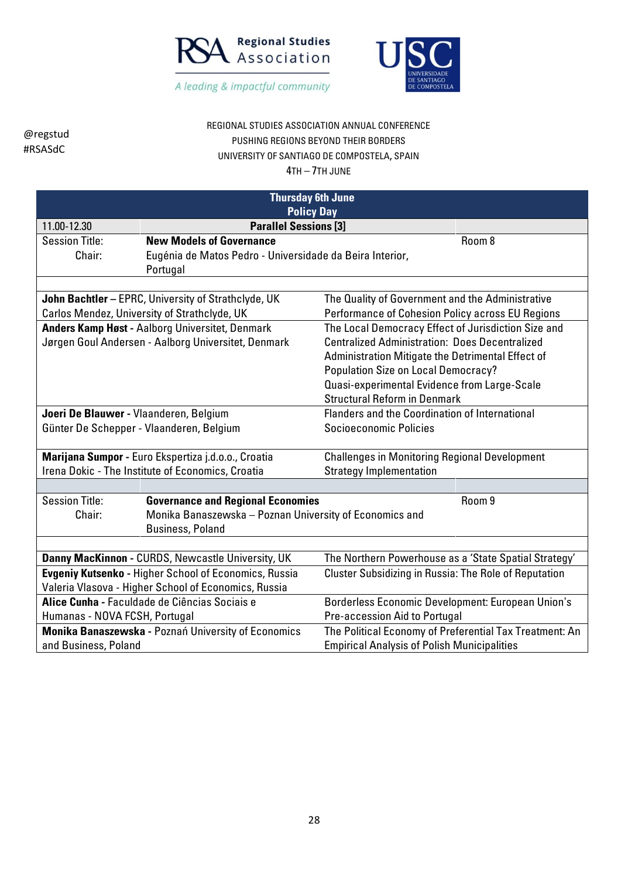



### REGIONAL STUDIES ASSOCIATION ANNUAL CONFERENCE PUSHING REGIONS BEYOND THEIR BORDERS UNIVERSITY OF SANTIAGO DE COMPOSTELA, SPAIN

| <b>Thursday 6th June</b>                                     |                                                          |                                                         |  |  |
|--------------------------------------------------------------|----------------------------------------------------------|---------------------------------------------------------|--|--|
|                                                              |                                                          | <b>Policy Day</b>                                       |  |  |
| 11.00-12.30                                                  | <b>Parallel Sessions [3]</b>                             |                                                         |  |  |
| <b>Session Title:</b>                                        | <b>New Models of Governance</b>                          | Room 8                                                  |  |  |
| Chair:                                                       | Eugénia de Matos Pedro - Universidade da Beira Interior, |                                                         |  |  |
|                                                              | Portugal                                                 |                                                         |  |  |
|                                                              |                                                          |                                                         |  |  |
|                                                              | John Bachtler - EPRC, University of Strathclyde, UK      | The Quality of Government and the Administrative        |  |  |
|                                                              | Carlos Mendez, University of Strathclyde, UK             | Performance of Cohesion Policy across EU Regions        |  |  |
|                                                              | <b>Anders Kamp Høst - Aalborg Universitet, Denmark</b>   | The Local Democracy Effect of Jurisdiction Size and     |  |  |
|                                                              | Jørgen Goul Andersen - Aalborg Universitet, Denmark      | <b>Centralized Administration: Does Decentralized</b>   |  |  |
|                                                              |                                                          | Administration Mitigate the Detrimental Effect of       |  |  |
|                                                              |                                                          | <b>Population Size on Local Democracy?</b>              |  |  |
|                                                              |                                                          | Quasi-experimental Evidence from Large-Scale            |  |  |
|                                                              |                                                          | <b>Structural Reform in Denmark</b>                     |  |  |
| Joeri De Blauwer - Vlaanderen, Belgium                       |                                                          | Flanders and the Coordination of International          |  |  |
| Günter De Schepper - Vlaanderen, Belgium                     |                                                          | Socioeconomic Policies                                  |  |  |
|                                                              |                                                          |                                                         |  |  |
|                                                              | Marijana Sumpor - Euro Ekspertiza j.d.o.o., Croatia      | <b>Challenges in Monitoring Regional Development</b>    |  |  |
|                                                              | Irena Dokic - The Institute of Economics, Croatia        | <b>Strategy Implementation</b>                          |  |  |
|                                                              |                                                          |                                                         |  |  |
| <b>Session Title:</b>                                        | <b>Governance and Regional Economies</b>                 | Room 9                                                  |  |  |
| Chair:                                                       | Monika Banaszewska - Poznan University of Economics and  |                                                         |  |  |
|                                                              | <b>Business, Poland</b>                                  |                                                         |  |  |
|                                                              |                                                          |                                                         |  |  |
| Danny MacKinnon - CURDS, Newcastle University, UK            |                                                          | The Northern Powerhouse as a 'State Spatial Strategy'   |  |  |
| <b>Evgeniy Kutsenko - Higher School of Economics, Russia</b> |                                                          | Cluster Subsidizing in Russia: The Role of Reputation   |  |  |
| Valeria Vlasova - Higher School of Economics, Russia         |                                                          |                                                         |  |  |
| Alice Cunha - Faculdade de Ciências Sociais e                |                                                          | Borderless Economic Development: European Union's       |  |  |
| Humanas - NOVA FCSH, Portugal                                |                                                          | Pre-accession Aid to Portugal                           |  |  |
|                                                              | Monika Banaszewska - Poznań University of Economics      | The Political Economy of Preferential Tax Treatment: An |  |  |
| and Business, Poland                                         |                                                          | <b>Empirical Analysis of Polish Municipalities</b>      |  |  |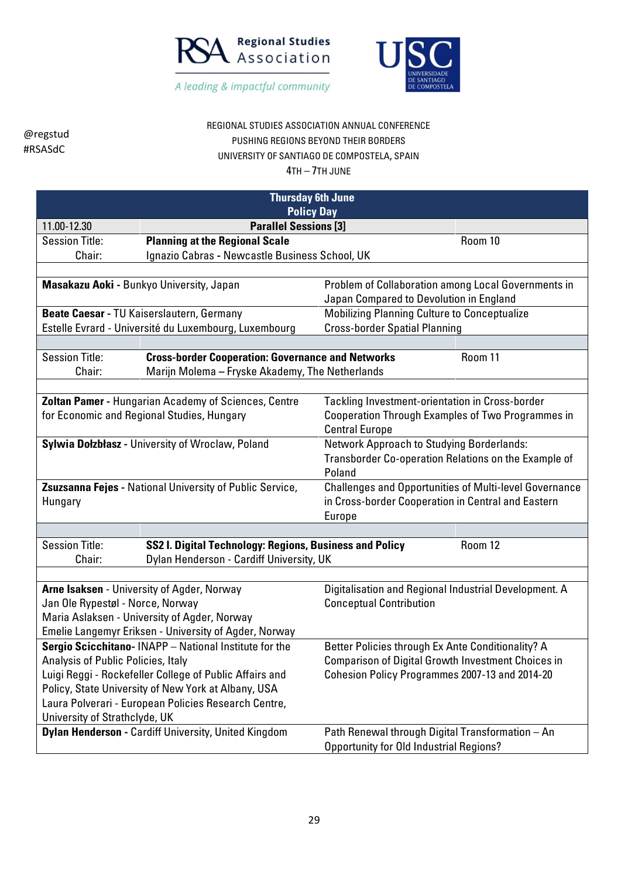



## REGIONAL STUDIES ASSOCIATION ANNUAL CONFERENCE PUSHING REGIONS BEYOND THEIR BORDERS UNIVERSITY OF SANTIAGO DE COMPOSTELA, SPAIN

| <b>Thursday 6th June</b>                                                                                        |                                                                                                             |                                                                                                |  |  |
|-----------------------------------------------------------------------------------------------------------------|-------------------------------------------------------------------------------------------------------------|------------------------------------------------------------------------------------------------|--|--|
|                                                                                                                 | <b>Policy Day</b>                                                                                           |                                                                                                |  |  |
| 11.00-12.30                                                                                                     | <b>Parallel Sessions [3]</b>                                                                                |                                                                                                |  |  |
| <b>Session Title:</b>                                                                                           | <b>Planning at the Regional Scale</b>                                                                       | Room 10                                                                                        |  |  |
| Chair:                                                                                                          | Ignazio Cabras - Newcastle Business School, UK                                                              |                                                                                                |  |  |
|                                                                                                                 |                                                                                                             |                                                                                                |  |  |
|                                                                                                                 | Masakazu Aoki - Bunkyo University, Japan                                                                    | Problem of Collaboration among Local Governments in<br>Japan Compared to Devolution in England |  |  |
|                                                                                                                 | Beate Caesar - TU Kaiserslautern, Germany                                                                   | Mobilizing Planning Culture to Conceptualize                                                   |  |  |
|                                                                                                                 | Estelle Evrard - Université du Luxembourg, Luxembourg                                                       | <b>Cross-border Spatial Planning</b>                                                           |  |  |
|                                                                                                                 |                                                                                                             |                                                                                                |  |  |
| <b>Session Title:</b><br>Chair:                                                                                 | <b>Cross-border Cooperation: Governance and Networks</b><br>Marijn Molema - Fryske Akademy, The Netherlands | Room 11                                                                                        |  |  |
|                                                                                                                 |                                                                                                             |                                                                                                |  |  |
|                                                                                                                 | Zoltan Pamer - Hungarian Academy of Sciences, Centre                                                        | <b>Tackling Investment-orientation in Cross-border</b>                                         |  |  |
|                                                                                                                 | for Economic and Regional Studies, Hungary                                                                  | Cooperation Through Examples of Two Programmes in<br><b>Central Europe</b>                     |  |  |
|                                                                                                                 | Sylwia Dołzbłasz - University of Wroclaw, Poland                                                            | Network Approach to Studying Borderlands:                                                      |  |  |
|                                                                                                                 |                                                                                                             | Transborder Co-operation Relations on the Example of<br>Poland                                 |  |  |
|                                                                                                                 | Zsuzsanna Fejes - National University of Public Service,                                                    | <b>Challenges and Opportunities of Multi-level Governance</b>                                  |  |  |
| Hungary                                                                                                         |                                                                                                             | in Cross-border Cooperation in Central and Eastern                                             |  |  |
|                                                                                                                 |                                                                                                             | Europe                                                                                         |  |  |
|                                                                                                                 |                                                                                                             |                                                                                                |  |  |
| <b>Session Title:</b>                                                                                           | SS2 I. Digital Technology: Regions, Business and Policy                                                     | Room 12                                                                                        |  |  |
| Chair:                                                                                                          | Dylan Henderson - Cardiff University, UK                                                                    |                                                                                                |  |  |
|                                                                                                                 |                                                                                                             |                                                                                                |  |  |
|                                                                                                                 | Arne Isaksen - University of Agder, Norway                                                                  | Digitalisation and Regional Industrial Development. A                                          |  |  |
| Jan Ole Rypestøl - Norce, Norway                                                                                |                                                                                                             | <b>Conceptual Contribution</b>                                                                 |  |  |
|                                                                                                                 | Maria Aslaksen - University of Agder, Norway                                                                |                                                                                                |  |  |
|                                                                                                                 | Emelie Langemyr Eriksen - University of Agder, Norway                                                       |                                                                                                |  |  |
| Sergio Scicchitano-INAPP - National Institute for the                                                           |                                                                                                             | Better Policies through Ex Ante Conditionality? A                                              |  |  |
| Analysis of Public Policies, Italy<br>Luigi Reggi - Rockefeller College of Public Affairs and                   |                                                                                                             | <b>Comparison of Digital Growth Investment Choices in</b>                                      |  |  |
|                                                                                                                 |                                                                                                             | Cohesion Policy Programmes 2007-13 and 2014-20                                                 |  |  |
| Policy, State University of New York at Albany, USA                                                             |                                                                                                             |                                                                                                |  |  |
| Laura Polverari - European Policies Research Centre,<br>University of Strathclyde, UK                           |                                                                                                             |                                                                                                |  |  |
| <b>Dylan Henderson - Cardiff University, United Kingdom</b><br>Path Renewal through Digital Transformation - An |                                                                                                             |                                                                                                |  |  |
|                                                                                                                 |                                                                                                             | <b>Opportunity for Old Industrial Regions?</b>                                                 |  |  |
|                                                                                                                 |                                                                                                             |                                                                                                |  |  |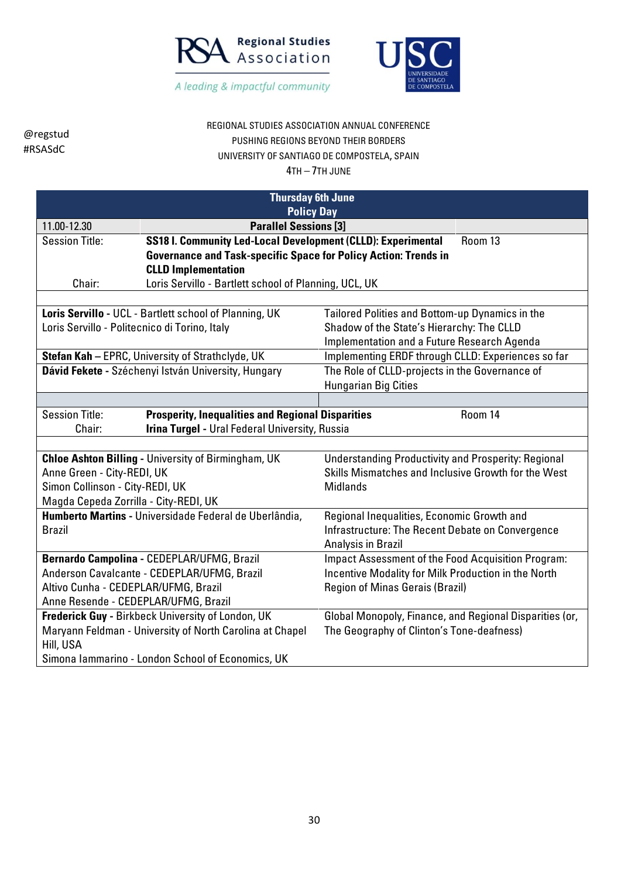



# REGIONAL STUDIES ASSOCIATION ANNUAL CONFERENCE PUSHING REGIONS BEYOND THEIR BORDERS UNIVERSITY OF SANTIAGO DE COMPOSTELA, SPAIN

4TH – 7TH JUNE

|                                                                                                       | <b>Thursday 6th June</b>                                                                                                 |                                                         |  |  |
|-------------------------------------------------------------------------------------------------------|--------------------------------------------------------------------------------------------------------------------------|---------------------------------------------------------|--|--|
|                                                                                                       | <b>Policy Day</b>                                                                                                        |                                                         |  |  |
| 11.00-12.30                                                                                           | <b>Parallel Sessions [3]</b>                                                                                             |                                                         |  |  |
| <b>Session Title:</b>                                                                                 | SS18 I. Community Led-Local Development (CLLD): Experimental<br>Room 13                                                  |                                                         |  |  |
|                                                                                                       | <b>Governance and Task-specific Space for Policy Action: Trends in</b>                                                   |                                                         |  |  |
|                                                                                                       | <b>CLLD Implementation</b>                                                                                               |                                                         |  |  |
| Chair:                                                                                                | Loris Servillo - Bartlett school of Planning, UCL, UK                                                                    |                                                         |  |  |
|                                                                                                       |                                                                                                                          |                                                         |  |  |
|                                                                                                       | Loris Servillo - UCL - Bartlett school of Planning, UK                                                                   | Tailored Polities and Bottom-up Dynamics in the         |  |  |
| Loris Servillo - Politecnico di Torino, Italy                                                         |                                                                                                                          | Shadow of the State's Hierarchy: The CLLD               |  |  |
|                                                                                                       |                                                                                                                          | Implementation and a Future Research Agenda             |  |  |
|                                                                                                       | Stefan Kah - EPRC, University of Strathclyde, UK                                                                         | Implementing ERDF through CLLD: Experiences so far      |  |  |
|                                                                                                       | Dávid Fekete - Széchenyi István University, Hungary                                                                      | The Role of CLLD-projects in the Governance of          |  |  |
| <b>Hungarian Big Cities</b>                                                                           |                                                                                                                          |                                                         |  |  |
|                                                                                                       |                                                                                                                          |                                                         |  |  |
| <b>Session Title:</b><br><b>Prosperity, Inequalities and Regional Disparities</b><br>Room 14          |                                                                                                                          |                                                         |  |  |
| Chair:                                                                                                | Irina Turgel - Ural Federal University, Russia                                                                           |                                                         |  |  |
|                                                                                                       |                                                                                                                          |                                                         |  |  |
|                                                                                                       | <b>Chloe Ashton Billing - University of Birmingham, UK</b><br><b>Understanding Productivity and Prosperity: Regional</b> |                                                         |  |  |
| Anne Green - City-REDI, UK                                                                            |                                                                                                                          | Skills Mismatches and Inclusive Growth for the West     |  |  |
| Simon Collinson - City-REDI, UK                                                                       |                                                                                                                          | <b>Midlands</b>                                         |  |  |
| Magda Cepeda Zorrilla - City-REDI, UK                                                                 |                                                                                                                          |                                                         |  |  |
|                                                                                                       | Humberto Martins - Universidade Federal de Uberlândia,                                                                   | Regional Inequalities, Economic Growth and              |  |  |
| <b>Brazil</b>                                                                                         |                                                                                                                          | Infrastructure: The Recent Debate on Convergence        |  |  |
|                                                                                                       |                                                                                                                          | Analysis in Brazil                                      |  |  |
|                                                                                                       | Bernardo Campolina - CEDEPLAR/UFMG, Brazil                                                                               | Impact Assessment of the Food Acquisition Program:      |  |  |
| Anderson Cavalcante - CEDEPLAR/UFMG, Brazil                                                           |                                                                                                                          | Incentive Modality for Milk Production in the North     |  |  |
| Altivo Cunha - CEDEPLAR/UFMG, Brazil<br><b>Region of Minas Gerais (Brazil)</b>                        |                                                                                                                          |                                                         |  |  |
| Anne Resende - CEDEPLAR/UFMG, Brazil                                                                  |                                                                                                                          |                                                         |  |  |
|                                                                                                       | Frederick Guy - Birkbeck University of London, UK                                                                        | Global Monopoly, Finance, and Regional Disparities (or, |  |  |
| Maryann Feldman - University of North Carolina at Chapel<br>The Geography of Clinton's Tone-deafness) |                                                                                                                          |                                                         |  |  |
| Hill, USA                                                                                             |                                                                                                                          |                                                         |  |  |
| Simona Iammarino - London School of Economics, UK                                                     |                                                                                                                          |                                                         |  |  |

30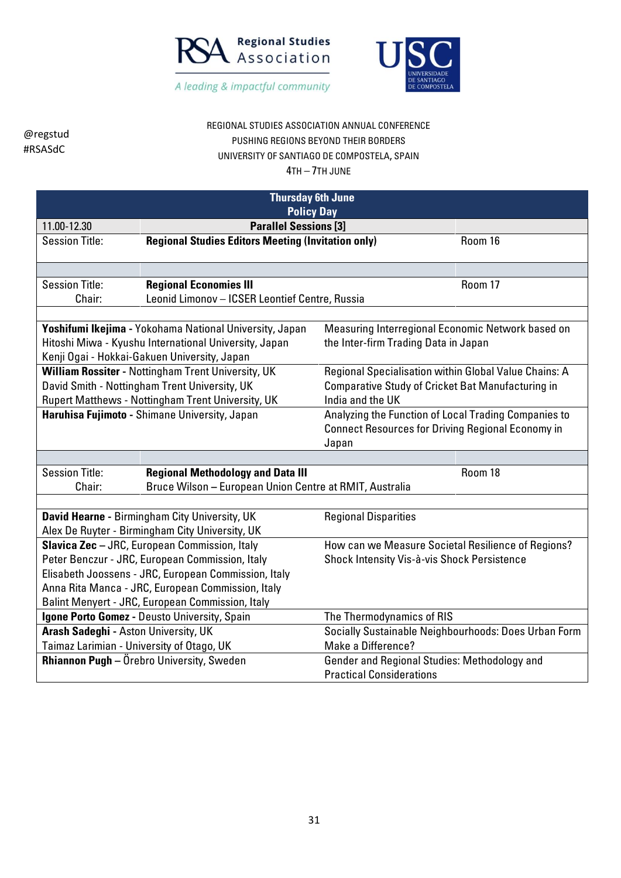



#### REGIONAL STUDIES ASSOCIATION ANNUAL CONFERENCE PUSHING REGIONS BEYOND THEIR BORDERS UNIVERSITY OF SANTIAGO DE COMPOSTELA, SPAIN

| <b>Thursday 6th June</b><br><b>Policy Day</b>     |                                                           |                                                          |         |  |
|---------------------------------------------------|-----------------------------------------------------------|----------------------------------------------------------|---------|--|
| 11.00-12.30                                       | <b>Parallel Sessions [3]</b>                              |                                                          |         |  |
| <b>Session Title:</b>                             | <b>Regional Studies Editors Meeting (Invitation only)</b> |                                                          | Room 16 |  |
|                                                   |                                                           |                                                          |         |  |
| <b>Session Title:</b>                             | <b>Regional Economies III</b>                             |                                                          | Room 17 |  |
| Chair:                                            | Leonid Limonov - ICSER Leontief Centre, Russia            |                                                          |         |  |
|                                                   |                                                           |                                                          |         |  |
|                                                   | Yoshifumi Ikejima - Yokohama National University, Japan   | Measuring Interregional Economic Network based on        |         |  |
|                                                   | Hitoshi Miwa - Kyushu International University, Japan     | the Inter-firm Trading Data in Japan                     |         |  |
|                                                   | Kenji Ogai - Hokkai-Gakuen University, Japan              |                                                          |         |  |
|                                                   | William Rossiter - Nottingham Trent University, UK        | Regional Specialisation within Global Value Chains: A    |         |  |
|                                                   | David Smith - Nottingham Trent University, UK             | Comparative Study of Cricket Bat Manufacturing in        |         |  |
|                                                   | Rupert Matthews - Nottingham Trent University, UK         | India and the UK                                         |         |  |
| Haruhisa Fujimoto - Shimane University, Japan     |                                                           | Analyzing the Function of Local Trading Companies to     |         |  |
|                                                   |                                                           | <b>Connect Resources for Driving Regional Economy in</b> |         |  |
|                                                   |                                                           | Japan                                                    |         |  |
|                                                   |                                                           |                                                          |         |  |
| <b>Session Title:</b>                             | <b>Regional Methodology and Data III</b>                  |                                                          | Room 18 |  |
| Chair:                                            | Bruce Wilson - European Union Centre at RMIT, Australia   |                                                          |         |  |
|                                                   |                                                           |                                                          |         |  |
|                                                   | David Hearne - Birmingham City University, UK             | <b>Regional Disparities</b>                              |         |  |
|                                                   | Alex De Ruyter - Birmingham City University, UK           |                                                          |         |  |
|                                                   | Slavica Zec - JRC, European Commission, Italy             | How can we Measure Societal Resilience of Regions?       |         |  |
|                                                   | Peter Benczur - JRC, European Commission, Italy           | Shock Intensity Vis-à-vis Shock Persistence              |         |  |
|                                                   | Elisabeth Joossens - JRC, European Commission, Italy      |                                                          |         |  |
| Anna Rita Manca - JRC, European Commission, Italy |                                                           |                                                          |         |  |
| Balint Menyert - JRC, European Commission, Italy  |                                                           |                                                          |         |  |
| Igone Porto Gomez - Deusto University, Spain      |                                                           | The Thermodynamics of RIS                                |         |  |
| Arash Sadeghi - Aston University, UK              |                                                           | Socially Sustainable Neighbourhoods: Does Urban Form     |         |  |
| Taimaz Larimian - University of Otago, UK         |                                                           | Make a Difference?                                       |         |  |
|                                                   | Rhiannon Pugh - Örebro University, Sweden                 | Gender and Regional Studies: Methodology and             |         |  |
|                                                   |                                                           | <b>Practical Considerations</b>                          |         |  |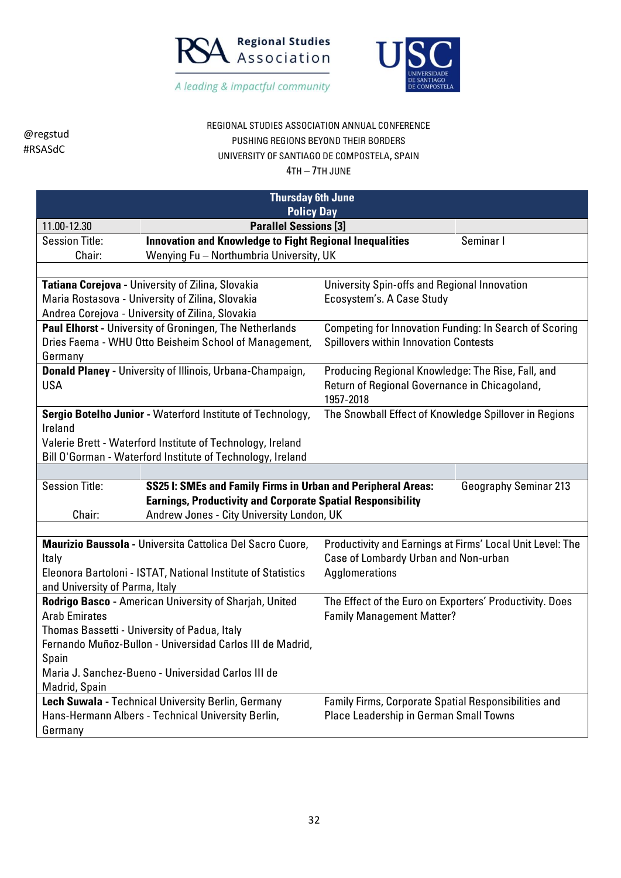



### REGIONAL STUDIES ASSOCIATION ANNUAL CONFERENCE PUSHING REGIONS BEYOND THEIR BORDERS UNIVERSITY OF SANTIAGO DE COMPOSTELA, SPAIN

| <b>Thursday 6th June</b>                                  |                                                                                                                       |                                                                                                   |           |  |
|-----------------------------------------------------------|-----------------------------------------------------------------------------------------------------------------------|---------------------------------------------------------------------------------------------------|-----------|--|
|                                                           | <b>Policy Day</b>                                                                                                     |                                                                                                   |           |  |
| 11.00-12.30                                               | <b>Parallel Sessions [3]</b>                                                                                          |                                                                                                   |           |  |
| <b>Session Title:</b>                                     | <b>Innovation and Knowledge to Fight Regional Inequalities</b>                                                        |                                                                                                   | Seminar I |  |
| Chair:                                                    | Wenying Fu - Northumbria University, UK                                                                               |                                                                                                   |           |  |
|                                                           |                                                                                                                       |                                                                                                   |           |  |
|                                                           | Tatiana Corejova - University of Zilina, Slovakia                                                                     | University Spin-offs and Regional Innovation                                                      |           |  |
|                                                           | Maria Rostasova - University of Zilina, Slovakia                                                                      | Ecosystem's. A Case Study                                                                         |           |  |
|                                                           | Andrea Corejova - University of Zilina, Slovakia                                                                      |                                                                                                   |           |  |
|                                                           | Paul Elhorst - University of Groningen, The Netherlands                                                               | <b>Competing for Innovation Funding: In Search of Scoring</b>                                     |           |  |
|                                                           | Dries Faema - WHU Otto Beisheim School of Management,                                                                 | <b>Spillovers within Innovation Contests</b>                                                      |           |  |
| Germany                                                   |                                                                                                                       |                                                                                                   |           |  |
|                                                           | <b>Donald Planey - University of Illinois, Urbana-Champaign,</b>                                                      | Producing Regional Knowledge: The Rise, Fall, and                                                 |           |  |
| <b>USA</b>                                                |                                                                                                                       | Return of Regional Governance in Chicagoland,                                                     |           |  |
|                                                           |                                                                                                                       | 1957-2018                                                                                         |           |  |
|                                                           | Sergio Botelho Junior - Waterford Institute of Technology,                                                            | The Snowball Effect of Knowledge Spillover in Regions                                             |           |  |
| Ireland                                                   |                                                                                                                       |                                                                                                   |           |  |
|                                                           | Valerie Brett - Waterford Institute of Technology, Ireland                                                            |                                                                                                   |           |  |
|                                                           | Bill O'Gorman - Waterford Institute of Technology, Ireland                                                            |                                                                                                   |           |  |
|                                                           |                                                                                                                       |                                                                                                   |           |  |
|                                                           | <b>Session Title:</b><br>SS25 I: SMEs and Family Firms in Urban and Peripheral Areas:<br><b>Geography Seminar 213</b> |                                                                                                   |           |  |
|                                                           | <b>Earnings, Productivity and Corporate Spatial Responsibility</b>                                                    |                                                                                                   |           |  |
| Chair:                                                    | Andrew Jones - City University London, UK                                                                             |                                                                                                   |           |  |
|                                                           |                                                                                                                       |                                                                                                   |           |  |
|                                                           | Maurizio Baussola - Universita Cattolica Del Sacro Cuore,                                                             | Productivity and Earnings at Firms' Local Unit Level: The<br>Case of Lombardy Urban and Non-urban |           |  |
| Italy                                                     |                                                                                                                       |                                                                                                   |           |  |
|                                                           | Eleonora Bartoloni - ISTAT, National Institute of Statistics                                                          | Agglomerations                                                                                    |           |  |
| and University of Parma, Italy                            |                                                                                                                       |                                                                                                   |           |  |
|                                                           | Rodrigo Basco - American University of Sharjah, United                                                                | The Effect of the Euro on Exporters' Productivity. Does                                           |           |  |
| <b>Arab Emirates</b>                                      |                                                                                                                       | <b>Family Management Matter?</b>                                                                  |           |  |
|                                                           | Thomas Bassetti - University of Padua, Italy                                                                          |                                                                                                   |           |  |
| Fernando Muñoz-Bullon - Universidad Carlos III de Madrid, |                                                                                                                       |                                                                                                   |           |  |
| Spain                                                     |                                                                                                                       |                                                                                                   |           |  |
| Maria J. Sanchez-Bueno - Universidad Carlos III de        |                                                                                                                       |                                                                                                   |           |  |
| Madrid, Spain                                             |                                                                                                                       |                                                                                                   |           |  |
|                                                           | Lech Suwala - Technical University Berlin, Germany                                                                    | Family Firms, Corporate Spatial Responsibilities and                                              |           |  |
|                                                           | Hans-Hermann Albers - Technical University Berlin,                                                                    | Place Leadership in German Small Towns                                                            |           |  |
| Germany                                                   |                                                                                                                       |                                                                                                   |           |  |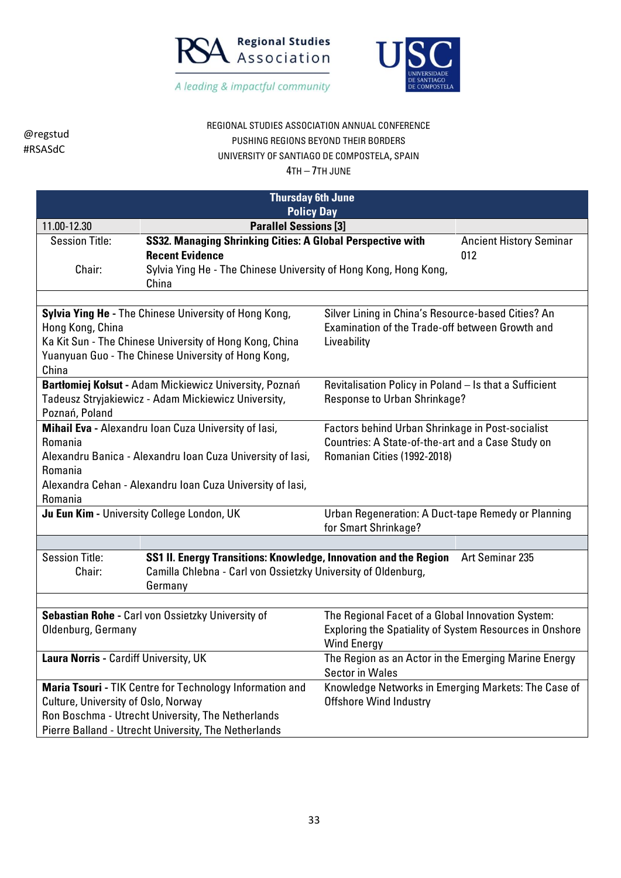



### REGIONAL STUDIES ASSOCIATION ANNUAL CONFERENCE PUSHING REGIONS BEYOND THEIR BORDERS UNIVERSITY OF SANTIAGO DE COMPOSTELA, SPAIN

| <b>Thursday 6th June</b><br><b>Policy Day</b>                                                                                                                                                                    |                                                                                                                                                                   |                                                                                                                                      |                                       |
|------------------------------------------------------------------------------------------------------------------------------------------------------------------------------------------------------------------|-------------------------------------------------------------------------------------------------------------------------------------------------------------------|--------------------------------------------------------------------------------------------------------------------------------------|---------------------------------------|
| 11.00-12.30                                                                                                                                                                                                      | <b>Parallel Sessions [3]</b>                                                                                                                                      |                                                                                                                                      |                                       |
| <b>Session Title:</b><br>Chair:                                                                                                                                                                                  | SS32. Managing Shrinking Cities: A Global Perspective with<br><b>Recent Evidence</b><br>Sylvia Ying He - The Chinese University of Hong Kong, Hong Kong,<br>China |                                                                                                                                      | <b>Ancient History Seminar</b><br>012 |
|                                                                                                                                                                                                                  |                                                                                                                                                                   |                                                                                                                                      |                                       |
| Sylvia Ying He - The Chinese University of Hong Kong,<br>Hong Kong, China<br>Ka Kit Sun - The Chinese University of Hong Kong, China<br>Yuanyuan Guo - The Chinese University of Hong Kong,<br>China             |                                                                                                                                                                   | Silver Lining in China's Resource-based Cities? An<br>Examination of the Trade-off between Growth and<br>Liveability                 |                                       |
| Poznań, Poland                                                                                                                                                                                                   | Bartłomiej Kołsut - Adam Mickiewicz University, Poznań<br>Tadeusz Stryjakiewicz - Adam Mickiewicz University,                                                     | Revitalisation Policy in Poland - Is that a Sufficient<br>Response to Urban Shrinkage?                                               |                                       |
| Mihail Eva - Alexandru Ioan Cuza University of lasi,<br>Romania<br>Alexandru Banica - Alexandru Ioan Cuza University of Iasi,<br>Romania<br>Alexandra Cehan - Alexandru Ioan Cuza University of Iasi,<br>Romania |                                                                                                                                                                   | Factors behind Urban Shrinkage in Post-socialist<br>Countries: A State-of-the-art and a Case Study on<br>Romanian Cities (1992-2018) |                                       |
|                                                                                                                                                                                                                  | Ju Eun Kim - University College London, UK                                                                                                                        | Urban Regeneration: A Duct-tape Remedy or Planning<br>for Smart Shrinkage?                                                           |                                       |
|                                                                                                                                                                                                                  |                                                                                                                                                                   |                                                                                                                                      |                                       |
| <b>Session Title:</b><br>Chair:                                                                                                                                                                                  | SS1 II. Energy Transitions: Knowledge, Innovation and the Region<br>Camilla Chlebna - Carl von Ossietzky University of Oldenburg,<br>Germany                      |                                                                                                                                      | Art Seminar 235                       |
|                                                                                                                                                                                                                  |                                                                                                                                                                   |                                                                                                                                      |                                       |
| Sebastian Rohe - Carl von Ossietzky University of<br>Oldenburg, Germany                                                                                                                                          |                                                                                                                                                                   | The Regional Facet of a Global Innovation System:<br>Exploring the Spatiality of System Resources in Onshore<br><b>Wind Energy</b>   |                                       |
| Laura Norris - Cardiff University, UK                                                                                                                                                                            |                                                                                                                                                                   | The Region as an Actor in the Emerging Marine Energy<br><b>Sector in Wales</b>                                                       |                                       |
| Maria Tsouri - TIK Centre for Technology Information and<br>Culture, University of Oslo, Norway<br>Ron Boschma - Utrecht University, The Netherlands<br>Pierre Balland - Utrecht University, The Netherlands     |                                                                                                                                                                   | Knowledge Networks in Emerging Markets: The Case of<br><b>Offshore Wind Industry</b>                                                 |                                       |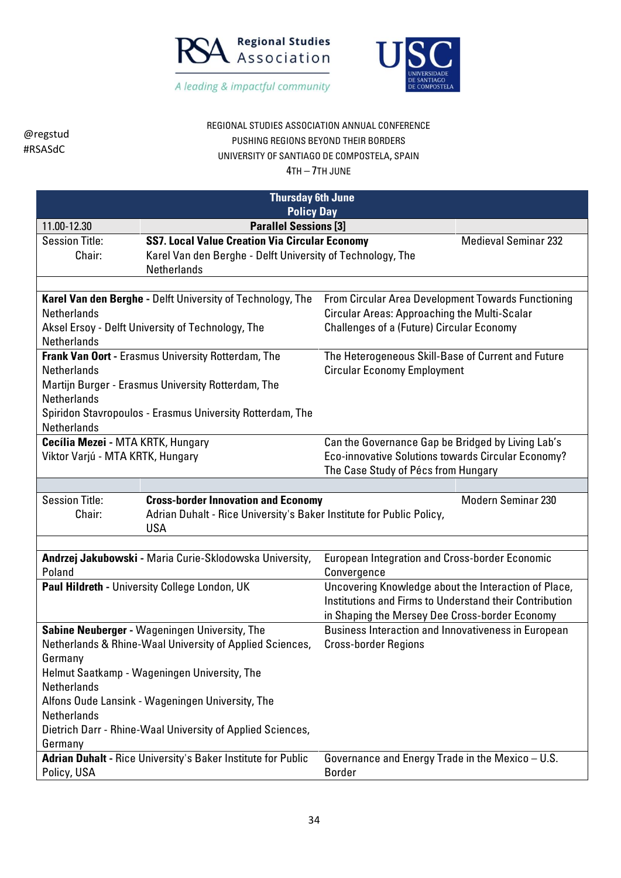



### REGIONAL STUDIES ASSOCIATION ANNUAL CONFERENCE PUSHING REGIONS BEYOND THEIR BORDERS UNIVERSITY OF SANTIAGO DE COMPOSTELA, SPAIN

| <b>Thursday 6th June</b>                                                                                                                                                                                                                                                                                                                                                                               |                                                                                                                                    |                                                                                                                                                                   |                             |  |  |
|--------------------------------------------------------------------------------------------------------------------------------------------------------------------------------------------------------------------------------------------------------------------------------------------------------------------------------------------------------------------------------------------------------|------------------------------------------------------------------------------------------------------------------------------------|-------------------------------------------------------------------------------------------------------------------------------------------------------------------|-----------------------------|--|--|
|                                                                                                                                                                                                                                                                                                                                                                                                        | <b>Policy Day</b>                                                                                                                  |                                                                                                                                                                   |                             |  |  |
|                                                                                                                                                                                                                                                                                                                                                                                                        | <b>Parallel Sessions [3]</b><br>11.00-12.30                                                                                        |                                                                                                                                                                   |                             |  |  |
| <b>Session Title:</b><br>Chair:                                                                                                                                                                                                                                                                                                                                                                        | <b>SS7. Local Value Creation Via Circular Economy</b><br>Karel Van den Berghe - Delft University of Technology, The<br>Netherlands |                                                                                                                                                                   | <b>Medieval Seminar 232</b> |  |  |
|                                                                                                                                                                                                                                                                                                                                                                                                        |                                                                                                                                    |                                                                                                                                                                   |                             |  |  |
| Karel Van den Berghe - Delft University of Technology, The<br><b>Netherlands</b><br>Aksel Ersoy - Delft University of Technology, The<br><b>Netherlands</b>                                                                                                                                                                                                                                            |                                                                                                                                    | From Circular Area Development Towards Functioning<br><b>Circular Areas: Approaching the Multi-Scalar</b><br><b>Challenges of a (Future) Circular Economy</b>     |                             |  |  |
| Frank Van Oort - Erasmus University Rotterdam, The<br><b>Netherlands</b><br>Martijn Burger - Erasmus University Rotterdam, The<br><b>Netherlands</b><br>Spiridon Stavropoulos - Erasmus University Rotterdam, The<br><b>Netherlands</b>                                                                                                                                                                |                                                                                                                                    | The Heterogeneous Skill-Base of Current and Future<br><b>Circular Economy Employment</b>                                                                          |                             |  |  |
| Cecília Mezei - MTA KRTK, Hungary<br>Viktor Varjú - MTA KRTK, Hungary                                                                                                                                                                                                                                                                                                                                  |                                                                                                                                    | Can the Governance Gap be Bridged by Living Lab's<br>Eco-innovative Solutions towards Circular Economy?<br>The Case Study of Pécs from Hungary                    |                             |  |  |
|                                                                                                                                                                                                                                                                                                                                                                                                        |                                                                                                                                    |                                                                                                                                                                   |                             |  |  |
| <b>Session Title:</b><br>Chair:                                                                                                                                                                                                                                                                                                                                                                        | <b>Cross-border Innovation and Economy</b><br>Adrian Duhalt - Rice University's Baker Institute for Public Policy,<br><b>USA</b>   |                                                                                                                                                                   | <b>Modern Seminar 230</b>   |  |  |
|                                                                                                                                                                                                                                                                                                                                                                                                        |                                                                                                                                    |                                                                                                                                                                   |                             |  |  |
| Poland                                                                                                                                                                                                                                                                                                                                                                                                 | Andrzej Jakubowski - Maria Curie-Sklodowska University,                                                                            | <b>European Integration and Cross-border Economic</b><br>Convergence                                                                                              |                             |  |  |
|                                                                                                                                                                                                                                                                                                                                                                                                        | Paul Hildreth - University College London, UK                                                                                      | Uncovering Knowledge about the Interaction of Place,<br>Institutions and Firms to Understand their Contribution<br>in Shaping the Mersey Dee Cross-border Economy |                             |  |  |
| Sabine Neuberger - Wageningen University, The<br>Netherlands & Rhine-Waal University of Applied Sciences,<br>Germany<br>Helmut Saatkamp - Wageningen University, The<br><b>Netherlands</b><br>Alfons Oude Lansink - Wageningen University, The<br>Netherlands<br>Dietrich Darr - Rhine-Waal University of Applied Sciences,<br>Germany<br>Adrian Duhalt - Rice University's Baker Institute for Public |                                                                                                                                    | Business Interaction and Innovativeness in European<br><b>Cross-border Regions</b>                                                                                |                             |  |  |
| Policy, USA                                                                                                                                                                                                                                                                                                                                                                                            |                                                                                                                                    | Governance and Energy Trade in the Mexico - U.S.<br><b>Border</b>                                                                                                 |                             |  |  |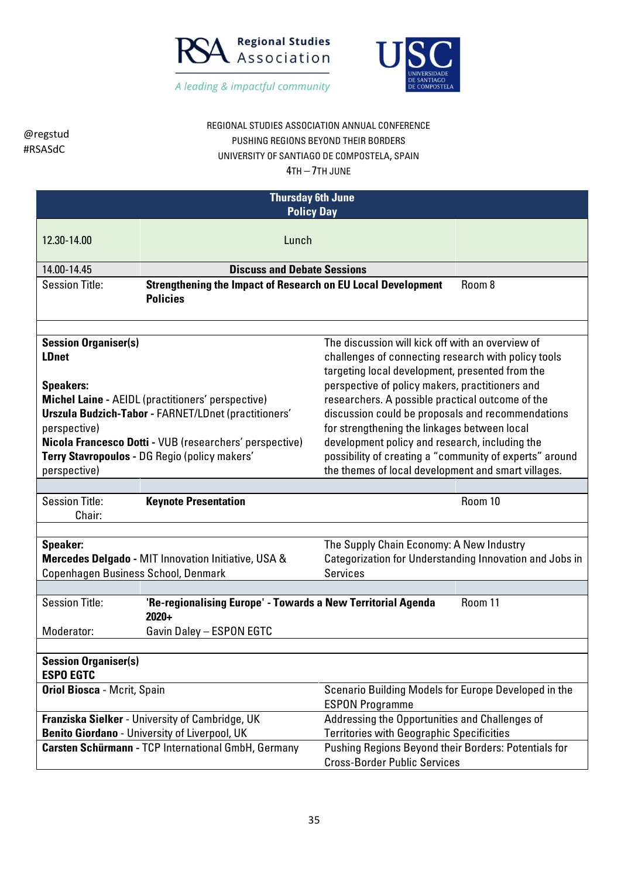



## REGIONAL STUDIES ASSOCIATION ANNUAL CONFERENCE PUSHING REGIONS BEYOND THEIR BORDERS UNIVERSITY OF SANTIAGO DE COMPOSTELA, SPAIN

| <b>Thursday 6th June</b><br><b>Policy Day</b>                                                                                                      |                                                                                                                                                                                                               |                                                                                                                                                       |         |
|----------------------------------------------------------------------------------------------------------------------------------------------------|---------------------------------------------------------------------------------------------------------------------------------------------------------------------------------------------------------------|-------------------------------------------------------------------------------------------------------------------------------------------------------|---------|
| 12.30-14.00                                                                                                                                        | Lunch                                                                                                                                                                                                         |                                                                                                                                                       |         |
| 14.00-14.45                                                                                                                                        | <b>Discuss and Debate Sessions</b>                                                                                                                                                                            |                                                                                                                                                       |         |
| <b>Session Title:</b>                                                                                                                              | <b>Strengthening the Impact of Research on EU Local Development</b><br><b>Policies</b>                                                                                                                        |                                                                                                                                                       | Room 8  |
|                                                                                                                                                    |                                                                                                                                                                                                               |                                                                                                                                                       |         |
| <b>Session Organiser(s)</b><br><b>LDnet</b><br><b>Speakers:</b>                                                                                    | The discussion will kick off with an overview of<br>challenges of connecting research with policy tools<br>targeting local development, presented from the<br>perspective of policy makers, practitioners and |                                                                                                                                                       |         |
|                                                                                                                                                    |                                                                                                                                                                                                               |                                                                                                                                                       |         |
| <b>Michel Laine - AEIDL (practitioners' perspective)</b><br><b>Urszula Budzich-Tabor - FARNET/LDnet (practitioners'</b><br>perspective)            |                                                                                                                                                                                                               | researchers. A possible practical outcome of the<br>discussion could be proposals and recommendations<br>for strengthening the linkages between local |         |
|                                                                                                                                                    | Nicola Francesco Dotti - VUB (researchers' perspective)                                                                                                                                                       | development policy and research, including the                                                                                                        |         |
|                                                                                                                                                    | Terry Stavropoulos - DG Regio (policy makers'                                                                                                                                                                 | possibility of creating a "community of experts" around                                                                                               |         |
| perspective)                                                                                                                                       |                                                                                                                                                                                                               | the themes of local development and smart villages.                                                                                                   |         |
|                                                                                                                                                    |                                                                                                                                                                                                               |                                                                                                                                                       |         |
| <b>Session Title:</b><br>Chair:                                                                                                                    | <b>Keynote Presentation</b>                                                                                                                                                                                   |                                                                                                                                                       | Room 10 |
|                                                                                                                                                    |                                                                                                                                                                                                               |                                                                                                                                                       |         |
| Speaker:                                                                                                                                           |                                                                                                                                                                                                               | The Supply Chain Economy: A New Industry                                                                                                              |         |
|                                                                                                                                                    | Mercedes Delgado - MIT Innovation Initiative, USA &                                                                                                                                                           | Categorization for Understanding Innovation and Jobs in                                                                                               |         |
| Copenhagen Business School, Denmark                                                                                                                |                                                                                                                                                                                                               | <b>Services</b>                                                                                                                                       |         |
|                                                                                                                                                    |                                                                                                                                                                                                               |                                                                                                                                                       |         |
| <b>Session Title:</b>                                                                                                                              | 'Re-regionalising Europe' - Towards a New Territorial Agenda<br>$2020+$                                                                                                                                       |                                                                                                                                                       | Room 11 |
| Moderator:                                                                                                                                         | Gavin Daley - ESPON EGTC                                                                                                                                                                                      |                                                                                                                                                       |         |
|                                                                                                                                                    |                                                                                                                                                                                                               |                                                                                                                                                       |         |
| <b>Session Organiser(s)</b><br><b>ESPO EGTC</b>                                                                                                    |                                                                                                                                                                                                               |                                                                                                                                                       |         |
| <b>Oriol Biosca - Mcrit, Spain</b>                                                                                                                 |                                                                                                                                                                                                               | Scenario Building Models for Europe Developed in the<br><b>ESPON Programme</b>                                                                        |         |
|                                                                                                                                                    | Franziska Sielker - University of Cambridge, UK                                                                                                                                                               | Addressing the Opportunities and Challenges of                                                                                                        |         |
|                                                                                                                                                    | <b>Benito Giordano - University of Liverpool, UK</b>                                                                                                                                                          | <b>Territories with Geographic Specificities</b>                                                                                                      |         |
| Carsten Schürmann - TCP International GmbH, Germany<br>Pushing Regions Beyond their Borders: Potentials for<br><b>Cross-Border Public Services</b> |                                                                                                                                                                                                               |                                                                                                                                                       |         |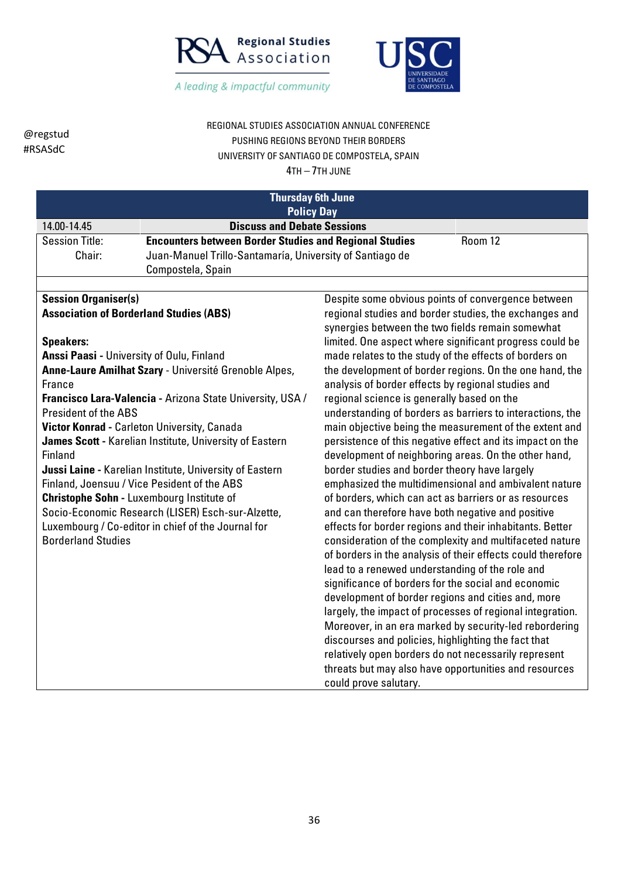



REGIONAL STUDIES ASSOCIATION ANNUAL CONFERENCE PUSHING REGIONS BEYOND THEIR BORDERS UNIVERSITY OF SANTIAGO DE COMPOSTELA, SPAIN 4TH – 7TH JUNE

| <b>Thursday 6th June</b><br><b>Policy Day</b>  |                                                                                                         |                                                                                                            |         |
|------------------------------------------------|---------------------------------------------------------------------------------------------------------|------------------------------------------------------------------------------------------------------------|---------|
| 14.00-14.45                                    | <b>Discuss and Debate Sessions</b>                                                                      |                                                                                                            |         |
| <b>Session Title:</b>                          | <b>Encounters between Border Studies and Regional Studies</b>                                           |                                                                                                            | Room 12 |
| Chair:                                         | Juan-Manuel Trillo-Santamaría, University of Santiago de                                                |                                                                                                            |         |
|                                                | Compostela, Spain                                                                                       |                                                                                                            |         |
| <b>Session Organiser(s)</b>                    |                                                                                                         | Despite some obvious points of convergence between                                                         |         |
| <b>Association of Borderland Studies (ABS)</b> |                                                                                                         | regional studies and border studies, the exchanges and                                                     |         |
|                                                |                                                                                                         | synergies between the two fields remain somewhat                                                           |         |
| <b>Speakers:</b>                               |                                                                                                         | limited. One aspect where significant progress could be                                                    |         |
| Anssi Paasi - University of Oulu, Finland      |                                                                                                         | made relates to the study of the effects of borders on                                                     |         |
|                                                | Anne-Laure Amilhat Szary - Université Grenoble Alpes,                                                   | the development of border regions. On the one hand, the                                                    |         |
| France                                         |                                                                                                         | analysis of border effects by regional studies and                                                         |         |
|                                                | Francisco Lara-Valencia - Arizona State University, USA /                                               | regional science is generally based on the                                                                 |         |
| President of the ABS                           |                                                                                                         | understanding of borders as barriers to interactions, the                                                  |         |
|                                                | Victor Konrad - Carleton University, Canada                                                             | main objective being the measurement of the extent and                                                     |         |
|                                                | James Scott - Karelian Institute, University of Eastern                                                 | persistence of this negative effect and its impact on the                                                  |         |
| Finland                                        |                                                                                                         | development of neighboring areas. On the other hand,<br>border studies and border theory have largely      |         |
|                                                | Jussi Laine - Karelian Institute, University of Eastern                                                 |                                                                                                            |         |
|                                                | Finland, Joensuu / Vice Pesident of the ABS                                                             | emphasized the multidimensional and ambivalent nature                                                      |         |
|                                                | <b>Christophe Sohn - Luxembourg Institute of</b>                                                        | of borders, which can act as barriers or as resources<br>and can therefore have both negative and positive |         |
|                                                | Socio-Economic Research (LISER) Esch-sur-Alzette,<br>Luxembourg / Co-editor in chief of the Journal for | effects for border regions and their inhabitants. Better                                                   |         |
| <b>Borderland Studies</b>                      |                                                                                                         | consideration of the complexity and multifaceted nature                                                    |         |
|                                                |                                                                                                         | of borders in the analysis of their effects could therefore                                                |         |
|                                                |                                                                                                         | lead to a renewed understanding of the role and                                                            |         |
|                                                |                                                                                                         | significance of borders for the social and economic                                                        |         |
|                                                |                                                                                                         | development of border regions and cities and, more                                                         |         |
|                                                |                                                                                                         | largely, the impact of processes of regional integration.                                                  |         |
|                                                |                                                                                                         | Moreover, in an era marked by security-led rebordering                                                     |         |
|                                                |                                                                                                         | discourses and policies, highlighting the fact that                                                        |         |
|                                                |                                                                                                         | relatively open borders do not necessarily represent                                                       |         |
|                                                |                                                                                                         | threats but may also have opportunities and resources                                                      |         |
|                                                |                                                                                                         | could prove salutary.                                                                                      |         |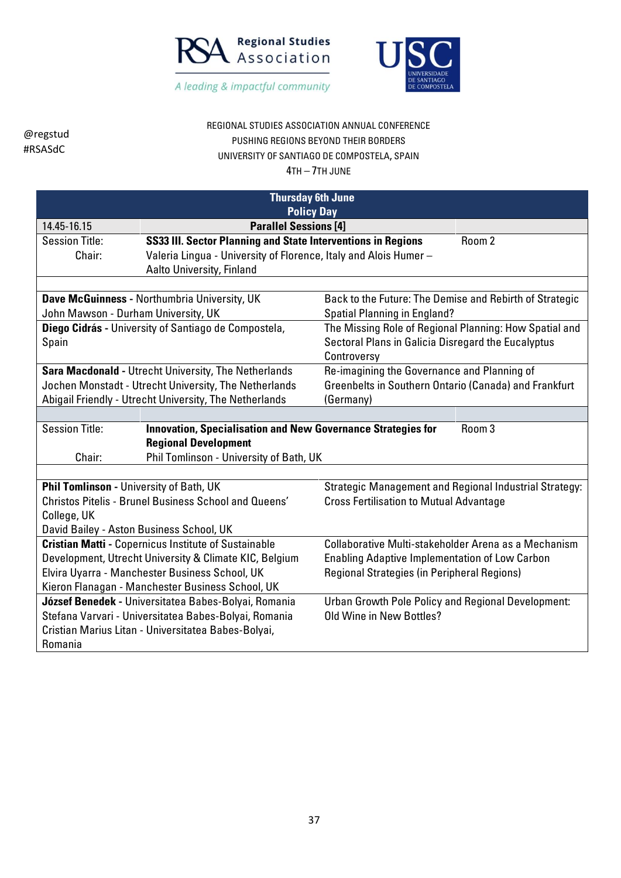



# REGIONAL STUDIES ASSOCIATION ANNUAL CONFERENCE PUSHING REGIONS BEYOND THEIR BORDERS UNIVERSITY OF SANTIAGO DE COMPOSTELA, SPAIN

| <b>Thursday 6th June</b><br><b>Policy Day</b>                                                                     |                                                                  |                                                         |                                                        |  |
|-------------------------------------------------------------------------------------------------------------------|------------------------------------------------------------------|---------------------------------------------------------|--------------------------------------------------------|--|
|                                                                                                                   |                                                                  |                                                         |                                                        |  |
| 14.45-16.15                                                                                                       | <b>Parallel Sessions [4]</b>                                     |                                                         |                                                        |  |
| <b>Session Title:</b>                                                                                             | SS33 III. Sector Planning and State Interventions in Regions     |                                                         | Room 2                                                 |  |
| Chair:                                                                                                            | Valeria Lingua - University of Florence, Italy and Alois Humer - |                                                         |                                                        |  |
|                                                                                                                   | <b>Aalto University, Finland</b>                                 |                                                         |                                                        |  |
|                                                                                                                   |                                                                  |                                                         |                                                        |  |
|                                                                                                                   | Dave McGuinness - Northumbria University, UK                     | Back to the Future: The Demise and Rebirth of Strategic |                                                        |  |
| John Mawson - Durham University, UK                                                                               |                                                                  | <b>Spatial Planning in England?</b>                     |                                                        |  |
|                                                                                                                   | Diego Cidrás - University of Santiago de Compostela,             | The Missing Role of Regional Planning: How Spatial and  |                                                        |  |
| Spain                                                                                                             |                                                                  | Sectoral Plans in Galicia Disregard the Eucalyptus      |                                                        |  |
|                                                                                                                   |                                                                  | Controversy                                             |                                                        |  |
|                                                                                                                   | <b>Sara Macdonald - Utrecht University, The Netherlands</b>      | Re-imagining the Governance and Planning of             |                                                        |  |
|                                                                                                                   | Jochen Monstadt - Utrecht University, The Netherlands            | Greenbelts in Southern Ontario (Canada) and Frankfurt   |                                                        |  |
| Abigail Friendly - Utrecht University, The Netherlands<br>(Germany)                                               |                                                                  |                                                         |                                                        |  |
|                                                                                                                   |                                                                  |                                                         |                                                        |  |
| <b>Session Title:</b><br>Room <sub>3</sub><br><b>Innovation, Specialisation and New Governance Strategies for</b> |                                                                  |                                                         |                                                        |  |
| <b>Regional Development</b>                                                                                       |                                                                  |                                                         |                                                        |  |
| Phil Tomlinson - University of Bath, UK<br>Chair:                                                                 |                                                                  |                                                         |                                                        |  |
|                                                                                                                   |                                                                  |                                                         |                                                        |  |
| Phil Tomlinson - University of Bath, UK                                                                           |                                                                  |                                                         | Strategic Management and Regional Industrial Strategy: |  |
|                                                                                                                   | <b>Christos Pitelis - Brunel Business School and Queens'</b>     | <b>Cross Fertilisation to Mutual Advantage</b>          |                                                        |  |
| College, UK                                                                                                       |                                                                  |                                                         |                                                        |  |
| David Bailey - Aston Business School, UK                                                                          |                                                                  |                                                         |                                                        |  |
|                                                                                                                   | <b>Cristian Matti - Copernicus Institute of Sustainable</b>      | Collaborative Multi-stakeholder Arena as a Mechanism    |                                                        |  |
|                                                                                                                   | Development, Utrecht University & Climate KIC, Belgium           | <b>Enabling Adaptive Implementation of Low Carbon</b>   |                                                        |  |
| Elvira Uyarra - Manchester Business School, UK                                                                    |                                                                  | <b>Regional Strategies (in Peripheral Regions)</b>      |                                                        |  |
|                                                                                                                   | Kieron Flanagan - Manchester Business School, UK                 |                                                         |                                                        |  |
|                                                                                                                   | József Benedek - Universitatea Babes-Bolyai, Romania             | Urban Growth Pole Policy and Regional Development:      |                                                        |  |
|                                                                                                                   | Stefana Varvari - Universitatea Babes-Bolyai, Romania            | Old Wine in New Bottles?                                |                                                        |  |
|                                                                                                                   | Cristian Marius Litan - Universitatea Babes-Bolyai,              |                                                         |                                                        |  |
| Romania                                                                                                           |                                                                  |                                                         |                                                        |  |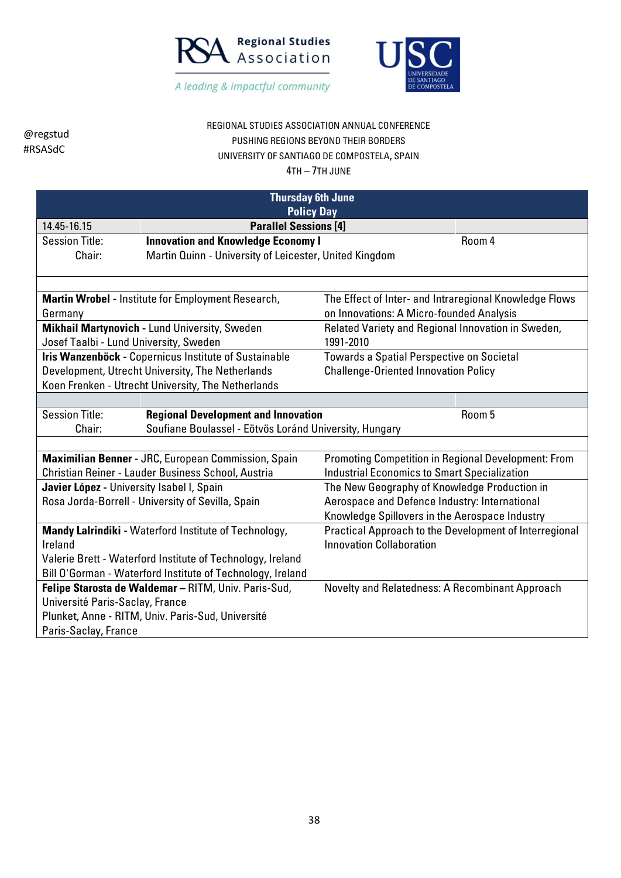



## REGIONAL STUDIES ASSOCIATION ANNUAL CONFERENCE PUSHING REGIONS BEYOND THEIR BORDERS UNIVERSITY OF SANTIAGO DE COMPOSTELA, SPAIN

| <b>Thursday 6th June</b><br><b>Policy Day</b>              |                                                            |                                                            |        |
|------------------------------------------------------------|------------------------------------------------------------|------------------------------------------------------------|--------|
| 14.45-16.15                                                | <b>Parallel Sessions [4]</b>                               |                                                            |        |
| <b>Session Title:</b>                                      | <b>Innovation and Knowledge Economy I</b>                  |                                                            | Room 4 |
| Chair:                                                     | Martin Quinn - University of Leicester, United Kingdom     |                                                            |        |
|                                                            |                                                            |                                                            |        |
|                                                            | Martin Wrobel - Institute for Employment Research,         | The Effect of Inter- and Intraregional Knowledge Flows     |        |
| Germany                                                    |                                                            | on Innovations: A Micro-founded Analysis                   |        |
|                                                            | Mikhail Martynovich - Lund University, Sweden              | Related Variety and Regional Innovation in Sweden,         |        |
| Josef Taalbi - Lund University, Sweden                     |                                                            | 1991-2010                                                  |        |
|                                                            | Iris Wanzenböck - Copernicus Institute of Sustainable      | Towards a Spatial Perspective on Societal                  |        |
|                                                            | Development, Utrecht University, The Netherlands           | <b>Challenge-Oriented Innovation Policy</b>                |        |
|                                                            | Koen Frenken - Utrecht University, The Netherlands         |                                                            |        |
|                                                            |                                                            |                                                            |        |
| <b>Session Title:</b>                                      | <b>Regional Development and Innovation</b>                 |                                                            | Room 5 |
| Chair:                                                     | Soufiane Boulassel - Eötvös Loránd University, Hungary     |                                                            |        |
|                                                            |                                                            |                                                            |        |
|                                                            | Maximilian Benner - JRC, European Commission, Spain        | <b>Promoting Competition in Regional Development: From</b> |        |
|                                                            | Christian Reiner - Lauder Business School, Austria         | <b>Industrial Economics to Smart Specialization</b>        |        |
| Javier López - University Isabel I, Spain                  |                                                            | The New Geography of Knowledge Production in               |        |
|                                                            | Rosa Jorda-Borrell - University of Sevilla, Spain          | Aerospace and Defence Industry: International              |        |
|                                                            |                                                            | Knowledge Spillovers in the Aerospace Industry             |        |
|                                                            | Mandy Lalrindiki - Waterford Institute of Technology,      | Practical Approach to the Development of Interregional     |        |
| Ireland                                                    |                                                            | <b>Innovation Collaboration</b>                            |        |
| Valerie Brett - Waterford Institute of Technology, Ireland |                                                            |                                                            |        |
|                                                            | Bill O'Gorman - Waterford Institute of Technology, Ireland |                                                            |        |
| Felipe Starosta de Waldemar - RITM, Univ. Paris-Sud,       |                                                            | Novelty and Relatedness: A Recombinant Approach            |        |
| Université Paris-Saclay, France                            |                                                            |                                                            |        |
|                                                            | Plunket, Anne - RITM, Univ. Paris-Sud, Université          |                                                            |        |
| Paris-Saclay, France                                       |                                                            |                                                            |        |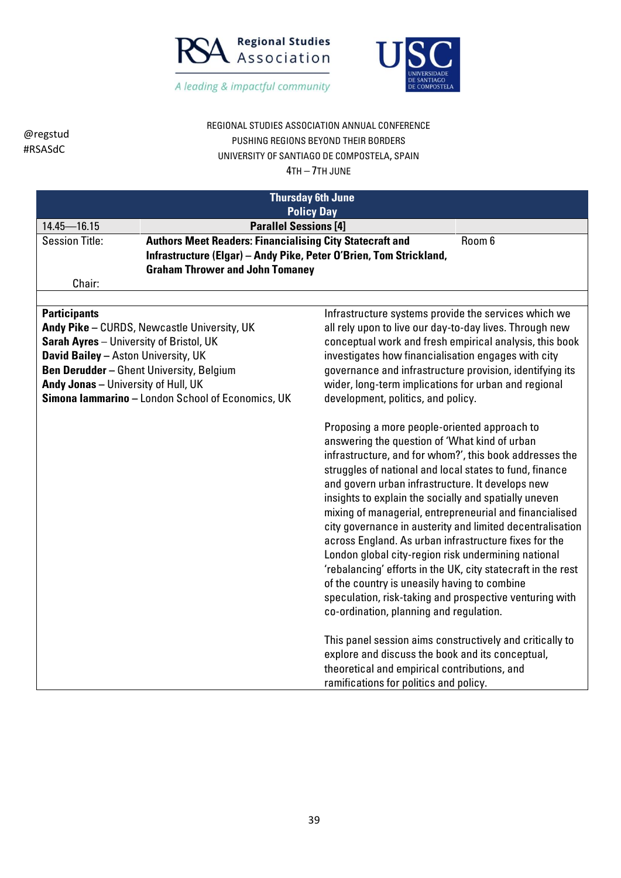



#### REGIONAL STUDIES ASSOCIATION ANNUAL CONFERENCE PUSHING REGIONS BEYOND THEIR BORDERS UNIVERSITY OF SANTIAGO DE COMPOSTELA, SPAIN 4TH – 7TH JUNE

| <b>Thursday 6th June</b>                                                                 |                                                                                                                                                                                                                                                                                                                                                                                                                                                                                                                                                                                                                                                                                                                                                                                                                                                                                                                                                                                                          |  |  |
|------------------------------------------------------------------------------------------|----------------------------------------------------------------------------------------------------------------------------------------------------------------------------------------------------------------------------------------------------------------------------------------------------------------------------------------------------------------------------------------------------------------------------------------------------------------------------------------------------------------------------------------------------------------------------------------------------------------------------------------------------------------------------------------------------------------------------------------------------------------------------------------------------------------------------------------------------------------------------------------------------------------------------------------------------------------------------------------------------------|--|--|
|                                                                                          | <b>Policy Day</b>                                                                                                                                                                                                                                                                                                                                                                                                                                                                                                                                                                                                                                                                                                                                                                                                                                                                                                                                                                                        |  |  |
| $14.45 - 16.15$                                                                          | <b>Parallel Sessions [4]</b>                                                                                                                                                                                                                                                                                                                                                                                                                                                                                                                                                                                                                                                                                                                                                                                                                                                                                                                                                                             |  |  |
| <b>Authors Meet Readers: Financialising City Statecraft and</b><br><b>Session Title:</b> | Room 6                                                                                                                                                                                                                                                                                                                                                                                                                                                                                                                                                                                                                                                                                                                                                                                                                                                                                                                                                                                                   |  |  |
| Infrastructure (Elgar) - Andy Pike, Peter O'Brien, Tom Strickland,                       |                                                                                                                                                                                                                                                                                                                                                                                                                                                                                                                                                                                                                                                                                                                                                                                                                                                                                                                                                                                                          |  |  |
| <b>Graham Thrower and John Tomaney</b>                                                   |                                                                                                                                                                                                                                                                                                                                                                                                                                                                                                                                                                                                                                                                                                                                                                                                                                                                                                                                                                                                          |  |  |
| Chair:                                                                                   |                                                                                                                                                                                                                                                                                                                                                                                                                                                                                                                                                                                                                                                                                                                                                                                                                                                                                                                                                                                                          |  |  |
| <b>Participants</b>                                                                      | Infrastructure systems provide the services which we                                                                                                                                                                                                                                                                                                                                                                                                                                                                                                                                                                                                                                                                                                                                                                                                                                                                                                                                                     |  |  |
| Andy Pike - CURDS, Newcastle University, UK                                              | all rely upon to live our day-to-day lives. Through new                                                                                                                                                                                                                                                                                                                                                                                                                                                                                                                                                                                                                                                                                                                                                                                                                                                                                                                                                  |  |  |
| Sarah Ayres - University of Bristol, UK                                                  | conceptual work and fresh empirical analysis, this book                                                                                                                                                                                                                                                                                                                                                                                                                                                                                                                                                                                                                                                                                                                                                                                                                                                                                                                                                  |  |  |
| <b>David Bailey - Aston University, UK</b>                                               | investigates how financialisation engages with city                                                                                                                                                                                                                                                                                                                                                                                                                                                                                                                                                                                                                                                                                                                                                                                                                                                                                                                                                      |  |  |
| <b>Ben Derudder</b> - Ghent University, Belgium                                          | governance and infrastructure provision, identifying its                                                                                                                                                                                                                                                                                                                                                                                                                                                                                                                                                                                                                                                                                                                                                                                                                                                                                                                                                 |  |  |
| Andy Jonas - University of Hull, UK                                                      | wider, long-term implications for urban and regional                                                                                                                                                                                                                                                                                                                                                                                                                                                                                                                                                                                                                                                                                                                                                                                                                                                                                                                                                     |  |  |
| Simona lammarino - London School of Economics, UK                                        | development, politics, and policy.                                                                                                                                                                                                                                                                                                                                                                                                                                                                                                                                                                                                                                                                                                                                                                                                                                                                                                                                                                       |  |  |
|                                                                                          | Proposing a more people-oriented approach to<br>answering the question of 'What kind of urban<br>infrastructure, and for whom?', this book addresses the<br>struggles of national and local states to fund, finance<br>and govern urban infrastructure. It develops new<br>insights to explain the socially and spatially uneven<br>mixing of managerial, entrepreneurial and financialised<br>city governance in austerity and limited decentralisation<br>across England. As urban infrastructure fixes for the<br>London global city-region risk undermining national<br>'rebalancing' efforts in the UK, city statecraft in the rest<br>of the country is uneasily having to combine<br>speculation, risk-taking and prospective venturing with<br>co-ordination, planning and regulation.<br>This panel session aims constructively and critically to<br>explore and discuss the book and its conceptual,<br>theoretical and empirical contributions, and<br>ramifications for politics and policy. |  |  |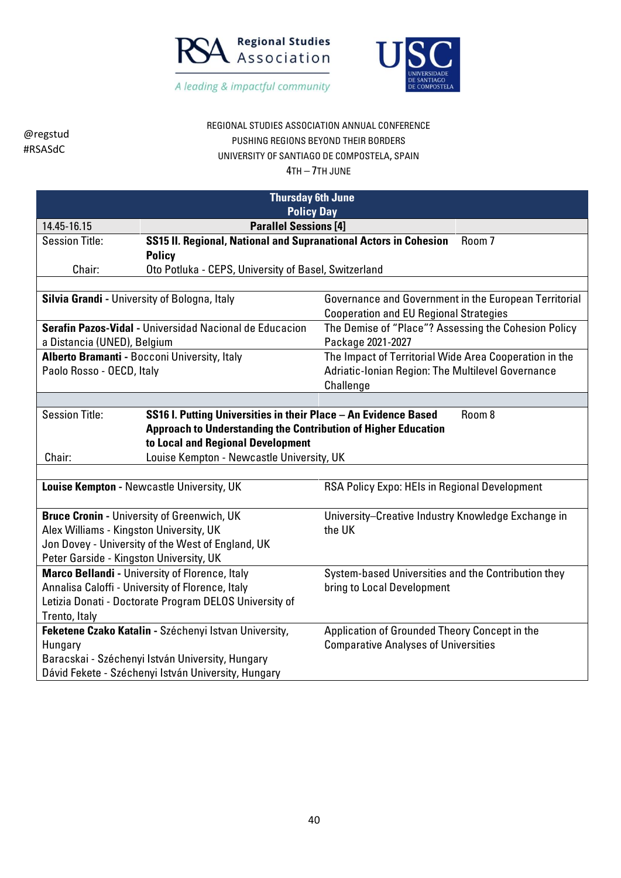



## REGIONAL STUDIES ASSOCIATION ANNUAL CONFERENCE PUSHING REGIONS BEYOND THEIR BORDERS UNIVERSITY OF SANTIAGO DE COMPOSTELA, SPAIN

| <b>Thursday 6th June</b>                            |                                                                                                    |                                                              |  |  |  |
|-----------------------------------------------------|----------------------------------------------------------------------------------------------------|--------------------------------------------------------------|--|--|--|
|                                                     | <b>Policy Day</b>                                                                                  |                                                              |  |  |  |
| 14.45-16.15                                         | <b>Parallel Sessions [4]</b>                                                                       |                                                              |  |  |  |
| <b>Session Title:</b>                               | SS15 II. Regional, National and Supranational Actors in Cohesion                                   | Room 7                                                       |  |  |  |
|                                                     | <b>Policy</b>                                                                                      |                                                              |  |  |  |
| Chair:                                              | Oto Potluka - CEPS, University of Basel, Switzerland                                               |                                                              |  |  |  |
|                                                     |                                                                                                    |                                                              |  |  |  |
|                                                     | Silvia Grandi - University of Bologna, Italy                                                       | Governance and Government in the European Territorial        |  |  |  |
|                                                     |                                                                                                    | <b>Cooperation and EU Regional Strategies</b>                |  |  |  |
|                                                     | Serafin Pazos-Vidal - Universidad Nacional de Educacion                                            | The Demise of "Place"? Assessing the Cohesion Policy         |  |  |  |
| a Distancia (UNED), Belgium                         |                                                                                                    | Package 2021-2027                                            |  |  |  |
|                                                     | Alberto Bramanti - Bocconi University, Italy                                                       | The Impact of Territorial Wide Area Cooperation in the       |  |  |  |
| Paolo Rosso - OECD, Italy                           |                                                                                                    | Adriatic-Ionian Region: The Multilevel Governance            |  |  |  |
|                                                     |                                                                                                    | Challenge                                                    |  |  |  |
|                                                     |                                                                                                    |                                                              |  |  |  |
|                                                     | <b>Session Title:</b><br>SS16 I. Putting Universities in their Place - An Evidence Based<br>Room 8 |                                                              |  |  |  |
|                                                     | <b>Approach to Understanding the Contribution of Higher Education</b>                              |                                                              |  |  |  |
|                                                     | to Local and Regional Development                                                                  |                                                              |  |  |  |
| Louise Kempton - Newcastle University, UK<br>Chair: |                                                                                                    |                                                              |  |  |  |
|                                                     |                                                                                                    |                                                              |  |  |  |
|                                                     | Louise Kempton - Newcastle University, UK                                                          | RSA Policy Expo: HEIs in Regional Development                |  |  |  |
|                                                     |                                                                                                    |                                                              |  |  |  |
|                                                     | <b>Bruce Cronin - University of Greenwich, UK</b>                                                  | University-Creative Industry Knowledge Exchange in<br>the UK |  |  |  |
| Alex Williams - Kingston University, UK             |                                                                                                    |                                                              |  |  |  |
|                                                     | Jon Dovey - University of the West of England, UK                                                  |                                                              |  |  |  |
| Peter Garside - Kingston University, UK             |                                                                                                    |                                                              |  |  |  |
|                                                     | Marco Bellandi - University of Florence, Italy                                                     | System-based Universities and the Contribution they          |  |  |  |
|                                                     | Annalisa Caloffi - University of Florence, Italy                                                   | bring to Local Development                                   |  |  |  |
|                                                     | Letizia Donati - Doctorate Program DELOS University of                                             |                                                              |  |  |  |
| Trento, Italy                                       |                                                                                                    |                                                              |  |  |  |
|                                                     | Feketene Czako Katalin - Széchenyi Istvan University,                                              | Application of Grounded Theory Concept in the                |  |  |  |
| Hungary                                             |                                                                                                    | <b>Comparative Analyses of Universities</b>                  |  |  |  |
| Baracskai - Széchenyi István University, Hungary    |                                                                                                    |                                                              |  |  |  |
| Dávid Fekete - Széchenyi István University, Hungary |                                                                                                    |                                                              |  |  |  |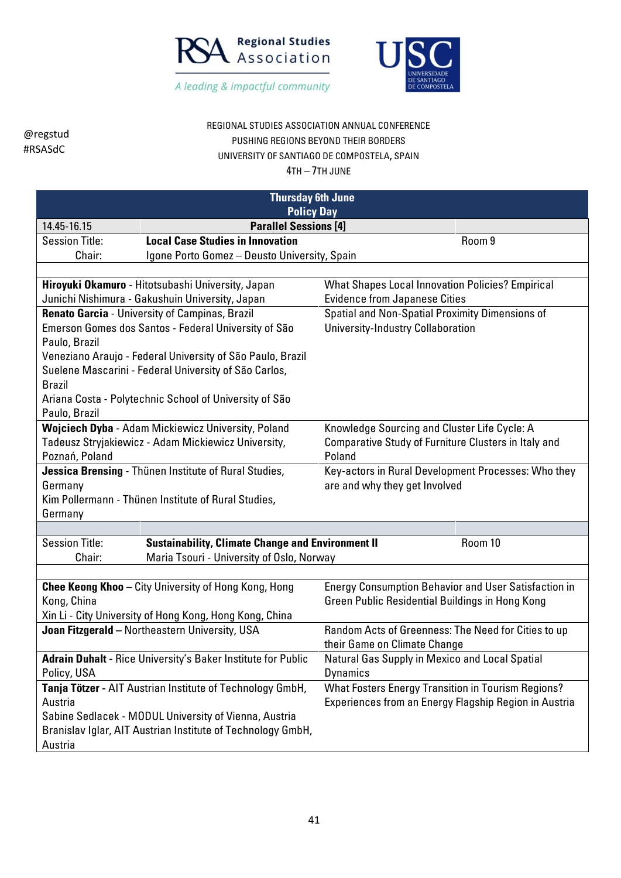



# REGIONAL STUDIES ASSOCIATION ANNUAL CONFERENCE PUSHING REGIONS BEYOND THEIR BORDERS UNIVERSITY OF SANTIAGO DE COMPOSTELA, SPAIN

| <b>Thursday 6th June</b><br><b>Policy Day</b>                               |                                                             |                                                             |  |
|-----------------------------------------------------------------------------|-------------------------------------------------------------|-------------------------------------------------------------|--|
| <b>Parallel Sessions [4]</b><br>14.45-16.15                                 |                                                             |                                                             |  |
| <b>Session Title:</b>                                                       | <b>Local Case Studies in Innovation</b>                     | Room 9                                                      |  |
| Chair:                                                                      | Igone Porto Gomez - Deusto University, Spain                |                                                             |  |
|                                                                             |                                                             |                                                             |  |
|                                                                             | Hiroyuki Okamuro - Hitotsubashi University, Japan           | <b>What Shapes Local Innovation Policies? Empirical</b>     |  |
|                                                                             | Junichi Nishimura - Gakushuin University, Japan             | <b>Evidence from Japanese Cities</b>                        |  |
|                                                                             | Renato Garcia - University of Campinas, Brazil              | Spatial and Non-Spatial Proximity Dimensions of             |  |
|                                                                             | Emerson Gomes dos Santos - Federal University of São        | <b>University-Industry Collaboration</b>                    |  |
| Paulo, Brazil                                                               |                                                             |                                                             |  |
|                                                                             | Veneziano Araujo - Federal University of São Paulo, Brazil  |                                                             |  |
|                                                                             | Suelene Mascarini - Federal University of São Carlos,       |                                                             |  |
| <b>Brazil</b>                                                               |                                                             |                                                             |  |
|                                                                             | Ariana Costa - Polytechnic School of University of São      |                                                             |  |
| Paulo, Brazil                                                               |                                                             |                                                             |  |
|                                                                             | Wojciech Dyba - Adam Mickiewicz University, Poland          | Knowledge Sourcing and Cluster Life Cycle: A                |  |
|                                                                             | Tadeusz Stryjakiewicz - Adam Mickiewicz University,         | Comparative Study of Furniture Clusters in Italy and        |  |
| Poznań, Poland                                                              |                                                             | Poland                                                      |  |
| Jessica Brensing - Thünen Institute of Rural Studies,                       |                                                             | Key-actors in Rural Development Processes: Who they         |  |
| Germany                                                                     |                                                             | are and why they get Involved                               |  |
|                                                                             | Kim Pollermann - Thünen Institute of Rural Studies,         |                                                             |  |
| Germany                                                                     |                                                             |                                                             |  |
|                                                                             |                                                             |                                                             |  |
| <b>Session Title:</b>                                                       | <b>Sustainability, Climate Change and Environment II</b>    | Room 10                                                     |  |
| Chair:                                                                      | Maria Tsouri - University of Oslo, Norway                   |                                                             |  |
|                                                                             | <b>Chee Keong Khoo</b> - City University of Hong Kong, Hong | <b>Energy Consumption Behavior and User Satisfaction in</b> |  |
| Kong, China                                                                 |                                                             | <b>Green Public Residential Buildings in Hong Kong</b>      |  |
|                                                                             | Xin Li - City University of Hong Kong, Hong Kong, China     |                                                             |  |
|                                                                             | Joan Fitzgerald - Northeastern University, USA              | Random Acts of Greenness: The Need for Cities to up         |  |
|                                                                             |                                                             | their Game on Climate Change                                |  |
|                                                                             |                                                             | Natural Gas Supply in Mexico and Local Spatial              |  |
| Adrain Duhalt - Rice University's Baker Institute for Public<br>Policy, USA |                                                             | <b>Dynamics</b>                                             |  |
|                                                                             | Tanja Tötzer - AIT Austrian Institute of Technology GmbH,   | <b>What Fosters Energy Transition in Tourism Regions?</b>   |  |
| Austria                                                                     |                                                             | Experiences from an Energy Flagship Region in Austria       |  |
|                                                                             | Sabine Sedlacek - MODUL University of Vienna, Austria       |                                                             |  |
| Branislav Iglar, AIT Austrian Institute of Technology GmbH,                 |                                                             |                                                             |  |
| Austria                                                                     |                                                             |                                                             |  |
|                                                                             |                                                             |                                                             |  |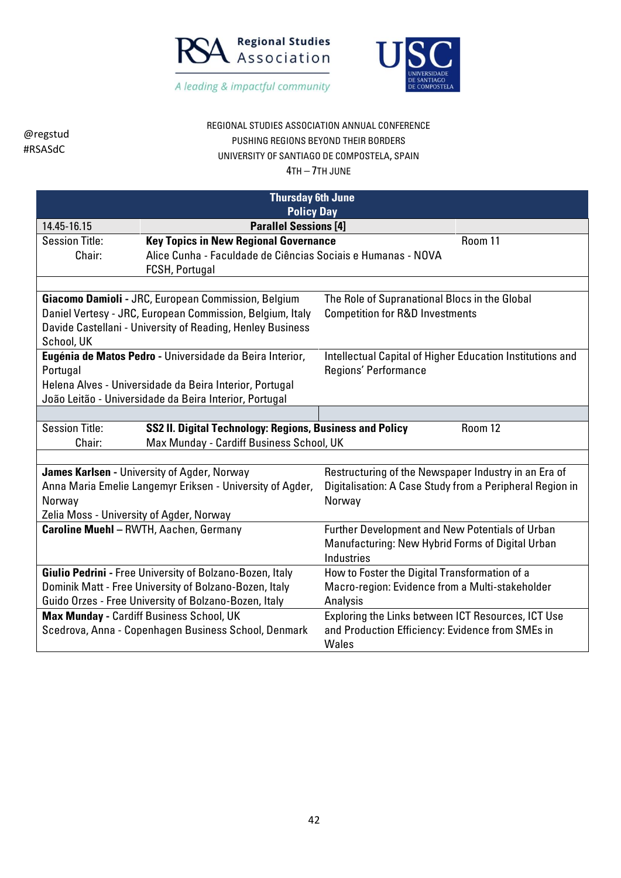



## REGIONAL STUDIES ASSOCIATION ANNUAL CONFERENCE PUSHING REGIONS BEYOND THEIR BORDERS UNIVERSITY OF SANTIAGO DE COMPOSTELA, SPAIN

| <b>Thursday 6th June</b><br><b>Policy Day</b>                     |                                                                                                          |                                                           |         |  |
|-------------------------------------------------------------------|----------------------------------------------------------------------------------------------------------|-----------------------------------------------------------|---------|--|
|                                                                   |                                                                                                          |                                                           |         |  |
| 14.45-16.15                                                       | <b>Parallel Sessions [4]</b>                                                                             |                                                           |         |  |
| <b>Session Title:</b>                                             | <b>Key Topics in New Regional Governance</b>                                                             |                                                           | Room 11 |  |
| Chair:                                                            | Alice Cunha - Faculdade de Ciências Sociais e Humanas - NOVA                                             |                                                           |         |  |
|                                                                   | FCSH, Portugal                                                                                           |                                                           |         |  |
|                                                                   |                                                                                                          |                                                           |         |  |
|                                                                   | Giacomo Damioli - JRC, European Commission, Belgium                                                      | The Role of Supranational Blocs in the Global             |         |  |
|                                                                   | Daniel Vertesy - JRC, European Commission, Belgium, Italy                                                | <b>Competition for R&amp;D Investments</b>                |         |  |
|                                                                   | Davide Castellani - University of Reading, Henley Business                                               |                                                           |         |  |
| School, UK                                                        |                                                                                                          |                                                           |         |  |
|                                                                   | Eugénia de Matos Pedro - Universidade da Beira Interior,                                                 | Intellectual Capital of Higher Education Institutions and |         |  |
| Portugal                                                          |                                                                                                          | Regions' Performance                                      |         |  |
|                                                                   | Helena Alves - Universidade da Beira Interior, Portugal                                                  |                                                           |         |  |
|                                                                   | João Leitão - Universidade da Beira Interior, Portugal                                                   |                                                           |         |  |
|                                                                   |                                                                                                          |                                                           |         |  |
| <b>Session Title:</b>                                             | SS2 II. Digital Technology: Regions, Business and Policy<br>Room 12                                      |                                                           |         |  |
| Chair:                                                            | Max Munday - Cardiff Business School, UK                                                                 |                                                           |         |  |
|                                                                   |                                                                                                          |                                                           |         |  |
|                                                                   | James Karlsen - University of Agder, Norway                                                              | Restructuring of the Newspaper Industry in an Era of      |         |  |
|                                                                   | Anna Maria Emelie Langemyr Eriksen - University of Agder,                                                | Digitalisation: A Case Study from a Peripheral Region in  |         |  |
| Norway                                                            |                                                                                                          | Norway                                                    |         |  |
| Zelia Moss - University of Agder, Norway                          |                                                                                                          |                                                           |         |  |
|                                                                   | <b>Caroline Muehl - RWTH, Aachen, Germany</b>                                                            | Further Development and New Potentials of Urban           |         |  |
|                                                                   |                                                                                                          | Manufacturing: New Hybrid Forms of Digital Urban          |         |  |
|                                                                   |                                                                                                          | <b>Industries</b>                                         |         |  |
|                                                                   | Giulio Pedrini - Free University of Bolzano-Bozen, Italy                                                 | How to Foster the Digital Transformation of a             |         |  |
| Dominik Matt - Free University of Bolzano-Bozen, Italy            |                                                                                                          | Macro-region: Evidence from a Multi-stakeholder           |         |  |
| Guido Orzes - Free University of Bolzano-Bozen, Italy<br>Analysis |                                                                                                          |                                                           |         |  |
|                                                                   | Max Munday - Cardiff Business School, UK                                                                 | Exploring the Links between ICT Resources, ICT Use        |         |  |
|                                                                   | Scedrova, Anna - Copenhagen Business School, Denmark<br>and Production Efficiency: Evidence from SMEs in |                                                           |         |  |
|                                                                   | Wales                                                                                                    |                                                           |         |  |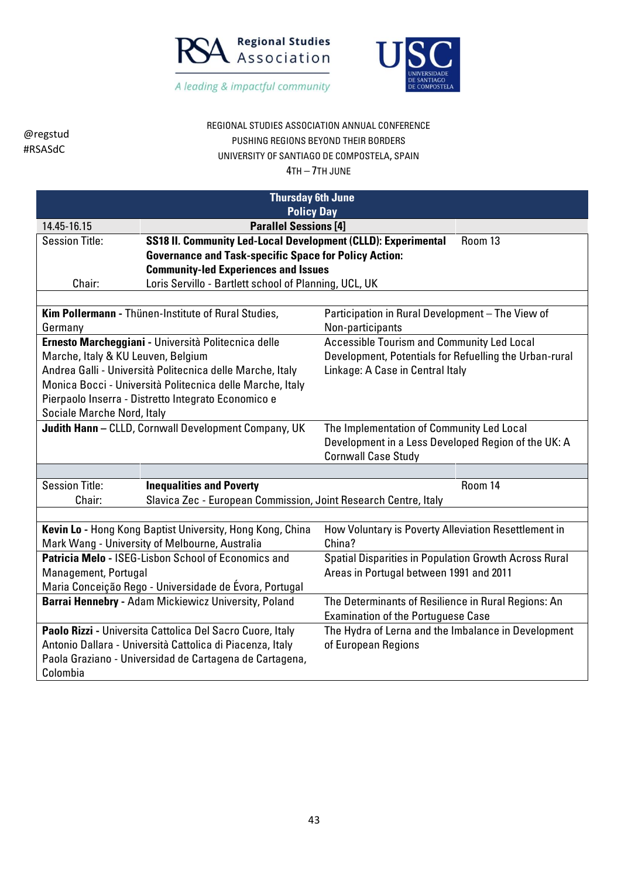



# REGIONAL STUDIES ASSOCIATION ANNUAL CONFERENCE PUSHING REGIONS BEYOND THEIR BORDERS UNIVERSITY OF SANTIAGO DE COMPOSTELA, SPAIN

| <b>Thursday 6th June</b>                                    |                                                                 |                                                        |  |  |  |
|-------------------------------------------------------------|-----------------------------------------------------------------|--------------------------------------------------------|--|--|--|
|                                                             | <b>Policy Day</b>                                               |                                                        |  |  |  |
| 14.45-16.15                                                 | <b>Parallel Sessions [4]</b>                                    |                                                        |  |  |  |
| <b>Session Title:</b>                                       | SS18 II. Community Led-Local Development (CLLD): Experimental   | Room 13                                                |  |  |  |
|                                                             | <b>Governance and Task-specific Space for Policy Action:</b>    |                                                        |  |  |  |
|                                                             | <b>Community-led Experiences and Issues</b>                     |                                                        |  |  |  |
| Chair:                                                      | Loris Servillo - Bartlett school of Planning, UCL, UK           |                                                        |  |  |  |
|                                                             |                                                                 |                                                        |  |  |  |
|                                                             | Kim Pollermann - Thünen-Institute of Rural Studies,             | Participation in Rural Development - The View of       |  |  |  |
| Germany                                                     |                                                                 | Non-participants                                       |  |  |  |
|                                                             | Ernesto Marcheggiani - Università Politecnica delle             | <b>Accessible Tourism and Community Led Local</b>      |  |  |  |
| Marche, Italy & KU Leuven, Belgium                          |                                                                 | Development, Potentials for Refuelling the Urban-rural |  |  |  |
|                                                             | Andrea Galli - Università Politecnica delle Marche, Italy       | Linkage: A Case in Central Italy                       |  |  |  |
|                                                             | Monica Bocci - Università Politecnica delle Marche, Italy       |                                                        |  |  |  |
|                                                             | Pierpaolo Inserra - Distretto Integrato Economico e             |                                                        |  |  |  |
| Sociale Marche Nord, Italy                                  |                                                                 |                                                        |  |  |  |
|                                                             | Judith Hann - CLLD, Cornwall Development Company, UK            | The Implementation of Community Led Local              |  |  |  |
|                                                             |                                                                 | Development in a Less Developed Region of the UK: A    |  |  |  |
|                                                             |                                                                 | <b>Cornwall Case Study</b>                             |  |  |  |
|                                                             |                                                                 |                                                        |  |  |  |
| <b>Session Title:</b>                                       | <b>Inequalities and Poverty</b>                                 | Room 14                                                |  |  |  |
| Chair:                                                      | Slavica Zec - European Commission, Joint Research Centre, Italy |                                                        |  |  |  |
|                                                             |                                                                 |                                                        |  |  |  |
|                                                             | Kevin Lo - Hong Kong Baptist University, Hong Kong, China       | How Voluntary is Poverty Alleviation Resettlement in   |  |  |  |
|                                                             | Mark Wang - University of Melbourne, Australia                  | China?                                                 |  |  |  |
|                                                             | Patricia Melo - ISEG-Lisbon School of Economics and             | Spatial Disparities in Population Growth Across Rural  |  |  |  |
| Management, Portugal                                        |                                                                 | Areas in Portugal between 1991 and 2011                |  |  |  |
|                                                             | Maria Conceição Rego - Universidade de Évora, Portugal          |                                                        |  |  |  |
| <b>Barrai Hennebry - Adam Mickiewicz University, Poland</b> |                                                                 | The Determinants of Resilience in Rural Regions: An    |  |  |  |
|                                                             |                                                                 | <b>Examination of the Portuguese Case</b>              |  |  |  |
|                                                             | Paolo Rizzi - Universita Cattolica Del Sacro Cuore, Italy       | The Hydra of Lerna and the Imbalance in Development    |  |  |  |
|                                                             | Antonio Dallara - Università Cattolica di Piacenza, Italy       | of European Regions                                    |  |  |  |
| Paola Graziano - Universidad de Cartagena de Cartagena,     |                                                                 |                                                        |  |  |  |
| Colombia                                                    |                                                                 |                                                        |  |  |  |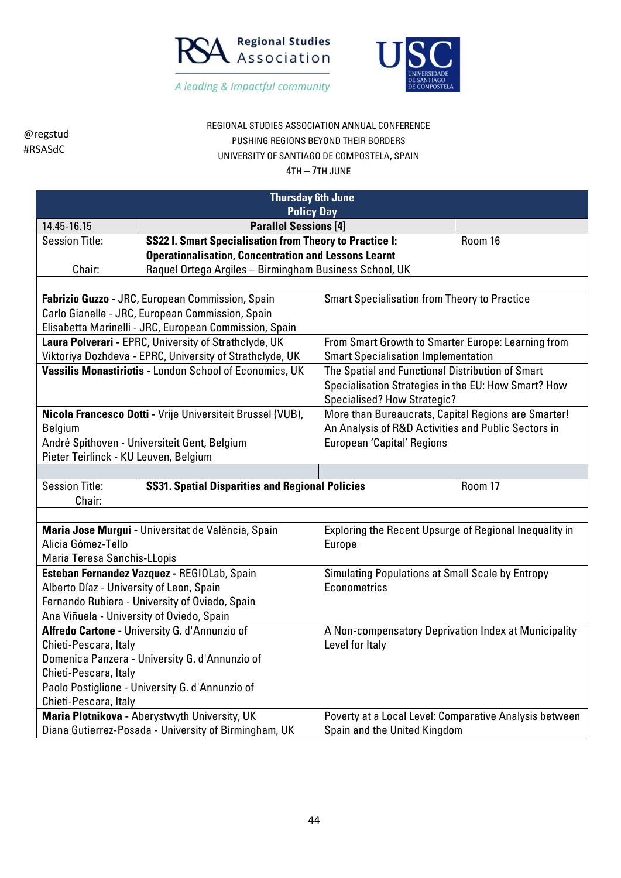



# REGIONAL STUDIES ASSOCIATION ANNUAL CONFERENCE PUSHING REGIONS BEYOND THEIR BORDERS UNIVERSITY OF SANTIAGO DE COMPOSTELA, SPAIN

|                                                                            | <b>Thursday 6th June</b>                                                                   |                                                                  |         |  |  |
|----------------------------------------------------------------------------|--------------------------------------------------------------------------------------------|------------------------------------------------------------------|---------|--|--|
| <b>Policy Day</b>                                                          |                                                                                            |                                                                  |         |  |  |
| 14.45-16.15                                                                | <b>Parallel Sessions [4]</b>                                                               |                                                                  |         |  |  |
| <b>Session Title:</b>                                                      | <b>SS22 I. Smart Specialisation from Theory to Practice I:</b>                             |                                                                  | Room 16 |  |  |
|                                                                            | <b>Operationalisation, Concentration and Lessons Learnt</b>                                |                                                                  |         |  |  |
| Chair:                                                                     | Raquel Ortega Argiles - Birmingham Business School, UK                                     |                                                                  |         |  |  |
|                                                                            |                                                                                            |                                                                  |         |  |  |
|                                                                            | Fabrizio Guzzo - JRC, European Commission, Spain                                           | <b>Smart Specialisation from Theory to Practice</b>              |         |  |  |
|                                                                            | Carlo Gianelle - JRC, European Commission, Spain                                           |                                                                  |         |  |  |
|                                                                            | Elisabetta Marinelli - JRC, European Commission, Spain                                     |                                                                  |         |  |  |
|                                                                            | Laura Polverari - EPRC, University of Strathclyde, UK                                      | From Smart Growth to Smarter Europe: Learning from               |         |  |  |
|                                                                            | Viktoriya Dozhdeva - EPRC, University of Strathclyde, UK                                   | <b>Smart Specialisation Implementation</b>                       |         |  |  |
|                                                                            | Vassilis Monastiriotis - London School of Economics, UK                                    | The Spatial and Functional Distribution of Smart                 |         |  |  |
|                                                                            |                                                                                            | Specialisation Strategies in the EU: How Smart? How              |         |  |  |
|                                                                            |                                                                                            | Specialised? How Strategic?                                      |         |  |  |
|                                                                            | Nicola Francesco Dotti - Vrije Universiteit Brussel (VUB),                                 | More than Bureaucrats, Capital Regions are Smarter!              |         |  |  |
| <b>Belgium</b>                                                             |                                                                                            | An Analysis of R&D Activities and Public Sectors in              |         |  |  |
| André Spithoven - Universiteit Gent, Belgium<br>European 'Capital' Regions |                                                                                            |                                                                  |         |  |  |
| Pieter Teirlinck - KU Leuven, Belgium                                      |                                                                                            |                                                                  |         |  |  |
|                                                                            |                                                                                            |                                                                  |         |  |  |
|                                                                            | <b>Session Title:</b><br><b>SS31. Spatial Disparities and Regional Policies</b><br>Room 17 |                                                                  |         |  |  |
| Chair:                                                                     |                                                                                            |                                                                  |         |  |  |
|                                                                            |                                                                                            |                                                                  |         |  |  |
|                                                                            | Maria Jose Murgui - Universitat de València, Spain                                         | Exploring the Recent Upsurge of Regional Inequality in           |         |  |  |
| Alicia Gómez-Tello                                                         |                                                                                            | Europe                                                           |         |  |  |
| Maria Teresa Sanchis-LLopis                                                |                                                                                            |                                                                  |         |  |  |
|                                                                            | Esteban Fernandez Vazquez - REGIOLab, Spain                                                | Simulating Populations at Small Scale by Entropy<br>Econometrics |         |  |  |
| Alberto Díaz - University of Leon, Spain                                   |                                                                                            |                                                                  |         |  |  |
| Ana Viñuela - University of Oviedo, Spain                                  | Fernando Rubiera - University of Oviedo, Spain                                             |                                                                  |         |  |  |
|                                                                            | Alfredo Cartone - University G. d'Annunzio of                                              | A Non-compensatory Deprivation Index at Municipality             |         |  |  |
| Chieti-Pescara, Italy                                                      |                                                                                            | Level for Italy                                                  |         |  |  |
|                                                                            | Domenica Panzera - University G. d'Annunzio of                                             |                                                                  |         |  |  |
| Chieti-Pescara, Italy                                                      |                                                                                            |                                                                  |         |  |  |
|                                                                            |                                                                                            |                                                                  |         |  |  |
| Paolo Postiglione - University G. d'Annunzio of<br>Chieti-Pescara, Italy   |                                                                                            |                                                                  |         |  |  |
|                                                                            | Maria Plotnikova - Aberystwyth University, UK                                              | Poverty at a Local Level: Comparative Analysis between           |         |  |  |
|                                                                            | Diana Gutierrez-Posada - University of Birmingham, UK                                      | Spain and the United Kingdom                                     |         |  |  |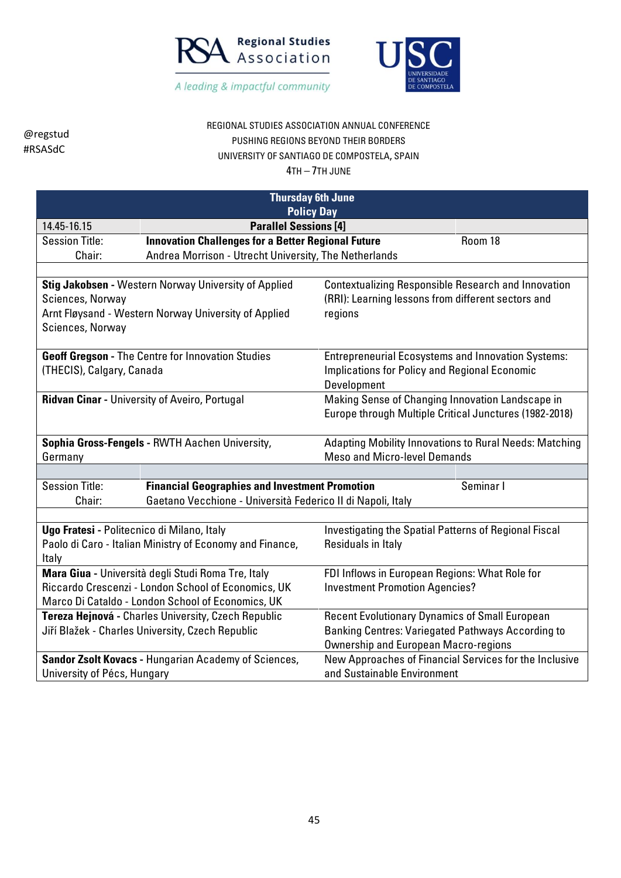



## REGIONAL STUDIES ASSOCIATION ANNUAL CONFERENCE PUSHING REGIONS BEYOND THEIR BORDERS UNIVERSITY OF SANTIAGO DE COMPOSTELA, SPAIN

| <b>Thursday 6th June</b>                                                                                 |                                                             |                                                            |  |  |
|----------------------------------------------------------------------------------------------------------|-------------------------------------------------------------|------------------------------------------------------------|--|--|
|                                                                                                          |                                                             | <b>Policy Day</b>                                          |  |  |
| 14.45-16.15                                                                                              | <b>Parallel Sessions [4]</b>                                |                                                            |  |  |
| <b>Session Title:</b>                                                                                    | <b>Innovation Challenges for a Better Regional Future</b>   | Room 18                                                    |  |  |
| Chair:                                                                                                   | Andrea Morrison - Utrecht University, The Netherlands       |                                                            |  |  |
|                                                                                                          |                                                             |                                                            |  |  |
|                                                                                                          | Stig Jakobsen - Western Norway University of Applied        | <b>Contextualizing Responsible Research and Innovation</b> |  |  |
| Sciences, Norway                                                                                         |                                                             | (RRI): Learning lessons from different sectors and         |  |  |
|                                                                                                          | Arnt Fløysand - Western Norway University of Applied        | regions                                                    |  |  |
| Sciences, Norway                                                                                         |                                                             |                                                            |  |  |
|                                                                                                          |                                                             |                                                            |  |  |
|                                                                                                          | Geoff Gregson - The Centre for Innovation Studies           | <b>Entrepreneurial Ecosystems and Innovation Systems:</b>  |  |  |
| (THECIS), Calgary, Canada                                                                                |                                                             | <b>Implications for Policy and Regional Economic</b>       |  |  |
|                                                                                                          |                                                             | Development                                                |  |  |
|                                                                                                          | <b>Ridvan Cinar - University of Aveiro, Portugal</b>        | Making Sense of Changing Innovation Landscape in           |  |  |
|                                                                                                          |                                                             | Europe through Multiple Critical Junctures (1982-2018)     |  |  |
|                                                                                                          |                                                             |                                                            |  |  |
| Adapting Mobility Innovations to Rural Needs: Matching<br>Sophia Gross-Fengels - RWTH Aachen University, |                                                             |                                                            |  |  |
| <b>Meso and Micro-level Demands</b><br>Germany                                                           |                                                             |                                                            |  |  |
|                                                                                                          |                                                             |                                                            |  |  |
| <b>Session Title:</b>                                                                                    | <b>Financial Geographies and Investment Promotion</b>       | Seminar I                                                  |  |  |
| Chair:                                                                                                   | Gaetano Vecchione - Università Federico II di Napoli, Italy |                                                            |  |  |
|                                                                                                          |                                                             |                                                            |  |  |
| Ugo Fratesi - Politecnico di Milano, Italy                                                               |                                                             | Investigating the Spatial Patterns of Regional Fiscal      |  |  |
|                                                                                                          | Paolo di Caro - Italian Ministry of Economy and Finance,    | Residuals in Italy                                         |  |  |
| Italy                                                                                                    |                                                             |                                                            |  |  |
|                                                                                                          | Mara Giua - Università degli Studi Roma Tre, Italy          | FDI Inflows in European Regions: What Role for             |  |  |
|                                                                                                          | Riccardo Crescenzi - London School of Economics, UK         | <b>Investment Promotion Agencies?</b>                      |  |  |
|                                                                                                          | Marco Di Cataldo - London School of Economics, UK           |                                                            |  |  |
|                                                                                                          | Tereza Hejnová - Charles University, Czech Republic         | <b>Recent Evolutionary Dynamics of Small European</b>      |  |  |
|                                                                                                          | Jiří Blažek - Charles University, Czech Republic            | <b>Banking Centres: Variegated Pathways According to</b>   |  |  |
|                                                                                                          |                                                             | <b>Ownership and European Macro-regions</b>                |  |  |
|                                                                                                          | Sandor Zsolt Kovacs - Hungarian Academy of Sciences,        | New Approaches of Financial Services for the Inclusive     |  |  |
| University of Pécs, Hungary                                                                              |                                                             | and Sustainable Environment                                |  |  |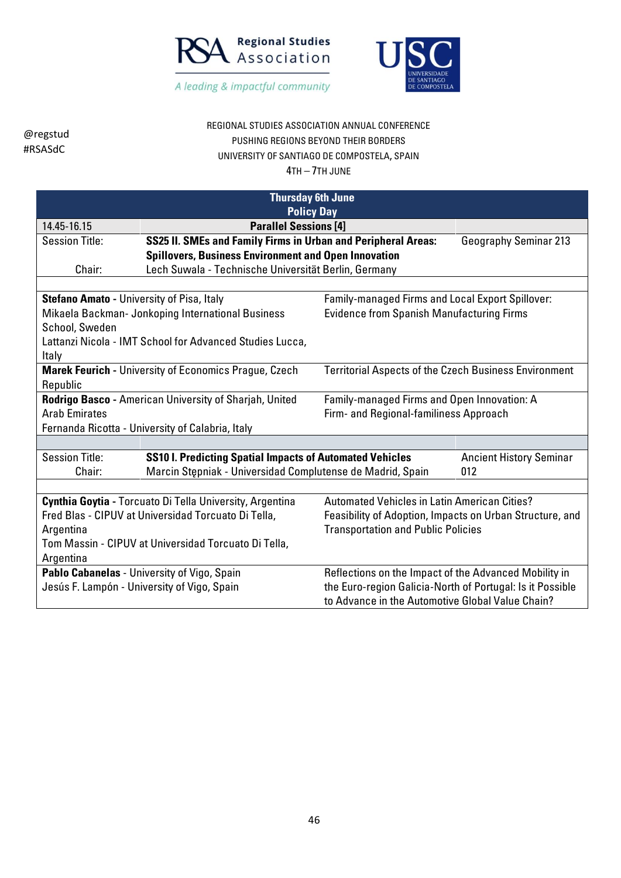



## REGIONAL STUDIES ASSOCIATION ANNUAL CONFERENCE PUSHING REGIONS BEYOND THEIR BORDERS UNIVERSITY OF SANTIAGO DE COMPOSTELA, SPAIN

4TH – 7TH JUNE

| <b>Thursday 6th June</b><br><b>Policy Day</b>                                                        |                                                                 |                                                              |                                |  |  |
|------------------------------------------------------------------------------------------------------|-----------------------------------------------------------------|--------------------------------------------------------------|--------------------------------|--|--|
| 14.45-16.15                                                                                          | <b>Parallel Sessions [4]</b>                                    |                                                              |                                |  |  |
| <b>Session Title:</b>                                                                                | SS25 II. SMEs and Family Firms in Urban and Peripheral Areas:   |                                                              | <b>Geography Seminar 213</b>   |  |  |
|                                                                                                      | <b>Spillovers, Business Environment and Open Innovation</b>     |                                                              |                                |  |  |
| Chair:                                                                                               | Lech Suwala - Technische Universität Berlin, Germany            |                                                              |                                |  |  |
|                                                                                                      |                                                                 |                                                              |                                |  |  |
| <b>Stefano Amato - University of Pisa, Italy</b>                                                     |                                                                 | Family-managed Firms and Local Export Spillover:             |                                |  |  |
|                                                                                                      | Mikaela Backman- Jonkoping International Business               | <b>Evidence from Spanish Manufacturing Firms</b>             |                                |  |  |
| School, Sweden                                                                                       |                                                                 |                                                              |                                |  |  |
|                                                                                                      | Lattanzi Nicola - IMT School for Advanced Studies Lucca,        |                                                              |                                |  |  |
| Italy                                                                                                |                                                                 |                                                              |                                |  |  |
|                                                                                                      | <b>Marek Feurich - University of Economics Prague, Czech</b>    | <b>Territorial Aspects of the Czech Business Environment</b> |                                |  |  |
| Republic                                                                                             |                                                                 |                                                              |                                |  |  |
| Rodrigo Basco - American University of Sharjah, United                                               |                                                                 | Family-managed Firms and Open Innovation: A                  |                                |  |  |
| <b>Arab Emirates</b>                                                                                 |                                                                 | Firm- and Regional-familiness Approach                       |                                |  |  |
|                                                                                                      | Fernanda Ricotta - University of Calabria, Italy                |                                                              |                                |  |  |
| <b>Session Title:</b>                                                                                | <b>SS10 I. Predicting Spatial Impacts of Automated Vehicles</b> |                                                              | <b>Ancient History Seminar</b> |  |  |
| Chair:                                                                                               | Marcin Stępniak - Universidad Complutense de Madrid, Spain      |                                                              | 012                            |  |  |
|                                                                                                      |                                                                 |                                                              |                                |  |  |
|                                                                                                      | Cynthia Goytia - Torcuato Di Tella University, Argentina        | <b>Automated Vehicles in Latin American Cities?</b>          |                                |  |  |
|                                                                                                      | Fred Blas - CIPUV at Universidad Torcuato Di Tella,             | Feasibility of Adoption, Impacts on Urban Structure, and     |                                |  |  |
| Argentina                                                                                            |                                                                 | <b>Transportation and Public Policies</b>                    |                                |  |  |
| Tom Massin - CIPUV at Universidad Torcuato Di Tella,                                                 |                                                                 |                                                              |                                |  |  |
| Argentina                                                                                            |                                                                 |                                                              |                                |  |  |
| Reflections on the Impact of the Advanced Mobility in<br>Pablo Cabanelas - University of Vigo, Spain |                                                                 |                                                              |                                |  |  |
|                                                                                                      | Jesús F. Lampón - University of Vigo, Spain                     | the Euro-region Galicia-North of Portugal: Is it Possible    |                                |  |  |
| to Advance in the Automotive Global Value Chain?                                                     |                                                                 |                                                              |                                |  |  |

46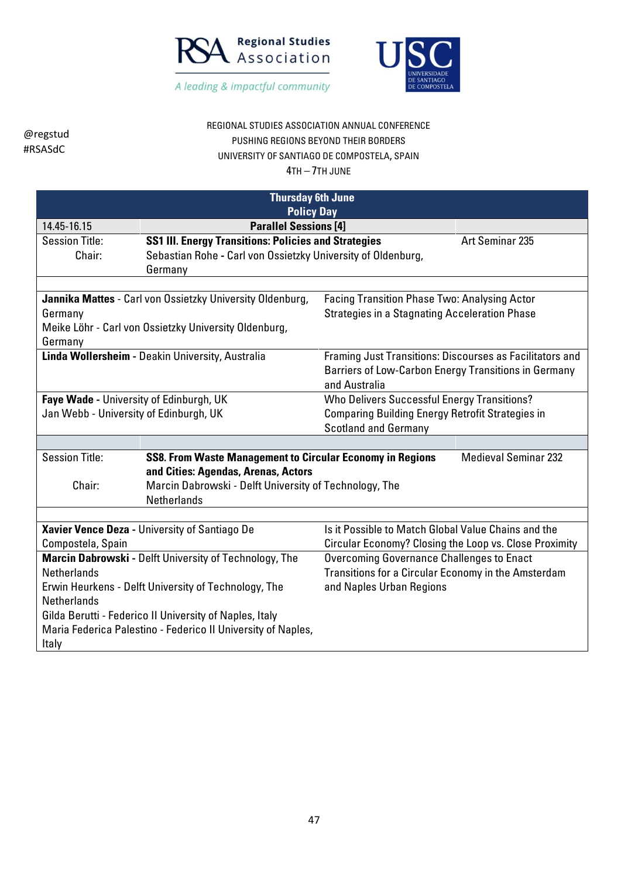



# REGIONAL STUDIES ASSOCIATION ANNUAL CONFERENCE PUSHING REGIONS BEYOND THEIR BORDERS UNIVERSITY OF SANTIAGO DE COMPOSTELA, SPAIN

| <b>Thursday 6th June</b>                                     |                                                                  |                                                          |                             |  |
|--------------------------------------------------------------|------------------------------------------------------------------|----------------------------------------------------------|-----------------------------|--|
| <b>Policy Day</b>                                            |                                                                  |                                                          |                             |  |
| 14.45-16.15                                                  | <b>Parallel Sessions [4]</b>                                     |                                                          |                             |  |
| <b>Session Title:</b>                                        | <b>SS1 III. Energy Transitions: Policies and Strategies</b>      |                                                          | Art Seminar 235             |  |
| Chair:                                                       | Sebastian Rohe - Carl von Ossietzky University of Oldenburg,     |                                                          |                             |  |
|                                                              | Germany                                                          |                                                          |                             |  |
|                                                              |                                                                  |                                                          |                             |  |
|                                                              | Jannika Mattes - Carl von Ossietzky University Oldenburg,        | <b>Facing Transition Phase Two: Analysing Actor</b>      |                             |  |
| Germany                                                      |                                                                  | <b>Strategies in a Stagnating Acceleration Phase</b>     |                             |  |
|                                                              | Meike Löhr - Carl von Ossietzky University Oldenburg,            |                                                          |                             |  |
| Germany                                                      |                                                                  |                                                          |                             |  |
|                                                              | Linda Wollersheim - Deakin University, Australia                 | Framing Just Transitions: Discourses as Facilitators and |                             |  |
|                                                              |                                                                  | Barriers of Low-Carbon Energy Transitions in Germany     |                             |  |
|                                                              |                                                                  | and Australia                                            |                             |  |
| Faye Wade - University of Edinburgh, UK                      |                                                                  | <b>Who Delivers Successful Energy Transitions?</b>       |                             |  |
| Jan Webb - University of Edinburgh, UK                       |                                                                  | <b>Comparing Building Energy Retrofit Strategies in</b>  |                             |  |
|                                                              |                                                                  | <b>Scotland and Germany</b>                              |                             |  |
|                                                              |                                                                  |                                                          |                             |  |
| <b>Session Title:</b>                                        | <b>SS8. From Waste Management to Circular Economy in Regions</b> |                                                          | <b>Medieval Seminar 232</b> |  |
|                                                              | and Cities: Agendas, Arenas, Actors                              |                                                          |                             |  |
| Chair:                                                       | Marcin Dabrowski - Delft University of Technology, The           |                                                          |                             |  |
|                                                              | <b>Netherlands</b>                                               |                                                          |                             |  |
|                                                              |                                                                  |                                                          |                             |  |
|                                                              | Xavier Vence Deza - University of Santiago De                    | Is it Possible to Match Global Value Chains and the      |                             |  |
| Compostela, Spain                                            |                                                                  | Circular Economy? Closing the Loop vs. Close Proximity   |                             |  |
|                                                              | Marcin Dabrowski - Delft University of Technology, The           | <b>Overcoming Governance Challenges to Enact</b>         |                             |  |
| <b>Netherlands</b>                                           |                                                                  | Transitions for a Circular Economy in the Amsterdam      |                             |  |
| Erwin Heurkens - Delft University of Technology, The         |                                                                  | and Naples Urban Regions                                 |                             |  |
| <b>Netherlands</b>                                           |                                                                  |                                                          |                             |  |
|                                                              | Gilda Berutti - Federico II University of Naples, Italy          |                                                          |                             |  |
| Maria Federica Palestino - Federico II University of Naples, |                                                                  |                                                          |                             |  |
| Italy                                                        |                                                                  |                                                          |                             |  |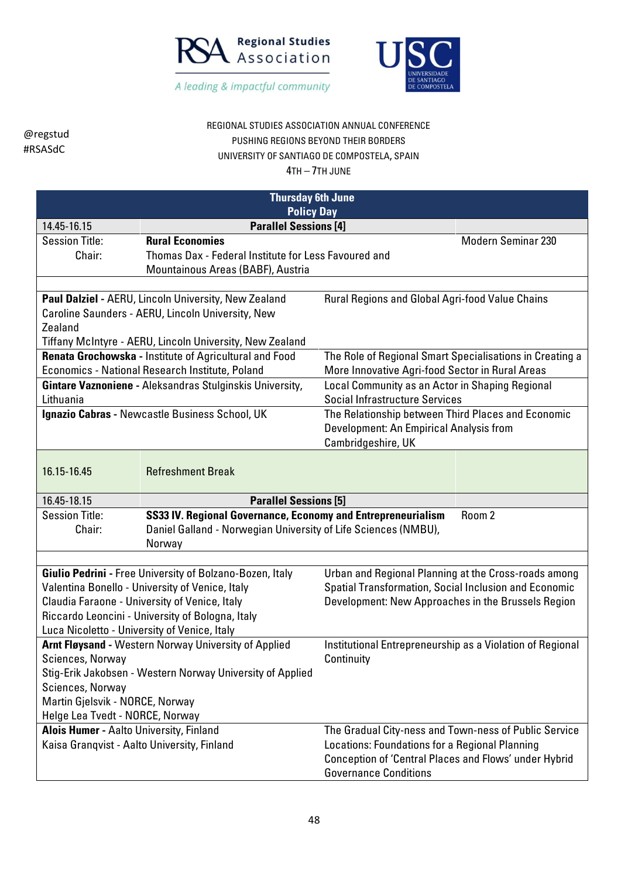



## REGIONAL STUDIES ASSOCIATION ANNUAL CONFERENCE PUSHING REGIONS BEYOND THEIR BORDERS UNIVERSITY OF SANTIAGO DE COMPOSTELA, SPAIN

| <b>Thursday 6th June</b>                                  |                                                                |                                                           |                    |
|-----------------------------------------------------------|----------------------------------------------------------------|-----------------------------------------------------------|--------------------|
|                                                           | <b>Policy Day</b>                                              |                                                           |                    |
| 14.45-16.15                                               | <b>Parallel Sessions [4]</b>                                   |                                                           |                    |
| <b>Session Title:</b>                                     | <b>Rural Economies</b>                                         |                                                           | Modern Seminar 230 |
| Chair:                                                    | Thomas Dax - Federal Institute for Less Favoured and           |                                                           |                    |
|                                                           | Mountainous Areas (BABF), Austria                              |                                                           |                    |
|                                                           |                                                                |                                                           |                    |
|                                                           | Paul Dalziel - AERU, Lincoln University, New Zealand           | Rural Regions and Global Agri-food Value Chains           |                    |
|                                                           | Caroline Saunders - AERU, Lincoln University, New              |                                                           |                    |
| Zealand                                                   |                                                                |                                                           |                    |
|                                                           | Tiffany McIntyre - AERU, Lincoln University, New Zealand       |                                                           |                    |
|                                                           | Renata Grochowska - Institute of Agricultural and Food         | The Role of Regional Smart Specialisations in Creating a  |                    |
|                                                           | Economics - National Research Institute, Poland                | More Innovative Agri-food Sector in Rural Areas           |                    |
|                                                           | Gintare Vaznoniene - Aleksandras Stulginskis University,       | Local Community as an Actor in Shaping Regional           |                    |
| Lithuania                                                 |                                                                | <b>Social Infrastructure Services</b>                     |                    |
|                                                           | Ignazio Cabras - Newcastle Business School, UK                 | The Relationship between Third Places and Economic        |                    |
|                                                           |                                                                | Development: An Empirical Analysis from                   |                    |
|                                                           |                                                                | Cambridgeshire, UK                                        |                    |
|                                                           |                                                                |                                                           |                    |
| 16.15-16.45                                               | <b>Refreshment Break</b>                                       |                                                           |                    |
| 16.45-18.15                                               | <b>Parallel Sessions [5]</b>                                   |                                                           |                    |
| <b>Session Title:</b>                                     | SS33 IV. Regional Governance, Economy and Entrepreneurialism   |                                                           | Room 2             |
| Chair:                                                    | Daniel Galland - Norwegian University of Life Sciences (NMBU), |                                                           |                    |
|                                                           | Norway                                                         |                                                           |                    |
|                                                           |                                                                |                                                           |                    |
|                                                           | Giulio Pedrini - Free University of Bolzano-Bozen, Italy       | Urban and Regional Planning at the Cross-roads among      |                    |
|                                                           | Valentina Bonello - University of Venice, Italy                | Spatial Transformation, Social Inclusion and Economic     |                    |
|                                                           | Claudia Faraone - University of Venice, Italy                  | Development: New Approaches in the Brussels Region        |                    |
|                                                           | Riccardo Leoncini - University of Bologna, Italy               |                                                           |                    |
| Luca Nicoletto - University of Venice, Italy              |                                                                |                                                           |                    |
|                                                           | <b>Arnt Fløysand - Western Norway University of Applied</b>    | Institutional Entrepreneurship as a Violation of Regional |                    |
| Sciences, Norway                                          |                                                                | Continuity                                                |                    |
| Stig-Erik Jakobsen - Western Norway University of Applied |                                                                |                                                           |                    |
| Sciences, Norway                                          |                                                                |                                                           |                    |
| Martin Gjelsvik - NORCE, Norway                           |                                                                |                                                           |                    |
| Helge Lea Tvedt - NORCE, Norway                           |                                                                |                                                           |                    |
| Alois Humer - Aalto University, Finland                   |                                                                | The Gradual City-ness and Town-ness of Public Service     |                    |
| Kaisa Granqvist - Aalto University, Finland               |                                                                | Locations: Foundations for a Regional Planning            |                    |
|                                                           |                                                                | Conception of 'Central Places and Flows' under Hybrid     |                    |
|                                                           |                                                                | <b>Governance Conditions</b>                              |                    |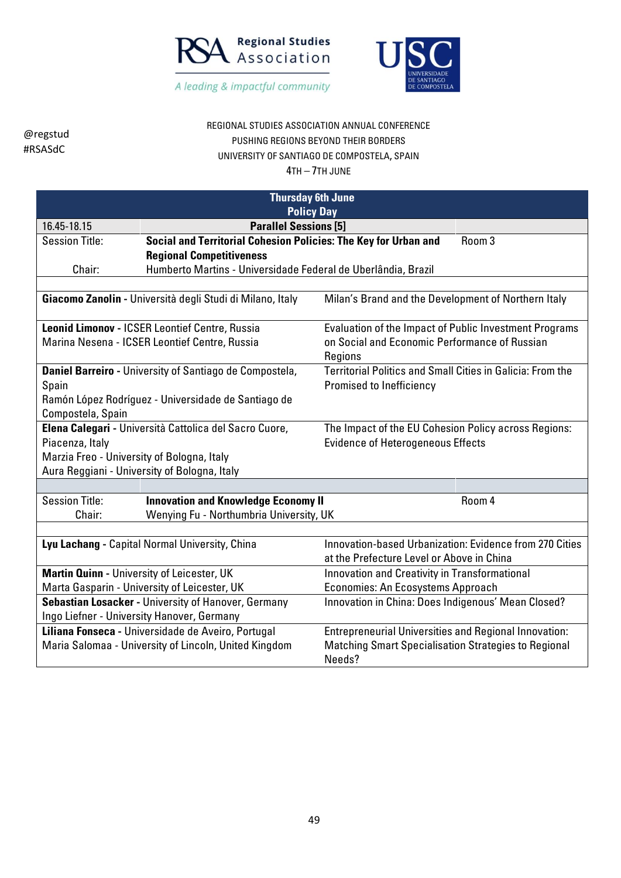



## REGIONAL STUDIES ASSOCIATION ANNUAL CONFERENCE PUSHING REGIONS BEYOND THEIR BORDERS UNIVERSITY OF SANTIAGO DE COMPOSTELA, SPAIN

| <b>Thursday 6th June</b>                               |                                                                 |                                                              |        |
|--------------------------------------------------------|-----------------------------------------------------------------|--------------------------------------------------------------|--------|
| <b>Policy Day</b>                                      |                                                                 |                                                              |        |
| 16.45-18.15                                            | <b>Parallel Sessions [5]</b>                                    |                                                              |        |
| <b>Session Title:</b>                                  | Social and Territorial Cohesion Policies: The Key for Urban and |                                                              | Room 3 |
|                                                        | <b>Regional Competitiveness</b>                                 |                                                              |        |
| Chair:                                                 | Humberto Martins - Universidade Federal de Uberlândia, Brazil   |                                                              |        |
|                                                        |                                                                 |                                                              |        |
|                                                        | Giacomo Zanolin - Università degli Studi di Milano, Italy       | Milan's Brand and the Development of Northern Italy          |        |
|                                                        | Leonid Limonov - ICSER Leontief Centre, Russia                  | Evaluation of the Impact of Public Investment Programs       |        |
|                                                        | Marina Nesena - ICSER Leontief Centre, Russia                   | on Social and Economic Performance of Russian<br>Regions     |        |
|                                                        | Daniel Barreiro - University of Santiago de Compostela,         | Territorial Politics and Small Cities in Galicia: From the   |        |
| Spain                                                  |                                                                 | Promised to Inefficiency                                     |        |
|                                                        | Ramón López Rodríguez - Universidade de Santiago de             |                                                              |        |
| Compostela, Spain                                      |                                                                 |                                                              |        |
| Elena Calegari - Università Cattolica del Sacro Cuore, |                                                                 | The Impact of the EU Cohesion Policy across Regions:         |        |
| Piacenza, Italy                                        |                                                                 | <b>Evidence of Heterogeneous Effects</b>                     |        |
| Marzia Freo - University of Bologna, Italy             |                                                                 |                                                              |        |
|                                                        | Aura Reggiani - University of Bologna, Italy                    |                                                              |        |
|                                                        |                                                                 |                                                              |        |
| <b>Session Title:</b>                                  | <b>Innovation and Knowledge Economy II</b>                      |                                                              | Room 4 |
| Chair:                                                 | Wenying Fu - Northumbria University, UK                         |                                                              |        |
|                                                        |                                                                 |                                                              |        |
|                                                        | Lyu Lachang - Capital Normal University, China                  | Innovation-based Urbanization: Evidence from 270 Cities      |        |
|                                                        |                                                                 | at the Prefecture Level or Above in China                    |        |
| Martin Quinn - University of Leicester, UK             |                                                                 | Innovation and Creativity in Transformational                |        |
|                                                        | Marta Gasparin - University of Leicester, UK                    | Economies: An Ecosystems Approach                            |        |
|                                                        | Sebastian Losacker - University of Hanover, Germany             | Innovation in China: Does Indigenous' Mean Closed?           |        |
|                                                        | Ingo Liefner - University Hanover, Germany                      |                                                              |        |
|                                                        | Liliana Fonseca - Universidade de Aveiro, Portugal              | <b>Entrepreneurial Universities and Regional Innovation:</b> |        |
|                                                        | Maria Salomaa - University of Lincoln, United Kingdom           | <b>Matching Smart Specialisation Strategies to Regional</b>  |        |
|                                                        |                                                                 | Needs?                                                       |        |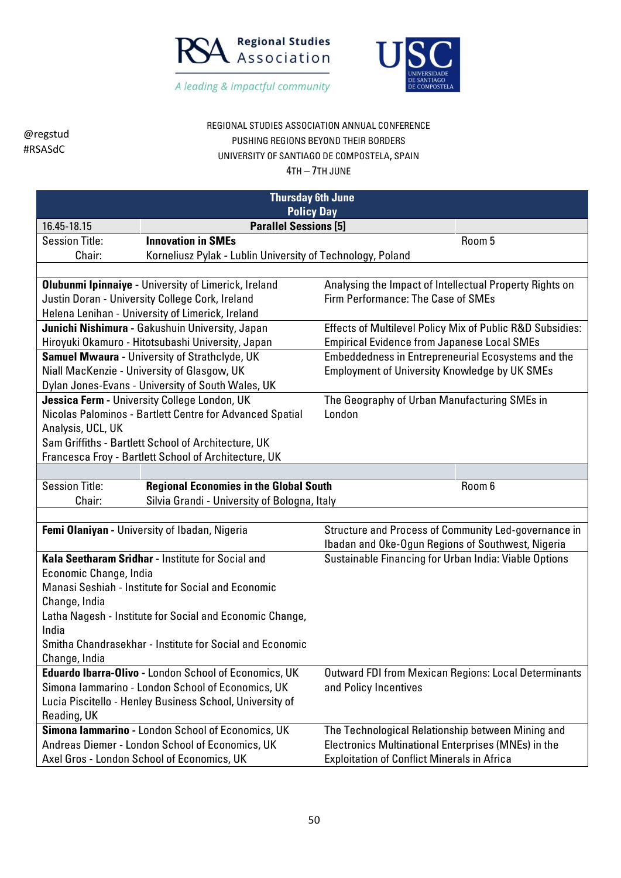



## REGIONAL STUDIES ASSOCIATION ANNUAL CONFERENCE PUSHING REGIONS BEYOND THEIR BORDERS UNIVERSITY OF SANTIAGO DE COMPOSTELA, SPAIN

| <b>Thursday 6th June</b> |                                                              |                                                             |        |
|--------------------------|--------------------------------------------------------------|-------------------------------------------------------------|--------|
| <b>Policy Day</b>        |                                                              |                                                             |        |
| 16.45-18.15              | <b>Parallel Sessions [5]</b>                                 |                                                             |        |
| <b>Session Title:</b>    | <b>Innovation in SMEs</b>                                    |                                                             | Room 5 |
| Chair:                   | Korneliusz Pylak - Lublin University of Technology, Poland   |                                                             |        |
|                          |                                                              |                                                             |        |
|                          | <b>Olubunmi Ipinnaiye - University of Limerick, Ireland</b>  | Analysing the Impact of Intellectual Property Rights on     |        |
|                          | Justin Doran - University College Cork, Ireland              | Firm Performance: The Case of SMEs                          |        |
|                          | Helena Lenihan - University of Limerick, Ireland             |                                                             |        |
|                          | Junichi Nishimura - Gakushuin University, Japan              | Effects of Multilevel Policy Mix of Public R&D Subsidies:   |        |
|                          | Hiroyuki Okamuro - Hitotsubashi University, Japan            | <b>Empirical Evidence from Japanese Local SMEs</b>          |        |
|                          | <b>Samuel Mwaura - University of Strathclyde, UK</b>         | Embeddedness in Entrepreneurial Ecosystems and the          |        |
|                          | Niall MacKenzie - University of Glasgow, UK                  | <b>Employment of University Knowledge by UK SMEs</b>        |        |
|                          | Dylan Jones-Evans - University of South Wales, UK            |                                                             |        |
|                          | Jessica Ferm - University College London, UK                 | The Geography of Urban Manufacturing SMEs in                |        |
|                          | Nicolas Palominos - Bartlett Centre for Advanced Spatial     | London                                                      |        |
| Analysis, UCL, UK        |                                                              |                                                             |        |
|                          | Sam Griffiths - Bartlett School of Architecture, UK          |                                                             |        |
|                          | Francesca Froy - Bartlett School of Architecture, UK         |                                                             |        |
|                          |                                                              |                                                             |        |
| <b>Session Title:</b>    | <b>Regional Economies in the Global South</b>                |                                                             | Room 6 |
| Chair:                   | Silvia Grandi - University of Bologna, Italy                 |                                                             |        |
|                          |                                                              |                                                             |        |
|                          | Femi Olaniyan - University of Ibadan, Nigeria                | Structure and Process of Community Led-governance in        |        |
|                          |                                                              | Ibadan and Oke-Ogun Regions of Southwest, Nigeria           |        |
|                          | Kala Seetharam Sridhar - Institute for Social and            | Sustainable Financing for Urban India: Viable Options       |        |
| Economic Change, India   |                                                              |                                                             |        |
|                          | Manasi Seshiah - Institute for Social and Economic           |                                                             |        |
| Change, India            |                                                              |                                                             |        |
| India                    | Latha Nagesh - Institute for Social and Economic Change,     |                                                             |        |
|                          | Smitha Chandrasekhar - Institute for Social and Economic     |                                                             |        |
| Change, India            |                                                              |                                                             |        |
|                          | <b>Eduardo Ibarra-Olivo - London School of Economics, UK</b> | <b>Outward FDI from Mexican Regions: Local Determinants</b> |        |
|                          | Simona Iammarino - London School of Economics, UK            | and Policy Incentives                                       |        |
|                          | Lucia Piscitello - Henley Business School, University of     |                                                             |        |
| Reading, UK              |                                                              |                                                             |        |
|                          | Simona lammarino - London School of Economics, UK            | The Technological Relationship between Mining and           |        |
|                          | Andreas Diemer - London School of Economics, UK              | Electronics Multinational Enterprises (MNEs) in the         |        |
|                          | Axel Gros - London School of Economics, UK                   | <b>Exploitation of Conflict Minerals in Africa</b>          |        |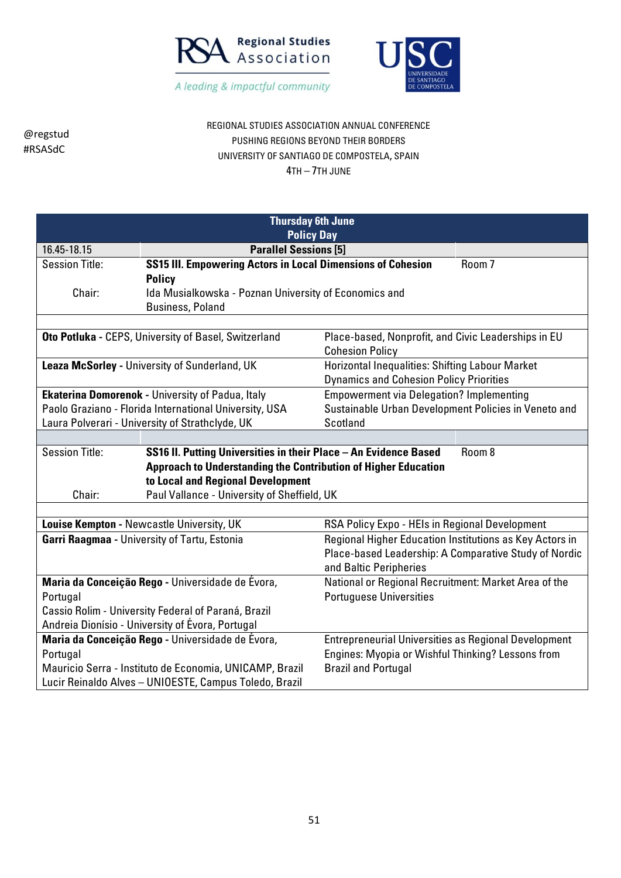



REGIONAL STUDIES ASSOCIATION ANNUAL CONFERENCE PUSHING REGIONS BEYOND THEIR BORDERS UNIVERSITY OF SANTIAGO DE COMPOSTELA, SPAIN 4TH – 7TH JUNE

| <b>Thursday 6th June</b>                                              |                                                                  |                                                             |        |
|-----------------------------------------------------------------------|------------------------------------------------------------------|-------------------------------------------------------------|--------|
|                                                                       | <b>Policy Day</b>                                                |                                                             |        |
| 16.45-18.15                                                           | <b>Parallel Sessions [5]</b>                                     |                                                             |        |
| <b>Session Title:</b>                                                 | SS15 III. Empowering Actors in Local Dimensions of Cohesion      |                                                             | Room 7 |
|                                                                       | <b>Policy</b>                                                    |                                                             |        |
| Chair:                                                                | Ida Musialkowska - Poznan University of Economics and            |                                                             |        |
|                                                                       | <b>Business, Poland</b>                                          |                                                             |        |
|                                                                       |                                                                  |                                                             |        |
|                                                                       | Oto Potluka - CEPS, University of Basel, Switzerland             | Place-based, Nonprofit, and Civic Leaderships in EU         |        |
|                                                                       |                                                                  | <b>Cohesion Policy</b>                                      |        |
|                                                                       | Leaza McSorley - University of Sunderland, UK                    | <b>Horizontal Inequalities: Shifting Labour Market</b>      |        |
|                                                                       |                                                                  | <b>Dynamics and Cohesion Policy Priorities</b>              |        |
|                                                                       | <b>Ekaterina Domorenok - University of Padua, Italy</b>          | <b>Empowerment via Delegation? Implementing</b>             |        |
|                                                                       | Paolo Graziano - Florida International University, USA           | Sustainable Urban Development Policies in Veneto and        |        |
| Laura Polverari - University of Strathclyde, UK                       |                                                                  | <b>Scotland</b>                                             |        |
|                                                                       |                                                                  |                                                             |        |
| <b>Session Title:</b>                                                 | SS16 II. Putting Universities in their Place - An Evidence Based |                                                             | Room 8 |
| <b>Approach to Understanding the Contribution of Higher Education</b> |                                                                  |                                                             |        |
|                                                                       | to Local and Regional Development                                |                                                             |        |
| Chair:                                                                | Paul Vallance - University of Sheffield, UK                      |                                                             |        |
|                                                                       |                                                                  |                                                             |        |
|                                                                       | Louise Kempton - Newcastle University, UK                        | RSA Policy Expo - HEIs in Regional Development              |        |
|                                                                       | Garri Raagmaa - University of Tartu, Estonia                     | Regional Higher Education Institutions as Key Actors in     |        |
|                                                                       |                                                                  | Place-based Leadership: A Comparative Study of Nordic       |        |
|                                                                       |                                                                  | and Baltic Peripheries                                      |        |
|                                                                       | Maria da Conceição Rego - Universidade de Évora,                 | National or Regional Recruitment: Market Area of the        |        |
| Portugal                                                              |                                                                  | <b>Portuguese Universities</b>                              |        |
| Cassio Rolim - University Federal of Paraná, Brazil                   |                                                                  |                                                             |        |
|                                                                       | Andreia Dionísio - University of Évora, Portugal                 |                                                             |        |
|                                                                       | Maria da Conceição Rego - Universidade de Évora,                 | <b>Entrepreneurial Universities as Regional Development</b> |        |
| Portugal                                                              |                                                                  | Engines: Myopia or Wishful Thinking? Lessons from           |        |
|                                                                       | Mauricio Serra - Instituto de Economia, UNICAMP, Brazil          | <b>Brazil and Portugal</b>                                  |        |
| Lucir Reinaldo Alves - UNIOESTE, Campus Toledo, Brazil                |                                                                  |                                                             |        |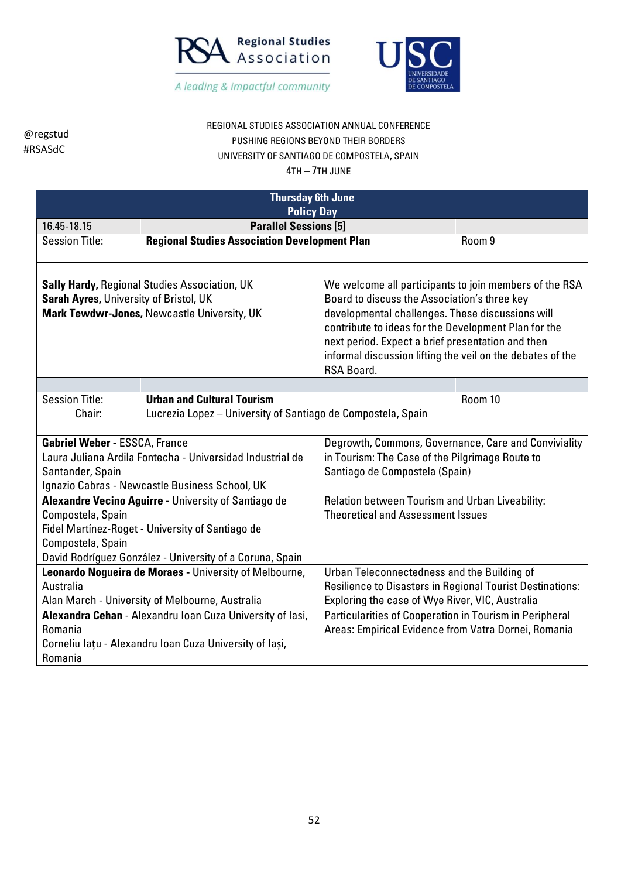



## REGIONAL STUDIES ASSOCIATION ANNUAL CONFERENCE PUSHING REGIONS BEYOND THEIR BORDERS UNIVERSITY OF SANTIAGO DE COMPOSTELA, SPAIN

| <b>Thursday 6th June</b>                                         |                                                              |                                                                          |         |
|------------------------------------------------------------------|--------------------------------------------------------------|--------------------------------------------------------------------------|---------|
| <b>Policy Day</b><br><b>Parallel Sessions [5]</b><br>16.45-18.15 |                                                              |                                                                          |         |
| <b>Session Title:</b>                                            | <b>Regional Studies Association Development Plan</b>         |                                                                          | Room 9  |
|                                                                  |                                                              |                                                                          |         |
|                                                                  |                                                              |                                                                          |         |
|                                                                  | <b>Sally Hardy, Regional Studies Association, UK</b>         | We welcome all participants to join members of the RSA                   |         |
| Sarah Ayres, University of Bristol, UK                           |                                                              | Board to discuss the Association's three key                             |         |
|                                                                  | Mark Tewdwr-Jones, Newcastle University, UK                  | developmental challenges. These discussions will                         |         |
|                                                                  |                                                              | contribute to ideas for the Development Plan for the                     |         |
|                                                                  |                                                              | next period. Expect a brief presentation and then                        |         |
|                                                                  |                                                              | informal discussion lifting the veil on the debates of the<br>RSA Board. |         |
|                                                                  |                                                              |                                                                          |         |
| <b>Session Title:</b>                                            | <b>Urban and Cultural Tourism</b>                            |                                                                          | Room 10 |
| Chair:                                                           | Lucrezia Lopez - University of Santiago de Compostela, Spain |                                                                          |         |
|                                                                  |                                                              |                                                                          |         |
| <b>Gabriel Weber - ESSCA, France</b>                             |                                                              | Degrowth, Commons, Governance, Care and Conviviality                     |         |
|                                                                  | Laura Juliana Ardila Fontecha - Universidad Industrial de    | in Tourism: The Case of the Pilgrimage Route to                          |         |
| Santander, Spain                                                 |                                                              | Santiago de Compostela (Spain)                                           |         |
|                                                                  | Ignazio Cabras - Newcastle Business School, UK               |                                                                          |         |
|                                                                  | Alexandre Vecino Aguirre - University of Santiago de         | Relation between Tourism and Urban Liveability:                          |         |
| Compostela, Spain                                                |                                                              | <b>Theoretical and Assessment Issues</b>                                 |         |
|                                                                  | Fidel Martínez-Roget - University of Santiago de             |                                                                          |         |
| Compostela, Spain                                                |                                                              |                                                                          |         |
|                                                                  | David Rodríguez González - University of a Coruna, Spain     |                                                                          |         |
|                                                                  | Leonardo Nogueira de Moraes - University of Melbourne,       | Urban Teleconnectedness and the Building of                              |         |
| Australia                                                        |                                                              | Resilience to Disasters in Regional Tourist Destinations:                |         |
|                                                                  | Alan March - University of Melbourne, Australia              | Exploring the case of Wye River, VIC, Australia                          |         |
|                                                                  | Alexandra Cehan - Alexandru Ioan Cuza University of lasi,    | Particularities of Cooperation in Tourism in Peripheral                  |         |
| Romania                                                          |                                                              | Areas: Empirical Evidence from Vatra Dornei, Romania                     |         |
|                                                                  | Corneliu lațu - Alexandru Ioan Cuza University of Iași,      |                                                                          |         |
| Romania                                                          |                                                              |                                                                          |         |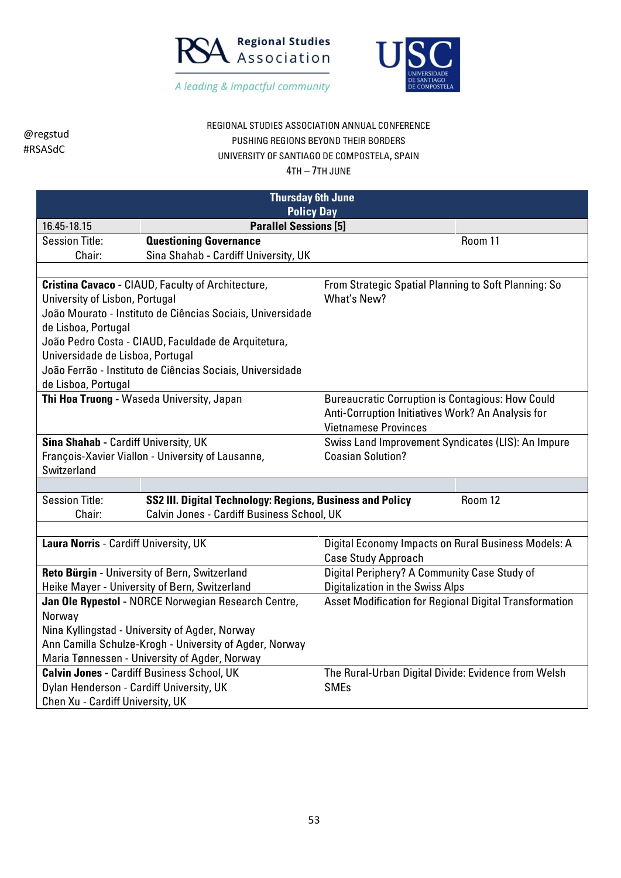



## REGIONAL STUDIES ASSOCIATION ANNUAL CONFERENCE PUSHING REGIONS BEYOND THEIR BORDERS UNIVERSITY OF SANTIAGO DE COMPOSTELA, SPAIN

| <b>Thursday 6th June</b>                                |                                                            |                                                               |  |
|---------------------------------------------------------|------------------------------------------------------------|---------------------------------------------------------------|--|
| <b>Policy Day</b>                                       |                                                            |                                                               |  |
| <b>Parallel Sessions [5]</b><br>16.45-18.15             |                                                            |                                                               |  |
| <b>Session Title:</b>                                   | <b>Questioning Governance</b>                              | Room 11                                                       |  |
| Chair:                                                  | Sina Shahab - Cardiff University, UK                       |                                                               |  |
|                                                         |                                                            |                                                               |  |
|                                                         | Cristina Cavaco - CIAUD, Faculty of Architecture,          | From Strategic Spatial Planning to Soft Planning: So          |  |
| University of Lisbon, Portugal                          |                                                            | What's New?                                                   |  |
|                                                         | João Mourato - Instituto de Ciências Sociais, Universidade |                                                               |  |
| de Lisboa, Portugal                                     |                                                            |                                                               |  |
|                                                         | João Pedro Costa - CIAUD, Faculdade de Arquitetura,        |                                                               |  |
| Universidade de Lisboa, Portugal                        |                                                            |                                                               |  |
|                                                         | João Ferrão - Instituto de Ciências Sociais, Universidade  |                                                               |  |
| de Lisboa, Portugal                                     |                                                            |                                                               |  |
|                                                         | Thi Hoa Truong - Waseda University, Japan                  | <b>Bureaucratic Corruption is Contagious: How Could</b>       |  |
|                                                         |                                                            | Anti-Corruption Initiatives Work? An Analysis for             |  |
|                                                         |                                                            | <b>Vietnamese Provinces</b>                                   |  |
| Sina Shahab - Cardiff University, UK                    |                                                            | Swiss Land Improvement Syndicates (LIS): An Impure            |  |
|                                                         | François-Xavier Viallon - University of Lausanne,          | <b>Coasian Solution?</b>                                      |  |
| Switzerland                                             |                                                            |                                                               |  |
|                                                         |                                                            |                                                               |  |
| <b>Session Title:</b>                                   | SS2 III. Digital Technology: Regions, Business and Policy  | Room 12                                                       |  |
| Chair:                                                  | Calvin Jones - Cardiff Business School, UK                 |                                                               |  |
|                                                         |                                                            |                                                               |  |
| Laura Norris - Cardiff University, UK                   |                                                            | Digital Economy Impacts on Rural Business Models: A           |  |
|                                                         |                                                            | <b>Case Study Approach</b>                                    |  |
|                                                         | Reto Bürgin - University of Bern, Switzerland              | Digital Periphery? A Community Case Study of                  |  |
|                                                         | Heike Mayer - University of Bern, Switzerland              | <b>Digitalization in the Swiss Alps</b>                       |  |
|                                                         | Jan Ole Rypestol - NORCE Norwegian Research Centre,        | <b>Asset Modification for Regional Digital Transformation</b> |  |
| Norway                                                  |                                                            |                                                               |  |
|                                                         | Nina Kyllingstad - University of Agder, Norway             |                                                               |  |
| Ann Camilla Schulze-Krogh - University of Agder, Norway |                                                            |                                                               |  |
|                                                         | Maria Tønnessen - University of Agder, Norway              |                                                               |  |
|                                                         | <b>Calvin Jones - Cardiff Business School, UK</b>          | The Rural-Urban Digital Divide: Evidence from Welsh           |  |
| Dylan Henderson - Cardiff University, UK                |                                                            | <b>SMEs</b>                                                   |  |
| Chen Xu - Cardiff University, UK                        |                                                            |                                                               |  |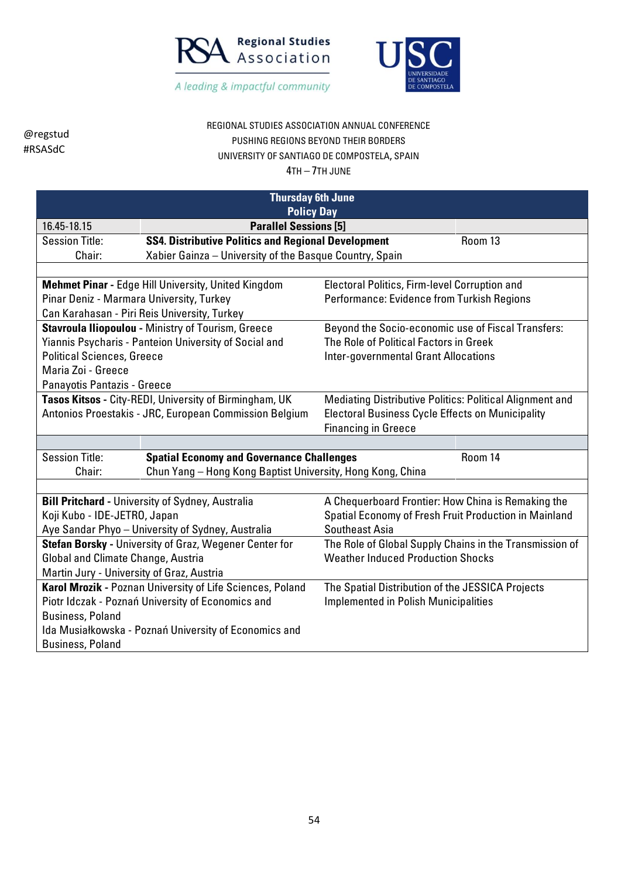



# REGIONAL STUDIES ASSOCIATION ANNUAL CONFERENCE PUSHING REGIONS BEYOND THEIR BORDERS UNIVERSITY OF SANTIAGO DE COMPOSTELA, SPAIN

4TH – 7TH JUNE

| <b>Thursday 6th June</b>                                                  |                                                            |                                                          |         |
|---------------------------------------------------------------------------|------------------------------------------------------------|----------------------------------------------------------|---------|
| <b>Policy Day</b>                                                         |                                                            |                                                          |         |
| 16.45-18.15                                                               | <b>Parallel Sessions [5]</b>                               |                                                          |         |
| <b>Session Title:</b>                                                     | <b>SS4. Distributive Politics and Regional Development</b> |                                                          | Room 13 |
| Chair:                                                                    | Xabier Gainza - University of the Basque Country, Spain    |                                                          |         |
|                                                                           |                                                            |                                                          |         |
|                                                                           | <b>Mehmet Pinar - Edge Hill University, United Kingdom</b> | Electoral Politics, Firm-level Corruption and            |         |
| Pinar Deniz - Marmara University, Turkey                                  |                                                            | Performance: Evidence from Turkish Regions               |         |
|                                                                           | Can Karahasan - Piri Reis University, Turkey               |                                                          |         |
|                                                                           | Stavroula Iliopoulou - Ministry of Tourism, Greece         | Beyond the Socio-economic use of Fiscal Transfers:       |         |
|                                                                           | Yiannis Psycharis - Panteion University of Social and      | The Role of Political Factors in Greek                   |         |
| <b>Political Sciences, Greece</b>                                         |                                                            | <b>Inter-governmental Grant Allocations</b>              |         |
| Maria Zoi - Greece                                                        |                                                            |                                                          |         |
| Panayotis Pantazis - Greece                                               |                                                            |                                                          |         |
|                                                                           | Tasos Kitsos - City-REDI, University of Birmingham, UK     | Mediating Distributive Politics: Political Alignment and |         |
|                                                                           | Antonios Proestakis - JRC, European Commission Belgium     | <b>Electoral Business Cycle Effects on Municipality</b>  |         |
|                                                                           |                                                            | <b>Financing in Greece</b>                               |         |
|                                                                           |                                                            |                                                          |         |
| <b>Session Title:</b><br><b>Spatial Economy and Governance Challenges</b> |                                                            |                                                          | Room 14 |
| Chair:                                                                    | Chun Yang - Hong Kong Baptist University, Hong Kong, China |                                                          |         |
|                                                                           |                                                            |                                                          |         |
|                                                                           | <b>Bill Pritchard - University of Sydney, Australia</b>    | A Chequerboard Frontier: How China is Remaking the       |         |
| Koji Kubo - IDE-JETRO, Japan                                              |                                                            | Spatial Economy of Fresh Fruit Production in Mainland    |         |
|                                                                           | Aye Sandar Phyo - University of Sydney, Australia          | <b>Southeast Asia</b>                                    |         |
|                                                                           | Stefan Borsky - University of Graz, Wegener Center for     | The Role of Global Supply Chains in the Transmission of  |         |
| Global and Climate Change, Austria                                        |                                                            | <b>Weather Induced Production Shocks</b>                 |         |
| Martin Jury - University of Graz, Austria                                 |                                                            |                                                          |         |
|                                                                           | Karol Mrozik - Poznan University of Life Sciences, Poland  | The Spatial Distribution of the JESSICA Projects         |         |
|                                                                           | Piotr Idczak - Poznań University of Economics and          | <b>Implemented in Polish Municipalities</b>              |         |
| <b>Business, Poland</b>                                                   |                                                            |                                                          |         |
|                                                                           | Ida Musiałkowska - Poznań University of Economics and      |                                                          |         |
| <b>Business, Poland</b>                                                   |                                                            |                                                          |         |

54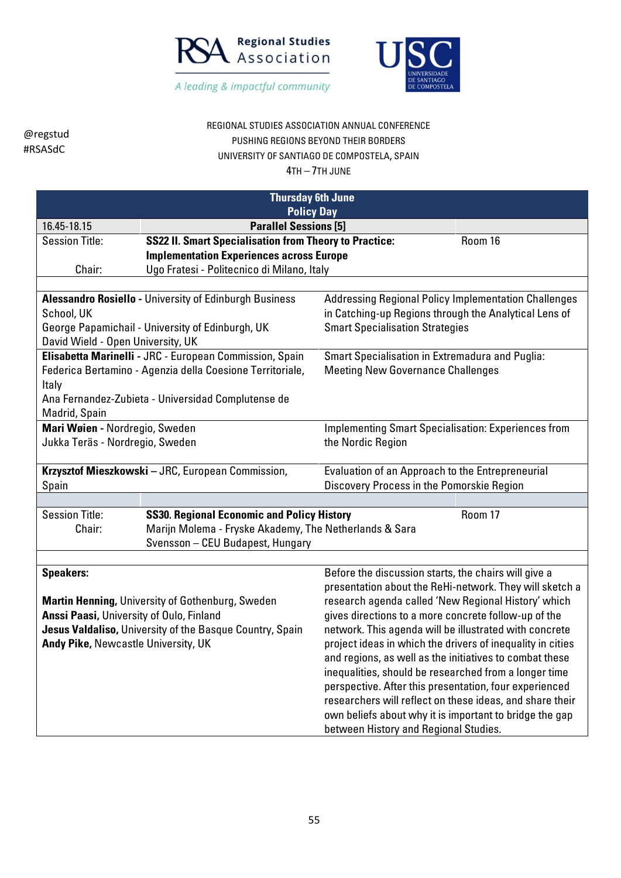



## REGIONAL STUDIES ASSOCIATION ANNUAL CONFERENCE PUSHING REGIONS BEYOND THEIR BORDERS UNIVERSITY OF SANTIAGO DE COMPOSTELA, SPAIN

| <b>Thursday 6th June</b><br><b>Policy Day</b>   |                                                                                            |                                                                                                                  |         |  |
|-------------------------------------------------|--------------------------------------------------------------------------------------------|------------------------------------------------------------------------------------------------------------------|---------|--|
| <b>Parallel Sessions [5]</b><br>16.45-18.15     |                                                                                            |                                                                                                                  |         |  |
| <b>Session Title:</b>                           | <b>SS22 II. Smart Specialisation from Theory to Practice:</b>                              |                                                                                                                  | Room 16 |  |
|                                                 | <b>Implementation Experiences across Europe</b>                                            |                                                                                                                  |         |  |
| Chair:                                          | Ugo Fratesi - Politecnico di Milano, Italy                                                 |                                                                                                                  |         |  |
|                                                 |                                                                                            |                                                                                                                  |         |  |
|                                                 | <b>Alessandro Rosiello - University of Edinburgh Business</b>                              | <b>Addressing Regional Policy Implementation Challenges</b>                                                      |         |  |
| School, UK                                      | George Papamichail - University of Edinburgh, UK                                           | in Catching-up Regions through the Analytical Lens of<br><b>Smart Specialisation Strategies</b>                  |         |  |
| David Wield - Open University, UK               |                                                                                            |                                                                                                                  |         |  |
|                                                 | Elisabetta Marinelli - JRC - European Commission, Spain                                    | <b>Smart Specialisation in Extremadura and Puglia:</b>                                                           |         |  |
|                                                 | Federica Bertamino - Agenzia della Coesione Territoriale,                                  | <b>Meeting New Governance Challenges</b>                                                                         |         |  |
| Italy                                           |                                                                                            |                                                                                                                  |         |  |
|                                                 | Ana Fernandez-Zubieta - Universidad Complutense de                                         |                                                                                                                  |         |  |
| Madrid, Spain                                   |                                                                                            |                                                                                                                  |         |  |
| Mari Wøien - Nordregio, Sweden                  |                                                                                            | <b>Implementing Smart Specialisation: Experiences from</b>                                                       |         |  |
| Jukka Teräs - Nordregio, Sweden                 |                                                                                            | the Nordic Region                                                                                                |         |  |
|                                                 | Krzysztof Mieszkowski - JRC, European Commission,                                          | Evaluation of an Approach to the Entrepreneurial                                                                 |         |  |
| Spain                                           |                                                                                            | Discovery Process in the Pomorskie Region                                                                        |         |  |
|                                                 |                                                                                            |                                                                                                                  |         |  |
| <b>Session Title:</b>                           | <b>SS30. Regional Economic and Policy History</b>                                          |                                                                                                                  | Room 17 |  |
| Chair:                                          | Marijn Molema - Fryske Akademy, The Netherlands & Sara<br>Svensson - CEU Budapest, Hungary |                                                                                                                  |         |  |
|                                                 |                                                                                            |                                                                                                                  |         |  |
| <b>Speakers:</b>                                |                                                                                            | Before the discussion starts, the chairs will give a                                                             |         |  |
|                                                 |                                                                                            | presentation about the ReHi-network. They will sketch a                                                          |         |  |
|                                                 | <b>Martin Henning, University of Gothenburg, Sweden</b>                                    | research agenda called 'New Regional History' which                                                              |         |  |
| <b>Anssi Paasi, University of Oulo, Finland</b> |                                                                                            | gives directions to a more concrete follow-up of the                                                             |         |  |
|                                                 | Jesus Valdaliso, University of the Basque Country, Spain                                   | network. This agenda will be illustrated with concrete                                                           |         |  |
| Andy Pike, Newcastle University, UK             |                                                                                            | project ideas in which the drivers of inequality in cities                                                       |         |  |
|                                                 |                                                                                            | and regions, as well as the initiatives to combat these<br>inequalities, should be researched from a longer time |         |  |
|                                                 |                                                                                            | perspective. After this presentation, four experienced                                                           |         |  |
|                                                 |                                                                                            | researchers will reflect on these ideas, and share their                                                         |         |  |
|                                                 |                                                                                            | own beliefs about why it is important to bridge the gap                                                          |         |  |
|                                                 |                                                                                            | between History and Regional Studies.                                                                            |         |  |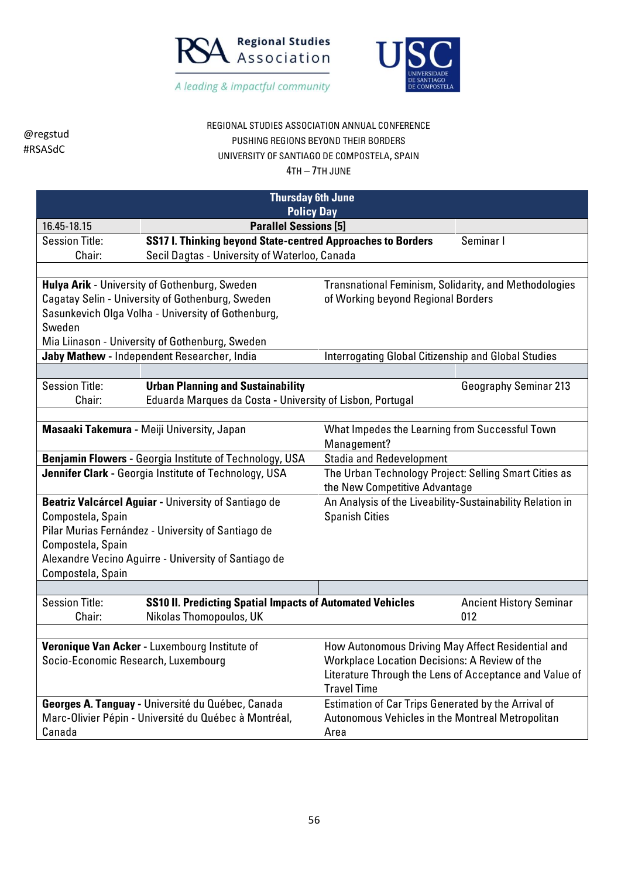



# REGIONAL STUDIES ASSOCIATION ANNUAL CONFERENCE PUSHING REGIONS BEYOND THEIR BORDERS UNIVERSITY OF SANTIAGO DE COMPOSTELA, SPAIN

| <b>Thursday 6th June</b>            |                                                                  |                                                              |                                |
|-------------------------------------|------------------------------------------------------------------|--------------------------------------------------------------|--------------------------------|
| <b>Policy Day</b>                   |                                                                  |                                                              |                                |
| 16.45-18.15                         | <b>Parallel Sessions [5]</b>                                     |                                                              |                                |
| <b>Session Title:</b>               | SS17 I. Thinking beyond State-centred Approaches to Borders      |                                                              | Seminar I                      |
| Chair:                              | Secil Dagtas - University of Waterloo, Canada                    |                                                              |                                |
|                                     |                                                                  |                                                              |                                |
|                                     | Hulya Arik - University of Gothenburg, Sweden                    | <b>Transnational Feminism, Solidarity, and Methodologies</b> |                                |
|                                     | Cagatay Selin - University of Gothenburg, Sweden                 | of Working beyond Regional Borders                           |                                |
|                                     | Sasunkevich Olga Volha - University of Gothenburg,               |                                                              |                                |
| Sweden                              |                                                                  |                                                              |                                |
|                                     | Mia Liinason - University of Gothenburg, Sweden                  |                                                              |                                |
|                                     | Jaby Mathew - Independent Researcher, India                      | <b>Interrogating Global Citizenship and Global Studies</b>   |                                |
|                                     |                                                                  |                                                              |                                |
| <b>Session Title:</b>               | <b>Urban Planning and Sustainability</b>                         |                                                              | <b>Geography Seminar 213</b>   |
| Chair:                              | Eduarda Marques da Costa - University of Lisbon, Portugal        |                                                              |                                |
|                                     |                                                                  |                                                              |                                |
|                                     | Masaaki Takemura - Meiji University, Japan                       | What Impedes the Learning from Successful Town               |                                |
|                                     |                                                                  | Management?                                                  |                                |
|                                     | <b>Benjamin Flowers - Georgia Institute of Technology, USA</b>   | <b>Stadia and Redevelopment</b>                              |                                |
|                                     | Jennifer Clark - Georgia Institute of Technology, USA            | The Urban Technology Project: Selling Smart Cities as        |                                |
|                                     |                                                                  | the New Competitive Advantage                                |                                |
|                                     | Beatriz Valcárcel Aguiar - University of Santiago de             | An Analysis of the Liveability-Sustainability Relation in    |                                |
| Compostela, Spain                   |                                                                  | <b>Spanish Cities</b>                                        |                                |
|                                     | Pilar Murias Fernández - University of Santiago de               |                                                              |                                |
| Compostela, Spain                   |                                                                  |                                                              |                                |
|                                     | Alexandre Vecino Aguirre - University of Santiago de             |                                                              |                                |
| Compostela, Spain                   |                                                                  |                                                              |                                |
| <b>Session Title:</b>               | <b>SS10 II. Predicting Spatial Impacts of Automated Vehicles</b> |                                                              | <b>Ancient History Seminar</b> |
| Chair:                              | Nikolas Thomopoulos, UK                                          |                                                              | 012                            |
|                                     |                                                                  |                                                              |                                |
|                                     | Veronique Van Acker - Luxembourg Institute of                    | How Autonomous Driving May Affect Residential and            |                                |
| Socio-Economic Research, Luxembourg |                                                                  | <b>Workplace Location Decisions: A Review of the</b>         |                                |
|                                     |                                                                  | Literature Through the Lens of Acceptance and Value of       |                                |
|                                     |                                                                  | <b>Travel Time</b>                                           |                                |
|                                     | Georges A. Tanguay - Université du Québec, Canada                | Estimation of Car Trips Generated by the Arrival of          |                                |
|                                     | Marc-Olivier Pépin - Université du Québec à Montréal,            | Autonomous Vehicles in the Montreal Metropolitan             |                                |
| Canada                              |                                                                  | Area                                                         |                                |
|                                     |                                                                  |                                                              |                                |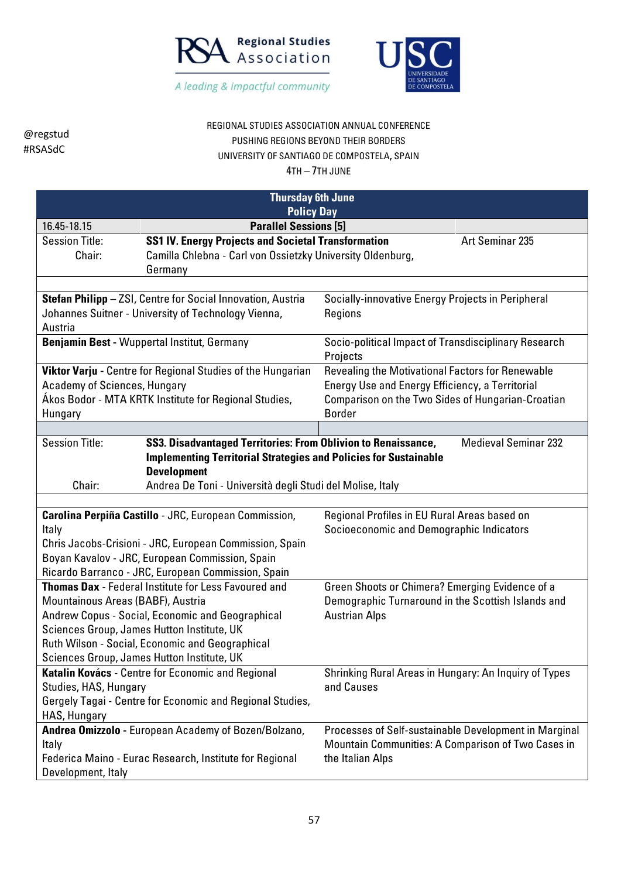



# REGIONAL STUDIES ASSOCIATION ANNUAL CONFERENCE PUSHING REGIONS BEYOND THEIR BORDERS UNIVERSITY OF SANTIAGO DE COMPOSTELA, SPAIN

| <b>Thursday 6th June</b><br><b>Policy Day</b>                                                                                                                                                                                                                                                                                                             |                                                                                                                                     |                                                                                                                                                                           |
|-----------------------------------------------------------------------------------------------------------------------------------------------------------------------------------------------------------------------------------------------------------------------------------------------------------------------------------------------------------|-------------------------------------------------------------------------------------------------------------------------------------|---------------------------------------------------------------------------------------------------------------------------------------------------------------------------|
| 16.45-18.15                                                                                                                                                                                                                                                                                                                                               | <b>Parallel Sessions [5]</b>                                                                                                        |                                                                                                                                                                           |
| <b>Session Title:</b><br>Chair:                                                                                                                                                                                                                                                                                                                           | <b>SS1 IV. Energy Projects and Societal Transformation</b><br>Camilla Chlebna - Carl von Ossietzky University Oldenburg,<br>Germany | Art Seminar 235                                                                                                                                                           |
|                                                                                                                                                                                                                                                                                                                                                           |                                                                                                                                     |                                                                                                                                                                           |
| Stefan Philipp - ZSI, Centre for Social Innovation, Austria<br>Johannes Suitner - University of Technology Vienna,<br>Austria                                                                                                                                                                                                                             |                                                                                                                                     | Socially-innovative Energy Projects in Peripheral<br>Regions                                                                                                              |
|                                                                                                                                                                                                                                                                                                                                                           | Benjamin Best - Wuppertal Institut, Germany                                                                                         | Socio-political Impact of Transdisciplinary Research<br>Projects                                                                                                          |
| Academy of Sciences, Hungary<br>Hungary                                                                                                                                                                                                                                                                                                                   | Viktor Varju - Centre for Regional Studies of the Hungarian<br>Akos Bodor - MTA KRTK Institute for Regional Studies,                | Revealing the Motivational Factors for Renewable<br>Energy Use and Energy Efficiency, a Territorial<br>Comparison on the Two Sides of Hungarian-Croatian<br><b>Border</b> |
|                                                                                                                                                                                                                                                                                                                                                           |                                                                                                                                     |                                                                                                                                                                           |
| SS3. Disadvantaged Territories: From Oblivion to Renaissance,<br><b>Medieval Seminar 232</b><br><b>Session Title:</b><br><b>Implementing Territorial Strategies and Policies for Sustainable</b><br><b>Development</b><br>Chair:<br>Andrea De Toni - Università degli Studi del Molise, Italy                                                             |                                                                                                                                     |                                                                                                                                                                           |
|                                                                                                                                                                                                                                                                                                                                                           |                                                                                                                                     |                                                                                                                                                                           |
| Carolina Perpiña Castillo - JRC, European Commission,<br>Regional Profiles in EU Rural Areas based on<br>Socioeconomic and Demographic Indicators<br>Italy<br>Chris Jacobs-Crisioni - JRC, European Commission, Spain<br>Boyan Kavalov - JRC, European Commission, Spain                                                                                  |                                                                                                                                     |                                                                                                                                                                           |
| Ricardo Barranco - JRC, European Commission, Spain<br><b>Thomas Dax</b> - Federal Institute for Less Favoured and<br>Mountainous Areas (BABF), Austria<br>Andrew Copus - Social, Economic and Geographical<br>Sciences Group, James Hutton Institute, UK<br>Ruth Wilson - Social, Economic and Geographical<br>Sciences Group, James Hutton Institute, UK |                                                                                                                                     | Green Shoots or Chimera? Emerging Evidence of a<br>Demographic Turnaround in the Scottish Islands and<br><b>Austrian Alps</b>                                             |
| Studies, HAS, Hungary<br>HAS, Hungary                                                                                                                                                                                                                                                                                                                     | Katalin Kovács - Centre for Economic and Regional<br>Gergely Tagai - Centre for Economic and Regional Studies,                      | Shrinking Rural Areas in Hungary: An Inquiry of Types<br>and Causes                                                                                                       |
| Italy<br>Development, Italy                                                                                                                                                                                                                                                                                                                               | Andrea Omizzolo - European Academy of Bozen/Bolzano,<br>Federica Maino - Eurac Research, Institute for Regional                     | Processes of Self-sustainable Development in Marginal<br>Mountain Communities: A Comparison of Two Cases in<br>the Italian Alps                                           |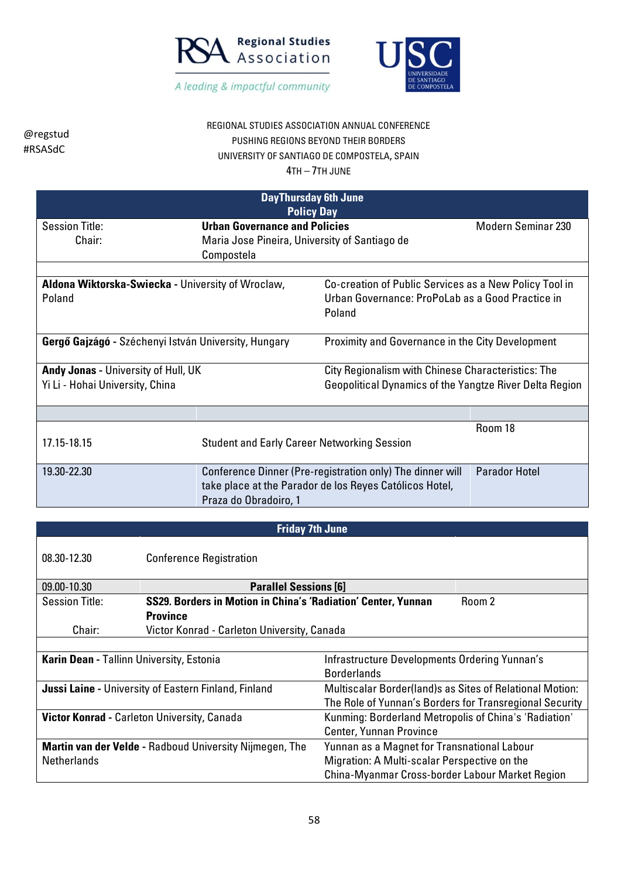

@regstud



| wregstuu<br>PUSHING REGIONS BEYOND THEIR BORDERS<br>#RSASdC<br>UNIVERSITY OF SANTIAGO DE COMPOSTELA, SPAIN<br>$4TH - 7TH$ JUNF |                                                      |                                                                                                                      |                           |
|--------------------------------------------------------------------------------------------------------------------------------|------------------------------------------------------|----------------------------------------------------------------------------------------------------------------------|---------------------------|
|                                                                                                                                |                                                      | <b>DayThursday 6th June</b><br><b>Policy Day</b>                                                                     |                           |
| <b>Session Title:</b><br>Chair:                                                                                                | <b>Urban Governance and Policies</b><br>Compostela   | Maria Jose Pineira, University of Santiago de                                                                        | <b>Modern Seminar 230</b> |
| Poland                                                                                                                         | Aldona Wiktorska-Swiecka - University of Wroclaw,    | Co-creation of Public Services as a New Policy Tool in<br>Urban Governance: ProPoLab as a Good Practice in<br>Poland |                           |
|                                                                                                                                | Gergő Gajzágó - Széchenyi István University, Hungary | Proximity and Governance in the City Development                                                                     |                           |
| Andy Jonas - University of Hull, UK<br>Yi Li - Hohai University, China                                                         |                                                      | City Regionalism with Chinese Characteristics: The<br>Geopolitical Dynamics of the Yangtze River Delta Region        |                           |
|                                                                                                                                |                                                      |                                                                                                                      |                           |
| 17.15-18.15                                                                                                                    |                                                      | <b>Student and Early Career Networking Session</b>                                                                   | Room 18                   |
| 19.30-22.30                                                                                                                    |                                                      | Conference Dinner (Pre-registration only) The dinner will<br>take place at the Parador de los Reyes Católicos Hotel, | <b>Parador Hotel</b>      |

REGIONAL STUDIES ASSOCIATION ANNUAL CONFERENCE

## **Friday 7th June**

Praza do Obradoiro, 1

| 08.30-12.30                                                 | <b>Conference Registration</b>                                 |                                                                 |        |
|-------------------------------------------------------------|----------------------------------------------------------------|-----------------------------------------------------------------|--------|
| 09.00-10.30                                                 | <b>Parallel Sessions [6]</b>                                   |                                                                 |        |
| <b>Session Title:</b>                                       | SS29. Borders in Motion in China's 'Radiation' Center, Yunnan  |                                                                 | Room 2 |
|                                                             | <b>Province</b>                                                |                                                                 |        |
| Chair:                                                      | Victor Konrad - Carleton University, Canada                    |                                                                 |        |
|                                                             |                                                                |                                                                 |        |
| Karin Dean - Tallinn University, Estonia                    |                                                                | Infrastructure Developments Ordering Yunnan's                   |        |
|                                                             |                                                                | <b>Borderlands</b>                                              |        |
| <b>Jussi Laine - University of Eastern Finland, Finland</b> |                                                                | <b>Multiscalar Border(land)s as Sites of Relational Motion:</b> |        |
|                                                             |                                                                | The Role of Yunnan's Borders for Transregional Security         |        |
|                                                             | <b>Victor Konrad - Carleton University, Canada</b>             | Kunming: Borderland Metropolis of China's 'Radiation'           |        |
|                                                             |                                                                | <b>Center, Yunnan Province</b>                                  |        |
|                                                             | <b>Martin van der Velde - Radboud University Nijmegen, The</b> | Yunnan as a Magnet for Transnational Labour                     |        |
| <b>Netherlands</b>                                          |                                                                | Migration: A Multi-scalar Perspective on the                    |        |
|                                                             |                                                                | China-Myanmar Cross-border Labour Market Region                 |        |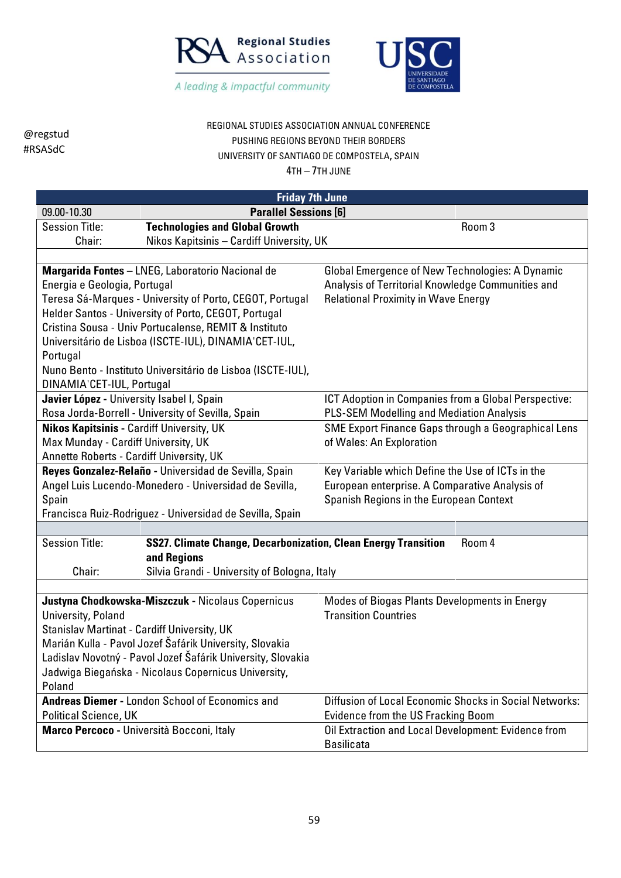



# REGIONAL STUDIES ASSOCIATION ANNUAL CONFERENCE PUSHING REGIONS BEYOND THEIR BORDERS UNIVERSITY OF SANTIAGO DE COMPOSTELA, SPAIN

| <b>Friday 7th June</b>                                      |                                                                       |                                                                                                 |  |
|-------------------------------------------------------------|-----------------------------------------------------------------------|-------------------------------------------------------------------------------------------------|--|
| 09.00-10.30                                                 | <b>Parallel Sessions [6]</b>                                          |                                                                                                 |  |
| <b>Session Title:</b>                                       | <b>Technologies and Global Growth</b>                                 | Room 3                                                                                          |  |
| Chair:                                                      | Nikos Kapitsinis - Cardiff University, UK                             |                                                                                                 |  |
|                                                             |                                                                       |                                                                                                 |  |
|                                                             | Margarida Fontes - LNEG, Laboratorio Nacional de                      | <b>Global Emergence of New Technologies: A Dynamic</b>                                          |  |
| Energia e Geologia, Portugal                                |                                                                       | Analysis of Territorial Knowledge Communities and                                               |  |
|                                                             | Teresa Sá-Marques - University of Porto, CEGOT, Portugal              | <b>Relational Proximity in Wave Energy</b>                                                      |  |
|                                                             | Helder Santos - University of Porto, CEGOT, Portugal                  |                                                                                                 |  |
|                                                             | Cristina Sousa - Univ Portucalense, REMIT & Instituto                 |                                                                                                 |  |
|                                                             | Universitário de Lisboa (ISCTE-IUL), DINAMIA'CET-IUL,                 |                                                                                                 |  |
| Portugal                                                    |                                                                       |                                                                                                 |  |
|                                                             | Nuno Bento - Instituto Universitário de Lisboa (ISCTE-IUL),           |                                                                                                 |  |
| DINAMIA'CET-IUL, Portugal                                   |                                                                       |                                                                                                 |  |
| Javier López - University Isabel I, Spain                   |                                                                       | ICT Adoption in Companies from a Global Perspective:                                            |  |
| <b>Nikos Kapitsinis - Cardiff University, UK</b>            | Rosa Jorda-Borrell - University of Sevilla, Spain                     | PLS-SEM Modelling and Mediation Analysis<br>SME Export Finance Gaps through a Geographical Lens |  |
| Max Munday - Cardiff University, UK                         |                                                                       | of Wales: An Exploration                                                                        |  |
| Annette Roberts - Cardiff University, UK                    |                                                                       |                                                                                                 |  |
|                                                             | Reyes Gonzalez-Relaño - Universidad de Sevilla, Spain                 | Key Variable which Define the Use of ICTs in the                                                |  |
|                                                             | Angel Luis Lucendo-Monedero - Universidad de Sevilla,                 | European enterprise. A Comparative Analysis of                                                  |  |
| Spain                                                       |                                                                       | Spanish Regions in the European Context                                                         |  |
|                                                             | Francisca Ruiz-Rodriguez - Universidad de Sevilla, Spain              |                                                                                                 |  |
|                                                             |                                                                       |                                                                                                 |  |
| <b>Session Title:</b>                                       | <b>SS27. Climate Change, Decarbonization, Clean Energy Transition</b> | Room 4                                                                                          |  |
|                                                             | and Regions                                                           |                                                                                                 |  |
| Chair:                                                      | Silvia Grandi - University of Bologna, Italy                          |                                                                                                 |  |
|                                                             |                                                                       |                                                                                                 |  |
|                                                             | Justyna Chodkowska-Miszczuk - Nicolaus Copernicus                     | <b>Modes of Biogas Plants Developments in Energy</b>                                            |  |
| University, Poland                                          |                                                                       | <b>Transition Countries</b>                                                                     |  |
| Stanislav Martinat - Cardiff University, UK                 |                                                                       |                                                                                                 |  |
|                                                             | Marián Kulla - Pavol Jozef Šafárik University, Slovakia               |                                                                                                 |  |
| Ladislav Novotný - Pavol Jozef Šafárik University, Slovakia |                                                                       |                                                                                                 |  |
|                                                             | Jadwiga Biegańska - Nicolaus Copernicus University,                   |                                                                                                 |  |
| Poland                                                      |                                                                       |                                                                                                 |  |
|                                                             | Andreas Diemer - London School of Economics and                       | Diffusion of Local Economic Shocks in Social Networks:                                          |  |
| Political Science, UK                                       |                                                                       | <b>Evidence from the US Fracking Boom</b>                                                       |  |
|                                                             | Marco Percoco - Università Bocconi, Italy                             | Oil Extraction and Local Development: Evidence from<br><b>Basilicata</b>                        |  |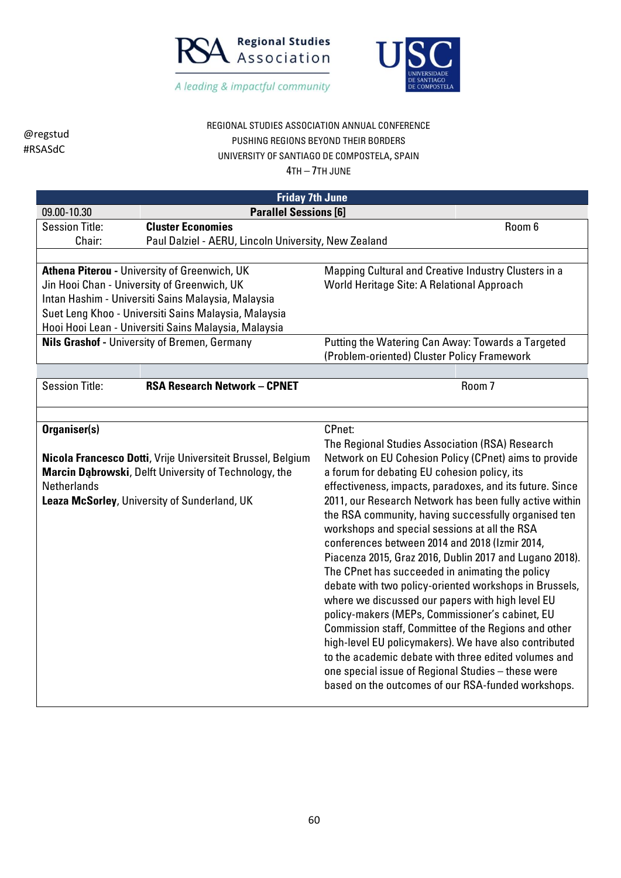



| REGIONAL STUDIES ASSOCIATION ANNUAL CONFERENCE |
|------------------------------------------------|
| PUSHING REGIONS BEYOND THEIR BORDERS           |
| UNIVERSITY OF SANTIAGO DE COMPOSTELA, SPAIN    |

|                       | <b>Friday 7th June</b>                                                                                               |                                                                                                          |        |
|-----------------------|----------------------------------------------------------------------------------------------------------------------|----------------------------------------------------------------------------------------------------------|--------|
| 09.00-10.30           | <b>Parallel Sessions [6]</b>                                                                                         |                                                                                                          |        |
| <b>Session Title:</b> | <b>Cluster Economies</b>                                                                                             |                                                                                                          | Room 6 |
| Chair:                | Paul Dalziel - AERU, Lincoln University, New Zealand                                                                 |                                                                                                          |        |
|                       |                                                                                                                      |                                                                                                          |        |
|                       | Athena Piterou - University of Greenwich, UK                                                                         | Mapping Cultural and Creative Industry Clusters in a                                                     |        |
|                       | Jin Hooi Chan - University of Greenwich, UK                                                                          | World Heritage Site: A Relational Approach                                                               |        |
|                       | Intan Hashim - Universiti Sains Malaysia, Malaysia                                                                   |                                                                                                          |        |
|                       | Suet Leng Khoo - Universiti Sains Malaysia, Malaysia                                                                 |                                                                                                          |        |
|                       | Hooi Hooi Lean - Universiti Sains Malaysia, Malaysia                                                                 |                                                                                                          |        |
|                       | <b>Nils Grashof - University of Bremen, Germany</b>                                                                  | Putting the Watering Can Away: Towards a Targeted<br>(Problem-oriented) Cluster Policy Framework         |        |
|                       |                                                                                                                      |                                                                                                          |        |
| <b>Session Title:</b> | <b>RSA Research Network - CPNET</b>                                                                                  |                                                                                                          | Room 7 |
|                       |                                                                                                                      |                                                                                                          |        |
|                       |                                                                                                                      |                                                                                                          |        |
| Organiser(s)          |                                                                                                                      | CPnet:                                                                                                   |        |
|                       |                                                                                                                      | The Regional Studies Association (RSA) Research<br>Network on EU Cohesion Policy (CPnet) aims to provide |        |
|                       | Nicola Francesco Dotti, Vrije Universiteit Brussel, Belgium<br>Marcin Dąbrowski, Delft University of Technology, the | a forum for debating EU cohesion policy, its                                                             |        |
| <b>Netherlands</b>    |                                                                                                                      | effectiveness, impacts, paradoxes, and its future. Since                                                 |        |
|                       | Leaza McSorley, University of Sunderland, UK                                                                         | 2011, our Research Network has been fully active within                                                  |        |
|                       |                                                                                                                      | the RSA community, having successfully organised ten                                                     |        |
|                       |                                                                                                                      | workshops and special sessions at all the RSA                                                            |        |
|                       |                                                                                                                      | conferences between 2014 and 2018 (Izmir 2014,                                                           |        |
|                       |                                                                                                                      | Piacenza 2015, Graz 2016, Dublin 2017 and Lugano 2018).                                                  |        |
|                       |                                                                                                                      | The CPnet has succeeded in animating the policy                                                          |        |
|                       |                                                                                                                      | debate with two policy-oriented workshops in Brussels,                                                   |        |
|                       |                                                                                                                      | where we discussed our papers with high level EU                                                         |        |
|                       |                                                                                                                      | policy-makers (MEPs, Commissioner's cabinet, EU                                                          |        |
|                       |                                                                                                                      | Commission staff, Committee of the Regions and other                                                     |        |
|                       |                                                                                                                      | high-level EU policymakers). We have also contributed                                                    |        |
|                       |                                                                                                                      | to the academic debate with three edited volumes and                                                     |        |
|                       |                                                                                                                      | one special issue of Regional Studies - these were                                                       |        |
|                       |                                                                                                                      | based on the outcomes of our RSA-funded workshops.                                                       |        |
|                       |                                                                                                                      |                                                                                                          |        |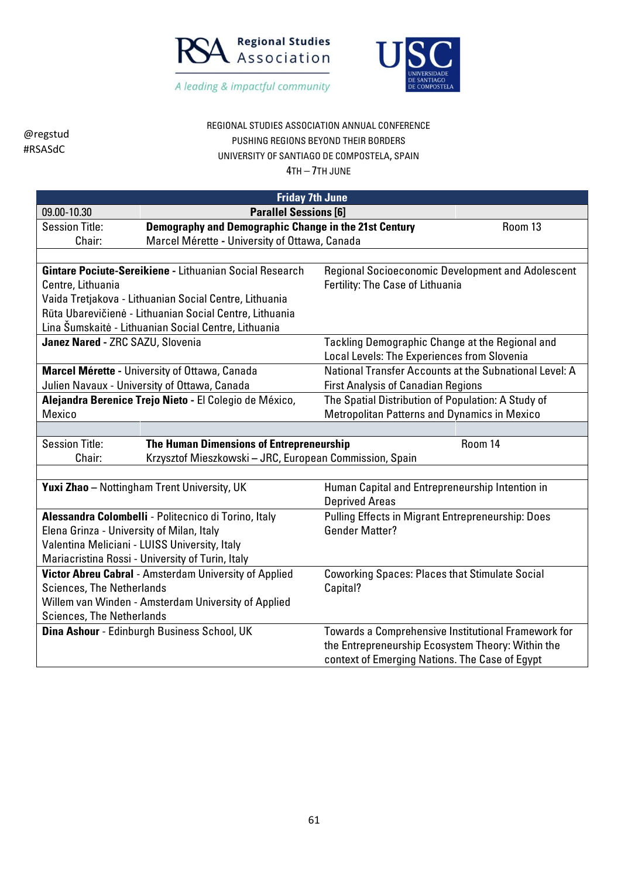



# REGIONAL STUDIES ASSOCIATION ANNUAL CONFERENCE PUSHING REGIONS BEYOND THEIR BORDERS UNIVERSITY OF SANTIAGO DE COMPOSTELA, SPAIN

|                                                                   | <b>Friday 7th June</b>                                  |                                                          |  |
|-------------------------------------------------------------------|---------------------------------------------------------|----------------------------------------------------------|--|
| 09.00-10.30                                                       | <b>Parallel Sessions [6]</b>                            |                                                          |  |
| <b>Session Title:</b>                                             | Demography and Demographic Change in the 21st Century   | Room 13                                                  |  |
| Chair:                                                            | Marcel Mérette - University of Ottawa, Canada           |                                                          |  |
|                                                                   |                                                         |                                                          |  |
|                                                                   | Gintare Pociute-Sereikiene - Lithuanian Social Research | <b>Regional Socioeconomic Development and Adolescent</b> |  |
| Centre, Lithuania                                                 |                                                         | Fertility: The Case of Lithuania                         |  |
|                                                                   | Vaida Tretjakova - Lithuanian Social Centre, Lithuania  |                                                          |  |
|                                                                   | Rūta Ubarevičienė - Lithuanian Social Centre, Lithuania |                                                          |  |
|                                                                   | Lina Šumskaitė - Lithuanian Social Centre, Lithuania    |                                                          |  |
| Janez Nared - ZRC SAZU, Slovenia                                  |                                                         | Tackling Demographic Change at the Regional and          |  |
|                                                                   |                                                         | Local Levels: The Experiences from Slovenia              |  |
|                                                                   | Marcel Mérette - University of Ottawa, Canada           | National Transfer Accounts at the Subnational Level: A   |  |
|                                                                   | Julien Navaux - University of Ottawa, Canada            | <b>First Analysis of Canadian Regions</b>                |  |
|                                                                   | Alejandra Berenice Trejo Nieto - El Colegio de México,  | The Spatial Distribution of Population: A Study of       |  |
| Mexico                                                            |                                                         | <b>Metropolitan Patterns and Dynamics in Mexico</b>      |  |
|                                                                   |                                                         |                                                          |  |
| <b>Session Title:</b>                                             | The Human Dimensions of Entrepreneurship                | Room 14                                                  |  |
| Krzysztof Mieszkowski - JRC, European Commission, Spain<br>Chair: |                                                         |                                                          |  |
|                                                                   |                                                         |                                                          |  |
|                                                                   | <b>Yuxi Zhao</b> - Nottingham Trent University, UK      | Human Capital and Entrepreneurship Intention in          |  |
|                                                                   |                                                         | <b>Deprived Areas</b>                                    |  |
|                                                                   | Alessandra Colombelli - Politecnico di Torino, Italy    | <b>Pulling Effects in Migrant Entrepreneurship: Does</b> |  |
| Elena Grinza - University of Milan, Italy                         |                                                         | <b>Gender Matter?</b>                                    |  |
|                                                                   | Valentina Meliciani - LUISS University, Italy           |                                                          |  |
|                                                                   | Mariacristina Rossi - University of Turin, Italy        |                                                          |  |
|                                                                   | Victor Abreu Cabral - Amsterdam University of Applied   | <b>Coworking Spaces: Places that Stimulate Social</b>    |  |
| <b>Sciences, The Netherlands</b>                                  |                                                         | Capital?                                                 |  |
| Willem van Winden - Amsterdam University of Applied               |                                                         |                                                          |  |
| <b>Sciences, The Netherlands</b>                                  |                                                         |                                                          |  |
|                                                                   | Dina Ashour - Edinburgh Business School, UK             | Towards a Comprehensive Institutional Framework for      |  |
|                                                                   |                                                         | the Entrepreneurship Ecosystem Theory: Within the        |  |
|                                                                   |                                                         | context of Emerging Nations. The Case of Egypt           |  |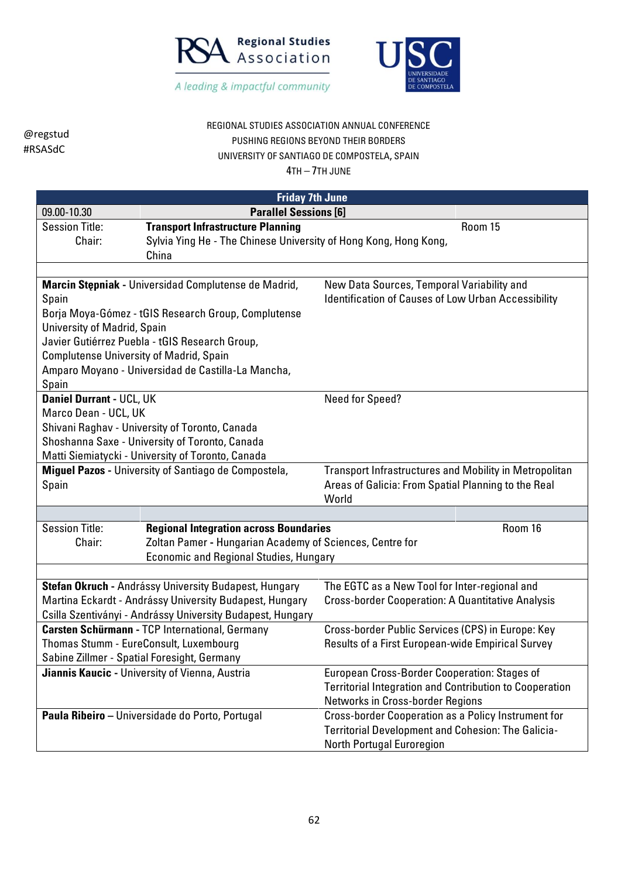



## REGIONAL STUDIES ASSOCIATION ANNUAL CONFERENCE PUSHING REGIONS BEYOND THEIR BORDERS UNIVERSITY OF SANTIAGO DE COMPOSTELA, SPAIN

|                                                | <b>Friday 7th June</b>                                                    |                                                                |         |
|------------------------------------------------|---------------------------------------------------------------------------|----------------------------------------------------------------|---------|
| 09.00-10.30                                    | <b>Parallel Sessions [6]</b>                                              |                                                                |         |
| <b>Session Title:</b>                          | <b>Transport Infrastructure Planning</b>                                  |                                                                | Room 15 |
| Chair:                                         | Sylvia Ying He - The Chinese University of Hong Kong, Hong Kong,<br>China |                                                                |         |
|                                                |                                                                           |                                                                |         |
|                                                | Marcin Stępniak - Universidad Complutense de Madrid,                      | New Data Sources, Temporal Variability and                     |         |
| Spain                                          |                                                                           | <b>Identification of Causes of Low Urban Accessibility</b>     |         |
|                                                | Borja Moya-Gómez - tGIS Research Group, Complutense                       |                                                                |         |
| University of Madrid, Spain                    |                                                                           |                                                                |         |
|                                                | Javier Gutiérrez Puebla - tGIS Research Group,                            |                                                                |         |
| <b>Complutense University of Madrid, Spain</b> |                                                                           |                                                                |         |
|                                                | Amparo Moyano - Universidad de Castilla-La Mancha,                        |                                                                |         |
| Spain                                          |                                                                           |                                                                |         |
| <b>Daniel Durrant - UCL, UK</b>                |                                                                           | Need for Speed?                                                |         |
| Marco Dean - UCL, UK                           |                                                                           |                                                                |         |
|                                                | Shivani Raghav - University of Toronto, Canada                            |                                                                |         |
|                                                | Shoshanna Saxe - University of Toronto, Canada                            |                                                                |         |
|                                                | Matti Siemiatycki - University of Toronto, Canada                         |                                                                |         |
|                                                | Miguel Pazos - University of Santiago de Compostela,                      | <b>Transport Infrastructures and Mobility in Metropolitan</b>  |         |
| Spain                                          |                                                                           | Areas of Galicia: From Spatial Planning to the Real            |         |
|                                                |                                                                           | World                                                          |         |
| Session Title:                                 | <b>Regional Integration across Boundaries</b>                             |                                                                | Room 16 |
| Chair:                                         | Zoltan Pamer - Hungarian Academy of Sciences, Centre for                  |                                                                |         |
|                                                | <b>Economic and Regional Studies, Hungary</b>                             |                                                                |         |
|                                                |                                                                           |                                                                |         |
|                                                | Stefan Okruch - Andrássy University Budapest, Hungary                     | The EGTC as a New Tool for Inter-regional and                  |         |
|                                                | Martina Eckardt - Andrássy University Budapest, Hungary                   | <b>Cross-border Cooperation: A Quantitative Analysis</b>       |         |
|                                                | Csilla Szentiványi - Andrássy University Budapest, Hungary                |                                                                |         |
|                                                | Carsten Schürmann - TCP International, Germany                            | Cross-border Public Services (CPS) in Europe: Key              |         |
|                                                | Thomas Stumm - EureConsult, Luxembourg                                    | Results of a First European-wide Empirical Survey              |         |
|                                                | Sabine Zillmer - Spatial Foresight, Germany                               |                                                                |         |
|                                                | Jiannis Kaucic - University of Vienna, Austria                            | European Cross-Border Cooperation: Stages of                   |         |
|                                                |                                                                           | <b>Territorial Integration and Contribution to Cooperation</b> |         |
|                                                |                                                                           | Networks in Cross-border Regions                               |         |
|                                                | Paula Ribeiro - Universidade do Porto, Portugal                           | Cross-border Cooperation as a Policy Instrument for            |         |
|                                                |                                                                           | <b>Territorial Development and Cohesion: The Galicia-</b>      |         |
|                                                |                                                                           | <b>North Portugal Euroregion</b>                               |         |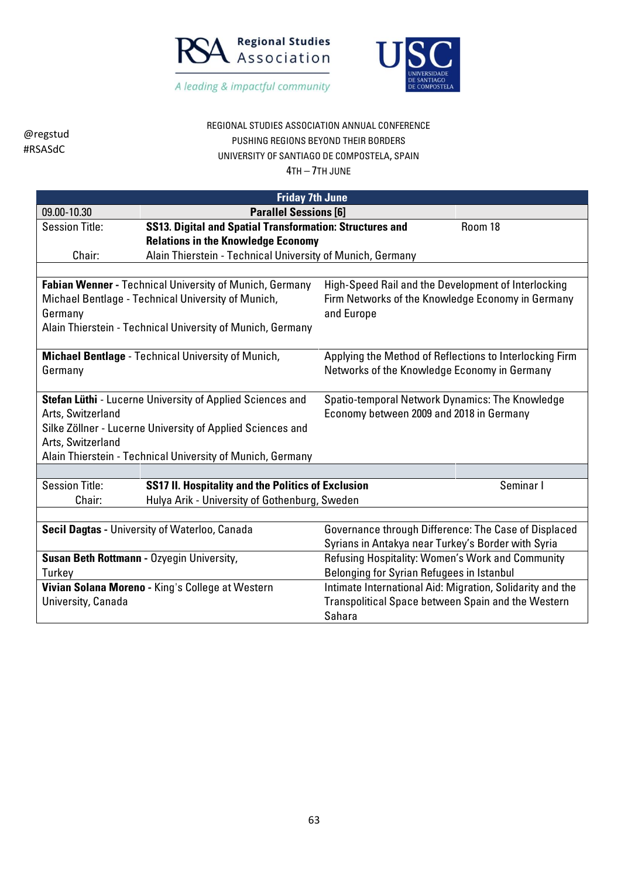



## REGIONAL STUDIES ASSOCIATION ANNUAL CONFERENCE PUSHING REGIONS BEYOND THEIR BORDERS UNIVERSITY OF SANTIAGO DE COMPOSTELA, SPAIN

| <b>Friday 7th June</b>                    |                                                                                                              |                                                           |           |
|-------------------------------------------|--------------------------------------------------------------------------------------------------------------|-----------------------------------------------------------|-----------|
| 09.00-10.30                               | <b>Parallel Sessions [6]</b>                                                                                 |                                                           |           |
| <b>Session Title:</b>                     | <b>SS13. Digital and Spatial Transformation: Structures and</b>                                              |                                                           | Room 18   |
|                                           | <b>Relations in the Knowledge Economy</b>                                                                    |                                                           |           |
| Chair:                                    | Alain Thierstein - Technical University of Munich, Germany                                                   |                                                           |           |
|                                           |                                                                                                              |                                                           |           |
|                                           | Fabian Wenner - Technical University of Munich, Germany                                                      | High-Speed Rail and the Development of Interlocking       |           |
|                                           | Michael Bentlage - Technical University of Munich,                                                           | Firm Networks of the Knowledge Economy in Germany         |           |
| Germany                                   |                                                                                                              | and Europe                                                |           |
|                                           | Alain Thierstein - Technical University of Munich, Germany                                                   |                                                           |           |
|                                           |                                                                                                              |                                                           |           |
|                                           | <b>Michael Bentlage</b> - Technical University of Munich,                                                    | Applying the Method of Reflections to Interlocking Firm   |           |
| Germany                                   |                                                                                                              | Networks of the Knowledge Economy in Germany              |           |
|                                           | Spatio-temporal Network Dynamics: The Knowledge<br>Stefan Lüthi - Lucerne University of Applied Sciences and |                                                           |           |
| Arts, Switzerland                         |                                                                                                              | Economy between 2009 and 2018 in Germany                  |           |
|                                           | Silke Zöllner - Lucerne University of Applied Sciences and                                                   |                                                           |           |
| Arts, Switzerland                         |                                                                                                              |                                                           |           |
|                                           | Alain Thierstein - Technical University of Munich, Germany                                                   |                                                           |           |
|                                           |                                                                                                              |                                                           |           |
| <b>Session Title:</b>                     | <b>SS17 II. Hospitality and the Politics of Exclusion</b>                                                    |                                                           | Seminar I |
| Chair:                                    | Hulya Arik - University of Gothenburg, Sweden                                                                |                                                           |           |
|                                           |                                                                                                              |                                                           |           |
|                                           | Secil Dagtas - University of Waterloo, Canada                                                                | Governance through Difference: The Case of Displaced      |           |
|                                           |                                                                                                              | Syrians in Antakya near Turkey's Border with Syria        |           |
| Susan Beth Rottmann - Ozyegin University, |                                                                                                              | Refusing Hospitality: Women's Work and Community          |           |
| Turkey                                    |                                                                                                              | Belonging for Syrian Refugees in Istanbul                 |           |
|                                           | Vivian Solana Moreno - King's College at Western                                                             | Intimate International Aid: Migration, Solidarity and the |           |
| University, Canada                        |                                                                                                              | Transpolitical Space between Spain and the Western        |           |
|                                           |                                                                                                              | Sahara                                                    |           |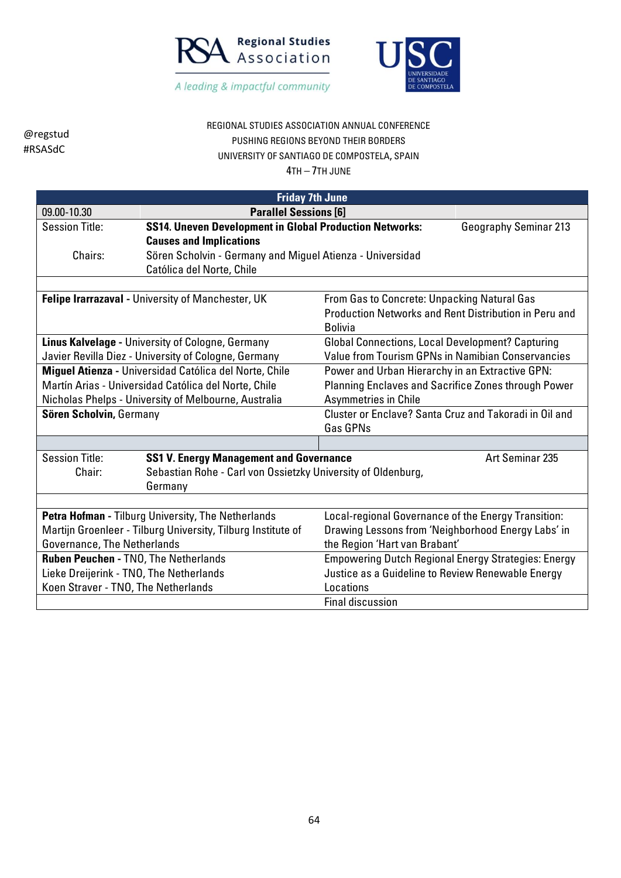



## REGIONAL STUDIES ASSOCIATION ANNUAL CONFERENCE PUSHING REGIONS BEYOND THEIR BORDERS UNIVERSITY OF SANTIAGO DE COMPOSTELA, SPAIN

| <b>Friday 7th June</b>                                                                                                                                                          |                                                                                                  |                                                                                                                                            |                                                            |
|---------------------------------------------------------------------------------------------------------------------------------------------------------------------------------|--------------------------------------------------------------------------------------------------|--------------------------------------------------------------------------------------------------------------------------------------------|------------------------------------------------------------|
| 09.00-10.30                                                                                                                                                                     | <b>Parallel Sessions [6]</b>                                                                     |                                                                                                                                            |                                                            |
| <b>Session Title:</b>                                                                                                                                                           | <b>SS14. Uneven Development in Global Production Networks:</b><br><b>Causes and Implications</b> |                                                                                                                                            | <b>Geography Seminar 213</b>                               |
| Chairs:                                                                                                                                                                         | Sören Scholvin - Germany and Miguel Atienza - Universidad<br>Católica del Norte, Chile           |                                                                                                                                            |                                                            |
| Felipe Irarrazaval - University of Manchester, UK<br>From Gas to Concrete: Unpacking Natural Gas<br>Production Networks and Rent Distribution in Peru and<br><b>Bolivia</b>     |                                                                                                  |                                                                                                                                            |                                                            |
| <b>Linus Kalvelage - University of Cologne, Germany</b><br>Javier Revilla Diez - University of Cologne, Germany                                                                 |                                                                                                  | <b>Global Connections, Local Development? Capturing</b><br>Value from Tourism GPNs in Namibian Conservancies                               |                                                            |
| Miguel Atienza - Universidad Católica del Norte, Chile<br>Martín Arias - Universidad Católica del Norte, Chile<br>Nicholas Phelps - University of Melbourne, Australia          |                                                                                                  | Power and Urban Hierarchy in an Extractive GPN:<br>Planning Enclaves and Sacrifice Zones through Power<br><b>Asymmetries in Chile</b>      |                                                            |
| Sören Scholvin, Germany                                                                                                                                                         |                                                                                                  | <b>Gas GPNs</b>                                                                                                                            | Cluster or Enclave? Santa Cruz and Takoradi in Oil and     |
|                                                                                                                                                                                 |                                                                                                  |                                                                                                                                            |                                                            |
| <b>Session Title:</b><br>Art Seminar 235<br><b>SS1 V. Energy Management and Governance</b><br>Sebastian Rohe - Carl von Ossietzky University of Oldenburg,<br>Chair:<br>Germany |                                                                                                  |                                                                                                                                            |                                                            |
|                                                                                                                                                                                 |                                                                                                  |                                                                                                                                            |                                                            |
| Petra Hofman - Tilburg University, The Netherlands<br>Martijn Groenleer - Tilburg University, Tilburg Institute of<br>Governance, The Netherlands                               |                                                                                                  | Local-regional Governance of the Energy Transition:<br>Drawing Lessons from 'Neighborhood Energy Labs' in<br>the Region 'Hart van Brabant' |                                                            |
| <b>Ruben Peuchen - TNO, The Netherlands</b><br>Lieke Dreijerink - TNO, The Netherlands<br>Koen Straver - TNO, The Netherlands                                                   |                                                                                                  | Justice as a Guideline to Review Renewable Energy<br>Locations                                                                             | <b>Empowering Dutch Regional Energy Strategies: Energy</b> |
|                                                                                                                                                                                 |                                                                                                  | <b>Final discussion</b>                                                                                                                    |                                                            |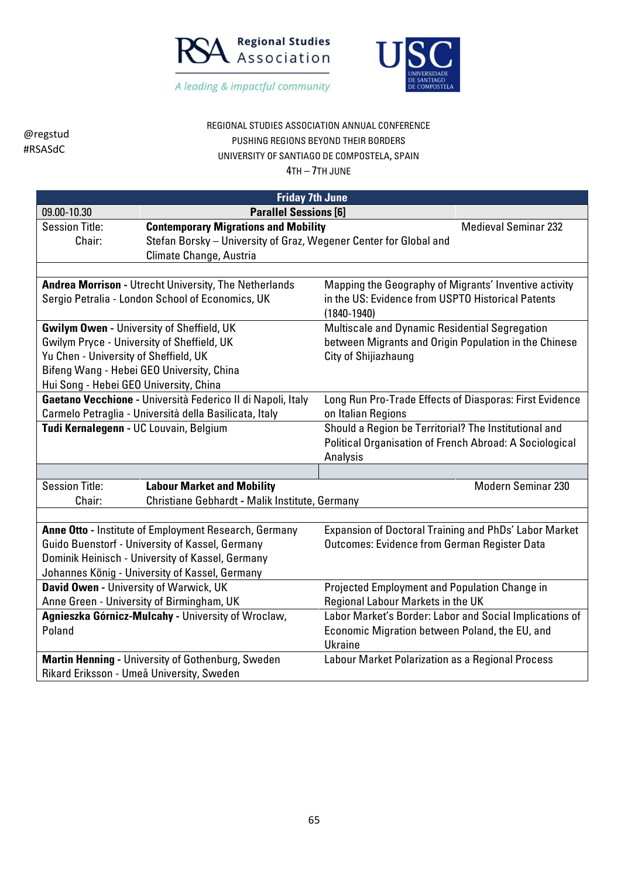



REGIONAL STUDIES ASSOCIATION ANNUAL CONFERENCE PUSHING REGIONS BEYOND THEIR BORDERS UNIVERSITY OF SANTIAGO DE COMPOSTELA, SPAIN

4TH – 7TH JUNE

| <b>Friday 7th June</b>                     |                                                                   |                                                                |  |
|--------------------------------------------|-------------------------------------------------------------------|----------------------------------------------------------------|--|
| 09.00-10.30                                | <b>Parallel Sessions [6]</b>                                      |                                                                |  |
| <b>Session Title:</b>                      | <b>Contemporary Migrations and Mobility</b>                       | <b>Medieval Seminar 232</b>                                    |  |
| Chair:                                     | Stefan Borsky - University of Graz, Wegener Center for Global and |                                                                |  |
|                                            | Climate Change, Austria                                           |                                                                |  |
|                                            | Andrea Morrison - Utrecht University, The Netherlands             | Mapping the Geography of Migrants' Inventive activity          |  |
|                                            | Sergio Petralia - London School of Economics, UK                  | in the US: Evidence from USPTO Historical Patents              |  |
|                                            |                                                                   | $(1840 - 1940)$                                                |  |
|                                            | <b>Gwilym Owen - University of Sheffield, UK</b>                  | Multiscale and Dynamic Residential Segregation                 |  |
| Gwilym Pryce - University of Sheffield, UK |                                                                   | between Migrants and Origin Population in the Chinese          |  |
| Yu Chen - University of Sheffield, UK      |                                                                   | City of Shijiazhaung                                           |  |
|                                            | Bifeng Wang - Hebei GEO University, China                         |                                                                |  |
| Hui Song - Hebei GEO University, China     |                                                                   |                                                                |  |
|                                            | Gaetano Vecchione - Università Federico II di Napoli, Italy       | Long Run Pro-Trade Effects of Diasporas: First Evidence        |  |
|                                            | Carmelo Petraglia - Università della Basilicata, Italy            | on Italian Regions                                             |  |
| Tudi Kernalegenn - UC Louvain, Belgium     |                                                                   | Should a Region be Territorial? The Institutional and          |  |
|                                            |                                                                   | <b>Political Organisation of French Abroad: A Sociological</b> |  |
|                                            |                                                                   | Analysis                                                       |  |
|                                            |                                                                   |                                                                |  |
| <b>Session Title:</b>                      | <b>Labour Market and Mobility</b>                                 | Modern Seminar 230                                             |  |
| Chair:                                     | Christiane Gebhardt - Malik Institute, Germany                    |                                                                |  |
|                                            |                                                                   |                                                                |  |
|                                            | Anne Otto - Institute of Employment Research, Germany             | Expansion of Doctoral Training and PhDs' Labor Market          |  |
|                                            | Guido Buenstorf - University of Kassel, Germany                   | <b>Outcomes: Evidence from German Register Data</b>            |  |
|                                            | Dominik Heinisch - University of Kassel, Germany                  |                                                                |  |
|                                            | Johannes König - University of Kassel, Germany                    |                                                                |  |
| David Owen - University of Warwick, UK     |                                                                   | Projected Employment and Population Change in                  |  |
| Anne Green - University of Birmingham, UK  |                                                                   | Regional Labour Markets in the UK                              |  |
|                                            | Agnieszka Górnicz-Mulcahy - University of Wroclaw,                | Labor Market's Border: Labor and Social Implications of        |  |
| Poland                                     |                                                                   | Economic Migration between Poland, the EU, and                 |  |
|                                            |                                                                   | <b>Ukraine</b>                                                 |  |
|                                            | Martin Henning - University of Gothenburg, Sweden                 | Labour Market Polarization as a Regional Process               |  |
| Rikard Eriksson - Umeå University, Sweden  |                                                                   |                                                                |  |

65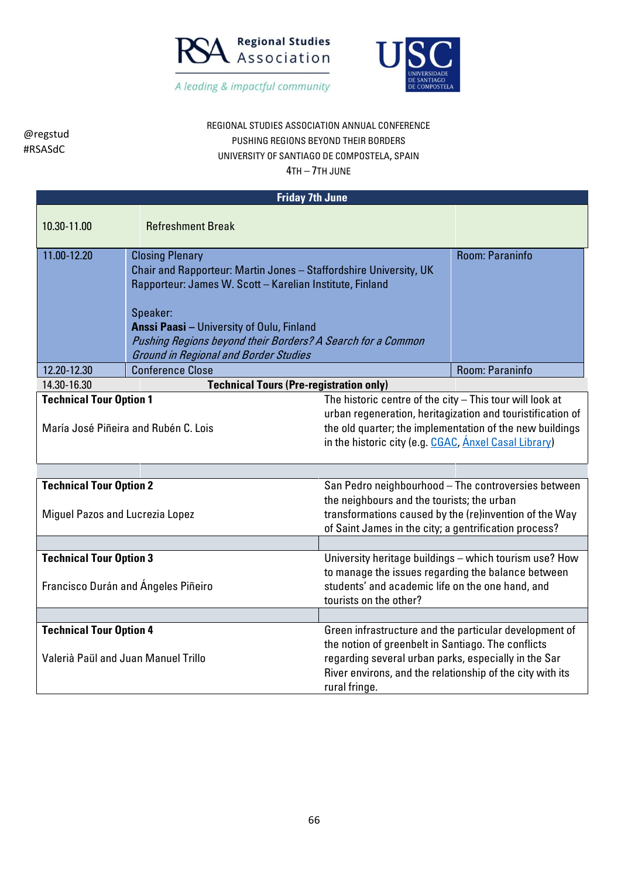



## REGIONAL STUDIES ASSOCIATION ANNUAL CONFERENCE PUSHING REGIONS BEYOND THEIR BORDERS UNIVERSITY OF SANTIAGO DE COMPOSTELA, SPAIN

| <b>Friday 7th June</b>                                                                                                                                                                                                                                                                                                |                                                                                                                                                                                                                                                                                                                                        |                                                                                                                                                                                          |                                                                                                                                                                  |  |
|-----------------------------------------------------------------------------------------------------------------------------------------------------------------------------------------------------------------------------------------------------------------------------------------------------------------------|----------------------------------------------------------------------------------------------------------------------------------------------------------------------------------------------------------------------------------------------------------------------------------------------------------------------------------------|------------------------------------------------------------------------------------------------------------------------------------------------------------------------------------------|------------------------------------------------------------------------------------------------------------------------------------------------------------------|--|
| 10.30-11.00                                                                                                                                                                                                                                                                                                           | <b>Refreshment Break</b>                                                                                                                                                                                                                                                                                                               |                                                                                                                                                                                          |                                                                                                                                                                  |  |
| 11.00-12.20                                                                                                                                                                                                                                                                                                           | <b>Closing Plenary</b><br>Chair and Rapporteur: Martin Jones - Staffordshire University, UK<br>Rapporteur: James W. Scott - Karelian Institute, Finland<br>Speaker:<br><b>Anssi Paasi - University of Oulu, Finland</b><br>Pushing Regions beyond their Borders? A Search for a Common<br><b>Ground in Regional and Border Studies</b> |                                                                                                                                                                                          | <b>Room: Paraninfo</b>                                                                                                                                           |  |
| 12.20-12.30                                                                                                                                                                                                                                                                                                           | <b>Conference Close</b>                                                                                                                                                                                                                                                                                                                |                                                                                                                                                                                          | Room: Paraninfo                                                                                                                                                  |  |
| 14.30-16.30                                                                                                                                                                                                                                                                                                           |                                                                                                                                                                                                                                                                                                                                        | <b>Technical Tours (Pre-registration only)</b>                                                                                                                                           |                                                                                                                                                                  |  |
| <b>Technical Tour Option 1</b><br>The historic centre of the city - This tour will look at<br>urban regeneration, heritagization and touristification of<br>the old quarter; the implementation of the new buildings<br>María José Piñeira and Rubén C. Lois<br>in the historic city (e.g. CGAC, Anxel Casal Library) |                                                                                                                                                                                                                                                                                                                                        |                                                                                                                                                                                          |                                                                                                                                                                  |  |
|                                                                                                                                                                                                                                                                                                                       |                                                                                                                                                                                                                                                                                                                                        |                                                                                                                                                                                          |                                                                                                                                                                  |  |
| <b>Technical Tour Option 2</b><br>Miguel Pazos and Lucrezia Lopez                                                                                                                                                                                                                                                     |                                                                                                                                                                                                                                                                                                                                        | the neighbours and the tourists; the urban<br>of Saint James in the city; a gentrification process?                                                                                      | San Pedro neighbourhood - The controversies between<br>transformations caused by the (re)invention of the Way                                                    |  |
|                                                                                                                                                                                                                                                                                                                       |                                                                                                                                                                                                                                                                                                                                        |                                                                                                                                                                                          |                                                                                                                                                                  |  |
| <b>Technical Tour Option 3</b><br>Francisco Durán and Ángeles Piñeiro                                                                                                                                                                                                                                                 |                                                                                                                                                                                                                                                                                                                                        | tourists on the other?                                                                                                                                                                   | University heritage buildings - which tourism use? How<br>to manage the issues regarding the balance between<br>students' and academic life on the one hand, and |  |
|                                                                                                                                                                                                                                                                                                                       |                                                                                                                                                                                                                                                                                                                                        |                                                                                                                                                                                          |                                                                                                                                                                  |  |
| <b>Technical Tour Option 4</b><br>Valerià Paül and Juan Manuel Trillo                                                                                                                                                                                                                                                 |                                                                                                                                                                                                                                                                                                                                        | the notion of greenbelt in Santiago. The conflicts<br>regarding several urban parks, especially in the Sar<br>River environs, and the relationship of the city with its<br>rural fringe. | Green infrastructure and the particular development of                                                                                                           |  |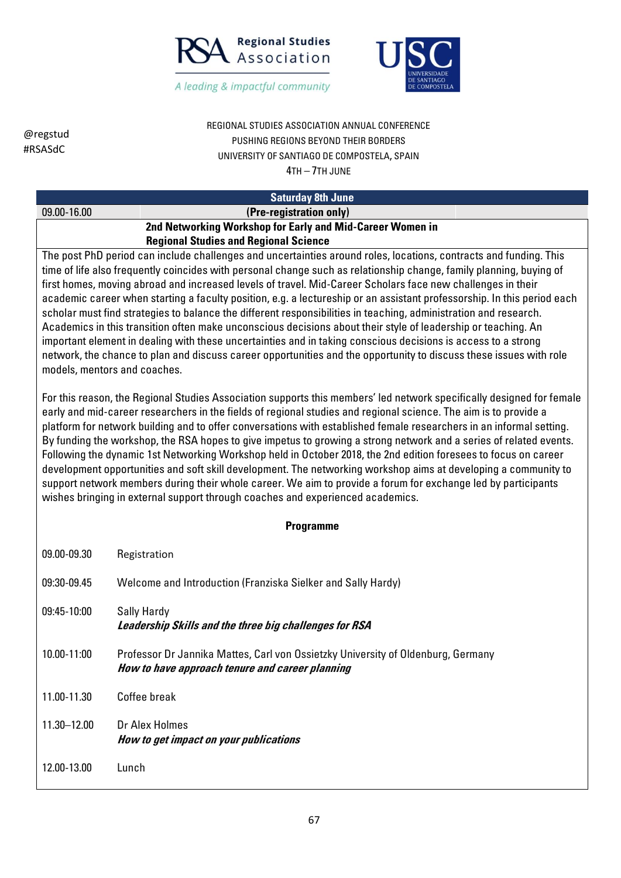



REGIONAL STUDIES ASSOCIATION ANNUAL CONFERENCE PUSHING REGIONS BEYOND THEIR BORDERS UNIVERSITY OF SANTIAGO DE COMPOSTELA, SPAIN 4TH – 7TH JUNE

#### **Saturday 8th June**

#### 09.00-16.00 **(Pre-registration only) 2nd Networking Workshop for Early and Mid-Career Women in Regional Studies and Regional Science**

The post PhD period can include challenges and uncertainties around roles, locations, contracts and funding. This time of life also frequently coincides with personal change such as relationship change, family planning, buying of first homes, moving abroad and increased levels of travel. Mid-Career Scholars face new challenges in their academic career when starting a faculty position, e.g. a lectureship or an assistant professorship. In this period each scholar must find strategies to balance the different responsibilities in teaching, administration and research. Academics in this transition often make unconscious decisions about their style of leadership or teaching. An important element in dealing with these uncertainties and in taking conscious decisions is access to a strong network, the chance to plan and discuss career opportunities and the opportunity to discuss these issues with role models, mentors and coaches.

For this reason, the Regional Studies Association supports this members' led network specifically designed for female early and mid-career researchers in the fields of regional studies and regional science. The aim is to provide a platform for network building and to offer conversations with established female researchers in an informal setting. By funding the workshop, the RSA hopes to give impetus to growing a strong network and a series of related events. Following the dynamic 1st Networking Workshop held in October 2018, the 2nd edition foresees to focus on career development opportunities and soft skill development. The networking workshop aims at developing a community to support network members during their whole career. We aim to provide a forum for exchange led by participants wishes bringing in external support through coaches and experienced academics.

#### **Programme**

| 09.00-09.30     | Registration                                                                                                                        |
|-----------------|-------------------------------------------------------------------------------------------------------------------------------------|
| 09:30-09.45     | Welcome and Introduction (Franziska Sielker and Sally Hardy)                                                                        |
| $09:45-10:00$   | Sally Hardy<br>Leadership Skills and the three big challenges for RSA                                                               |
| 10.00-11:00     | Professor Dr Jannika Mattes, Carl von Ossietzky University of Oldenburg, Germany<br>How to have approach tenure and career planning |
| 11.00-11.30     | Coffee break                                                                                                                        |
| $11.30 - 12.00$ | Dr Alex Holmes<br>How to get impact on your publications                                                                            |
| 12.00-13.00     | Lunch                                                                                                                               |

@regstud #RSASdC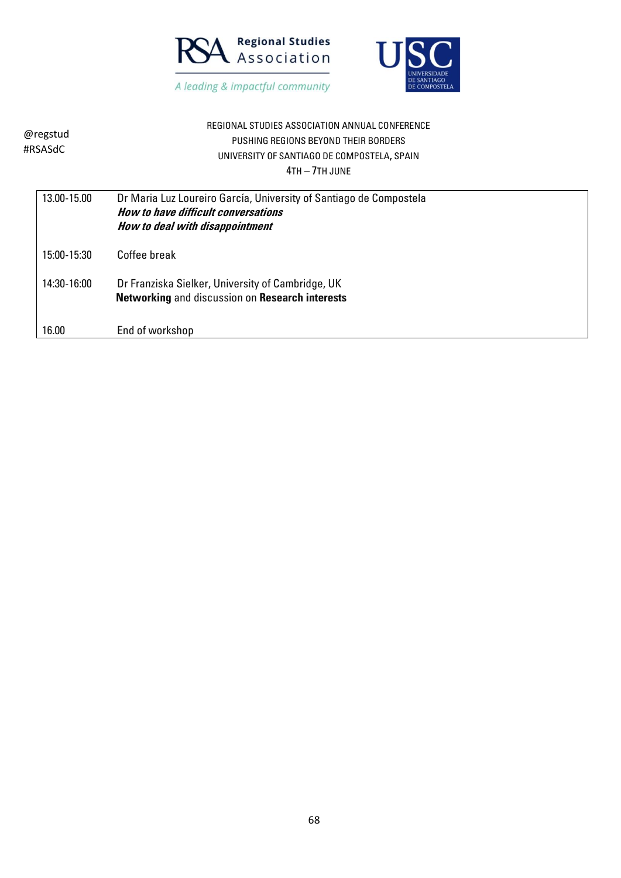



| @regstud<br>#RSASdC | REGIONAL STUDIES ASSOCIATION ANNUAL CONFERENCE<br>PUSHING REGIONS BEYOND THEIR BORDERS<br>UNIVERSITY OF SANTIAGO DE COMPOSTELA, SPAIN<br>$4TH - 7TH$ JUNE |
|---------------------|-----------------------------------------------------------------------------------------------------------------------------------------------------------|
| 13.00-15.00         | Dr Maria Luz Loureiro García, University of Santiago de Compostela<br>How to have difficult conversations<br>How to deal with disappointment              |
| 15:00-15:30         | Coffee break                                                                                                                                              |
| 14:30-16:00         | Dr Franziska Sielker, University of Cambridge, UK<br><b>Networking and discussion on Research interests</b>                                               |
| 16.00               | End of workshop                                                                                                                                           |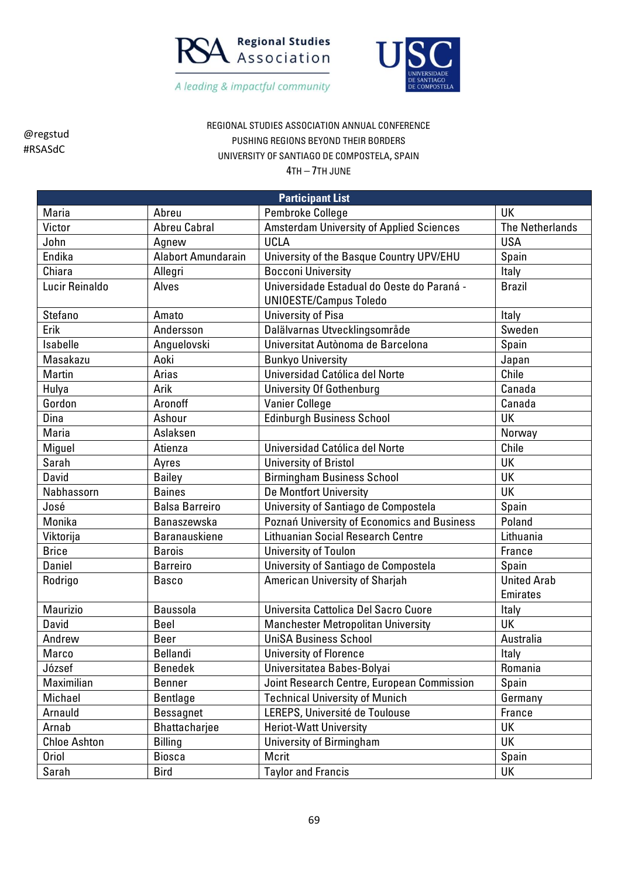



REGIONAL STUDIES ASSOCIATION ANNUAL CONFERENCE PUSHING REGIONS BEYOND THEIR BORDERS UNIVERSITY OF SANTIAGO DE COMPOSTELA, SPAIN

|                     | <b>Participant List</b>   |                                                 |                        |  |  |
|---------------------|---------------------------|-------------------------------------------------|------------------------|--|--|
| Maria               | Abreu                     | Pembroke College                                | UK                     |  |  |
| Victor              | <b>Abreu Cabral</b>       | <b>Amsterdam University of Applied Sciences</b> | <b>The Netherlands</b> |  |  |
| John                | Agnew                     | <b>UCLA</b>                                     | <b>USA</b>             |  |  |
| Endika              | <b>Alabort Amundarain</b> | University of the Basque Country UPV/EHU        | Spain                  |  |  |
| Chiara              | Allegri                   | <b>Bocconi University</b>                       | Italy                  |  |  |
| Lucir Reinaldo      | Alves                     | Universidade Estadual do Oeste do Paraná -      | <b>Brazil</b>          |  |  |
|                     |                           | <b>UNIOESTE/Campus Toledo</b>                   |                        |  |  |
| Stefano             | Amato                     | <b>University of Pisa</b>                       | Italy                  |  |  |
| Erik                | Andersson                 | Dalälvarnas Utvecklingsområde                   | Sweden                 |  |  |
| Isabelle            | Anguelovski               | Universitat Autònoma de Barcelona               | Spain                  |  |  |
| Masakazu            | Aoki                      | <b>Bunkyo University</b>                        | Japan                  |  |  |
| Martin              | Arias                     | Universidad Católica del Norte                  | Chile                  |  |  |
| Hulya               | Arik                      | <b>University Of Gothenburg</b>                 | Canada                 |  |  |
| Gordon              | Aronoff                   | <b>Vanier College</b>                           | Canada                 |  |  |
| Dina                | Ashour                    | <b>Edinburgh Business School</b>                | UK                     |  |  |
| Maria               | Aslaksen                  |                                                 | Norway                 |  |  |
| Miguel              | Atienza                   | Universidad Católica del Norte                  | Chile                  |  |  |
| Sarah               | Ayres                     | <b>University of Bristol</b>                    | UK                     |  |  |
| David               | <b>Bailey</b>             | <b>Birmingham Business School</b>               | UK                     |  |  |
| Nabhassorn          | <b>Baines</b>             | De Montfort University                          | UK                     |  |  |
| José                | <b>Balsa Barreiro</b>     | University of Santiago de Compostela            | Spain                  |  |  |
| Monika              | Banaszewska               | Poznań University of Economics and Business     | Poland                 |  |  |
| Viktorija           | <b>Baranauskiene</b>      | <b>Lithuanian Social Research Centre</b>        | Lithuania              |  |  |
| <b>Brice</b>        | <b>Barois</b>             | University of Toulon                            | France                 |  |  |
| Daniel              | <b>Barreiro</b>           | University of Santiago de Compostela            | Spain                  |  |  |
| Rodrigo             | <b>Basco</b>              | American University of Sharjah                  | <b>United Arab</b>     |  |  |
|                     |                           |                                                 | <b>Emirates</b>        |  |  |
| Maurizio            | <b>Baussola</b>           | Universita Cattolica Del Sacro Cuore            | Italy                  |  |  |
| David               | Beel                      | <b>Manchester Metropolitan University</b>       | UK                     |  |  |
| Andrew              | <b>Beer</b>               | <b>UniSA Business School</b>                    | Australia              |  |  |
| Marco               | Bellandi                  | <b>University of Florence</b>                   | Italy                  |  |  |
| József              | <b>Benedek</b>            | Universitatea Babes-Bolyai                      | Romania                |  |  |
| Maximilian          | <b>Benner</b>             | Joint Research Centre, European Commission      | Spain                  |  |  |
| Michael             | <b>Bentlage</b>           | <b>Technical University of Munich</b>           | Germany                |  |  |
| Arnauld             | <b>Bessagnet</b>          | LEREPS, Université de Toulouse                  | France                 |  |  |
| Arnab               | Bhattacharjee             | <b>Heriot-Watt University</b>                   | UK                     |  |  |
| <b>Chloe Ashton</b> | <b>Billing</b>            | University of Birmingham                        | UK                     |  |  |
| <b>Oriol</b>        | <b>Biosca</b>             | Mcrit                                           | Spain                  |  |  |
| Sarah               | <b>Bird</b>               | <b>Taylor and Francis</b>                       | UK                     |  |  |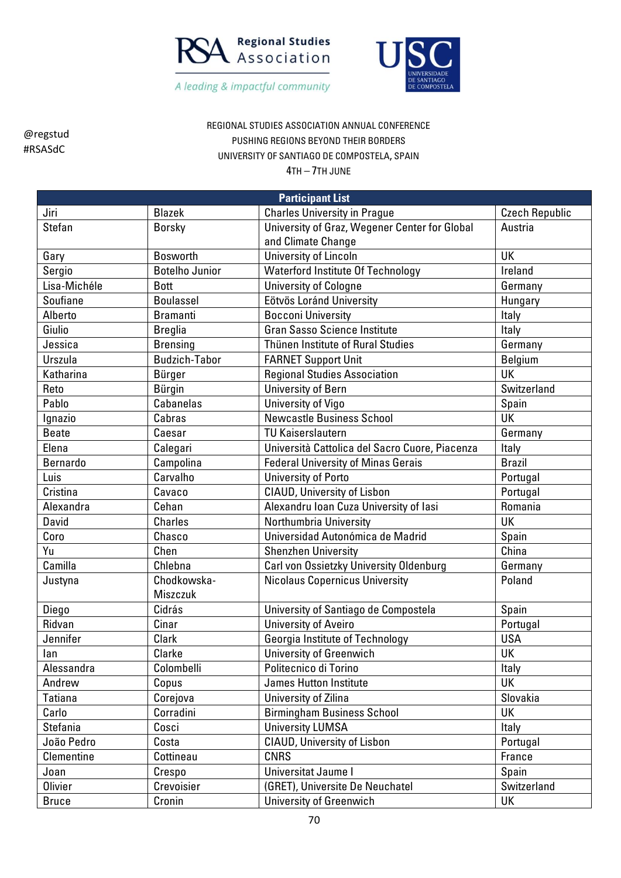



REGIONAL STUDIES ASSOCIATION ANNUAL CONFERENCE PUSHING REGIONS BEYOND THEIR BORDERS UNIVERSITY OF SANTIAGO DE COMPOSTELA, SPAIN

| <b>Participant List</b> |                       |                                                |                       |  |
|-------------------------|-----------------------|------------------------------------------------|-----------------------|--|
| Jiri                    | <b>Blazek</b>         | <b>Charles University in Prague</b>            | <b>Czech Republic</b> |  |
| <b>Stefan</b>           | <b>Borsky</b>         | University of Graz, Wegener Center for Global  | Austria               |  |
|                         |                       | and Climate Change                             |                       |  |
| Gary                    | <b>Bosworth</b>       | University of Lincoln                          | UK                    |  |
| Sergio                  | <b>Botelho Junior</b> | <b>Waterford Institute Of Technology</b>       | Ireland               |  |
| Lisa-Michéle            | <b>Bott</b>           | <b>University of Cologne</b>                   | Germany               |  |
| Soufiane                | <b>Boulassel</b>      | Eötvös Loránd University                       | Hungary               |  |
| Alberto                 | <b>Bramanti</b>       | <b>Bocconi University</b>                      | Italy                 |  |
| Giulio                  | <b>Breglia</b>        | <b>Gran Sasso Science Institute</b>            | Italy                 |  |
| Jessica                 | <b>Brensing</b>       | Thünen Institute of Rural Studies              | Germany               |  |
| Urszula                 | <b>Budzich-Tabor</b>  | <b>FARNET Support Unit</b>                     | <b>Belgium</b>        |  |
| Katharina               | Bürger                | <b>Regional Studies Association</b>            | <b>UK</b>             |  |
| Reto                    | <b>Bürgin</b>         | University of Bern                             | Switzerland           |  |
| Pablo                   | <b>Cabanelas</b>      | University of Vigo                             | Spain                 |  |
| Ignazio                 | Cabras                | <b>Newcastle Business School</b>               | UK                    |  |
| <b>Beate</b>            | Caesar                | <b>TU Kaiserslautern</b>                       | Germany               |  |
| Elena                   | Calegari              | Università Cattolica del Sacro Cuore, Piacenza | Italy                 |  |
| Bernardo                | Campolina             | <b>Federal University of Minas Gerais</b>      | <b>Brazil</b>         |  |
| Luis                    | Carvalho              | <b>University of Porto</b>                     | Portugal              |  |
| Cristina                | Cavaco                | <b>CIAUD, University of Lisbon</b>             | Portugal              |  |
| Alexandra               | Cehan                 | Alexandru Ioan Cuza University of Iasi         | Romania               |  |
| David                   | <b>Charles</b>        | Northumbria University                         | UK                    |  |
| Coro                    | Chasco                | Universidad Autonómica de Madrid               | Spain                 |  |
| Yu                      | Chen                  | <b>Shenzhen University</b>                     | China                 |  |
| Camilla                 | Chlebna               | Carl von Ossietzky University Oldenburg        | Germany               |  |
| Justyna                 | Chodkowska-           | <b>Nicolaus Copernicus University</b>          | Poland                |  |
|                         | Miszczuk              |                                                |                       |  |
| Diego                   | Cidrás                | University of Santiago de Compostela           | Spain                 |  |
| Ridvan                  | Cinar                 | <b>University of Aveiro</b>                    | Portugal              |  |
| Jennifer                | Clark                 | Georgia Institute of Technology                | <b>USA</b>            |  |
| lan                     | Clarke                | <b>University of Greenwich</b>                 | UK                    |  |
| Alessandra              | Colombelli            | Politecnico di Torino                          | Italy                 |  |
| Andrew                  | Copus                 | <b>James Hutton Institute</b>                  | UK                    |  |
| Tatiana                 | Corejova              | University of Zilina                           | Slovakia              |  |
| Carlo                   | Corradini             | <b>Birmingham Business School</b>              | UK                    |  |
| Stefania                | Cosci                 | <b>University LUMSA</b>                        | Italy                 |  |
| João Pedro              | Costa                 | <b>CIAUD, University of Lisbon</b>             | Portugal              |  |
| Clementine              | Cottineau             | <b>CNRS</b>                                    | France                |  |
| Joan                    | Crespo                | Universitat Jaume I                            | Spain                 |  |
| <b>Olivier</b>          | Crevoisier            | (GRET), Universite De Neuchatel                | Switzerland           |  |
| <b>Bruce</b>            | Cronin                | <b>University of Greenwich</b>                 | UK                    |  |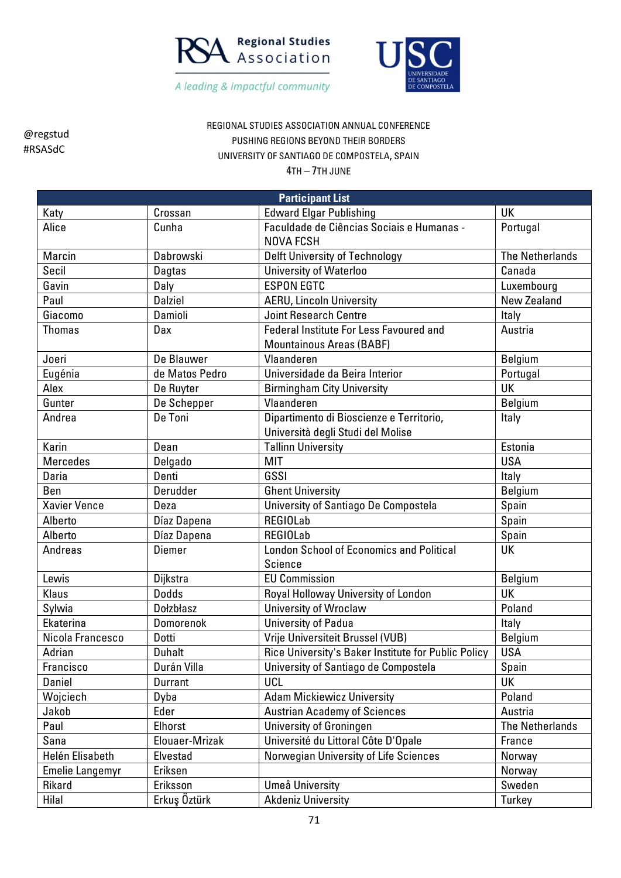



REGIONAL STUDIES ASSOCIATION ANNUAL CONFERENCE PUSHING REGIONS BEYOND THEIR BORDERS UNIVERSITY OF SANTIAGO DE COMPOSTELA, SPAIN

| <b>Participant List</b> |                  |                                                     |                        |  |
|-------------------------|------------------|-----------------------------------------------------|------------------------|--|
| Katy                    | Crossan          | <b>Edward Elgar Publishing</b>                      | UK                     |  |
| Alice                   | Cunha            | Faculdade de Ciências Sociais e Humanas -           | Portugal               |  |
|                         |                  | <b>NOVA FCSH</b>                                    |                        |  |
| Marcin                  | Dabrowski        | <b>Delft University of Technology</b>               | <b>The Netherlands</b> |  |
| Secil                   | <b>Dagtas</b>    | <b>University of Waterloo</b>                       | Canada                 |  |
| Gavin                   | Daly             | <b>ESPON EGTC</b>                                   | Luxembourg             |  |
| Paul                    | <b>Dalziel</b>   | <b>AERU, Lincoln University</b>                     | New Zealand            |  |
| Giacomo                 | Damioli          | <b>Joint Research Centre</b>                        | Italy                  |  |
| <b>Thomas</b>           | Dax              | Federal Institute For Less Favoured and             | Austria                |  |
|                         |                  | <b>Mountainous Areas (BABF)</b>                     |                        |  |
| Joeri                   | De Blauwer       | Vlaanderen                                          | <b>Belgium</b>         |  |
| Eugénia                 | de Matos Pedro   | Universidade da Beira Interior                      | Portugal               |  |
| Alex                    | De Ruyter        | <b>Birmingham City University</b>                   | UK                     |  |
| Gunter                  | De Schepper      | Vlaanderen                                          | Belgium                |  |
| Andrea                  | De Toni          | Dipartimento di Bioscienze e Territorio,            | Italy                  |  |
|                         |                  | Università degli Studi del Molise                   |                        |  |
| Karin                   | Dean             | <b>Tallinn University</b>                           | Estonia                |  |
| <b>Mercedes</b>         | Delgado          | MIT                                                 | <b>USA</b>             |  |
| Daria                   | Denti            | GSSI                                                | Italy                  |  |
| Ben                     | Derudder         | <b>Ghent University</b>                             | Belgium                |  |
| <b>Xavier Vence</b>     | Deza             | University of Santiago De Compostela                | Spain                  |  |
| Alberto                 | Díaz Dapena      | <b>REGIOLab</b>                                     | Spain                  |  |
| Alberto                 | Díaz Dapena      | <b>REGIOLab</b>                                     | Spain                  |  |
| Andreas                 | <b>Diemer</b>    | <b>London School of Economics and Political</b>     | <b>UK</b>              |  |
|                         |                  | Science                                             |                        |  |
| Lewis                   | Dijkstra         | <b>EU Commission</b>                                | Belgium                |  |
| Klaus                   | <b>Dodds</b>     | Royal Holloway University of London                 | <b>UK</b>              |  |
| Sylwia                  | <b>Dolzblasz</b> | <b>University of Wroclaw</b>                        | Poland                 |  |
| Ekaterina               | Domorenok        | University of Padua                                 | Italy                  |  |
| Nicola Francesco        | Dotti            | Vrije Universiteit Brussel (VUB)                    | Belgium                |  |
| Adrian                  | <b>Duhalt</b>    | Rice University's Baker Institute for Public Policy | <b>USA</b>             |  |
| Francisco               | Durán Villa      | University of Santiago de Compostela                | Spain                  |  |
| Daniel                  | Durrant          | <b>UCL</b>                                          | UK                     |  |
| Wojciech                | Dyba             | <b>Adam Mickiewicz University</b>                   | Poland                 |  |
| Jakob                   | Eder             | <b>Austrian Academy of Sciences</b>                 | Austria                |  |
| Paul                    | Elhorst          | University of Groningen                             | <b>The Netherlands</b> |  |
| Sana                    | Elouaer-Mrizak   | Université du Littoral Côte D'Opale                 | France                 |  |
| Helén Elisabeth         | Elvestad         | Norwegian University of Life Sciences               | Norway                 |  |
| <b>Emelie Langemyr</b>  | Eriksen          |                                                     | Norway                 |  |
| Rikard                  | Eriksson         | Umeå University                                     | Sweden                 |  |
| Hilal                   | Erkuş Öztürk     | <b>Akdeniz University</b>                           | Turkey                 |  |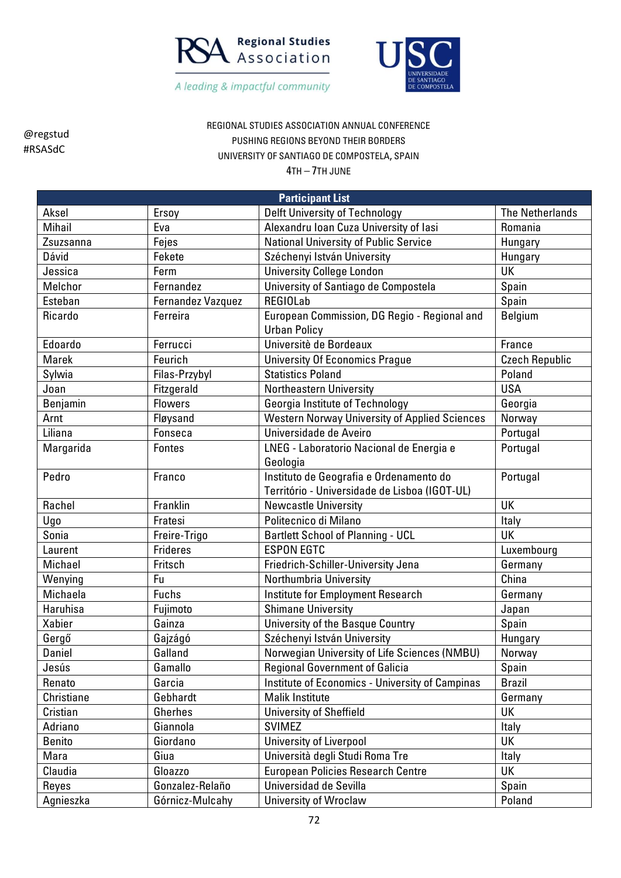



REGIONAL STUDIES ASSOCIATION ANNUAL CONFERENCE PUSHING REGIONS BEYOND THEIR BORDERS UNIVERSITY OF SANTIAGO DE COMPOSTELA, SPAIN

4TH – 7TH JUNE

| <b>Participant List</b> |                   |                                                      |                        |  |
|-------------------------|-------------------|------------------------------------------------------|------------------------|--|
| Aksel                   | Ersoy             | <b>Delft University of Technology</b>                | <b>The Netherlands</b> |  |
| Mihail                  | Eva               | Alexandru Ioan Cuza University of Iasi               | Romania                |  |
| Zsuzsanna               | Fejes             | <b>National University of Public Service</b>         | Hungary                |  |
| Dávid                   | Fekete            | Széchenyi István University                          | Hungary                |  |
| Jessica                 | Ferm              | <b>University College London</b>                     | UK                     |  |
| Melchor                 | Fernandez         | University of Santiago de Compostela                 | Spain                  |  |
| Esteban                 | Fernandez Vazquez | <b>REGIOLab</b>                                      | Spain                  |  |
| Ricardo                 | Ferreira          | European Commission, DG Regio - Regional and         | Belgium                |  |
|                         |                   | <b>Urban Policy</b>                                  |                        |  |
| Edoardo                 | Ferrucci          | Universitè de Bordeaux                               | France                 |  |
| Marek                   | Feurich           | <b>University Of Economics Prague</b>                | <b>Czech Republic</b>  |  |
| Sylwia                  | Filas-Przybyl     | <b>Statistics Poland</b>                             | Poland                 |  |
| Joan                    | Fitzgerald        | Northeastern University                              | <b>USA</b>             |  |
| Benjamin                | <b>Flowers</b>    | Georgia Institute of Technology                      | Georgia                |  |
| Arnt                    | Fløysand          | <b>Western Norway University of Applied Sciences</b> | Norway                 |  |
| Liliana                 | Fonseca           | Universidade de Aveiro                               | Portugal               |  |
| Margarida               | <b>Fontes</b>     | LNEG - Laboratorio Nacional de Energia e             | Portugal               |  |
|                         |                   | Geologia                                             |                        |  |
| Pedro                   | Franco            | Instituto de Geografia e Ordenamento do              | Portugal               |  |
|                         |                   | Território - Universidade de Lisboa (IGOT-UL)        |                        |  |
| Rachel                  | Franklin          | <b>Newcastle University</b>                          | UK                     |  |
| Ugo                     | Fratesi           | Politecnico di Milano                                | Italy                  |  |
| Sonia                   | Freire-Trigo      | <b>Bartlett School of Planning - UCL</b>             | <b>UK</b>              |  |
| Laurent                 | <b>Frideres</b>   | <b>ESPON EGTC</b>                                    | Luxembourg             |  |
| Michael                 | Fritsch           | Friedrich-Schiller-University Jena                   | Germany                |  |
| Wenying                 | Fu                | Northumbria University                               | China                  |  |
| Michaela                | <b>Fuchs</b>      | Institute for Employment Research                    | Germany                |  |
| Haruhisa                | Fujimoto          | <b>Shimane University</b>                            | Japan                  |  |
| <b>Xabier</b>           | Gainza            | University of the Basque Country                     | Spain                  |  |
| Gergő                   | Gajzágó           | Széchenyi István University                          | Hungary                |  |
| Daniel                  | Galland           | Norwegian University of Life Sciences (NMBU)         | Norway                 |  |
| Jesús                   | Gamallo           | <b>Regional Government of Galicia</b>                | Spain                  |  |
| Renato                  | Garcia            | Institute of Economics - University of Campinas      | <b>Brazil</b>          |  |
| Christiane              | Gebhardt          | Malik Institute                                      | Germany                |  |
| Cristian                | Gherhes           | <b>University of Sheffield</b>                       | UK                     |  |
| Adriano                 | Giannola          | <b>SVIMEZ</b>                                        | Italy                  |  |
| <b>Benito</b>           | Giordano          | University of Liverpool                              | <b>UK</b>              |  |
| Mara                    | Giua              | Università degli Studi Roma Tre                      | Italy                  |  |
| Claudia                 | Gloazzo           | <b>European Policies Research Centre</b>             | UK                     |  |
| Reyes                   | Gonzalez-Relaño   | Universidad de Sevilla                               | Spain                  |  |
| Agnieszka               | Górnicz-Mulcahy   | <b>University of Wroclaw</b>                         | Poland                 |  |

@regstud #RSASdC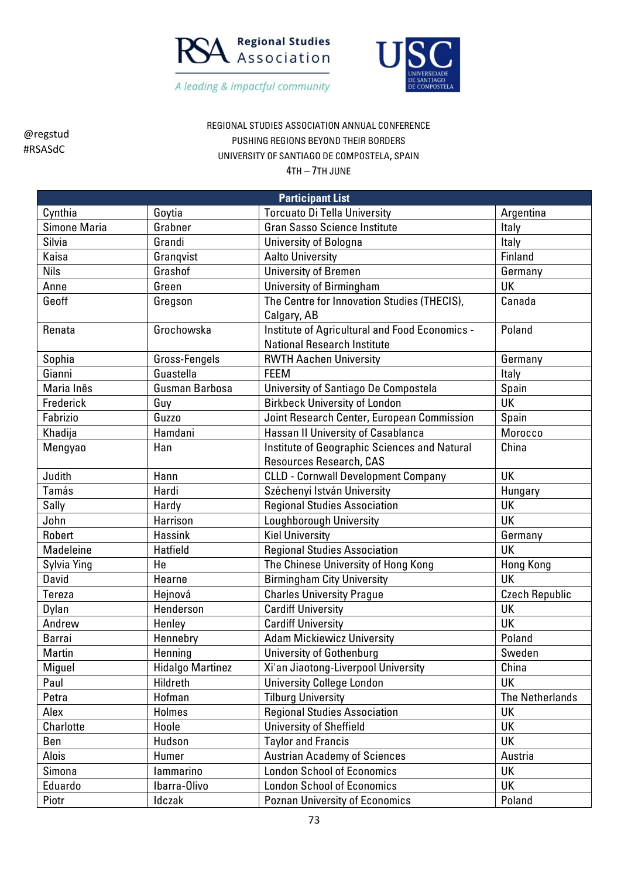



REGIONAL STUDIES ASSOCIATION ANNUAL CONFERENCE PUSHING REGIONS BEYOND THEIR BORDERS UNIVERSITY OF SANTIAGO DE COMPOSTELA, SPAIN

| <b>Participant List</b> |                         |                                                                                      |                        |  |
|-------------------------|-------------------------|--------------------------------------------------------------------------------------|------------------------|--|
| Cynthia                 | Goytia                  | <b>Torcuato Di Tella University</b>                                                  | Argentina              |  |
| Simone Maria            | Grabner                 | <b>Gran Sasso Science Institute</b>                                                  | Italy                  |  |
| Silvia                  | Grandi                  | University of Bologna                                                                | Italy                  |  |
| Kaisa                   | Grangvist               | <b>Aalto University</b>                                                              | Finland                |  |
| <b>Nils</b>             | Grashof                 | <b>University of Bremen</b>                                                          | Germany                |  |
| Anne                    | Green                   | University of Birmingham                                                             | UK                     |  |
| Geoff                   | Gregson                 | The Centre for Innovation Studies (THECIS),<br>Calgary, AB                           | Canada                 |  |
| Renata                  | Grochowska              | Institute of Agricultural and Food Economics -<br><b>National Research Institute</b> | Poland                 |  |
| Sophia                  | Gross-Fengels           | <b>RWTH Aachen University</b>                                                        | Germany                |  |
| Gianni                  | Guastella               | <b>FEEM</b>                                                                          | Italy                  |  |
| Maria Inês              | Gusman Barbosa          | University of Santiago De Compostela                                                 | Spain                  |  |
| Frederick               | Guy                     | <b>Birkbeck University of London</b>                                                 | <b>UK</b>              |  |
| Fabrizio                | Guzzo                   | Joint Research Center, European Commission                                           | Spain                  |  |
| Khadija                 | Hamdani                 | Hassan II University of Casablanca                                                   | Morocco                |  |
| Mengyao                 | Han                     | Institute of Geographic Sciences and Natural<br>Resources Research, CAS              | China                  |  |
| Judith                  | Hann                    | <b>CLLD - Cornwall Development Company</b>                                           | <b>UK</b>              |  |
| Tamás                   | Hardi                   | Széchenyi István University                                                          | Hungary                |  |
| Sally                   | Hardy                   | <b>Regional Studies Association</b>                                                  | UK                     |  |
| John                    | Harrison                | Loughborough University                                                              | <b>UK</b>              |  |
| Robert                  | <b>Hassink</b>          | <b>Kiel University</b>                                                               | Germany                |  |
| Madeleine               | <b>Hatfield</b>         | <b>Regional Studies Association</b>                                                  | UK                     |  |
| Sylvia Ying             | He                      | The Chinese University of Hong Kong                                                  | <b>Hong Kong</b>       |  |
| David                   | Hearne                  | <b>Birmingham City University</b>                                                    | UK                     |  |
| Tereza                  | Hejnová                 | <b>Charles University Prague</b>                                                     | <b>Czech Republic</b>  |  |
| Dylan                   | Henderson               | <b>Cardiff University</b>                                                            | UK                     |  |
| Andrew                  | Henley                  | <b>Cardiff University</b>                                                            | UK                     |  |
| <b>Barrai</b>           | Hennebry                | <b>Adam Mickiewicz University</b>                                                    | Poland                 |  |
| Martin                  | Henning                 | <b>University of Gothenburg</b>                                                      | Sweden                 |  |
| Miguel                  | <b>Hidalgo Martinez</b> | Xi'an Jiaotong-Liverpool University                                                  | China                  |  |
| Paul                    | Hildreth                | <b>University College London</b>                                                     | UK                     |  |
| Petra                   | Hofman                  | <b>Tilburg University</b>                                                            | <b>The Netherlands</b> |  |
| Alex                    | <b>Holmes</b>           | <b>Regional Studies Association</b>                                                  | UK                     |  |
| Charlotte               | Hoole                   | <b>University of Sheffield</b>                                                       | UK                     |  |
| Ben                     | Hudson                  | <b>Taylor and Francis</b>                                                            | UK                     |  |
| Alois                   | Humer                   | <b>Austrian Academy of Sciences</b>                                                  | Austria                |  |
| Simona                  | lammarino               | <b>London School of Economics</b>                                                    | UK                     |  |
| Eduardo                 | Ibarra-Olivo            | <b>London School of Economics</b>                                                    | UK                     |  |
| Piotr                   | Idczak                  | <b>Poznan University of Economics</b>                                                | Poland                 |  |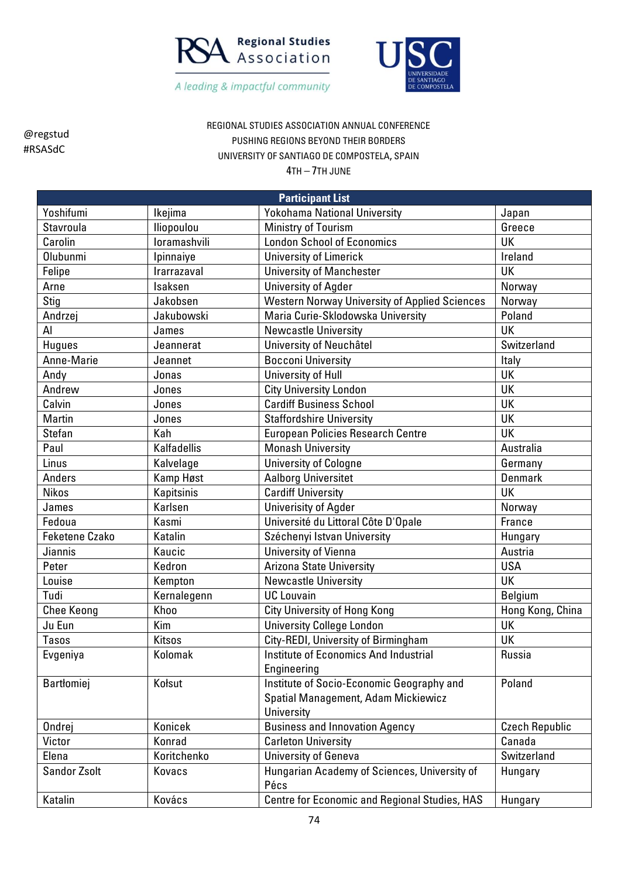



REGIONAL STUDIES ASSOCIATION ANNUAL CONFERENCE PUSHING REGIONS BEYOND THEIR BORDERS UNIVERSITY OF SANTIAGO DE COMPOSTELA, SPAIN

| <b>Participant List</b> |               |                                                      |                       |  |
|-------------------------|---------------|------------------------------------------------------|-----------------------|--|
| Yoshifumi               | Ikejima       | <b>Yokohama National University</b>                  | Japan                 |  |
| Stavroula               | Iliopoulou    | <b>Ministry of Tourism</b>                           | Greece                |  |
| Carolin                 | loramashvili  | <b>London School of Economics</b>                    | UK                    |  |
| <b>Olubunmi</b>         | Ipinnaiye     | <b>University of Limerick</b>                        | Ireland               |  |
| Felipe                  | Irarrazaval   | <b>University of Manchester</b>                      | UK                    |  |
| Arne                    | Isaksen       | <b>University of Agder</b>                           | Norway                |  |
| Stig                    | Jakobsen      | <b>Western Norway University of Applied Sciences</b> | Norway                |  |
| Andrzej                 | Jakubowski    | Maria Curie-Sklodowska University                    | Poland                |  |
| Al                      | James         | <b>Newcastle University</b>                          | UK                    |  |
| <b>Hugues</b>           | Jeannerat     | University of Neuchâtel                              | Switzerland           |  |
| Anne-Marie              | Jeannet       | <b>Bocconi University</b>                            | Italy                 |  |
| Andy                    | Jonas         | University of Hull                                   | UK                    |  |
| Andrew                  | Jones         | <b>City University London</b>                        | UK                    |  |
| Calvin                  | Jones         | <b>Cardiff Business School</b>                       | <b>UK</b>             |  |
| Martin                  | Jones         | <b>Staffordshire University</b>                      | UK                    |  |
| Stefan                  | Kah           | <b>European Policies Research Centre</b>             | <b>UK</b>             |  |
| Paul                    | Kalfadellis   | <b>Monash University</b>                             | Australia             |  |
| Linus                   | Kalvelage     | <b>University of Cologne</b>                         | Germany               |  |
| Anders                  | Kamp Høst     | Aalborg Universitet                                  | Denmark               |  |
| <b>Nikos</b>            | Kapitsinis    | <b>Cardiff University</b>                            | <b>UK</b>             |  |
| James                   | Karlsen       | <b>Univerisity of Agder</b>                          | Norway                |  |
| Fedoua                  | Kasmi         | Université du Littoral Côte D'Opale                  | France                |  |
| <b>Feketene Czako</b>   | Katalin       | Széchenyi Istvan University                          | Hungary               |  |
| Jiannis                 | Kaucic        | University of Vienna                                 | Austria               |  |
| Peter                   | Kedron        | <b>Arizona State University</b>                      | <b>USA</b>            |  |
| Louise                  | Kempton       | <b>Newcastle University</b>                          | <b>UK</b>             |  |
| Tudi                    | Kernalegenn   | <b>UC Louvain</b>                                    | <b>Belgium</b>        |  |
| <b>Chee Keong</b>       | Khoo          | City University of Hong Kong                         | Hong Kong, China      |  |
| Ju Eun                  | Kim           | <b>University College London</b>                     | UK                    |  |
| <b>Tasos</b>            | <b>Kitsos</b> | City-REDI, University of Birmingham                  | UK                    |  |
| Evgeniya                | Kolomak       | Institute of Economics And Industrial                | Russia                |  |
|                         |               | Engineering                                          |                       |  |
| Bartłomiej              | Kołsut        | Institute of Socio-Economic Geography and            | Poland                |  |
|                         |               | Spatial Management, Adam Mickiewicz                  |                       |  |
|                         |               | University                                           |                       |  |
| Ondrej                  | Konicek       | <b>Business and Innovation Agency</b>                | <b>Czech Republic</b> |  |
| Victor                  | Konrad        | <b>Carleton University</b>                           | Canada                |  |
| Elena                   | Koritchenko   | University of Geneva                                 | Switzerland           |  |
| <b>Sandor Zsolt</b>     | Kovacs        | Hungarian Academy of Sciences, University of         | Hungary               |  |
|                         |               | Pécs                                                 |                       |  |
| Katalin                 | Kovács        | Centre for Economic and Regional Studies, HAS        | Hungary               |  |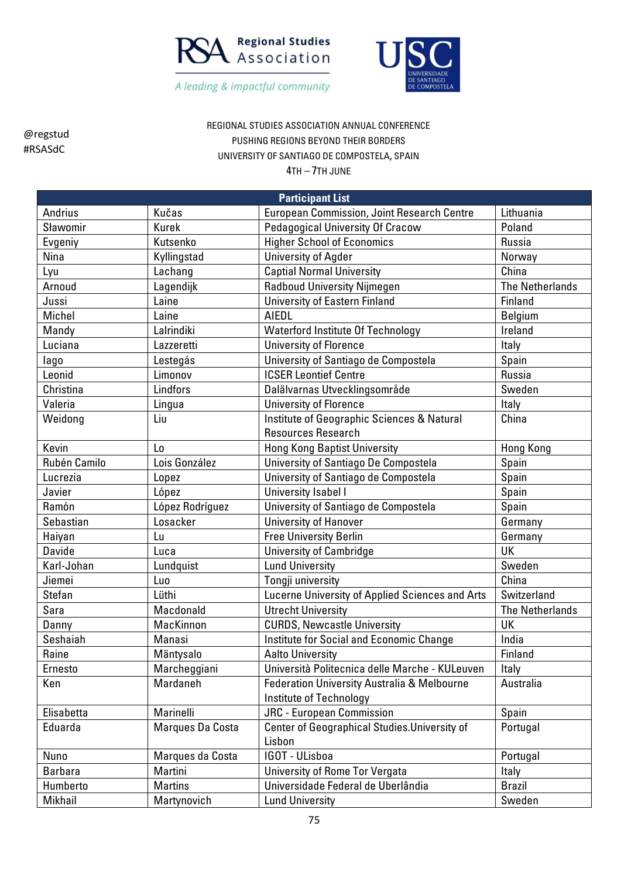



REGIONAL STUDIES ASSOCIATION ANNUAL CONFERENCE PUSHING REGIONS BEYOND THEIR BORDERS UNIVERSITY OF SANTIAGO DE COMPOSTELA, SPAIN

| <b>Participant List</b> |                  |                                                        |                        |  |
|-------------------------|------------------|--------------------------------------------------------|------------------------|--|
| Andrius                 | Kučas            | <b>European Commission, Joint Research Centre</b>      | Lithuania              |  |
| Sławomir                | <b>Kurek</b>     | Pedagogical University Of Cracow                       | Poland                 |  |
| Evgeniy                 | Kutsenko         | <b>Higher School of Economics</b>                      | Russia                 |  |
| Nina                    | Kyllingstad      | <b>University of Agder</b>                             | Norway                 |  |
| Lyu                     | Lachang          | <b>Captial Normal University</b>                       | China                  |  |
| Arnoud                  | Lagendijk        | <b>Radboud University Nijmegen</b>                     | <b>The Netherlands</b> |  |
| Jussi                   | Laine            | <b>University of Eastern Finland</b>                   | Finland                |  |
| Michel                  | Laine            | <b>AIEDL</b>                                           | Belgium                |  |
| Mandy                   | Lalrindiki       | <b>Waterford Institute Of Technology</b>               | Ireland                |  |
| Luciana                 | Lazzeretti       | <b>University of Florence</b>                          | <b>Italy</b>           |  |
| lago                    | Lestegás         | University of Santiago de Compostela                   | Spain                  |  |
| Leonid                  | Limonov          | <b>ICSER Leontief Centre</b>                           | Russia                 |  |
| Christina               | Lindfors         | Dalälvarnas Utvecklingsområde                          | Sweden                 |  |
| Valeria                 | Lingua           | <b>University of Florence</b>                          | Italy                  |  |
| Weidong                 | Liu              | Institute of Geographic Sciences & Natural             | China                  |  |
|                         |                  | <b>Resources Research</b>                              |                        |  |
| Kevin                   | L <sub>0</sub>   | <b>Hong Kong Baptist University</b>                    | <b>Hong Kong</b>       |  |
| Rubén Camilo            | Lois González    | University of Santiago De Compostela                   | Spain                  |  |
| Lucrezia                | Lopez            | University of Santiago de Compostela                   | Spain                  |  |
| Javier                  | López            | <b>University Isabel I</b>                             | Spain                  |  |
| Ramón                   | López Rodríguez  | University of Santiago de Compostela                   | Spain                  |  |
| Sebastian               | Losacker         | <b>University of Hanover</b>                           | Germany                |  |
| Haiyan                  | Lu               | <b>Free University Berlin</b>                          | Germany                |  |
| <b>Davide</b>           | Luca             | <b>University of Cambridge</b>                         | <b>UK</b>              |  |
| Karl-Johan              | Lundquist        | <b>Lund University</b>                                 | Sweden                 |  |
| Jiemei                  | Luo              | Tongji university                                      | China                  |  |
| <b>Stefan</b>           | Lüthi            | Lucerne University of Applied Sciences and Arts        | Switzerland            |  |
| Sara                    | Macdonald        | <b>Utrecht University</b>                              | <b>The Netherlands</b> |  |
| Danny                   | MacKinnon        | <b>CURDS, Newcastle University</b>                     | UK                     |  |
| Seshaiah                | Manasi           | Institute for Social and Economic Change               | India                  |  |
| Raine                   | Mäntysalo        | <b>Aalto University</b>                                | Finland                |  |
| Ernesto                 | Marcheggiani     | Università Politecnica delle Marche - KULeuven         | Italy                  |  |
| Ken                     | Mardaneh         | <b>Federation University Australia &amp; Melbourne</b> | Australia              |  |
|                         |                  | Institute of Technology                                |                        |  |
| Elisabetta              | Marinelli        | <b>JRC</b> - European Commission                       | Spain                  |  |
| Eduarda                 | Marques Da Costa | Center of Geographical Studies. University of          | Portugal               |  |
|                         |                  | Lisbon                                                 |                        |  |
| Nuno                    | Marques da Costa | IGOT - ULisboa                                         | Portugal               |  |
| <b>Barbara</b>          | Martini          | <b>University of Rome Tor Vergata</b>                  | <b>Italy</b>           |  |
| Humberto                | <b>Martins</b>   | Universidade Federal de Uberlândia                     | <b>Brazil</b>          |  |
| Mikhail                 | Martynovich      | <b>Lund University</b>                                 | Sweden                 |  |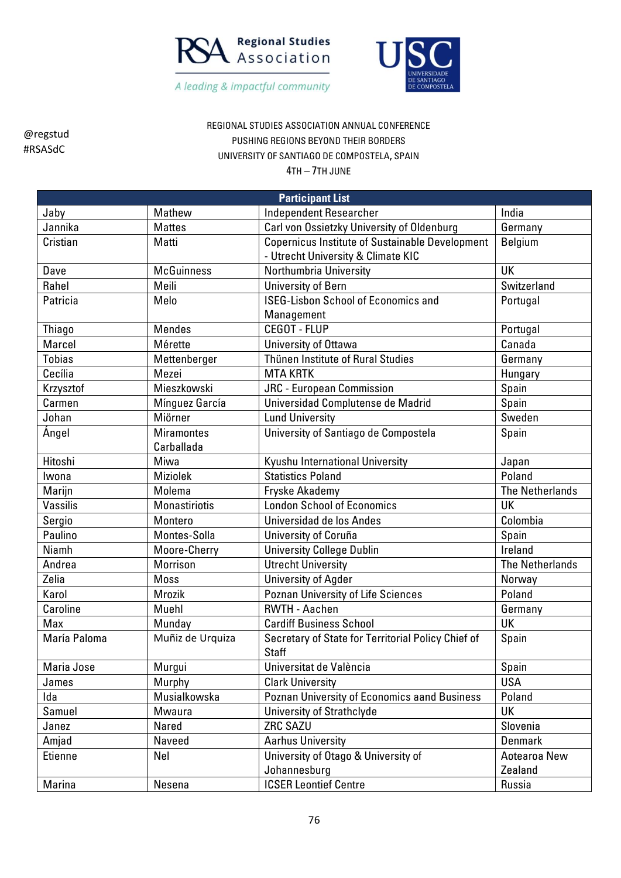



## REGIONAL STUDIES ASSOCIATION ANNUAL CONFERENCE PUSHING REGIONS BEYOND THEIR BORDERS UNIVERSITY OF SANTIAGO DE COMPOSTELA, SPAIN

| <b>Participant List</b> |                   |                                                        |                        |  |
|-------------------------|-------------------|--------------------------------------------------------|------------------------|--|
| Jaby                    | Mathew            | <b>Independent Researcher</b>                          | India                  |  |
| Jannika                 | <b>Mattes</b>     | Carl von Ossietzky University of Oldenburg             | Germany                |  |
| Cristian                | Matti             | <b>Copernicus Institute of Sustainable Development</b> | <b>Belgium</b>         |  |
|                         |                   | - Utrecht University & Climate KIC                     |                        |  |
| Dave                    | <b>McGuinness</b> | Northumbria University                                 | UK                     |  |
| Rahel                   | Meili             | University of Bern                                     | Switzerland            |  |
| Patricia                | Melo              | <b>ISEG-Lisbon School of Economics and</b>             | Portugal               |  |
|                         |                   | Management                                             |                        |  |
| <b>Thiago</b>           | <b>Mendes</b>     | <b>CEGOT - FLUP</b>                                    | Portugal               |  |
| Marcel                  | Mérette           | University of Ottawa                                   | Canada                 |  |
| <b>Tobias</b>           | Mettenberger      | Thünen Institute of Rural Studies                      | Germany                |  |
| Cecília                 | Mezei             | <b>MTA KRTK</b>                                        | Hungary                |  |
| Krzysztof               | Mieszkowski       | <b>JRC</b> - European Commission                       | Spain                  |  |
| Carmen                  | Mínguez García    | Universidad Complutense de Madrid                      | Spain                  |  |
| Johan                   | Miörner           | <b>Lund University</b>                                 | Sweden                 |  |
| Ángel                   | <b>Miramontes</b> | University of Santiago de Compostela                   | Spain                  |  |
|                         | Carballada        |                                                        |                        |  |
| Hitoshi                 | Miwa              | Kyushu International University                        | Japan                  |  |
| Iwona                   | <b>Miziolek</b>   | <b>Statistics Poland</b>                               | Poland                 |  |
| Marijn                  | Molema            | Fryske Akademy                                         | <b>The Netherlands</b> |  |
| Vassilis                | Monastiriotis     | <b>London School of Economics</b>                      | UK                     |  |
| Sergio                  | Montero           | Universidad de los Andes                               | Colombia               |  |
| Paulino                 | Montes-Solla      | University of Coruña                                   | Spain                  |  |
| Niamh                   | Moore-Cherry      | <b>University College Dublin</b>                       | Ireland                |  |
| Andrea                  | Morrison          | <b>Utrecht University</b>                              | <b>The Netherlands</b> |  |
| Zelia                   | <b>Moss</b>       | University of Agder                                    | Norway                 |  |
| Karol                   | <b>Mrozik</b>     | Poznan University of Life Sciences                     | Poland                 |  |
| Caroline                | Muehl             | <b>RWTH - Aachen</b>                                   | Germany                |  |
| Max                     | Munday            | <b>Cardiff Business School</b>                         | UK                     |  |
| María Paloma            | Muñiz de Urquiza  | Secretary of State for Territorial Policy Chief of     | Spain                  |  |
|                         |                   | <b>Staff</b>                                           |                        |  |
| Maria Jose              | Murgui            | Universitat de València                                | Spain                  |  |
| James                   | Murphy            | <b>Clark University</b>                                | <b>USA</b>             |  |
| Ida                     | Musialkowska      | Poznan University of Economics aand Business           | Poland                 |  |
| Samuel                  | Mwaura            | University of Strathclyde                              | UK                     |  |
| Janez                   | Nared             | ZRC SAZU                                               | Slovenia               |  |
| Amjad                   | Naveed            | <b>Aarhus University</b>                               | <b>Denmark</b>         |  |
| Etienne                 | Nel               | University of Otago & University of                    | Aotearoa New           |  |
|                         |                   | Johannesburg                                           | Zealand                |  |
| Marina                  | Nesena            | <b>ICSER Leontief Centre</b>                           | Russia                 |  |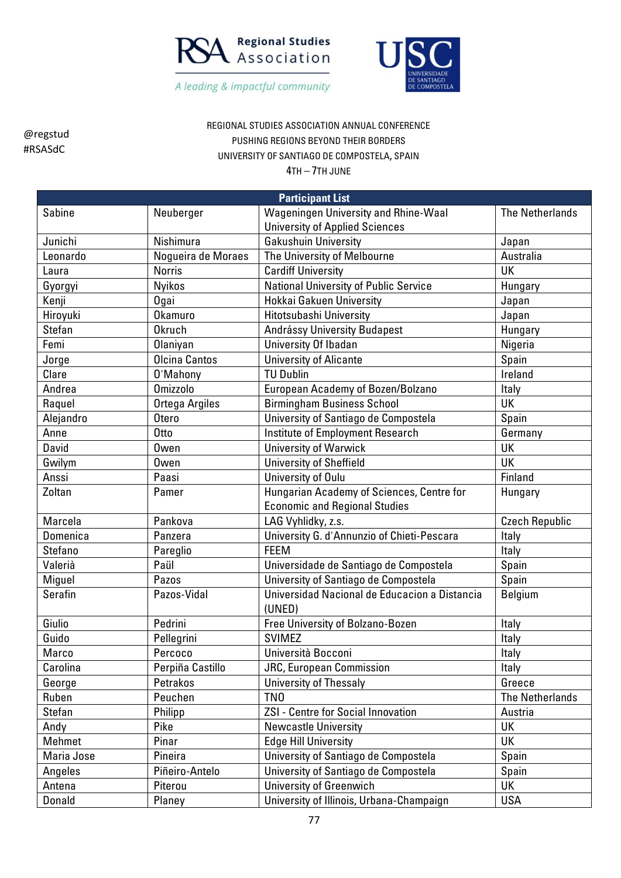



REGIONAL STUDIES ASSOCIATION ANNUAL CONFERENCE PUSHING REGIONS BEYOND THEIR BORDERS UNIVERSITY OF SANTIAGO DE COMPOSTELA, SPAIN

| <b>Participant List</b> |                    |                                                         |                        |  |
|-------------------------|--------------------|---------------------------------------------------------|------------------------|--|
| Sabine                  | Neuberger          | Wageningen University and Rhine-Waal                    | <b>The Netherlands</b> |  |
|                         |                    | <b>University of Applied Sciences</b>                   |                        |  |
| Junichi                 | Nishimura          | <b>Gakushuin University</b>                             | Japan                  |  |
| Leonardo                | Nogueira de Moraes | The University of Melbourne                             | Australia              |  |
| Laura                   | <b>Norris</b>      | <b>Cardiff University</b>                               | UK                     |  |
| Gyorgyi                 | <b>Nyikos</b>      | <b>National University of Public Service</b>            | Hungary                |  |
| Kenji                   | <b>Ogai</b>        | Hokkai Gakuen University                                | Japan                  |  |
| Hiroyuki                | Okamuro            | Hitotsubashi University                                 | Japan                  |  |
| Stefan                  | <b>Okruch</b>      | Andrássy University Budapest                            | Hungary                |  |
| Femi                    | Olaniyan           | University Of Ibadan                                    | Nigeria                |  |
| Jorge                   | Olcina Cantos      | <b>University of Alicante</b>                           | Spain                  |  |
| Clare                   | 0'Mahony           | <b>TU Dublin</b>                                        | Ireland                |  |
| Andrea                  | <b>Omizzolo</b>    | European Academy of Bozen/Bolzano                       | Italy                  |  |
| Raquel                  | Ortega Argiles     | <b>Birmingham Business School</b>                       | <b>UK</b>              |  |
| Alejandro               | <b>Otero</b>       | University of Santiago de Compostela                    | Spain                  |  |
| Anne                    | 0 <sub>tto</sub>   | Institute of Employment Research                        | Germany                |  |
| David                   | <b>Owen</b>        | <b>University of Warwick</b>                            | <b>UK</b>              |  |
| Gwilym                  | Owen               | <b>University of Sheffield</b>                          | UK                     |  |
| Anssi                   | Paasi              | University of Oulu                                      | Finland                |  |
| Zoltan                  | Pamer              | Hungarian Academy of Sciences, Centre for               | Hungary                |  |
|                         |                    | <b>Economic and Regional Studies</b>                    |                        |  |
| Marcela                 | Pankova            | LAG Vyhlidky, z.s.                                      | <b>Czech Republic</b>  |  |
| Domenica                | Panzera            | University G. d'Annunzio of Chieti-Pescara              | Italy                  |  |
| Stefano                 | Pareglio           | <b>FEEM</b>                                             | Italy                  |  |
| Valerià                 | Paül               | Universidade de Santiago de Compostela                  | Spain                  |  |
| Miguel                  | Pazos              | University of Santiago de Compostela                    | Spain                  |  |
| Serafin                 | Pazos-Vidal        | Universidad Nacional de Educacion a Distancia<br>(UNED) | <b>Belgium</b>         |  |
| Giulio                  | Pedrini            | Free University of Bolzano-Bozen                        | Italy                  |  |
| Guido                   | Pellegrini         | <b>SVIMEZ</b>                                           | Italy                  |  |
| Marco                   | Percoco            | Università Bocconi                                      | Italy                  |  |
| Carolina                | Perpiña Castillo   | <b>JRC, European Commission</b>                         | Italy                  |  |
| George                  | Petrakos           | <b>University of Thessaly</b>                           | Greece                 |  |
| Ruben                   | Peuchen            | TN <sub>0</sub>                                         | <b>The Netherlands</b> |  |
| Stefan                  | Philipp            | <b>ZSI - Centre for Social Innovation</b>               | Austria                |  |
| Andy                    | Pike               | <b>Newcastle University</b>                             | UK                     |  |
| Mehmet                  | Pinar              | <b>Edge Hill University</b>                             | <b>UK</b>              |  |
| Maria Jose              | Pineira            | University of Santiago de Compostela                    | Spain                  |  |
| Angeles                 | Piñeiro-Antelo     | University of Santiago de Compostela                    | Spain                  |  |
| Antena                  | Piterou            | <b>University of Greenwich</b>                          | UK                     |  |
| Donald                  | Planey             | University of Illinois, Urbana-Champaign                | <b>USA</b>             |  |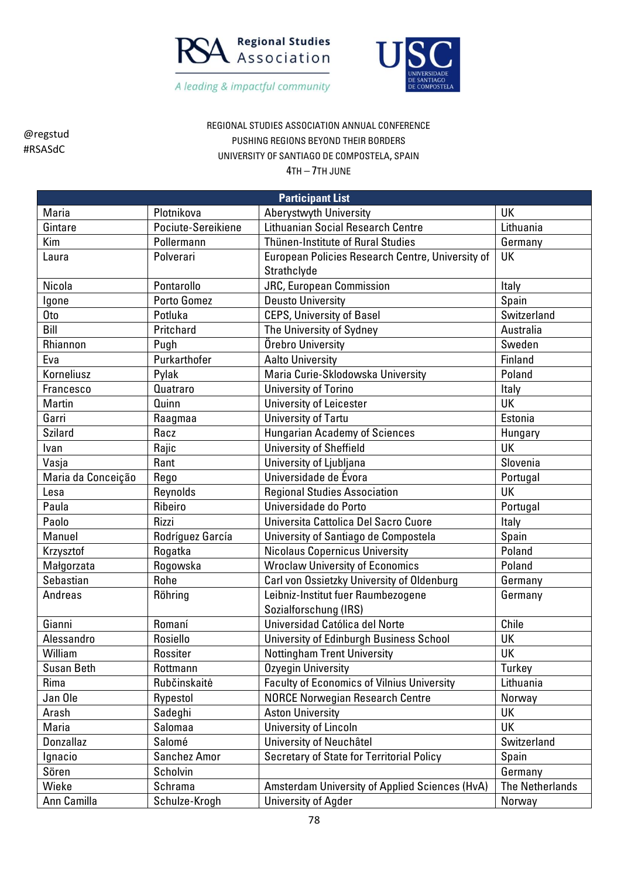



## REGIONAL STUDIES ASSOCIATION ANNUAL CONFERENCE PUSHING REGIONS BEYOND THEIR BORDERS UNIVERSITY OF SANTIAGO DE COMPOSTELA, SPAIN

| <b>Participant List</b> |                    |                                                                 |                        |  |
|-------------------------|--------------------|-----------------------------------------------------------------|------------------------|--|
| Maria                   | Plotnikova         | Aberystwyth University                                          | UK                     |  |
| Gintare                 | Pociute-Sereikiene | <b>Lithuanian Social Research Centre</b>                        | Lithuania              |  |
| Kim                     | Pollermann         | Thünen-Institute of Rural Studies                               | Germany                |  |
| Laura                   | Polverari          | European Policies Research Centre, University of<br>Strathclyde | <b>UK</b>              |  |
| Nicola                  | Pontarollo         | <b>JRC, European Commission</b>                                 | Italy                  |  |
| Igone                   | Porto Gomez        | <b>Deusto University</b>                                        | Spain                  |  |
| Oto                     | Potluka            | <b>CEPS, University of Basel</b>                                | Switzerland            |  |
| Bill                    | Pritchard          | The University of Sydney                                        | Australia              |  |
| Rhiannon                | Pugh               | Örebro University                                               | Sweden                 |  |
| Eva                     | Purkarthofer       | <b>Aalto University</b>                                         | Finland                |  |
| Korneliusz              | Pylak              | Maria Curie-Sklodowska University                               | Poland                 |  |
| Francesco               | Quatraro           | <b>University of Torino</b>                                     | Italy                  |  |
| Martin                  | Quinn              | <b>University of Leicester</b>                                  | UK                     |  |
| Garri                   | Raagmaa            | University of Tartu                                             | Estonia                |  |
| <b>Szilard</b>          | Racz               | <b>Hungarian Academy of Sciences</b>                            | Hungary                |  |
| Ivan                    | Rajic              | <b>University of Sheffield</b>                                  | <b>UK</b>              |  |
| Vasja                   | Rant               | University of Ljubljana                                         | Slovenia               |  |
| Maria da Conceição      | Rego               | Universidade de Évora                                           | Portugal               |  |
| Lesa                    | Reynolds           | <b>Regional Studies Association</b>                             | UK                     |  |
| Paula                   | Ribeiro            | Universidade do Porto                                           | Portugal               |  |
| Paolo                   | Rizzi              | Universita Cattolica Del Sacro Cuore                            | Italy                  |  |
| Manuel                  | Rodríguez García   | University of Santiago de Compostela                            | Spain                  |  |
| Krzysztof               | Rogatka            | <b>Nicolaus Copernicus University</b>                           | Poland                 |  |
| Małgorzata              | Rogowska           | <b>Wroclaw University of Economics</b>                          | Poland                 |  |
| Sebastian               | Rohe               | Carl von Ossietzky University of Oldenburg                      | Germany                |  |
| Andreas                 | Röhring            | Leibniz-Institut fuer Raumbezogene<br>Sozialforschung (IRS)     | Germany                |  |
| Gianni                  | Romaní             | Universidad Católica del Norte                                  | Chile                  |  |
| Alessandro              | Rosiello           | University of Edinburgh Business School                         | UK                     |  |
| William                 | Rossiter           | <b>Nottingham Trent University</b>                              | UK                     |  |
| <b>Susan Beth</b>       | Rottmann           | Ozyegin University                                              | Turkey                 |  |
| Rima                    | Rubčinskaitė       | <b>Faculty of Economics of Vilnius University</b>               | Lithuania              |  |
| Jan Ole                 | Rypestol           | <b>NORCE Norwegian Research Centre</b>                          | Norway                 |  |
| Arash                   | Sadeghi            | <b>Aston University</b>                                         | UK                     |  |
| Maria                   | Salomaa            | University of Lincoln                                           | UK                     |  |
| Donzallaz               | Salomé             | University of Neuchâtel                                         | Switzerland            |  |
| Ignacio                 | Sanchez Amor       | <b>Secretary of State for Territorial Policy</b>                | Spain                  |  |
| Sören                   | Scholvin           |                                                                 | Germany                |  |
| Wieke                   | Schrama            | Amsterdam University of Applied Sciences (HvA)                  | <b>The Netherlands</b> |  |
| Ann Camilla             | Schulze-Krogh      | University of Agder                                             | Norway                 |  |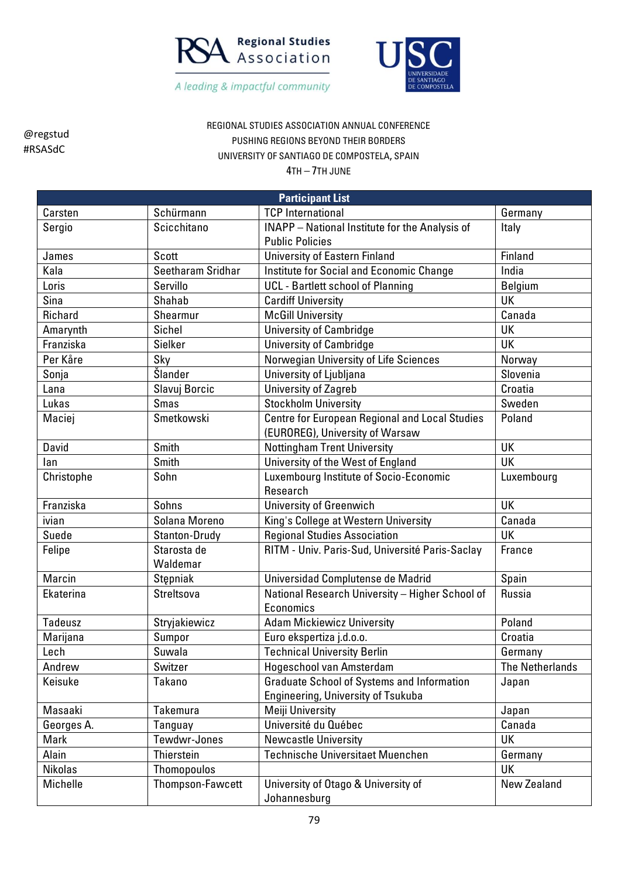



REGIONAL STUDIES ASSOCIATION ANNUAL CONFERENCE PUSHING REGIONS BEYOND THEIR BORDERS UNIVERSITY OF SANTIAGO DE COMPOSTELA, SPAIN

4TH – 7TH JUNE

| <b>Participant List</b> |                   |                                                       |                        |  |
|-------------------------|-------------------|-------------------------------------------------------|------------------------|--|
| Carsten                 | Schürmann         | <b>TCP</b> International                              | Germany                |  |
| Sergio                  | Scicchitano       | <b>INAPP</b> - National Institute for the Analysis of | Italy                  |  |
|                         |                   | <b>Public Policies</b>                                |                        |  |
| James                   | Scott             | <b>University of Eastern Finland</b>                  | Finland                |  |
| Kala                    | Seetharam Sridhar | Institute for Social and Economic Change              | India                  |  |
| Loris                   | Servillo          | <b>UCL</b> - Bartlett school of Planning              | <b>Belgium</b>         |  |
| Sina                    | Shahab            | <b>Cardiff University</b>                             | <b>UK</b>              |  |
| Richard                 | Shearmur          | <b>McGill University</b>                              | Canada                 |  |
| Amarynth                | Sichel            | <b>University of Cambridge</b>                        | UK                     |  |
| Franziska               | Sielker           | <b>University of Cambridge</b>                        | UK                     |  |
| Per Kåre                | Sky               | Norwegian University of Life Sciences                 | Norway                 |  |
| Sonja                   | Šlander           | University of Ljubljana                               | Slovenia               |  |
| Lana                    | Slavuj Borcic     | <b>University of Zagreb</b>                           | Croatia                |  |
| Lukas                   | <b>Smas</b>       | <b>Stockholm University</b>                           | Sweden                 |  |
| Maciej                  | Smetkowski        | <b>Centre for European Regional and Local Studies</b> | Poland                 |  |
|                         |                   | (EUROREG), University of Warsaw                       |                        |  |
| David                   | Smith             | <b>Nottingham Trent University</b>                    | <b>UK</b>              |  |
| lan                     | Smith             | University of the West of England                     | UK                     |  |
| Christophe              | Sohn              | Luxembourg Institute of Socio-Economic                | Luxembourg             |  |
|                         |                   | Research                                              |                        |  |
| Franziska               | Sohns             | <b>University of Greenwich</b>                        | UK                     |  |
| ivian                   | Solana Moreno     | King's College at Western University                  | Canada                 |  |
| Suede                   | Stanton-Drudy     | <b>Regional Studies Association</b>                   | UK                     |  |
| Felipe                  | Starosta de       | RITM - Univ. Paris-Sud, Université Paris-Saclay       | France                 |  |
|                         | Waldemar          |                                                       |                        |  |
| Marcin                  | Stepniak          | Universidad Complutense de Madrid                     | Spain                  |  |
| Ekaterina               | Streltsova        | National Research University - Higher School of       | Russia                 |  |
|                         |                   | Economics                                             |                        |  |
| Tadeusz                 | Stryjakiewicz     | <b>Adam Mickiewicz University</b>                     | Poland                 |  |
| Marijana                | Sumpor            | Euro ekspertiza j.d.o.o.                              | Croatia                |  |
| Lech                    | Suwala            | <b>Technical University Berlin</b>                    | Germany                |  |
| Andrew                  | Switzer           | Hogeschool van Amsterdam                              | <b>The Netherlands</b> |  |
| Keisuke                 | Takano            | <b>Graduate School of Systems and Information</b>     | Japan                  |  |
|                         |                   | <b>Engineering, University of Tsukuba</b>             |                        |  |
| Masaaki                 | <b>Takemura</b>   | Meiji University                                      | Japan                  |  |
| Georges A.              | Tanguay           | Université du Québec                                  | Canada                 |  |
| Mark                    | Tewdwr-Jones      | <b>Newcastle University</b>                           | UK                     |  |
| Alain                   | Thierstein        | <b>Technische Universitaet Muenchen</b>               | Germany                |  |
| Nikolas                 | Thomopoulos       |                                                       | UK                     |  |
| Michelle                | Thompson-Fawcett  | University of Otago & University of                   | New Zealand            |  |
|                         |                   | Johannesburg                                          |                        |  |

79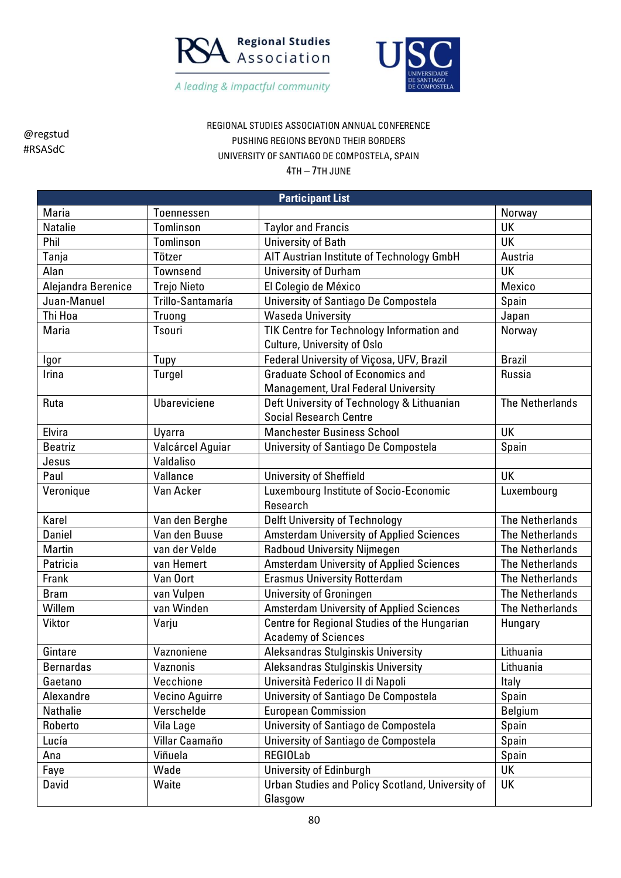



REGIONAL STUDIES ASSOCIATION ANNUAL CONFERENCE PUSHING REGIONS BEYOND THEIR BORDERS UNIVERSITY OF SANTIAGO DE COMPOSTELA, SPAIN

| <b>Participant List</b> |                    |                                                                                 |                        |  |
|-------------------------|--------------------|---------------------------------------------------------------------------------|------------------------|--|
| Maria                   | <b>Toennessen</b>  |                                                                                 | Norway                 |  |
| Natalie                 | Tomlinson          | <b>Taylor and Francis</b>                                                       | UK                     |  |
| Phil                    | Tomlinson          | University of Bath                                                              | <b>UK</b>              |  |
| Tanja                   | Tötzer             | AIT Austrian Institute of Technology GmbH                                       | Austria                |  |
| Alan                    | Townsend           | <b>University of Durham</b>                                                     | <b>UK</b>              |  |
| Alejandra Berenice      | <b>Trejo Nieto</b> | El Colegio de México                                                            | Mexico                 |  |
| Juan-Manuel             | Trillo-Santamaría  | University of Santiago De Compostela                                            | Spain                  |  |
| Thi Hoa                 | Truong             | <b>Waseda University</b>                                                        | Japan                  |  |
| Maria                   | Tsouri             | TIK Centre for Technology Information and<br><b>Culture, University of Oslo</b> | Norway                 |  |
| Igor                    | Tupy               | Federal University of Viçosa, UFV, Brazil                                       | <b>Brazil</b>          |  |
| Irina                   | Turgel             | <b>Graduate School of Economics and</b><br>Management, Ural Federal University  | Russia                 |  |
| Ruta                    | Ubareviciene       | Deft University of Technology & Lithuanian<br><b>Social Research Centre</b>     | <b>The Netherlands</b> |  |
| Elvira                  | Uyarra             | <b>Manchester Business School</b>                                               | UK                     |  |
| <b>Beatriz</b>          | Valcárcel Aguiar   | University of Santiago De Compostela                                            | Spain                  |  |
| Jesus                   | Valdaliso          |                                                                                 |                        |  |
| Paul                    | Vallance           | <b>University of Sheffield</b>                                                  | UK                     |  |
| Veronique               | Van Acker          | Luxembourg Institute of Socio-Economic<br>Research                              | Luxembourg             |  |
| Karel                   | Van den Berghe     | Delft University of Technology                                                  | <b>The Netherlands</b> |  |
| <b>Daniel</b>           | Van den Buuse      | <b>Amsterdam University of Applied Sciences</b>                                 | <b>The Netherlands</b> |  |
| Martin                  | van der Velde      | <b>Radboud University Nijmegen</b>                                              | <b>The Netherlands</b> |  |
| Patricia                | van Hemert         | <b>Amsterdam University of Applied Sciences</b>                                 | <b>The Netherlands</b> |  |
| Frank                   | Van Oort           | <b>Erasmus University Rotterdam</b>                                             | <b>The Netherlands</b> |  |
| <b>Bram</b>             | van Vulpen         | University of Groningen                                                         | <b>The Netherlands</b> |  |
| Willem                  | van Winden         | <b>Amsterdam University of Applied Sciences</b>                                 | <b>The Netherlands</b> |  |
| Viktor                  | Varju              | Centre for Regional Studies of the Hungarian<br><b>Academy of Sciences</b>      | Hungary                |  |
| Gintare                 | Vaznoniene         | Aleksandras Stulginskis University                                              | Lithuania              |  |
| <b>Bernardas</b>        | Vaznonis           | Aleksandras Stulginskis University                                              | Lithuania              |  |
| Gaetano                 | Vecchione          | Università Federico II di Napoli                                                | Italy                  |  |
| Alexandre               | Vecino Aguirre     | University of Santiago De Compostela                                            | Spain                  |  |
| Nathalie                | Verschelde         | <b>European Commission</b>                                                      | <b>Belgium</b>         |  |
| Roberto                 | Vila Lage          | University of Santiago de Compostela                                            | Spain                  |  |
| Lucía                   | Villar Caamaño     | University of Santiago de Compostela                                            | Spain                  |  |
| Ana                     | Viñuela            | <b>REGIOLab</b>                                                                 | Spain                  |  |
| Faye                    | Wade               | University of Edinburgh                                                         | UK                     |  |
| David                   | Waite              | Urban Studies and Policy Scotland, University of<br>Glasgow                     | UK                     |  |